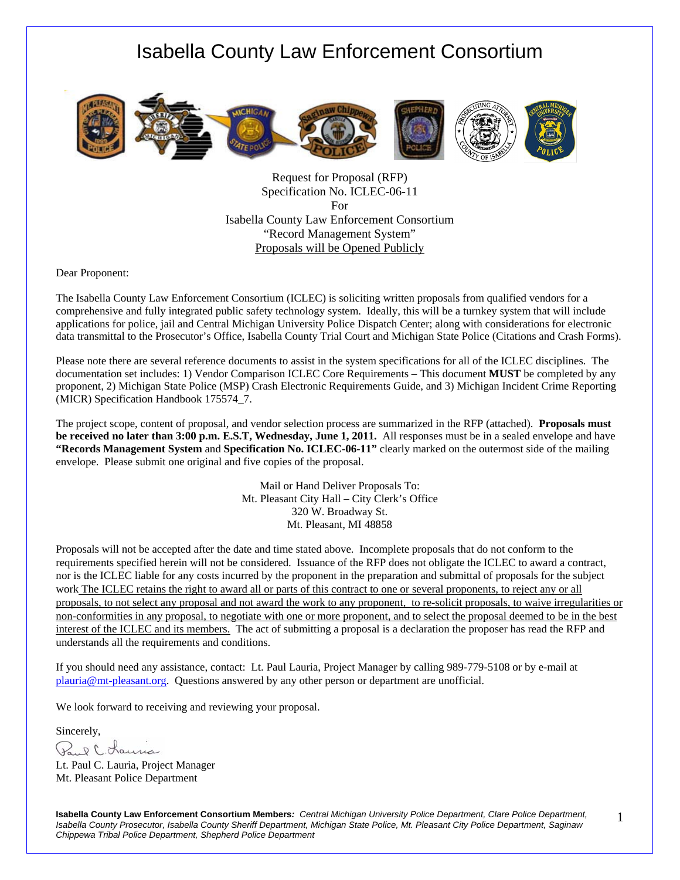

Request for Proposal (RFP) Specification No. ICLEC-06-11 For Isabella County Law Enforcement Consortium "Record Management System" Proposals will be Opened Publicly

Dear Proponent:

The Isabella County Law Enforcement Consortium (ICLEC) is soliciting written proposals from qualified vendors for a comprehensive and fully integrated public safety technology system. Ideally, this will be a turnkey system that will include applications for police, jail and Central Michigan University Police Dispatch Center; along with considerations for electronic data transmittal to the Prosecutor's Office, Isabella County Trial Court and Michigan State Police (Citations and Crash Forms).

Please note there are several reference documents to assist in the system specifications for all of the ICLEC disciplines. The documentation set includes: 1) Vendor Comparison ICLEC Core Requirements – This document **MUST** be completed by any proponent, 2) Michigan State Police (MSP) Crash Electronic Requirements Guide, and 3) Michigan Incident Crime Reporting (MICR) Specification Handbook 175574\_7.

The project scope, content of proposal, and vendor selection process are summarized in the RFP (attached). **Proposals must be received no later than 3:00 p.m. E.S.T, Wednesday, June 1, 2011.** All responses must be in a sealed envelope and have **"Records Management System** and **Specification No. ICLEC-06-11"** clearly marked on the outermost side of the mailing envelope. Please submit one original and five copies of the proposal.

> Mail or Hand Deliver Proposals To: Mt. Pleasant City Hall – City Clerk's Office 320 W. Broadway St. Mt. Pleasant, MI 48858

Proposals will not be accepted after the date and time stated above. Incomplete proposals that do not conform to the requirements specified herein will not be considered. Issuance of the RFP does not obligate the ICLEC to award a contract, nor is the ICLEC liable for any costs incurred by the proponent in the preparation and submittal of proposals for the subject work The ICLEC retains the right to award all or parts of this contract to one or several proponents, to reject any or all proposals, to not select any proposal and not award the work to any proponent, to re-solicit proposals, to waive irregularities or non-conformities in any proposal, to negotiate with one or more proponent, and to select the proposal deemed to be in the best interest of the ICLEC and its members. The act of submitting a proposal is a declaration the proposer has read the RFP and understands all the requirements and conditions.

If you should need any assistance, contact: Lt. Paul Lauria, Project Manager by calling 989-779-5108 or by e-mail at plauria@mt-pleasant.org. Questions answered by any other person or department are unofficial.

We look forward to receiving and reviewing your proposal.

Sincerely,

Paul C. Lauria

Lt. Paul C. Lauria, Project Manager Mt. Pleasant Police Department

**Isabella County Law Enforcement Consortium Members***: Central Michigan University Police Department, Clare Police Department, Isabella County Prosecutor, Isabella County Sheriff Department, Michigan State Police, Mt. Pleasant City Police Department, Saginaw Chippewa Tribal Police Department, Shepherd Police Department* 

1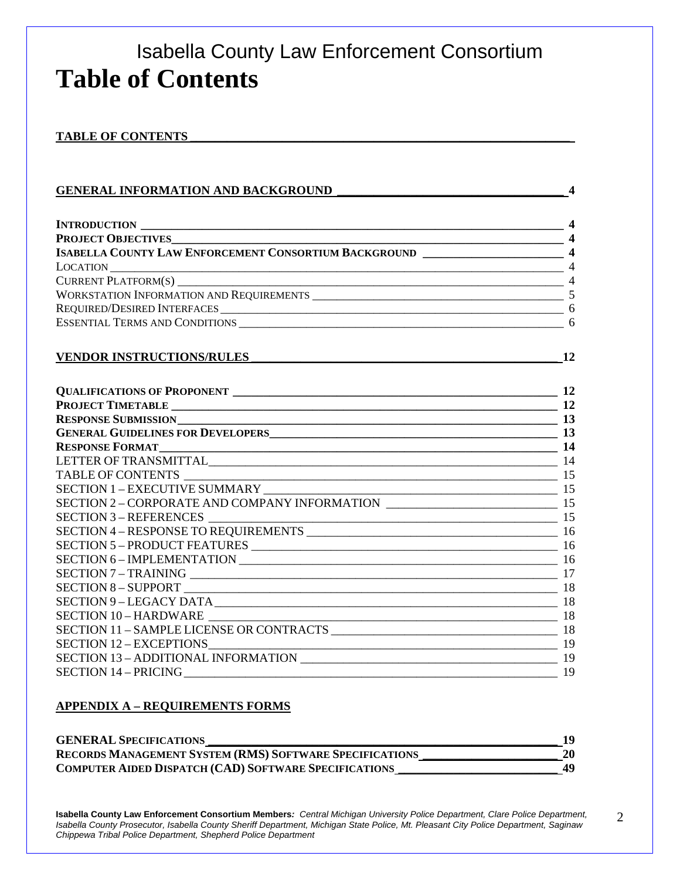## Isabella County Law Enforcement Consortium **Table of Contents**

#### TABLE OF CONTENTS

| <b>GENERAL INFORMATION AND BACKGROUND</b>                                            | $\overline{\mathbf{4}}$ |
|--------------------------------------------------------------------------------------|-------------------------|
|                                                                                      |                         |
|                                                                                      |                         |
|                                                                                      |                         |
| ISABELLA COUNTY LAW ENFORCEMENT CONSORTIUM BACKGROUND ___________________________ 4  |                         |
|                                                                                      |                         |
| CURRENT PLATFORM(S) $\qquad \qquad \qquad$ 4                                         |                         |
|                                                                                      |                         |
|                                                                                      |                         |
|                                                                                      |                         |
|                                                                                      |                         |
| <b>VENDOR INSTRUCTIONS/RULES</b>                                                     | 12                      |
|                                                                                      |                         |
|                                                                                      |                         |
|                                                                                      |                         |
|                                                                                      |                         |
| GENERAL GUIDELINES FOR DEVELOPERS<br>13                                              |                         |
|                                                                                      |                         |
|                                                                                      |                         |
|                                                                                      |                         |
|                                                                                      |                         |
| SECTION 2 - CORPORATE AND COMPANY INFORMATION ___________________________________ 15 |                         |
|                                                                                      |                         |
|                                                                                      |                         |
|                                                                                      |                         |
|                                                                                      |                         |
|                                                                                      |                         |
|                                                                                      |                         |
|                                                                                      |                         |
| SECTION 10-HARDWARE                                                                  |                         |
|                                                                                      |                         |
|                                                                                      |                         |
|                                                                                      |                         |
|                                                                                      |                         |

#### **APPENDIX A – REQUIREMENTS FORMS**

| <b>GENERAL SPECIFICATIONS</b>                                  |    |
|----------------------------------------------------------------|----|
| <b>RECORDS MANAGEMENT SYSTEM (RMS) SOFTWARE SPECIFICATIONS</b> | 20 |
| <b>COMPUTER AIDED DISPATCH (CAD) SOFTWARE SPECIFICATIONS</b>   | 49 |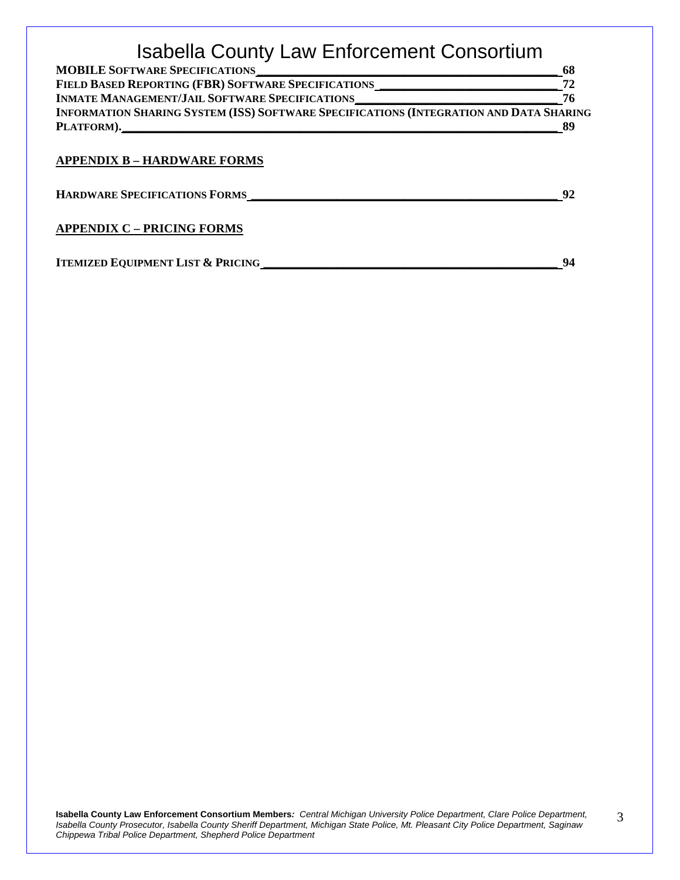| <b>MOBILE SOFTWARE SPECIFICATIONS</b>                                                  | 68 |
|----------------------------------------------------------------------------------------|----|
| FIELD BASED REPORTING (FBR) SOFTWARE SPECIFICATIONS                                    |    |
| <b>INMATE MANAGEMENT/JAIL SOFTWARE SPECIFICATIONS</b>                                  | 76 |
| INFORMATION SHARING SYSTEM (ISS) SOFTWARE SPECIFICATIONS (INTEGRATION AND DATA SHARING |    |
| PLATFORM).                                                                             | 89 |

#### **APPENDIX B – HARDWARE FORMS**

**HARDWARE SPECIFICATIONS FORMS \_\_\_\_\_\_\_\_\_\_\_\_\_\_\_\_\_\_\_\_\_\_\_\_\_\_\_\_\_\_\_\_\_\_\_\_\_\_\_\_\_\_\_\_\_\_\_\_\_\_ 92**

#### **APPENDIX C – PRICING FORMS**

**ITEMIZED EQUIPMENT LIST & PRICING \_\_\_\_\_\_\_\_\_\_\_\_\_\_\_\_\_\_\_\_\_\_\_\_\_\_\_\_\_\_\_\_\_\_\_\_\_\_\_\_\_\_\_\_\_\_\_\_ 94**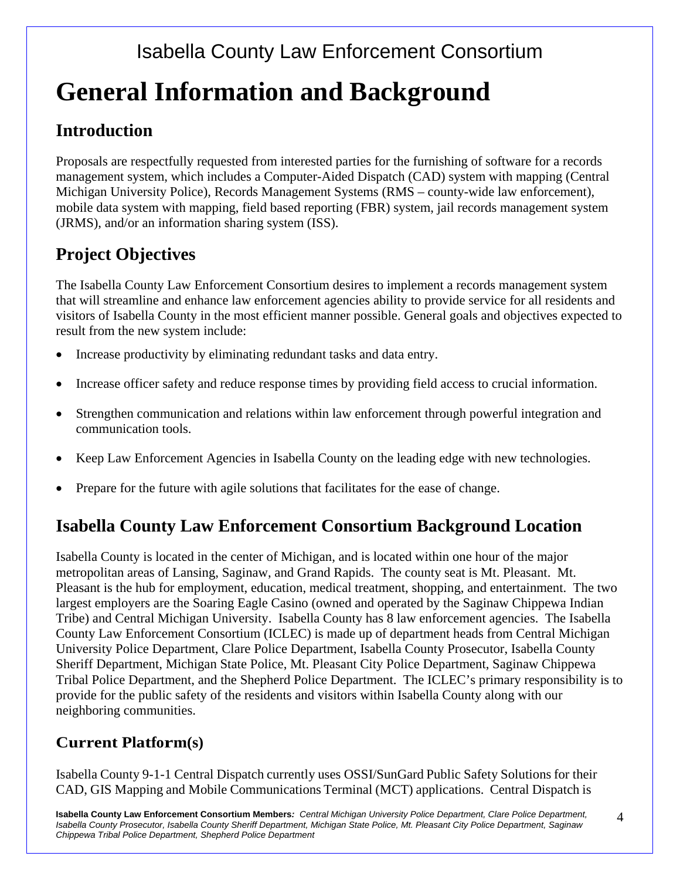# **General Information and Background**

### **Introduction**

Proposals are respectfully requested from interested parties for the furnishing of software for a records management system, which includes a Computer-Aided Dispatch (CAD) system with mapping (Central Michigan University Police), Records Management Systems (RMS – county-wide law enforcement), mobile data system with mapping, field based reporting (FBR) system, jail records management system (JRMS), and/or an information sharing system (ISS).

### **Project Objectives**

The Isabella County Law Enforcement Consortium desires to implement a records management system that will streamline and enhance law enforcement agencies ability to provide service for all residents and visitors of Isabella County in the most efficient manner possible. General goals and objectives expected to result from the new system include:

- Increase productivity by eliminating redundant tasks and data entry.
- Increase officer safety and reduce response times by providing field access to crucial information.
- Strengthen communication and relations within law enforcement through powerful integration and communication tools.
- Keep Law Enforcement Agencies in Isabella County on the leading edge with new technologies.
- Prepare for the future with agile solutions that facilitates for the ease of change.

### **Isabella County Law Enforcement Consortium Background Location**

Isabella County is located in the center of Michigan, and is located within one hour of the major metropolitan areas of Lansing, Saginaw, and Grand Rapids. The county seat is Mt. Pleasant. Mt. Pleasant is the hub for employment, education, medical treatment, shopping, and entertainment. The two largest employers are the Soaring Eagle Casino (owned and operated by the Saginaw Chippewa Indian Tribe) and Central Michigan University. Isabella County has 8 law enforcement agencies. The Isabella County Law Enforcement Consortium (ICLEC) is made up of department heads from Central Michigan University Police Department, Clare Police Department, Isabella County Prosecutor, Isabella County Sheriff Department, Michigan State Police, Mt. Pleasant City Police Department, Saginaw Chippewa Tribal Police Department, and the Shepherd Police Department. The ICLEC's primary responsibility is to provide for the public safety of the residents and visitors within Isabella County along with our neighboring communities.

#### **Current Platform(s)**

Isabella County 9-1-1 Central Dispatch currently uses OSSI/SunGard Public Safety Solutions for their CAD, GIS Mapping and Mobile Communications Terminal (MCT) applications. Central Dispatch is

**Isabella County Law Enforcement Consortium Members***: Central Michigan University Police Department, Clare Police Department, Isabella County Prosecutor, Isabella County Sheriff Department, Michigan State Police, Mt. Pleasant City Police Department, Saginaw Chippewa Tribal Police Department, Shepherd Police Department* 

4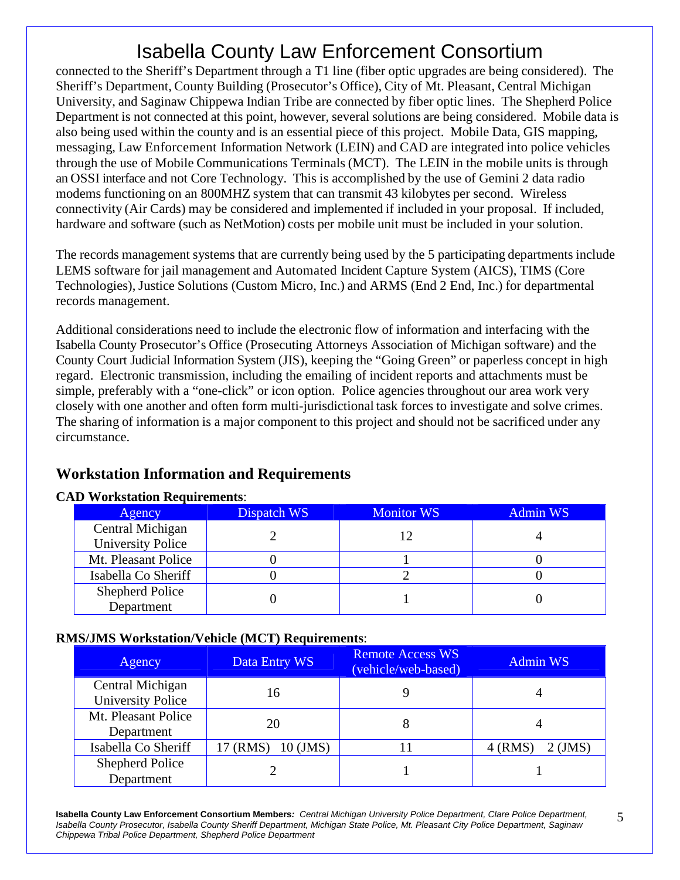connected to the Sheriff's Department through a T1 line (fiber optic upgrades are being considered). The Sheriff's Department, County Building (Prosecutor's Office), City of Mt. Pleasant, Central Michigan University, and Saginaw Chippewa Indian Tribe are connected by fiber optic lines. The Shepherd Police Department is not connected at this point, however, several solutions are being considered. Mobile data is also being used within the county and is an essential piece of this project. Mobile Data, GIS mapping, messaging, Law Enforcement Information Network (LEIN) and CAD are integrated into police vehicles through the use of Mobile Communications Terminals (MCT). The LEIN in the mobile units is through an OSSI interface and not Core Technology. This is accomplished by the use of Gemini 2 data radio modems functioning on an 800MHZ system that can transmit 43 kilobytes per second. Wireless connectivity (Air Cards) may be considered and implemented if included in your proposal. If included, hardware and software (such as NetMotion) costs per mobile unit must be included in your solution.

The records management systems that are currently being used by the 5 participating departments include LEMS software for jail management and Automated Incident Capture System (AICS), TIMS (Core Technologies), Justice Solutions (Custom Micro, Inc.) and ARMS (End 2 End, Inc.) for departmental records management.

Additional considerations need to include the electronic flow of information and interfacing with the Isabella County Prosecutor's Office (Prosecuting Attorneys Association of Michigan software) and the County Court Judicial Information System (JIS), keeping the "Going Green" or paperless concept in high regard. Electronic transmission, including the emailing of incident reports and attachments must be simple, preferably with a "one-click" or icon option. Police agencies throughout our area work very closely with one another and often form multi-jurisdictional task forces to investigate and solve crimes. The sharing of information is a major component to this project and should not be sacrificed under any circumstance.

#### **Workstation Information and Requirements**

#### **CAD Workstation Requirements**:

| Agency                   | Dispatch WS | <b>Monitor WS</b> | <b>Admin WS</b> |
|--------------------------|-------------|-------------------|-----------------|
| Central Michigan         |             |                   |                 |
| <b>University Police</b> |             |                   |                 |
| Mt. Pleasant Police      |             |                   |                 |
| Isabella Co Sheriff      |             |                   |                 |
| <b>Shepherd Police</b>   |             |                   |                 |
| Department               |             |                   |                 |

#### **RMS/JMS Workstation/Vehicle (MCT) Requirements**:

| Agency                   | Data Entry WS          | <b>Remote Access WS</b><br>(vehicle/web-based) | <b>Admin WS</b>        |
|--------------------------|------------------------|------------------------------------------------|------------------------|
| Central Michigan         | 16                     |                                                |                        |
| <b>University Police</b> |                        |                                                |                        |
| Mt. Pleasant Police      | 20                     |                                                |                        |
| Department               |                        |                                                |                        |
| Isabella Co Sheriff      | 17 (RMS)<br>$10$ (JMS) |                                                | $4$ (RMS)<br>$2$ (JMS) |
| <b>Shepherd Police</b>   |                        |                                                |                        |
| Department               |                        |                                                |                        |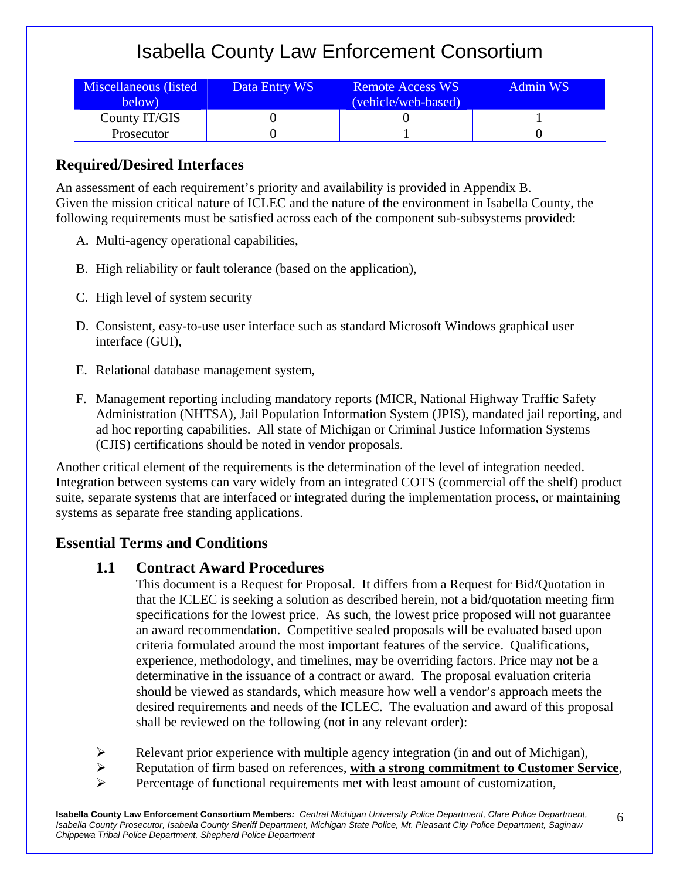| Miscellaneous (listed<br>below) | Data Entry WS | <b>Remote Access WS</b><br>(vehicle/web-based) | Admin WS |
|---------------------------------|---------------|------------------------------------------------|----------|
| County IT/GIS                   |               |                                                |          |
| <b>Prosecutor</b>               |               |                                                |          |

#### **Required/Desired Interfaces**

An assessment of each requirement's priority and availability is provided in Appendix B. Given the mission critical nature of ICLEC and the nature of the environment in Isabella County, the following requirements must be satisfied across each of the component sub-subsystems provided:

- A. Multi-agency operational capabilities,
- B. High reliability or fault tolerance (based on the application),
- C. High level of system security
- D. Consistent, easy-to-use user interface such as standard Microsoft Windows graphical user interface (GUI),
- E. Relational database management system,
- F. Management reporting including mandatory reports (MICR, National Highway Traffic Safety Administration (NHTSA), Jail Population Information System (JPIS), mandated jail reporting, and ad hoc reporting capabilities. All state of Michigan or Criminal Justice Information Systems (CJIS) certifications should be noted in vendor proposals.

Another critical element of the requirements is the determination of the level of integration needed. Integration between systems can vary widely from an integrated COTS (commercial off the shelf) product suite, separate systems that are interfaced or integrated during the implementation process, or maintaining systems as separate free standing applications.

#### **Essential Terms and Conditions**

#### **1.1 Contract Award Procedures**

 This document is a Request for Proposal. It differs from a Request for Bid/Quotation in that the ICLEC is seeking a solution as described herein, not a bid/quotation meeting firm specifications for the lowest price. As such, the lowest price proposed will not guarantee an award recommendation. Competitive sealed proposals will be evaluated based upon criteria formulated around the most important features of the service. Qualifications, experience, methodology, and timelines, may be overriding factors. Price may not be a determinative in the issuance of a contract or award. The proposal evaluation criteria should be viewed as standards, which measure how well a vendor's approach meets the desired requirements and needs of the ICLEC. The evaluation and award of this proposal shall be reviewed on the following (not in any relevant order):

- $\triangleright$  Relevant prior experience with multiple agency integration (in and out of Michigan),
- Reputation of firm based on references, **with a strong commitment to Customer Service**,

6

 $\triangleright$  Percentage of functional requirements met with least amount of customization,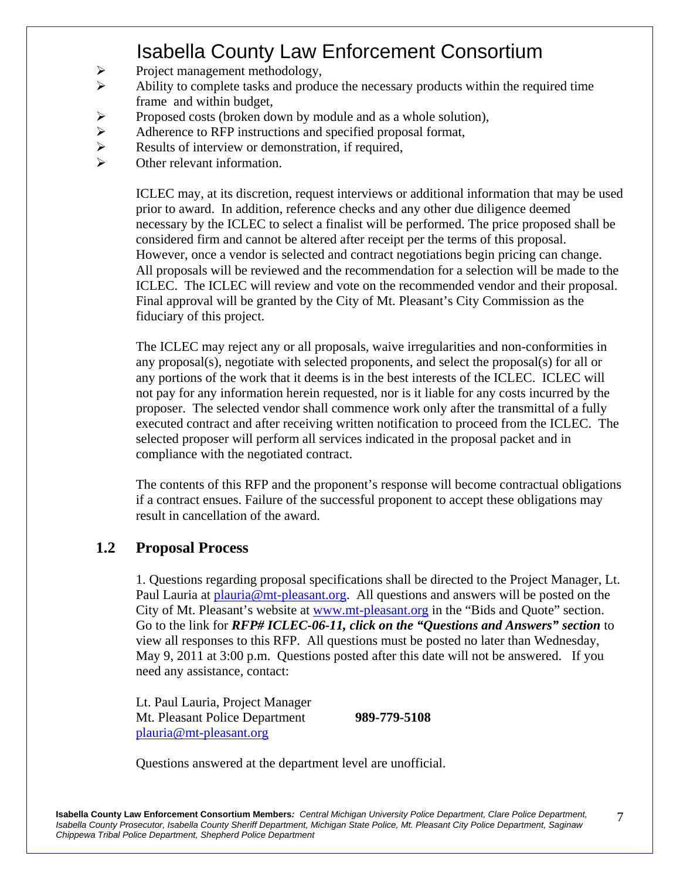- $\triangleright$  Project management methodology,
- $\triangleright$  Ability to complete tasks and produce the necessary products within the required time frame and within budget,
- $\triangleright$  Proposed costs (broken down by module and as a whole solution),
- $\triangleright$  Adherence to RFP instructions and specified proposal format,
- Results of interview or demonstration, if required,<br>  $\triangleright$  Other relevant information.
- Other relevant information.

 ICLEC may, at its discretion, request interviews or additional information that may be used prior to award. In addition, reference checks and any other due diligence deemed necessary by the ICLEC to select a finalist will be performed. The price proposed shall be considered firm and cannot be altered after receipt per the terms of this proposal. However, once a vendor is selected and contract negotiations begin pricing can change. All proposals will be reviewed and the recommendation for a selection will be made to the ICLEC. The ICLEC will review and vote on the recommended vendor and their proposal. Final approval will be granted by the City of Mt. Pleasant's City Commission as the fiduciary of this project.

 The ICLEC may reject any or all proposals, waive irregularities and non-conformities in any proposal(s), negotiate with selected proponents, and select the proposal(s) for all or any portions of the work that it deems is in the best interests of the ICLEC. ICLEC will not pay for any information herein requested, nor is it liable for any costs incurred by the proposer. The selected vendor shall commence work only after the transmittal of a fully executed contract and after receiving written notification to proceed from the ICLEC. The selected proposer will perform all services indicated in the proposal packet and in compliance with the negotiated contract.

 The contents of this RFP and the proponent's response will become contractual obligations if a contract ensues. Failure of the successful proponent to accept these obligations may result in cancellation of the award.

#### **1.2 Proposal Process**

1. Questions regarding proposal specifications shall be directed to the Project Manager, Lt. Paul Lauria at plauria@mt-pleasant.org. All questions and answers will be posted on the City of Mt. Pleasant's website at www.mt-pleasant.org in the "Bids and Quote" section. Go to the link for *RFP# ICLEC-06-11, click on the "Questions and Answers" section* to view all responses to this RFP. All questions must be posted no later than Wednesday, May 9, 2011 at 3:00 p.m. Questions posted after this date will not be answered. If you need any assistance, contact:

Lt. Paul Lauria, Project Manager Mt. Pleasant Police Department **989-779-5108**  plauria@mt-pleasant.org

Questions answered at the department level are unofficial.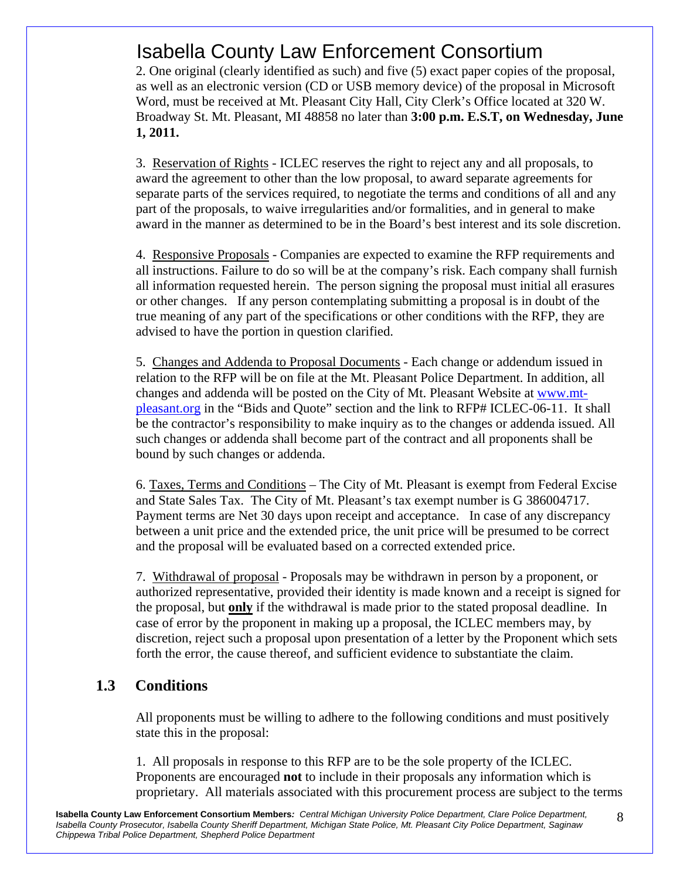2. One original (clearly identified as such) and five (5) exact paper copies of the proposal, as well as an electronic version (CD or USB memory device) of the proposal in Microsoft Word, must be received at Mt. Pleasant City Hall, City Clerk's Office located at 320 W. Broadway St. Mt. Pleasant, MI 48858 no later than **3:00 p.m. E.S.T, on Wednesday, June 1, 2011.** 

3. Reservation of Rights - ICLEC reserves the right to reject any and all proposals, to award the agreement to other than the low proposal, to award separate agreements for separate parts of the services required, to negotiate the terms and conditions of all and any part of the proposals, to waive irregularities and/or formalities, and in general to make award in the manner as determined to be in the Board's best interest and its sole discretion.

4. Responsive Proposals - Companies are expected to examine the RFP requirements and all instructions. Failure to do so will be at the company's risk. Each company shall furnish all information requested herein. The person signing the proposal must initial all erasures or other changes. If any person contemplating submitting a proposal is in doubt of the true meaning of any part of the specifications or other conditions with the RFP, they are advised to have the portion in question clarified.

5. Changes and Addenda to Proposal Documents - Each change or addendum issued in relation to the RFP will be on file at the Mt. Pleasant Police Department. In addition, all changes and addenda will be posted on the City of Mt. Pleasant Website at www.mtpleasant.org in the "Bids and Quote" section and the link to RFP# ICLEC-06-11. It shall be the contractor's responsibility to make inquiry as to the changes or addenda issued. All such changes or addenda shall become part of the contract and all proponents shall be bound by such changes or addenda.

6. Taxes, Terms and Conditions – The City of Mt. Pleasant is exempt from Federal Excise and State Sales Tax. The City of Mt. Pleasant's tax exempt number is G 386004717. Payment terms are Net 30 days upon receipt and acceptance. In case of any discrepancy between a unit price and the extended price, the unit price will be presumed to be correct and the proposal will be evaluated based on a corrected extended price.

7. Withdrawal of proposal - Proposals may be withdrawn in person by a proponent, or authorized representative, provided their identity is made known and a receipt is signed for the proposal, but **only** if the withdrawal is made prior to the stated proposal deadline. In case of error by the proponent in making up a proposal, the ICLEC members may, by discretion, reject such a proposal upon presentation of a letter by the Proponent which sets forth the error, the cause thereof, and sufficient evidence to substantiate the claim.

#### **1.3 Conditions**

 All proponents must be willing to adhere to the following conditions and must positively state this in the proposal:

1. All proposals in response to this RFP are to be the sole property of the ICLEC. Proponents are encouraged **not** to include in their proposals any information which is proprietary. All materials associated with this procurement process are subject to the terms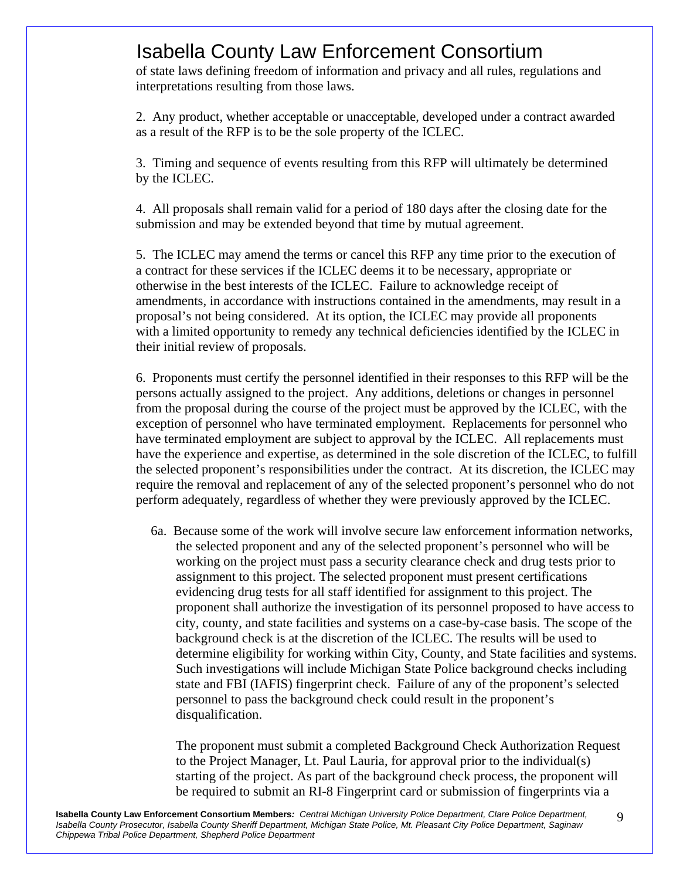of state laws defining freedom of information and privacy and all rules, regulations and interpretations resulting from those laws.

2. Any product, whether acceptable or unacceptable, developed under a contract awarded as a result of the RFP is to be the sole property of the ICLEC.

3. Timing and sequence of events resulting from this RFP will ultimately be determined by the ICLEC.

4. All proposals shall remain valid for a period of 180 days after the closing date for the submission and may be extended beyond that time by mutual agreement.

5. The ICLEC may amend the terms or cancel this RFP any time prior to the execution of a contract for these services if the ICLEC deems it to be necessary, appropriate or otherwise in the best interests of the ICLEC. Failure to acknowledge receipt of amendments, in accordance with instructions contained in the amendments, may result in a proposal's not being considered. At its option, the ICLEC may provide all proponents with a limited opportunity to remedy any technical deficiencies identified by the ICLEC in their initial review of proposals.

 6. Proponents must certify the personnel identified in their responses to this RFP will be the persons actually assigned to the project. Any additions, deletions or changes in personnel from the proposal during the course of the project must be approved by the ICLEC, with the exception of personnel who have terminated employment. Replacements for personnel who have terminated employment are subject to approval by the ICLEC. All replacements must have the experience and expertise, as determined in the sole discretion of the ICLEC, to fulfill the selected proponent's responsibilities under the contract. At its discretion, the ICLEC may require the removal and replacement of any of the selected proponent's personnel who do not perform adequately, regardless of whether they were previously approved by the ICLEC.

6a. Because some of the work will involve secure law enforcement information networks, the selected proponent and any of the selected proponent's personnel who will be working on the project must pass a security clearance check and drug tests prior to assignment to this project. The selected proponent must present certifications evidencing drug tests for all staff identified for assignment to this project. The proponent shall authorize the investigation of its personnel proposed to have access to city, county, and state facilities and systems on a case-by-case basis. The scope of the background check is at the discretion of the ICLEC. The results will be used to determine eligibility for working within City, County, and State facilities and systems. Such investigations will include Michigan State Police background checks including state and FBI (IAFIS) fingerprint check. Failure of any of the proponent's selected personnel to pass the background check could result in the proponent's disqualification.

 The proponent must submit a completed Background Check Authorization Request to the Project Manager, Lt. Paul Lauria, for approval prior to the individual(s) starting of the project. As part of the background check process, the proponent will be required to submit an RI-8 Fingerprint card or submission of fingerprints via a

9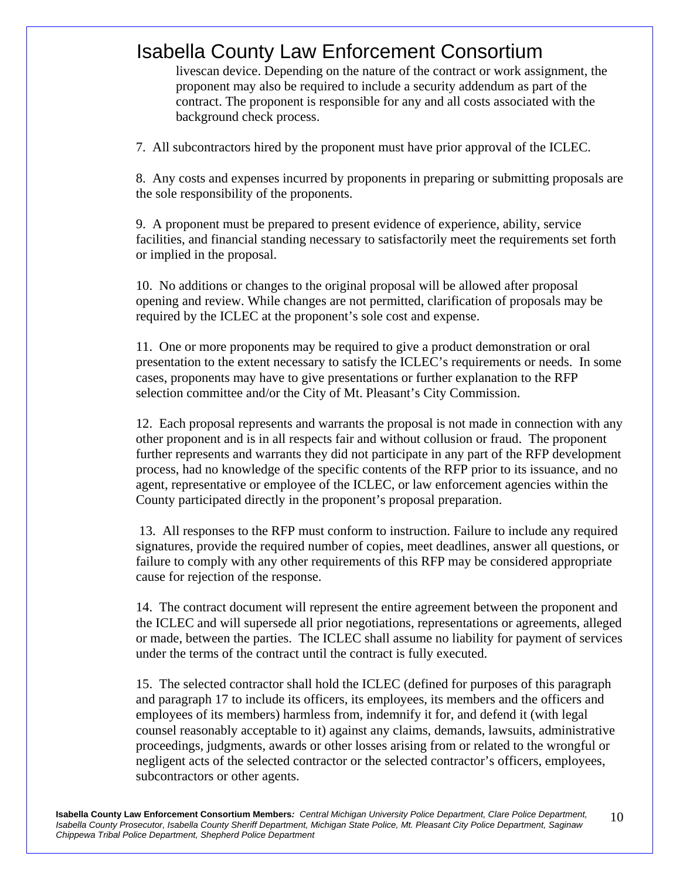livescan device. Depending on the nature of the contract or work assignment, the proponent may also be required to include a security addendum as part of the contract. The proponent is responsible for any and all costs associated with the background check process.

7. All subcontractors hired by the proponent must have prior approval of the ICLEC.

8. Any costs and expenses incurred by proponents in preparing or submitting proposals are the sole responsibility of the proponents.

9. A proponent must be prepared to present evidence of experience, ability, service facilities, and financial standing necessary to satisfactorily meet the requirements set forth or implied in the proposal.

10. No additions or changes to the original proposal will be allowed after proposal opening and review. While changes are not permitted, clarification of proposals may be required by the ICLEC at the proponent's sole cost and expense.

11. One or more proponents may be required to give a product demonstration or oral presentation to the extent necessary to satisfy the ICLEC's requirements or needs. In some cases, proponents may have to give presentations or further explanation to the RFP selection committee and/or the City of Mt. Pleasant's City Commission.

12. Each proposal represents and warrants the proposal is not made in connection with any other proponent and is in all respects fair and without collusion or fraud. The proponent further represents and warrants they did not participate in any part of the RFP development process, had no knowledge of the specific contents of the RFP prior to its issuance, and no agent, representative or employee of the ICLEC, or law enforcement agencies within the County participated directly in the proponent's proposal preparation.

 13. All responses to the RFP must conform to instruction. Failure to include any required signatures, provide the required number of copies, meet deadlines, answer all questions, or failure to comply with any other requirements of this RFP may be considered appropriate cause for rejection of the response.

14. The contract document will represent the entire agreement between the proponent and the ICLEC and will supersede all prior negotiations, representations or agreements, alleged or made, between the parties. The ICLEC shall assume no liability for payment of services under the terms of the contract until the contract is fully executed.

15. The selected contractor shall hold the ICLEC (defined for purposes of this paragraph and paragraph 17 to include its officers, its employees, its members and the officers and employees of its members) harmless from, indemnify it for, and defend it (with legal counsel reasonably acceptable to it) against any claims, demands, lawsuits, administrative proceedings, judgments, awards or other losses arising from or related to the wrongful or negligent acts of the selected contractor or the selected contractor's officers, employees, subcontractors or other agents.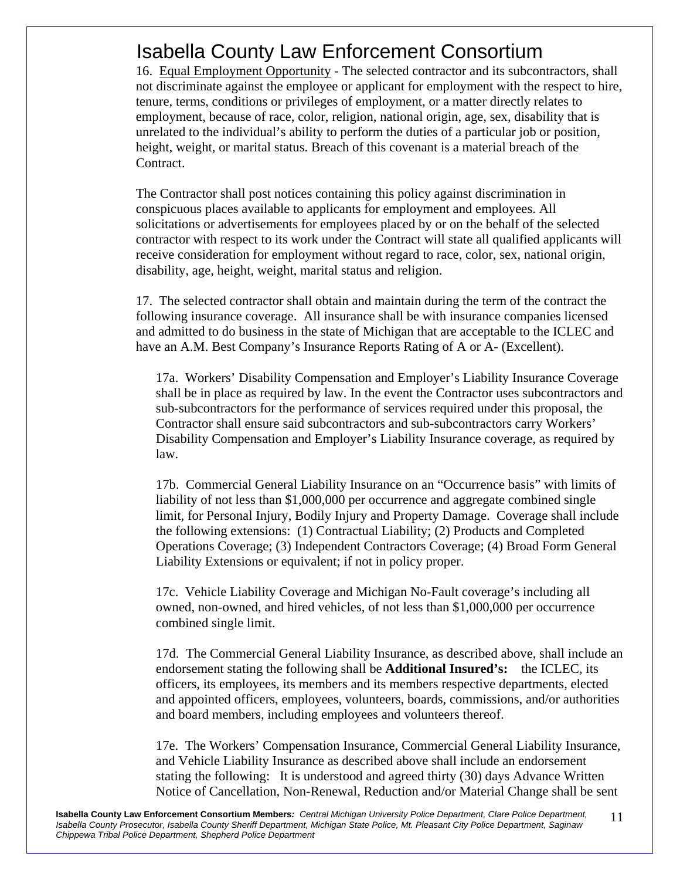16. Equal Employment Opportunity - The selected contractor and its subcontractors, shall not discriminate against the employee or applicant for employment with the respect to hire, tenure, terms, conditions or privileges of employment, or a matter directly relates to employment, because of race, color, religion, national origin, age, sex, disability that is unrelated to the individual's ability to perform the duties of a particular job or position, height, weight, or marital status. Breach of this covenant is a material breach of the Contract.

The Contractor shall post notices containing this policy against discrimination in conspicuous places available to applicants for employment and employees. All solicitations or advertisements for employees placed by or on the behalf of the selected contractor with respect to its work under the Contract will state all qualified applicants will receive consideration for employment without regard to race, color, sex, national origin, disability, age, height, weight, marital status and religion.

17. The selected contractor shall obtain and maintain during the term of the contract the following insurance coverage. All insurance shall be with insurance companies licensed and admitted to do business in the state of Michigan that are acceptable to the ICLEC and have an A.M. Best Company's Insurance Reports Rating of A or A- (Excellent).

17a. Workers' Disability Compensation and Employer's Liability Insurance Coverage shall be in place as required by law. In the event the Contractor uses subcontractors and sub-subcontractors for the performance of services required under this proposal, the Contractor shall ensure said subcontractors and sub-subcontractors carry Workers' Disability Compensation and Employer's Liability Insurance coverage, as required by law.

17b. Commercial General Liability Insurance on an "Occurrence basis" with limits of liability of not less than \$1,000,000 per occurrence and aggregate combined single limit, for Personal Injury, Bodily Injury and Property Damage. Coverage shall include the following extensions: (1) Contractual Liability; (2) Products and Completed Operations Coverage; (3) Independent Contractors Coverage; (4) Broad Form General Liability Extensions or equivalent; if not in policy proper.

17c. Vehicle Liability Coverage and Michigan No-Fault coverage's including all owned, non-owned, and hired vehicles, of not less than \$1,000,000 per occurrence combined single limit.

17d. The Commercial General Liability Insurance, as described above, shall include an endorsement stating the following shall be **Additional Insured's:** the ICLEC, its officers, its employees, its members and its members respective departments, elected and appointed officers, employees, volunteers, boards, commissions, and/or authorities and board members, including employees and volunteers thereof.

17e. The Workers' Compensation Insurance, Commercial General Liability Insurance, and Vehicle Liability Insurance as described above shall include an endorsement stating the following: It is understood and agreed thirty (30) days Advance Written Notice of Cancellation, Non-Renewal, Reduction and/or Material Change shall be sent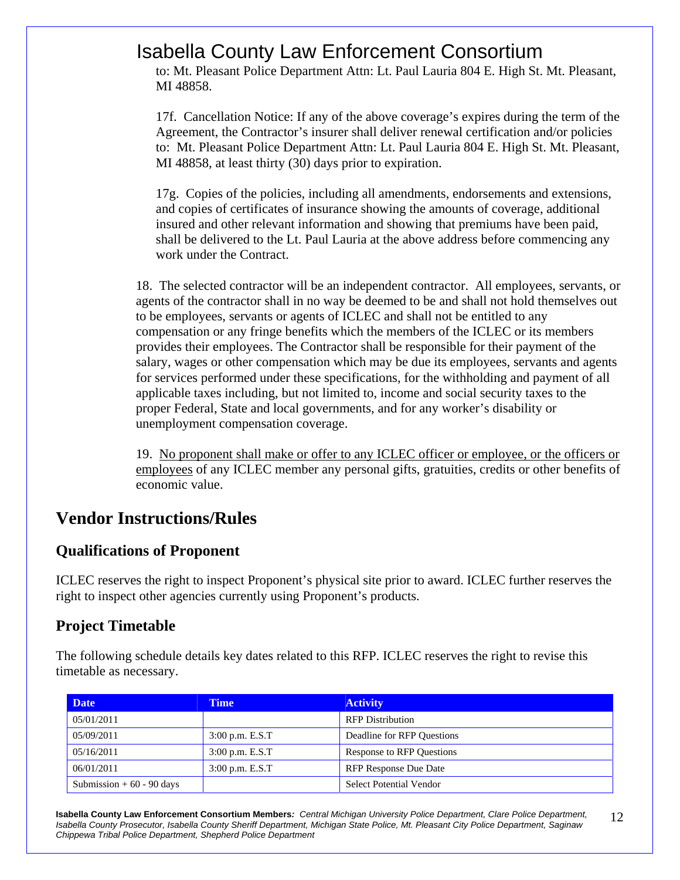to: Mt. Pleasant Police Department Attn: Lt. Paul Lauria 804 E. High St. Mt. Pleasant, MI 48858.

17f. Cancellation Notice: If any of the above coverage's expires during the term of the Agreement, the Contractor's insurer shall deliver renewal certification and/or policies to: Mt. Pleasant Police Department Attn: Lt. Paul Lauria 804 E. High St. Mt. Pleasant, MI 48858, at least thirty (30) days prior to expiration.

17g. Copies of the policies, including all amendments, endorsements and extensions, and copies of certificates of insurance showing the amounts of coverage, additional insured and other relevant information and showing that premiums have been paid, shall be delivered to the Lt. Paul Lauria at the above address before commencing any work under the Contract.

18. The selected contractor will be an independent contractor. All employees, servants, or agents of the contractor shall in no way be deemed to be and shall not hold themselves out to be employees, servants or agents of ICLEC and shall not be entitled to any compensation or any fringe benefits which the members of the ICLEC or its members provides their employees. The Contractor shall be responsible for their payment of the salary, wages or other compensation which may be due its employees, servants and agents for services performed under these specifications, for the withholding and payment of all applicable taxes including, but not limited to, income and social security taxes to the proper Federal, State and local governments, and for any worker's disability or unemployment compensation coverage.

19. No proponent shall make or offer to any ICLEC officer or employee, or the officers or employees of any ICLEC member any personal gifts, gratuities, credits or other benefits of economic value.

### **Vendor Instructions/Rules**

#### **Qualifications of Proponent**

ICLEC reserves the right to inspect Proponent's physical site prior to award. ICLEC further reserves the right to inspect other agencies currently using Proponent's products.

#### **Project Timetable**

The following schedule details key dates related to this RFP. ICLEC reserves the right to revise this timetable as necessary.

| <b>Date</b>                | <b>Time</b>       | <b>Activity</b>                  |
|----------------------------|-------------------|----------------------------------|
| 05/01/2011                 |                   | <b>RFP</b> Distribution          |
| 05/09/2011                 | $3:00$ p.m. E.S.T | Deadline for RFP Questions       |
| 05/16/2011                 | $3:00$ p.m. E.S.T | <b>Response to RFP Questions</b> |
| 06/01/2011                 | $3:00$ p.m. E.S.T | <b>RFP Response Due Date</b>     |
| Submission $+60 - 90$ days |                   | <b>Select Potential Vendor</b>   |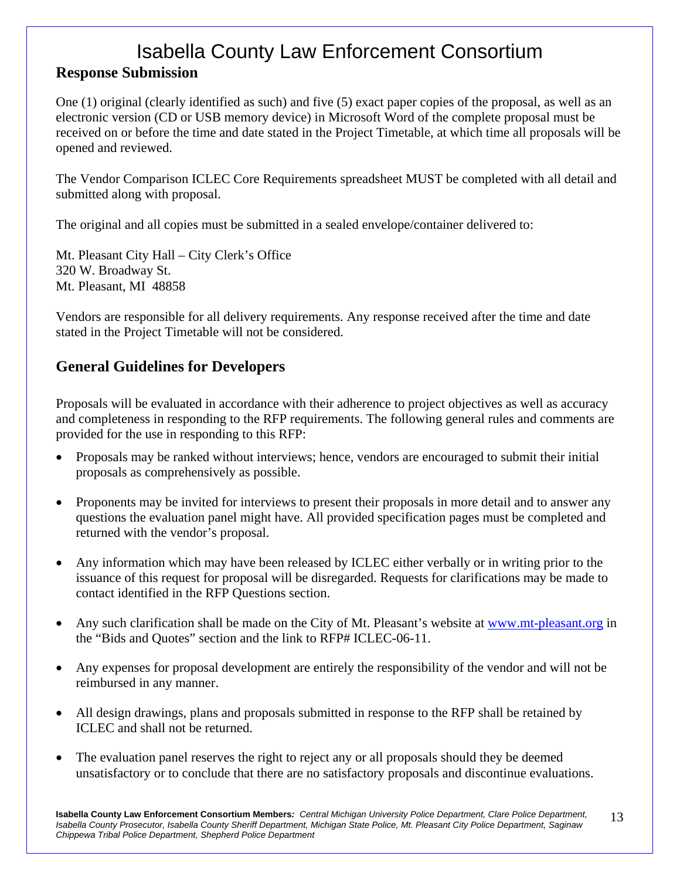### Isabella County Law Enforcement Consortium **Response Submission**

One (1) original (clearly identified as such) and five (5) exact paper copies of the proposal, as well as an electronic version (CD or USB memory device) in Microsoft Word of the complete proposal must be received on or before the time and date stated in the Project Timetable, at which time all proposals will be opened and reviewed.

The Vendor Comparison ICLEC Core Requirements spreadsheet MUST be completed with all detail and submitted along with proposal.

The original and all copies must be submitted in a sealed envelope/container delivered to:

Mt. Pleasant City Hall – City Clerk's Office 320 W. Broadway St. Mt. Pleasant, MI 48858

Vendors are responsible for all delivery requirements. Any response received after the time and date stated in the Project Timetable will not be considered.

#### **General Guidelines for Developers**

Proposals will be evaluated in accordance with their adherence to project objectives as well as accuracy and completeness in responding to the RFP requirements. The following general rules and comments are provided for the use in responding to this RFP:

- Proposals may be ranked without interviews; hence, vendors are encouraged to submit their initial proposals as comprehensively as possible.
- Proponents may be invited for interviews to present their proposals in more detail and to answer any questions the evaluation panel might have. All provided specification pages must be completed and returned with the vendor's proposal.
- Any information which may have been released by ICLEC either verbally or in writing prior to the issuance of this request for proposal will be disregarded. Requests for clarifications may be made to contact identified in the RFP Questions section.
- Any such clarification shall be made on the City of Mt. Pleasant's website at www.mt-pleasant.org in the "Bids and Quotes" section and the link to RFP# ICLEC-06-11.
- Any expenses for proposal development are entirely the responsibility of the vendor and will not be reimbursed in any manner.
- All design drawings, plans and proposals submitted in response to the RFP shall be retained by ICLEC and shall not be returned.
- The evaluation panel reserves the right to reject any or all proposals should they be deemed unsatisfactory or to conclude that there are no satisfactory proposals and discontinue evaluations.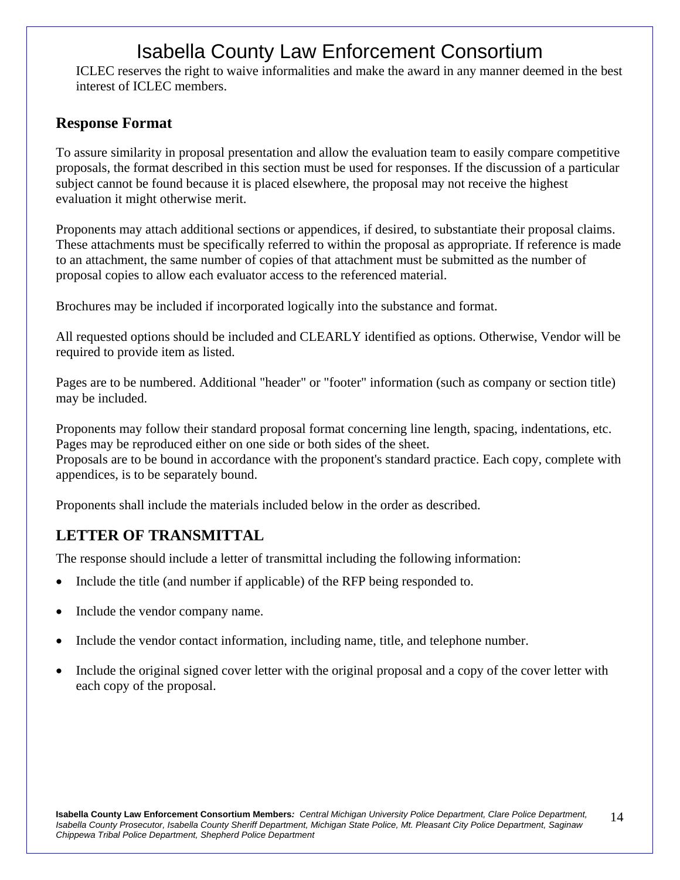ICLEC reserves the right to waive informalities and make the award in any manner deemed in the best interest of ICLEC members.

#### **Response Format**

To assure similarity in proposal presentation and allow the evaluation team to easily compare competitive proposals, the format described in this section must be used for responses. If the discussion of a particular subject cannot be found because it is placed elsewhere, the proposal may not receive the highest evaluation it might otherwise merit.

Proponents may attach additional sections or appendices, if desired, to substantiate their proposal claims. These attachments must be specifically referred to within the proposal as appropriate. If reference is made to an attachment, the same number of copies of that attachment must be submitted as the number of proposal copies to allow each evaluator access to the referenced material.

Brochures may be included if incorporated logically into the substance and format.

All requested options should be included and CLEARLY identified as options. Otherwise, Vendor will be required to provide item as listed.

Pages are to be numbered. Additional "header" or "footer" information (such as company or section title) may be included.

Proponents may follow their standard proposal format concerning line length, spacing, indentations, etc. Pages may be reproduced either on one side or both sides of the sheet.

Proposals are to be bound in accordance with the proponent's standard practice. Each copy, complete with appendices, is to be separately bound.

Proponents shall include the materials included below in the order as described.

#### **LETTER OF TRANSMITTAL**

The response should include a letter of transmittal including the following information:

- Include the title (and number if applicable) of the RFP being responded to.
- Include the vendor company name.
- Include the vendor contact information, including name, title, and telephone number.
- Include the original signed cover letter with the original proposal and a copy of the cover letter with each copy of the proposal.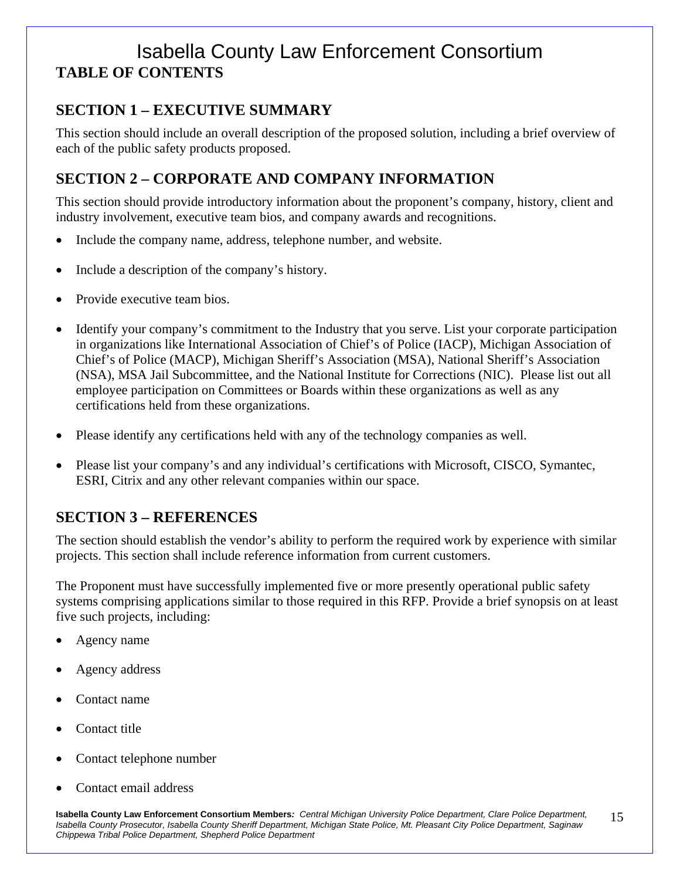### Isabella County Law Enforcement Consortium **TABLE OF CONTENTS**

#### **SECTION 1 – EXECUTIVE SUMMARY**

This section should include an overall description of the proposed solution, including a brief overview of each of the public safety products proposed.

#### **SECTION 2 – CORPORATE AND COMPANY INFORMATION**

This section should provide introductory information about the proponent's company, history, client and industry involvement, executive team bios, and company awards and recognitions.

- Include the company name, address, telephone number, and website.
- Include a description of the company's history.
- Provide executive team bios.
- Identify your company's commitment to the Industry that you serve. List your corporate participation in organizations like International Association of Chief's of Police (IACP), Michigan Association of Chief's of Police (MACP), Michigan Sheriff's Association (MSA), National Sheriff's Association (NSA), MSA Jail Subcommittee, and the National Institute for Corrections (NIC). Please list out all employee participation on Committees or Boards within these organizations as well as any certifications held from these organizations.
- Please identify any certifications held with any of the technology companies as well.
- Please list your company's and any individual's certifications with Microsoft, CISCO, Symantec, ESRI, Citrix and any other relevant companies within our space.

#### **SECTION 3 – REFERENCES**

The section should establish the vendor's ability to perform the required work by experience with similar projects. This section shall include reference information from current customers.

The Proponent must have successfully implemented five or more presently operational public safety systems comprising applications similar to those required in this RFP. Provide a brief synopsis on at least five such projects, including:

- Agency name
- Agency address
- Contact name
- Contact title
- Contact telephone number
- Contact email address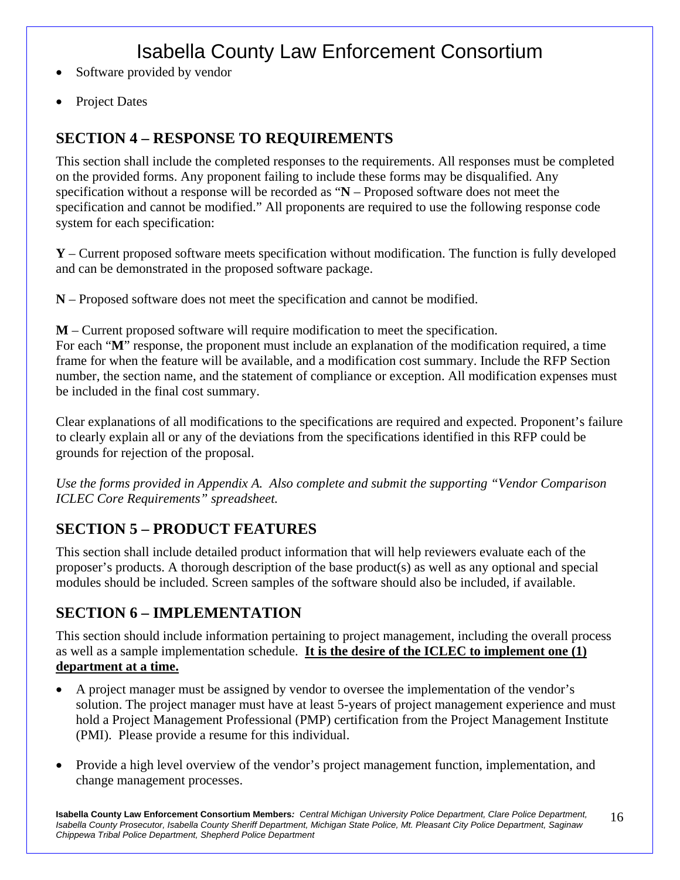- Software provided by vendor
- Project Dates

#### **SECTION 4 – RESPONSE TO REQUIREMENTS**

This section shall include the completed responses to the requirements. All responses must be completed on the provided forms. Any proponent failing to include these forms may be disqualified. Any specification without a response will be recorded as "**N** – Proposed software does not meet the specification and cannot be modified." All proponents are required to use the following response code system for each specification:

**Y** – Current proposed software meets specification without modification. The function is fully developed and can be demonstrated in the proposed software package.

**N** – Proposed software does not meet the specification and cannot be modified.

**M** – Current proposed software will require modification to meet the specification. For each "**M**" response, the proponent must include an explanation of the modification required, a time frame for when the feature will be available, and a modification cost summary. Include the RFP Section number, the section name, and the statement of compliance or exception. All modification expenses must be included in the final cost summary.

Clear explanations of all modifications to the specifications are required and expected. Proponent's failure to clearly explain all or any of the deviations from the specifications identified in this RFP could be grounds for rejection of the proposal.

*Use the forms provided in Appendix A. Also complete and submit the supporting "Vendor Comparison ICLEC Core Requirements" spreadsheet.* 

#### **SECTION 5 – PRODUCT FEATURES**

This section shall include detailed product information that will help reviewers evaluate each of the proposer's products. A thorough description of the base product(s) as well as any optional and special modules should be included. Screen samples of the software should also be included, if available.

#### **SECTION 6 – IMPLEMENTATION**

This section should include information pertaining to project management, including the overall process as well as a sample implementation schedule. **It is the desire of the ICLEC to implement one (1) department at a time.** 

- A project manager must be assigned by vendor to oversee the implementation of the vendor's solution. The project manager must have at least 5-years of project management experience and must hold a Project Management Professional (PMP) certification from the Project Management Institute (PMI). Please provide a resume for this individual.
- Provide a high level overview of the vendor's project management function, implementation, and change management processes.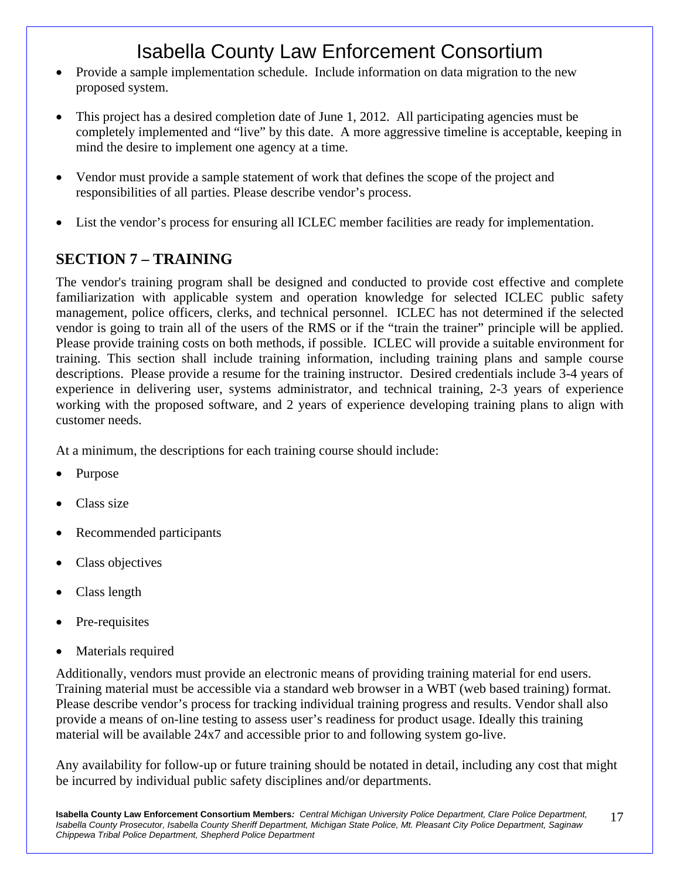- Provide a sample implementation schedule. Include information on data migration to the new proposed system.
- This project has a desired completion date of June 1, 2012. All participating agencies must be completely implemented and "live" by this date. A more aggressive timeline is acceptable, keeping in mind the desire to implement one agency at a time.
- Vendor must provide a sample statement of work that defines the scope of the project and responsibilities of all parties. Please describe vendor's process.
- List the vendor's process for ensuring all ICLEC member facilities are ready for implementation.

#### **SECTION 7 – TRAINING**

The vendor's training program shall be designed and conducted to provide cost effective and complete familiarization with applicable system and operation knowledge for selected ICLEC public safety management, police officers, clerks, and technical personnel. ICLEC has not determined if the selected vendor is going to train all of the users of the RMS or if the "train the trainer" principle will be applied. Please provide training costs on both methods, if possible. ICLEC will provide a suitable environment for training. This section shall include training information, including training plans and sample course descriptions. Please provide a resume for the training instructor. Desired credentials include 3-4 years of experience in delivering user, systems administrator, and technical training, 2-3 years of experience working with the proposed software, and 2 years of experience developing training plans to align with customer needs.

At a minimum, the descriptions for each training course should include:

- Purpose
- Class size
- Recommended participants
- Class objectives
- Class length
- Pre-requisites
- Materials required

Additionally, vendors must provide an electronic means of providing training material for end users. Training material must be accessible via a standard web browser in a WBT (web based training) format. Please describe vendor's process for tracking individual training progress and results. Vendor shall also provide a means of on-line testing to assess user's readiness for product usage. Ideally this training material will be available 24x7 and accessible prior to and following system go-live.

Any availability for follow-up or future training should be notated in detail, including any cost that might be incurred by individual public safety disciplines and/or departments.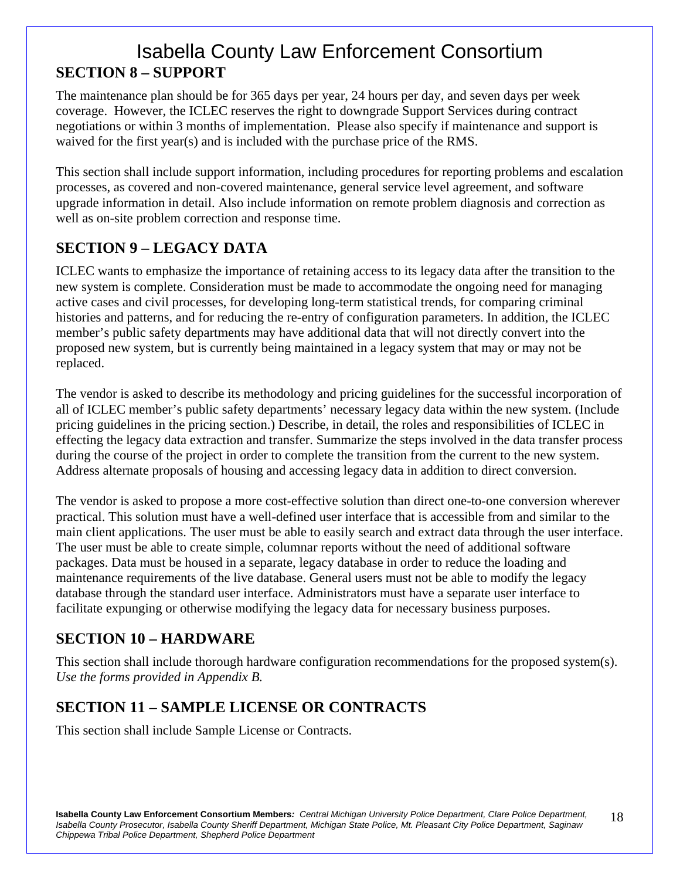### Isabella County Law Enforcement Consortium **SECTION 8 – SUPPORT**

The maintenance plan should be for 365 days per year, 24 hours per day, and seven days per week coverage. However, the ICLEC reserves the right to downgrade Support Services during contract negotiations or within 3 months of implementation. Please also specify if maintenance and support is waived for the first year(s) and is included with the purchase price of the RMS.

This section shall include support information, including procedures for reporting problems and escalation processes, as covered and non-covered maintenance, general service level agreement, and software upgrade information in detail. Also include information on remote problem diagnosis and correction as well as on-site problem correction and response time.

#### **SECTION 9 – LEGACY DATA**

ICLEC wants to emphasize the importance of retaining access to its legacy data after the transition to the new system is complete. Consideration must be made to accommodate the ongoing need for managing active cases and civil processes, for developing long-term statistical trends, for comparing criminal histories and patterns, and for reducing the re-entry of configuration parameters. In addition, the ICLEC member's public safety departments may have additional data that will not directly convert into the proposed new system, but is currently being maintained in a legacy system that may or may not be replaced.

The vendor is asked to describe its methodology and pricing guidelines for the successful incorporation of all of ICLEC member's public safety departments' necessary legacy data within the new system. (Include pricing guidelines in the pricing section.) Describe, in detail, the roles and responsibilities of ICLEC in effecting the legacy data extraction and transfer. Summarize the steps involved in the data transfer process during the course of the project in order to complete the transition from the current to the new system. Address alternate proposals of housing and accessing legacy data in addition to direct conversion.

The vendor is asked to propose a more cost-effective solution than direct one-to-one conversion wherever practical. This solution must have a well-defined user interface that is accessible from and similar to the main client applications. The user must be able to easily search and extract data through the user interface. The user must be able to create simple, columnar reports without the need of additional software packages. Data must be housed in a separate, legacy database in order to reduce the loading and maintenance requirements of the live database. General users must not be able to modify the legacy database through the standard user interface. Administrators must have a separate user interface to facilitate expunging or otherwise modifying the legacy data for necessary business purposes.

#### **SECTION 10 – HARDWARE**

This section shall include thorough hardware configuration recommendations for the proposed system(s). *Use the forms provided in Appendix B.* 

### **SECTION 11 – SAMPLE LICENSE OR CONTRACTS**

This section shall include Sample License or Contracts.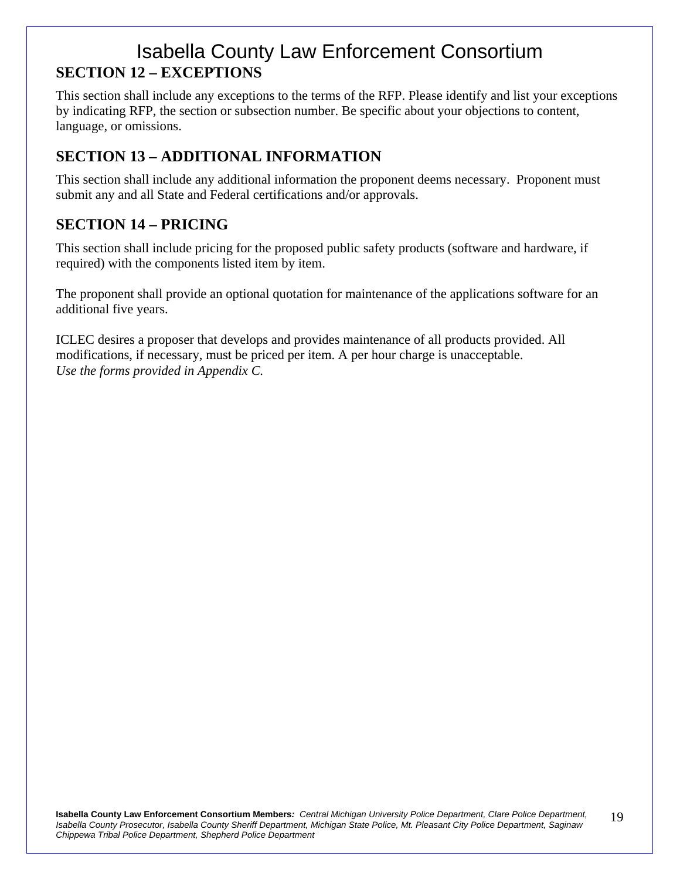### Isabella County Law Enforcement Consortium **SECTION 12 – EXCEPTIONS**

This section shall include any exceptions to the terms of the RFP. Please identify and list your exceptions by indicating RFP, the section or subsection number. Be specific about your objections to content, language, or omissions.

#### **SECTION 13 – ADDITIONAL INFORMATION**

This section shall include any additional information the proponent deems necessary. Proponent must submit any and all State and Federal certifications and/or approvals.

#### **SECTION 14 – PRICING**

This section shall include pricing for the proposed public safety products (software and hardware, if required) with the components listed item by item.

The proponent shall provide an optional quotation for maintenance of the applications software for an additional five years.

ICLEC desires a proposer that develops and provides maintenance of all products provided. All modifications, if necessary, must be priced per item. A per hour charge is unacceptable. *Use the forms provided in Appendix C.*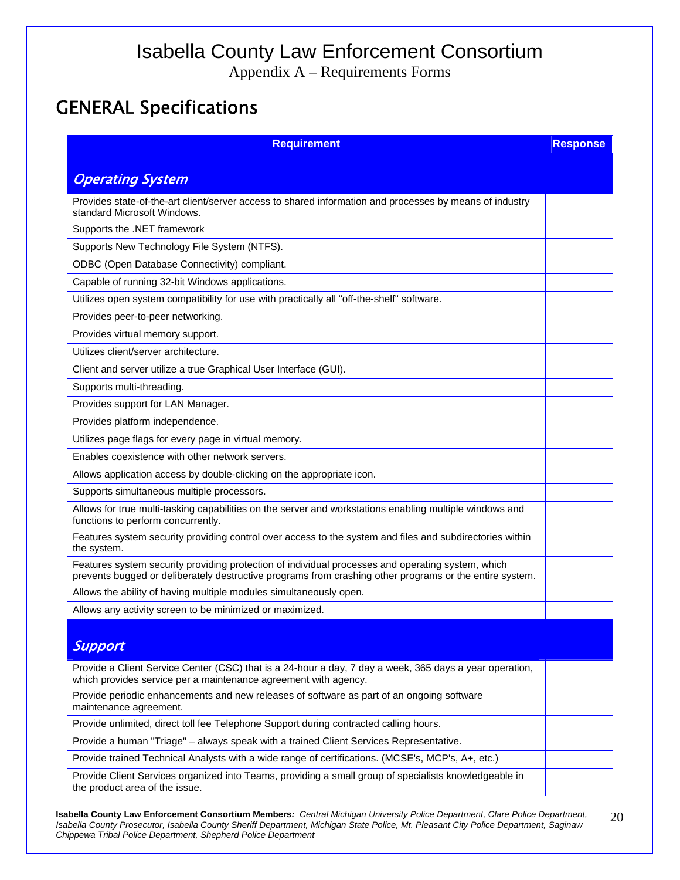Appendix A – Requirements Forms

### GENERAL Specifications

| <b>Requirement</b>                                                                                                                                                                                           | <b>Response</b> |
|--------------------------------------------------------------------------------------------------------------------------------------------------------------------------------------------------------------|-----------------|
| <b>Operating System</b>                                                                                                                                                                                      |                 |
|                                                                                                                                                                                                              |                 |
| Provides state-of-the-art client/server access to shared information and processes by means of industry<br>standard Microsoft Windows.                                                                       |                 |
| Supports the .NET framework                                                                                                                                                                                  |                 |
| Supports New Technology File System (NTFS).                                                                                                                                                                  |                 |
| ODBC (Open Database Connectivity) compliant.                                                                                                                                                                 |                 |
| Capable of running 32-bit Windows applications.                                                                                                                                                              |                 |
| Utilizes open system compatibility for use with practically all "off-the-shelf" software.                                                                                                                    |                 |
| Provides peer-to-peer networking.                                                                                                                                                                            |                 |
| Provides virtual memory support.                                                                                                                                                                             |                 |
| Utilizes client/server architecture.                                                                                                                                                                         |                 |
| Client and server utilize a true Graphical User Interface (GUI).                                                                                                                                             |                 |
| Supports multi-threading.                                                                                                                                                                                    |                 |
| Provides support for LAN Manager.                                                                                                                                                                            |                 |
| Provides platform independence.                                                                                                                                                                              |                 |
| Utilizes page flags for every page in virtual memory.                                                                                                                                                        |                 |
| Enables coexistence with other network servers.                                                                                                                                                              |                 |
| Allows application access by double-clicking on the appropriate icon.                                                                                                                                        |                 |
| Supports simultaneous multiple processors.                                                                                                                                                                   |                 |
| Allows for true multi-tasking capabilities on the server and workstations enabling multiple windows and<br>functions to perform concurrently.                                                                |                 |
| Features system security providing control over access to the system and files and subdirectories within<br>the system.                                                                                      |                 |
| Features system security providing protection of individual processes and operating system, which<br>prevents bugged or deliberately destructive programs from crashing other programs or the entire system. |                 |
| Allows the ability of having multiple modules simultaneously open.                                                                                                                                           |                 |
| Allows any activity screen to be minimized or maximized.                                                                                                                                                     |                 |
|                                                                                                                                                                                                              |                 |
| Support                                                                                                                                                                                                      |                 |
| Provide a Client Service Center (CSC) that is a 24-hour a day, 7 day a week, 365 days a year operation,<br>which provides service per a maintenance agreement with agency.                                   |                 |
| Provide periodic enhancements and new releases of software as part of an ongoing software<br>maintenance agreement.                                                                                          |                 |
| Provide unlimited, direct toll fee Telephone Support during contracted calling hours.                                                                                                                        |                 |
| Provide a human "Triage" - always speak with a trained Client Services Representative.                                                                                                                       |                 |
| Provide trained Technical Analysts with a wide range of certifications. (MCSE's, MCP's, A+, etc.)                                                                                                            |                 |
| Provide Client Services organized into Teams, providing a small group of specialists knowledgeable in<br>the product area of the issue.                                                                      |                 |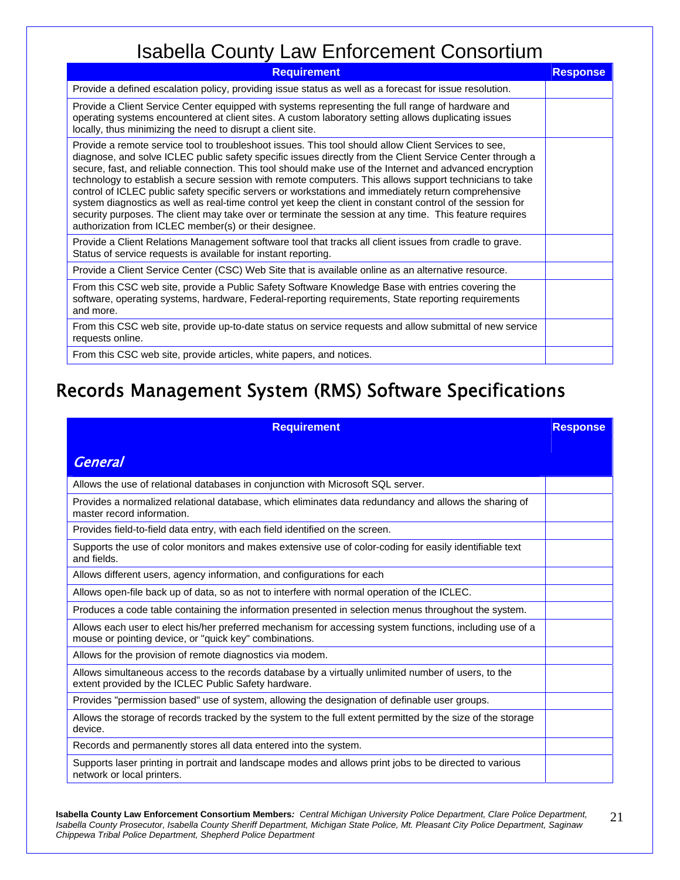| <b>Requirement</b>                                                                                                                                                                                                                                                                                                                                                                                                                                                                                                                                                                                                                                                                                                                                                                                                                 | <b>Response</b> |
|------------------------------------------------------------------------------------------------------------------------------------------------------------------------------------------------------------------------------------------------------------------------------------------------------------------------------------------------------------------------------------------------------------------------------------------------------------------------------------------------------------------------------------------------------------------------------------------------------------------------------------------------------------------------------------------------------------------------------------------------------------------------------------------------------------------------------------|-----------------|
| Provide a defined escalation policy, providing issue status as well as a forecast for issue resolution.                                                                                                                                                                                                                                                                                                                                                                                                                                                                                                                                                                                                                                                                                                                            |                 |
| Provide a Client Service Center equipped with systems representing the full range of hardware and<br>operating systems encountered at client sites. A custom laboratory setting allows duplicating issues<br>locally, thus minimizing the need to disrupt a client site.                                                                                                                                                                                                                                                                                                                                                                                                                                                                                                                                                           |                 |
| Provide a remote service tool to troubleshoot issues. This tool should allow Client Services to see,<br>diagnose, and solve ICLEC public safety specific issues directly from the Client Service Center through a<br>secure, fast, and reliable connection. This tool should make use of the Internet and advanced encryption<br>technology to establish a secure session with remote computers. This allows support technicians to take<br>control of ICLEC public safety specific servers or workstations and immediately return comprehensive<br>system diagnostics as well as real-time control yet keep the client in constant control of the session for<br>security purposes. The client may take over or terminate the session at any time. This feature requires<br>authorization from ICLEC member(s) or their designee. |                 |
| Provide a Client Relations Management software tool that tracks all client issues from cradle to grave.<br>Status of service requests is available for instant reporting.                                                                                                                                                                                                                                                                                                                                                                                                                                                                                                                                                                                                                                                          |                 |
| Provide a Client Service Center (CSC) Web Site that is available online as an alternative resource.                                                                                                                                                                                                                                                                                                                                                                                                                                                                                                                                                                                                                                                                                                                                |                 |
| From this CSC web site, provide a Public Safety Software Knowledge Base with entries covering the<br>software, operating systems, hardware, Federal-reporting requirements, State reporting requirements<br>and more.                                                                                                                                                                                                                                                                                                                                                                                                                                                                                                                                                                                                              |                 |
| From this CSC web site, provide up-to-date status on service requests and allow submittal of new service<br>requests online.                                                                                                                                                                                                                                                                                                                                                                                                                                                                                                                                                                                                                                                                                                       |                 |
| From this CSC web site, provide articles, white papers, and notices.                                                                                                                                                                                                                                                                                                                                                                                                                                                                                                                                                                                                                                                                                                                                                               |                 |

## Records Management System (RMS) Software Specifications

| <b>Requirement</b>                                                                                                                                                 | <b>Response</b> |
|--------------------------------------------------------------------------------------------------------------------------------------------------------------------|-----------------|
| <b>General</b>                                                                                                                                                     |                 |
| Allows the use of relational databases in conjunction with Microsoft SQL server.                                                                                   |                 |
| Provides a normalized relational database, which eliminates data redundancy and allows the sharing of<br>master record information.                                |                 |
| Provides field-to-field data entry, with each field identified on the screen.                                                                                      |                 |
| Supports the use of color monitors and makes extensive use of color-coding for easily identifiable text<br>and fields.                                             |                 |
| Allows different users, agency information, and configurations for each                                                                                            |                 |
| Allows open-file back up of data, so as not to interfere with normal operation of the ICLEC.                                                                       |                 |
| Produces a code table containing the information presented in selection menus throughout the system.                                                               |                 |
| Allows each user to elect his/her preferred mechanism for accessing system functions, including use of a<br>mouse or pointing device, or "quick key" combinations. |                 |
| Allows for the provision of remote diagnostics via modem.                                                                                                          |                 |
| Allows simultaneous access to the records database by a virtually unlimited number of users, to the<br>extent provided by the ICLEC Public Safety hardware.        |                 |
| Provides "permission based" use of system, allowing the designation of definable user groups.                                                                      |                 |
| Allows the storage of records tracked by the system to the full extent permitted by the size of the storage<br>device.                                             |                 |
| Records and permanently stores all data entered into the system.                                                                                                   |                 |
| Supports laser printing in portrait and landscape modes and allows print jobs to be directed to various<br>network or local printers.                              |                 |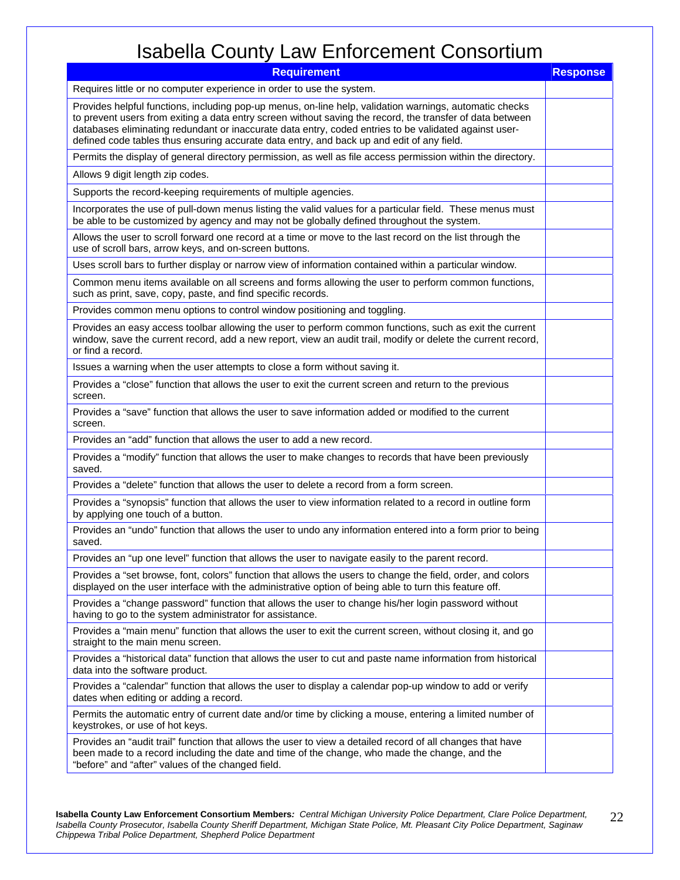| <b>Requirement</b>                                                                                                                                                                                                                                                                                                                                                                                                         | <b>Response</b> |
|----------------------------------------------------------------------------------------------------------------------------------------------------------------------------------------------------------------------------------------------------------------------------------------------------------------------------------------------------------------------------------------------------------------------------|-----------------|
| Requires little or no computer experience in order to use the system.                                                                                                                                                                                                                                                                                                                                                      |                 |
| Provides helpful functions, including pop-up menus, on-line help, validation warnings, automatic checks<br>to prevent users from exiting a data entry screen without saving the record, the transfer of data between<br>databases eliminating redundant or inaccurate data entry, coded entries to be validated against user-<br>defined code tables thus ensuring accurate data entry, and back up and edit of any field. |                 |
| Permits the display of general directory permission, as well as file access permission within the directory.                                                                                                                                                                                                                                                                                                               |                 |
| Allows 9 digit length zip codes.                                                                                                                                                                                                                                                                                                                                                                                           |                 |
| Supports the record-keeping requirements of multiple agencies.                                                                                                                                                                                                                                                                                                                                                             |                 |
| Incorporates the use of pull-down menus listing the valid values for a particular field. These menus must<br>be able to be customized by agency and may not be globally defined throughout the system.                                                                                                                                                                                                                     |                 |
| Allows the user to scroll forward one record at a time or move to the last record on the list through the<br>use of scroll bars, arrow keys, and on-screen buttons.                                                                                                                                                                                                                                                        |                 |
| Uses scroll bars to further display or narrow view of information contained within a particular window.                                                                                                                                                                                                                                                                                                                    |                 |
| Common menu items available on all screens and forms allowing the user to perform common functions,<br>such as print, save, copy, paste, and find specific records.                                                                                                                                                                                                                                                        |                 |
| Provides common menu options to control window positioning and toggling.                                                                                                                                                                                                                                                                                                                                                   |                 |
| Provides an easy access toolbar allowing the user to perform common functions, such as exit the current<br>window, save the current record, add a new report, view an audit trail, modify or delete the current record,<br>or find a record.                                                                                                                                                                               |                 |
| Issues a warning when the user attempts to close a form without saving it.                                                                                                                                                                                                                                                                                                                                                 |                 |
| Provides a "close" function that allows the user to exit the current screen and return to the previous<br>screen.                                                                                                                                                                                                                                                                                                          |                 |
| Provides a "save" function that allows the user to save information added or modified to the current<br>screen.                                                                                                                                                                                                                                                                                                            |                 |
| Provides an "add" function that allows the user to add a new record.                                                                                                                                                                                                                                                                                                                                                       |                 |
| Provides a "modify" function that allows the user to make changes to records that have been previously<br>saved.                                                                                                                                                                                                                                                                                                           |                 |
| Provides a "delete" function that allows the user to delete a record from a form screen.                                                                                                                                                                                                                                                                                                                                   |                 |
| Provides a "synopsis" function that allows the user to view information related to a record in outline form<br>by applying one touch of a button.                                                                                                                                                                                                                                                                          |                 |
| Provides an "undo" function that allows the user to undo any information entered into a form prior to being<br>saved.                                                                                                                                                                                                                                                                                                      |                 |
| Provides an "up one level" function that allows the user to navigate easily to the parent record.                                                                                                                                                                                                                                                                                                                          |                 |
| Provides a "set browse, font, colors" function that allows the users to change the field, order, and colors<br>displayed on the user interface with the administrative option of being able to turn this feature off.                                                                                                                                                                                                      |                 |
| Provides a "change password" function that allows the user to change his/her login password without<br>having to go to the system administrator for assistance.                                                                                                                                                                                                                                                            |                 |
| Provides a "main menu" function that allows the user to exit the current screen, without closing it, and go<br>straight to the main menu screen.                                                                                                                                                                                                                                                                           |                 |
| Provides a "historical data" function that allows the user to cut and paste name information from historical<br>data into the software product.                                                                                                                                                                                                                                                                            |                 |
| Provides a "calendar" function that allows the user to display a calendar pop-up window to add or verify<br>dates when editing or adding a record.                                                                                                                                                                                                                                                                         |                 |
| Permits the automatic entry of current date and/or time by clicking a mouse, entering a limited number of<br>keystrokes, or use of hot keys.                                                                                                                                                                                                                                                                               |                 |
| Provides an "audit trail" function that allows the user to view a detailed record of all changes that have<br>been made to a record including the date and time of the change, who made the change, and the<br>"before" and "after" values of the changed field.                                                                                                                                                           |                 |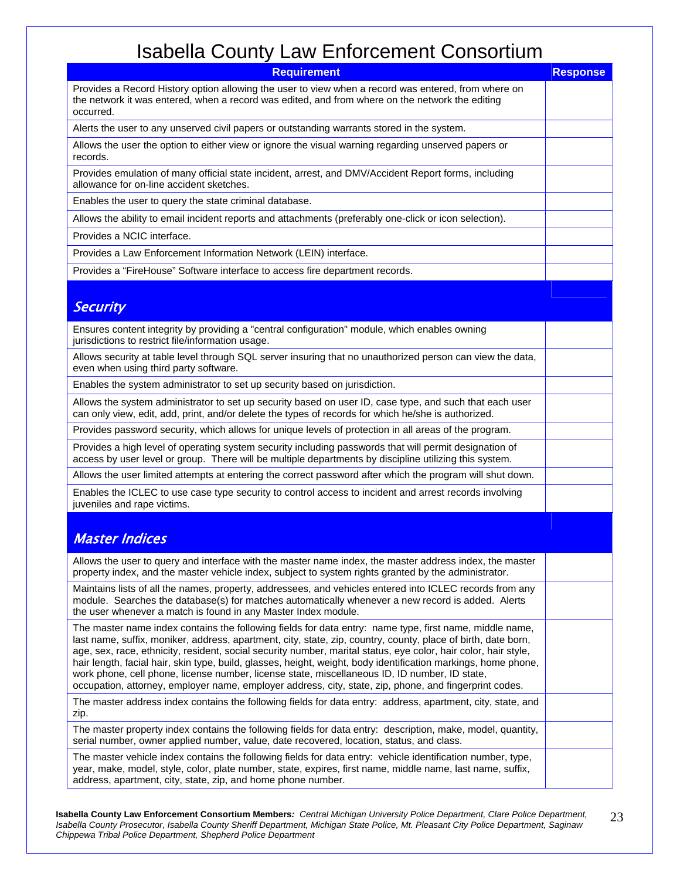| <b>Requirement</b>                                                                                                                                                                                                                                                                                                                                                                                                                                                                                                                                                                                                                                                       | <b>Response</b> |
|--------------------------------------------------------------------------------------------------------------------------------------------------------------------------------------------------------------------------------------------------------------------------------------------------------------------------------------------------------------------------------------------------------------------------------------------------------------------------------------------------------------------------------------------------------------------------------------------------------------------------------------------------------------------------|-----------------|
| Provides a Record History option allowing the user to view when a record was entered, from where on<br>the network it was entered, when a record was edited, and from where on the network the editing<br>occurred.                                                                                                                                                                                                                                                                                                                                                                                                                                                      |                 |
| Alerts the user to any unserved civil papers or outstanding warrants stored in the system.                                                                                                                                                                                                                                                                                                                                                                                                                                                                                                                                                                               |                 |
| Allows the user the option to either view or ignore the visual warning regarding unserved papers or<br>records.                                                                                                                                                                                                                                                                                                                                                                                                                                                                                                                                                          |                 |
| Provides emulation of many official state incident, arrest, and DMV/Accident Report forms, including<br>allowance for on-line accident sketches.                                                                                                                                                                                                                                                                                                                                                                                                                                                                                                                         |                 |
| Enables the user to query the state criminal database.                                                                                                                                                                                                                                                                                                                                                                                                                                                                                                                                                                                                                   |                 |
| Allows the ability to email incident reports and attachments (preferably one-click or icon selection).                                                                                                                                                                                                                                                                                                                                                                                                                                                                                                                                                                   |                 |
| Provides a NCIC interface.                                                                                                                                                                                                                                                                                                                                                                                                                                                                                                                                                                                                                                               |                 |
| Provides a Law Enforcement Information Network (LEIN) interface.                                                                                                                                                                                                                                                                                                                                                                                                                                                                                                                                                                                                         |                 |
| Provides a "FireHouse" Software interface to access fire department records.                                                                                                                                                                                                                                                                                                                                                                                                                                                                                                                                                                                             |                 |
|                                                                                                                                                                                                                                                                                                                                                                                                                                                                                                                                                                                                                                                                          |                 |
| <b>Security</b>                                                                                                                                                                                                                                                                                                                                                                                                                                                                                                                                                                                                                                                          |                 |
| Ensures content integrity by providing a "central configuration" module, which enables owning<br>jurisdictions to restrict file/information usage.                                                                                                                                                                                                                                                                                                                                                                                                                                                                                                                       |                 |
| Allows security at table level through SQL server insuring that no unauthorized person can view the data,<br>even when using third party software.                                                                                                                                                                                                                                                                                                                                                                                                                                                                                                                       |                 |
| Enables the system administrator to set up security based on jurisdiction.                                                                                                                                                                                                                                                                                                                                                                                                                                                                                                                                                                                               |                 |
| Allows the system administrator to set up security based on user ID, case type, and such that each user<br>can only view, edit, add, print, and/or delete the types of records for which he/she is authorized.                                                                                                                                                                                                                                                                                                                                                                                                                                                           |                 |
| Provides password security, which allows for unique levels of protection in all areas of the program.                                                                                                                                                                                                                                                                                                                                                                                                                                                                                                                                                                    |                 |
| Provides a high level of operating system security including passwords that will permit designation of<br>access by user level or group. There will be multiple departments by discipline utilizing this system.                                                                                                                                                                                                                                                                                                                                                                                                                                                         |                 |
| Allows the user limited attempts at entering the correct password after which the program will shut down.                                                                                                                                                                                                                                                                                                                                                                                                                                                                                                                                                                |                 |
| Enables the ICLEC to use case type security to control access to incident and arrest records involving<br>juveniles and rape victims.                                                                                                                                                                                                                                                                                                                                                                                                                                                                                                                                    |                 |
|                                                                                                                                                                                                                                                                                                                                                                                                                                                                                                                                                                                                                                                                          |                 |
| <b>Master Indices</b>                                                                                                                                                                                                                                                                                                                                                                                                                                                                                                                                                                                                                                                    |                 |
| Allows the user to query and interface with the master name index, the master address index, the master<br>property index, and the master vehicle index, subject to system rights granted by the administrator.                                                                                                                                                                                                                                                                                                                                                                                                                                                          |                 |
| Maintains lists of all the names, property, addressees, and vehicles entered into ICLEC records from any<br>module. Searches the database(s) for matches automatically whenever a new record is added. Alerts<br>the user whenever a match is found in any Master Index module.                                                                                                                                                                                                                                                                                                                                                                                          |                 |
| The master name index contains the following fields for data entry: name type, first name, middle name,<br>last name, suffix, moniker, address, apartment, city, state, zip, country, county, place of birth, date born,<br>age, sex, race, ethnicity, resident, social security number, marital status, eye color, hair color, hair style,<br>hair length, facial hair, skin type, build, glasses, height, weight, body identification markings, home phone,<br>work phone, cell phone, license number, license state, miscellaneous ID, ID number, ID state,<br>occupation, attorney, employer name, employer address, city, state, zip, phone, and fingerprint codes. |                 |
| The master address index contains the following fields for data entry: address, apartment, city, state, and<br>zip.                                                                                                                                                                                                                                                                                                                                                                                                                                                                                                                                                      |                 |
| The master property index contains the following fields for data entry: description, make, model, quantity,<br>serial number, owner applied number, value, date recovered, location, status, and class.                                                                                                                                                                                                                                                                                                                                                                                                                                                                  |                 |
| The master vehicle index contains the following fields for data entry: vehicle identification number, type,<br>year, make, model, style, color, plate number, state, expires, first name, middle name, last name, suffix,<br>address, apartment, city, state, zip, and home phone number.                                                                                                                                                                                                                                                                                                                                                                                |                 |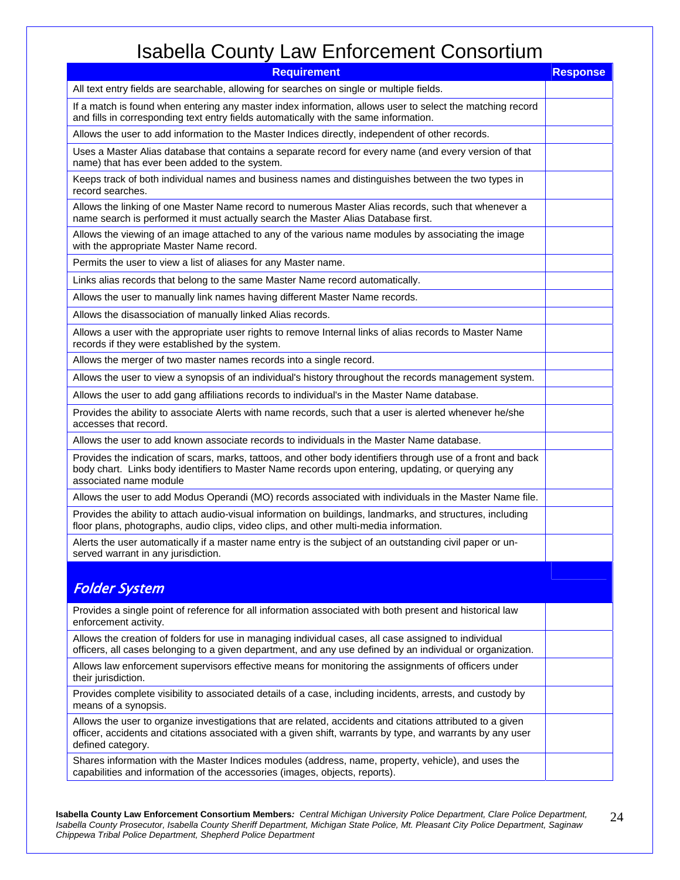| <b>Requirement</b>                                                                                                                                                                                                                            | <b>Response</b> |
|-----------------------------------------------------------------------------------------------------------------------------------------------------------------------------------------------------------------------------------------------|-----------------|
| All text entry fields are searchable, allowing for searches on single or multiple fields.                                                                                                                                                     |                 |
| If a match is found when entering any master index information, allows user to select the matching record<br>and fills in corresponding text entry fields automatically with the same information.                                            |                 |
| Allows the user to add information to the Master Indices directly, independent of other records.                                                                                                                                              |                 |
| Uses a Master Alias database that contains a separate record for every name (and every version of that<br>name) that has ever been added to the system.                                                                                       |                 |
| Keeps track of both individual names and business names and distinguishes between the two types in<br>record searches.                                                                                                                        |                 |
| Allows the linking of one Master Name record to numerous Master Alias records, such that whenever a<br>name search is performed it must actually search the Master Alias Database first.                                                      |                 |
| Allows the viewing of an image attached to any of the various name modules by associating the image<br>with the appropriate Master Name record.                                                                                               |                 |
| Permits the user to view a list of aliases for any Master name.                                                                                                                                                                               |                 |
| Links alias records that belong to the same Master Name record automatically.                                                                                                                                                                 |                 |
| Allows the user to manually link names having different Master Name records.                                                                                                                                                                  |                 |
| Allows the disassociation of manually linked Alias records.                                                                                                                                                                                   |                 |
| Allows a user with the appropriate user rights to remove Internal links of alias records to Master Name<br>records if they were established by the system.                                                                                    |                 |
| Allows the merger of two master names records into a single record.                                                                                                                                                                           |                 |
| Allows the user to view a synopsis of an individual's history throughout the records management system.                                                                                                                                       |                 |
| Allows the user to add gang affiliations records to individual's in the Master Name database.                                                                                                                                                 |                 |
| Provides the ability to associate Alerts with name records, such that a user is alerted whenever he/she<br>accesses that record.                                                                                                              |                 |
| Allows the user to add known associate records to individuals in the Master Name database.                                                                                                                                                    |                 |
| Provides the indication of scars, marks, tattoos, and other body identifiers through use of a front and back<br>body chart. Links body identifiers to Master Name records upon entering, updating, or querying any<br>associated name module  |                 |
| Allows the user to add Modus Operandi (MO) records associated with individuals in the Master Name file.                                                                                                                                       |                 |
| Provides the ability to attach audio-visual information on buildings, landmarks, and structures, including<br>floor plans, photographs, audio clips, video clips, and other multi-media information.                                          |                 |
| Alerts the user automatically if a master name entry is the subject of an outstanding civil paper or un-<br>served warrant in any jurisdiction.                                                                                               |                 |
|                                                                                                                                                                                                                                               |                 |
| <b>Folder System</b>                                                                                                                                                                                                                          |                 |
| Provides a single point of reference for all information associated with both present and historical law<br>enforcement activity.                                                                                                             |                 |
| Allows the creation of folders for use in managing individual cases, all case assigned to individual<br>officers, all cases belonging to a given department, and any use defined by an individual or organization.                            |                 |
| Allows law enforcement supervisors effective means for monitoring the assignments of officers under<br>their jurisdiction.                                                                                                                    |                 |
| Provides complete visibility to associated details of a case, including incidents, arrests, and custody by<br>means of a synopsis.                                                                                                            |                 |
| Allows the user to organize investigations that are related, accidents and citations attributed to a given<br>officer, accidents and citations associated with a given shift, warrants by type, and warrants by any user<br>defined category. |                 |
| Shares information with the Master Indices modules (address, name, property, vehicle), and uses the<br>capabilities and information of the accessories (images, objects, reports).                                                            |                 |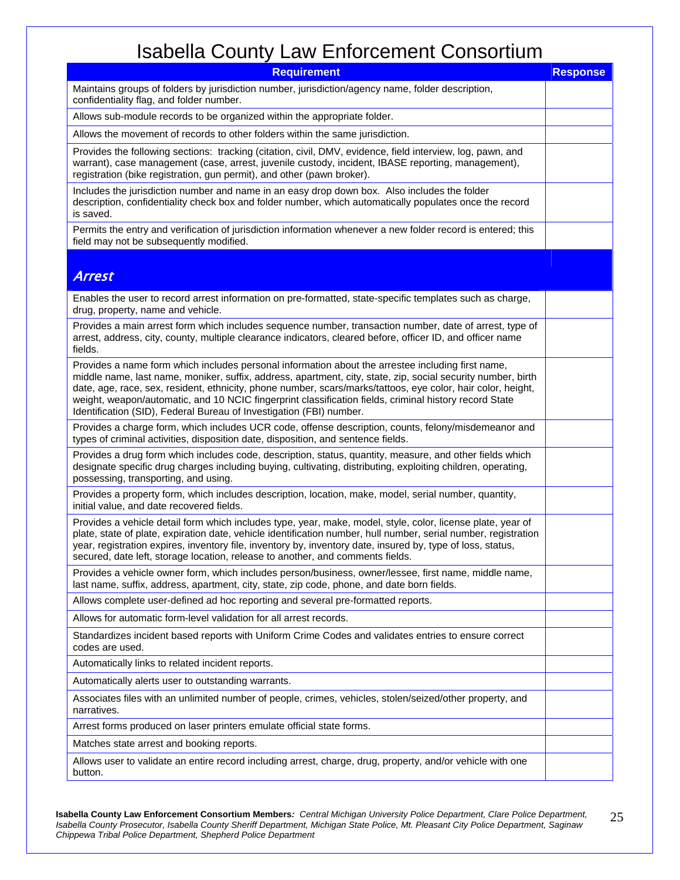| <b>Requirement</b>                                                                                                                                                                                                                                                                                                                                                                                                                                                                                                 | <b>Response</b> |
|--------------------------------------------------------------------------------------------------------------------------------------------------------------------------------------------------------------------------------------------------------------------------------------------------------------------------------------------------------------------------------------------------------------------------------------------------------------------------------------------------------------------|-----------------|
| Maintains groups of folders by jurisdiction number, jurisdiction/agency name, folder description,<br>confidentiality flag, and folder number.                                                                                                                                                                                                                                                                                                                                                                      |                 |
| Allows sub-module records to be organized within the appropriate folder.                                                                                                                                                                                                                                                                                                                                                                                                                                           |                 |
| Allows the movement of records to other folders within the same jurisdiction.                                                                                                                                                                                                                                                                                                                                                                                                                                      |                 |
| Provides the following sections: tracking (citation, civil, DMV, evidence, field interview, log, pawn, and<br>warrant), case management (case, arrest, juvenile custody, incident, IBASE reporting, management),<br>registration (bike registration, gun permit), and other (pawn broker).                                                                                                                                                                                                                         |                 |
| Includes the jurisdiction number and name in an easy drop down box. Also includes the folder<br>description, confidentiality check box and folder number, which automatically populates once the record<br>is saved.                                                                                                                                                                                                                                                                                               |                 |
| Permits the entry and verification of jurisdiction information whenever a new folder record is entered; this<br>field may not be subsequently modified.                                                                                                                                                                                                                                                                                                                                                            |                 |
| <b>Arrest</b>                                                                                                                                                                                                                                                                                                                                                                                                                                                                                                      |                 |
| Enables the user to record arrest information on pre-formatted, state-specific templates such as charge,<br>drug, property, name and vehicle.                                                                                                                                                                                                                                                                                                                                                                      |                 |
| Provides a main arrest form which includes sequence number, transaction number, date of arrest, type of<br>arrest, address, city, county, multiple clearance indicators, cleared before, officer ID, and officer name<br>fields.                                                                                                                                                                                                                                                                                   |                 |
| Provides a name form which includes personal information about the arrestee including first name,<br>middle name, last name, moniker, suffix, address, apartment, city, state, zip, social security number, birth<br>date, age, race, sex, resident, ethnicity, phone number, scars/marks/tattoos, eye color, hair color, height,<br>weight, weapon/automatic, and 10 NCIC fingerprint classification fields, criminal history record State<br>Identification (SID), Federal Bureau of Investigation (FBI) number. |                 |
| Provides a charge form, which includes UCR code, offense description, counts, felony/misdemeanor and<br>types of criminal activities, disposition date, disposition, and sentence fields.                                                                                                                                                                                                                                                                                                                          |                 |
| Provides a drug form which includes code, description, status, quantity, measure, and other fields which<br>designate specific drug charges including buying, cultivating, distributing, exploiting children, operating,<br>possessing, transporting, and using.                                                                                                                                                                                                                                                   |                 |
| Provides a property form, which includes description, location, make, model, serial number, quantity,<br>initial value, and date recovered fields.                                                                                                                                                                                                                                                                                                                                                                 |                 |
| Provides a vehicle detail form which includes type, year, make, model, style, color, license plate, year of<br>plate, state of plate, expiration date, vehicle identification number, hull number, serial number, registration<br>year, registration expires, inventory file, inventory by, inventory date, insured by, type of loss, status,<br>secured, date left, storage location, release to another, and comments fields.                                                                                    |                 |
| Provides a vehicle owner form, which includes person/business, owner/lessee, first name, middle name,<br>last name, suffix, address, apartment, city, state, zip code, phone, and date born fields.                                                                                                                                                                                                                                                                                                                |                 |
| Allows complete user-defined ad hoc reporting and several pre-formatted reports.                                                                                                                                                                                                                                                                                                                                                                                                                                   |                 |
| Allows for automatic form-level validation for all arrest records.                                                                                                                                                                                                                                                                                                                                                                                                                                                 |                 |
| Standardizes incident based reports with Uniform Crime Codes and validates entries to ensure correct<br>codes are used.                                                                                                                                                                                                                                                                                                                                                                                            |                 |
| Automatically links to related incident reports.                                                                                                                                                                                                                                                                                                                                                                                                                                                                   |                 |
| Automatically alerts user to outstanding warrants.                                                                                                                                                                                                                                                                                                                                                                                                                                                                 |                 |
| Associates files with an unlimited number of people, crimes, vehicles, stolen/seized/other property, and<br>narratives.                                                                                                                                                                                                                                                                                                                                                                                            |                 |
| Arrest forms produced on laser printers emulate official state forms.                                                                                                                                                                                                                                                                                                                                                                                                                                              |                 |
| Matches state arrest and booking reports.                                                                                                                                                                                                                                                                                                                                                                                                                                                                          |                 |
| Allows user to validate an entire record including arrest, charge, drug, property, and/or vehicle with one<br>button.                                                                                                                                                                                                                                                                                                                                                                                              |                 |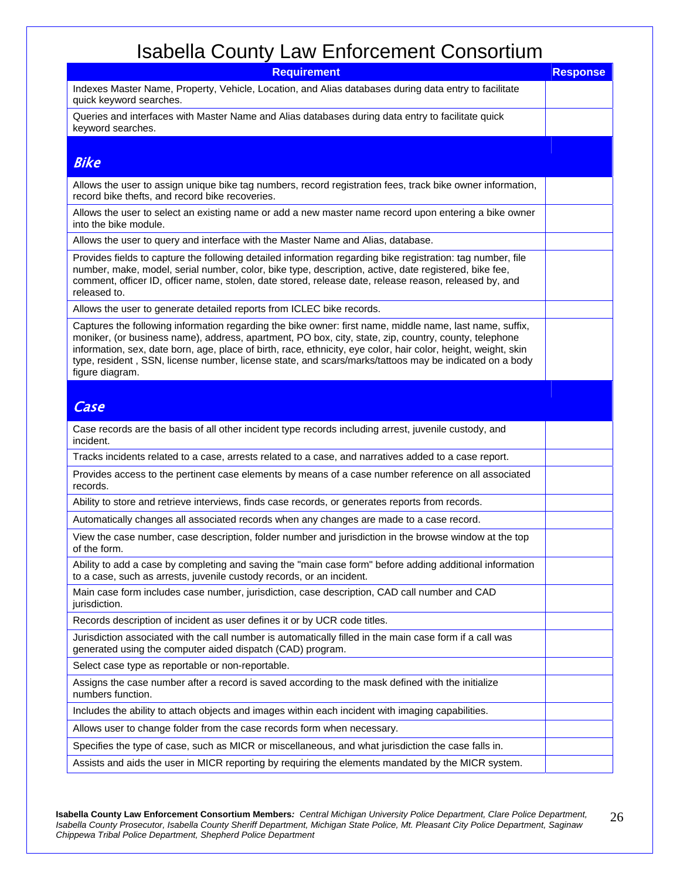| <b>Requirement</b>                                                                                                                                                                                                                                                                                                                                                                                                                                               | <b>Response</b> |
|------------------------------------------------------------------------------------------------------------------------------------------------------------------------------------------------------------------------------------------------------------------------------------------------------------------------------------------------------------------------------------------------------------------------------------------------------------------|-----------------|
| Indexes Master Name, Property, Vehicle, Location, and Alias databases during data entry to facilitate<br>quick keyword searches.                                                                                                                                                                                                                                                                                                                                 |                 |
| Queries and interfaces with Master Name and Alias databases during data entry to facilitate quick<br>keyword searches.                                                                                                                                                                                                                                                                                                                                           |                 |
| <b>Bike</b>                                                                                                                                                                                                                                                                                                                                                                                                                                                      |                 |
| Allows the user to assign unique bike tag numbers, record registration fees, track bike owner information,<br>record bike thefts, and record bike recoveries.                                                                                                                                                                                                                                                                                                    |                 |
| Allows the user to select an existing name or add a new master name record upon entering a bike owner<br>into the bike module.                                                                                                                                                                                                                                                                                                                                   |                 |
| Allows the user to query and interface with the Master Name and Alias, database.                                                                                                                                                                                                                                                                                                                                                                                 |                 |
| Provides fields to capture the following detailed information regarding bike registration: tag number, file<br>number, make, model, serial number, color, bike type, description, active, date registered, bike fee,<br>comment, officer ID, officer name, stolen, date stored, release date, release reason, released by, and<br>released to.                                                                                                                   |                 |
| Allows the user to generate detailed reports from ICLEC bike records.                                                                                                                                                                                                                                                                                                                                                                                            |                 |
| Captures the following information regarding the bike owner: first name, middle name, last name, suffix,<br>moniker, (or business name), address, apartment, PO box, city, state, zip, country, county, telephone<br>information, sex, date born, age, place of birth, race, ethnicity, eye color, hair color, height, weight, skin<br>type, resident, SSN, license number, license state, and scars/marks/tattoos may be indicated on a body<br>figure diagram. |                 |
|                                                                                                                                                                                                                                                                                                                                                                                                                                                                  |                 |
| Case                                                                                                                                                                                                                                                                                                                                                                                                                                                             |                 |
| Case records are the basis of all other incident type records including arrest, juvenile custody, and<br>incident.                                                                                                                                                                                                                                                                                                                                               |                 |
| Tracks incidents related to a case, arrests related to a case, and narratives added to a case report.                                                                                                                                                                                                                                                                                                                                                            |                 |
| Provides access to the pertinent case elements by means of a case number reference on all associated<br>records.                                                                                                                                                                                                                                                                                                                                                 |                 |
| Ability to store and retrieve interviews, finds case records, or generates reports from records.                                                                                                                                                                                                                                                                                                                                                                 |                 |
| Automatically changes all associated records when any changes are made to a case record.                                                                                                                                                                                                                                                                                                                                                                         |                 |
| View the case number, case description, folder number and jurisdiction in the browse window at the top<br>of the form.                                                                                                                                                                                                                                                                                                                                           |                 |
| Ability to add a case by completing and saving the "main case form" before adding additional information<br>to a case, such as arrests, juvenile custody records, or an incident.                                                                                                                                                                                                                                                                                |                 |
| Main case form includes case number, jurisdiction, case description, CAD call number and CAD<br>jurisdiction.                                                                                                                                                                                                                                                                                                                                                    |                 |
| Records description of incident as user defines it or by UCR code titles.                                                                                                                                                                                                                                                                                                                                                                                        |                 |
| Jurisdiction associated with the call number is automatically filled in the main case form if a call was<br>generated using the computer aided dispatch (CAD) program.                                                                                                                                                                                                                                                                                           |                 |
| Select case type as reportable or non-reportable.                                                                                                                                                                                                                                                                                                                                                                                                                |                 |
| Assigns the case number after a record is saved according to the mask defined with the initialize<br>numbers function.                                                                                                                                                                                                                                                                                                                                           |                 |
| Includes the ability to attach objects and images within each incident with imaging capabilities.                                                                                                                                                                                                                                                                                                                                                                |                 |
| Allows user to change folder from the case records form when necessary.                                                                                                                                                                                                                                                                                                                                                                                          |                 |
| Specifies the type of case, such as MICR or miscellaneous, and what jurisdiction the case falls in.                                                                                                                                                                                                                                                                                                                                                              |                 |
| Assists and aids the user in MICR reporting by requiring the elements mandated by the MICR system.                                                                                                                                                                                                                                                                                                                                                               |                 |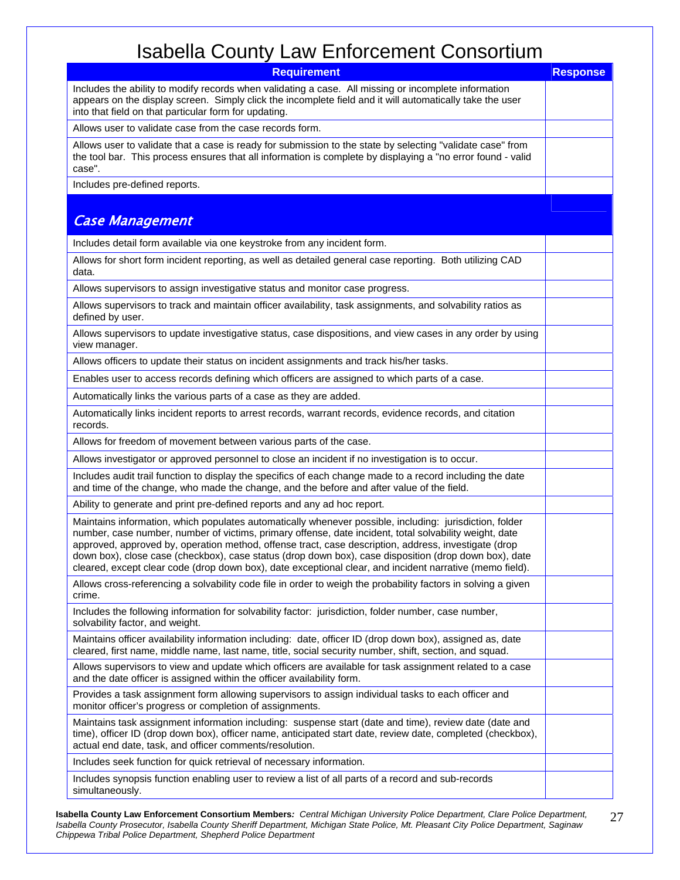| <b>Requirement</b>                                                                                                                                                                                                                                                                                                                                                                                                                                                                                                                             | <b>Response</b> |
|------------------------------------------------------------------------------------------------------------------------------------------------------------------------------------------------------------------------------------------------------------------------------------------------------------------------------------------------------------------------------------------------------------------------------------------------------------------------------------------------------------------------------------------------|-----------------|
| Includes the ability to modify records when validating a case. All missing or incomplete information<br>appears on the display screen. Simply click the incomplete field and it will automatically take the user<br>into that field on that particular form for updating.                                                                                                                                                                                                                                                                      |                 |
| Allows user to validate case from the case records form.                                                                                                                                                                                                                                                                                                                                                                                                                                                                                       |                 |
| Allows user to validate that a case is ready for submission to the state by selecting "validate case" from<br>the tool bar. This process ensures that all information is complete by displaying a "no error found - valid<br>case".                                                                                                                                                                                                                                                                                                            |                 |
| Includes pre-defined reports.                                                                                                                                                                                                                                                                                                                                                                                                                                                                                                                  |                 |
| <b>Case Management</b>                                                                                                                                                                                                                                                                                                                                                                                                                                                                                                                         |                 |
| Includes detail form available via one keystroke from any incident form.                                                                                                                                                                                                                                                                                                                                                                                                                                                                       |                 |
| Allows for short form incident reporting, as well as detailed general case reporting. Both utilizing CAD<br>data.                                                                                                                                                                                                                                                                                                                                                                                                                              |                 |
| Allows supervisors to assign investigative status and monitor case progress.                                                                                                                                                                                                                                                                                                                                                                                                                                                                   |                 |
| Allows supervisors to track and maintain officer availability, task assignments, and solvability ratios as<br>defined by user.                                                                                                                                                                                                                                                                                                                                                                                                                 |                 |
| Allows supervisors to update investigative status, case dispositions, and view cases in any order by using<br>view manager.                                                                                                                                                                                                                                                                                                                                                                                                                    |                 |
| Allows officers to update their status on incident assignments and track his/her tasks.                                                                                                                                                                                                                                                                                                                                                                                                                                                        |                 |
| Enables user to access records defining which officers are assigned to which parts of a case.                                                                                                                                                                                                                                                                                                                                                                                                                                                  |                 |
| Automatically links the various parts of a case as they are added.                                                                                                                                                                                                                                                                                                                                                                                                                                                                             |                 |
| Automatically links incident reports to arrest records, warrant records, evidence records, and citation<br>records.                                                                                                                                                                                                                                                                                                                                                                                                                            |                 |
| Allows for freedom of movement between various parts of the case.                                                                                                                                                                                                                                                                                                                                                                                                                                                                              |                 |
| Allows investigator or approved personnel to close an incident if no investigation is to occur.                                                                                                                                                                                                                                                                                                                                                                                                                                                |                 |
| Includes audit trail function to display the specifics of each change made to a record including the date<br>and time of the change, who made the change, and the before and after value of the field.                                                                                                                                                                                                                                                                                                                                         |                 |
| Ability to generate and print pre-defined reports and any ad hoc report.                                                                                                                                                                                                                                                                                                                                                                                                                                                                       |                 |
| Maintains information, which populates automatically whenever possible, including: jurisdiction, folder<br>number, case number, number of victims, primary offense, date incident, total solvability weight, date<br>approved, approved by, operation method, offense tract, case description, address, investigate (drop<br>down box), close case (checkbox), case status (drop down box), case disposition (drop down box), date<br>cleared, except clear code (drop down box), date exceptional clear, and incident narrative (memo field). |                 |
| Allows cross-referencing a solvability code file in order to weigh the probability factors in solving a given<br>crime.                                                                                                                                                                                                                                                                                                                                                                                                                        |                 |
| Includes the following information for solvability factor: jurisdiction, folder number, case number,<br>solvability factor, and weight.                                                                                                                                                                                                                                                                                                                                                                                                        |                 |
| Maintains officer availability information including: date, officer ID (drop down box), assigned as, date<br>cleared, first name, middle name, last name, title, social security number, shift, section, and squad.                                                                                                                                                                                                                                                                                                                            |                 |
| Allows supervisors to view and update which officers are available for task assignment related to a case<br>and the date officer is assigned within the officer availability form.                                                                                                                                                                                                                                                                                                                                                             |                 |
| Provides a task assignment form allowing supervisors to assign individual tasks to each officer and<br>monitor officer's progress or completion of assignments.                                                                                                                                                                                                                                                                                                                                                                                |                 |
| Maintains task assignment information including: suspense start (date and time), review date (date and<br>time), officer ID (drop down box), officer name, anticipated start date, review date, completed (checkbox),<br>actual end date, task, and officer comments/resolution.                                                                                                                                                                                                                                                               |                 |
| Includes seek function for quick retrieval of necessary information.                                                                                                                                                                                                                                                                                                                                                                                                                                                                           |                 |
| Includes synopsis function enabling user to review a list of all parts of a record and sub-records<br>simultaneously.                                                                                                                                                                                                                                                                                                                                                                                                                          |                 |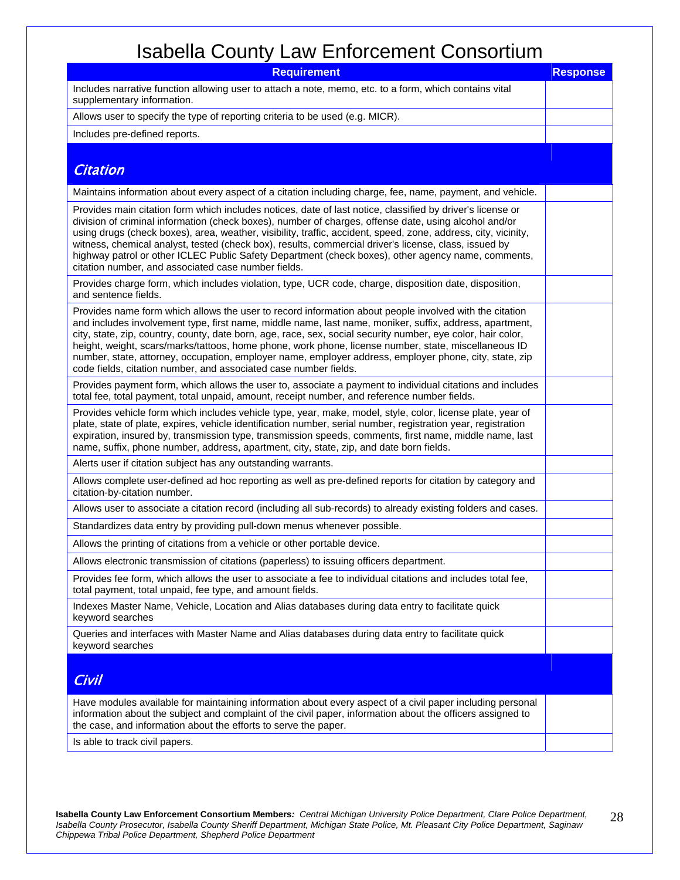| <b>Requirement</b>                                                                                                                                                                                                                                                                                                                                                                                                                                                                                                                                                                                                      | <b>Response</b> |
|-------------------------------------------------------------------------------------------------------------------------------------------------------------------------------------------------------------------------------------------------------------------------------------------------------------------------------------------------------------------------------------------------------------------------------------------------------------------------------------------------------------------------------------------------------------------------------------------------------------------------|-----------------|
| Includes narrative function allowing user to attach a note, memo, etc. to a form, which contains vital<br>supplementary information.                                                                                                                                                                                                                                                                                                                                                                                                                                                                                    |                 |
| Allows user to specify the type of reporting criteria to be used (e.g. MICR).                                                                                                                                                                                                                                                                                                                                                                                                                                                                                                                                           |                 |
| Includes pre-defined reports.                                                                                                                                                                                                                                                                                                                                                                                                                                                                                                                                                                                           |                 |
| <b>Citation</b>                                                                                                                                                                                                                                                                                                                                                                                                                                                                                                                                                                                                         |                 |
| Maintains information about every aspect of a citation including charge, fee, name, payment, and vehicle.                                                                                                                                                                                                                                                                                                                                                                                                                                                                                                               |                 |
| Provides main citation form which includes notices, date of last notice, classified by driver's license or<br>division of criminal information (check boxes), number of charges, offense date, using alcohol and/or<br>using drugs (check boxes), area, weather, visibility, traffic, accident, speed, zone, address, city, vicinity,<br>witness, chemical analyst, tested (check box), results, commercial driver's license, class, issued by<br>highway patrol or other ICLEC Public Safety Department (check boxes), other agency name, comments,<br>citation number, and associated case number fields.             |                 |
| Provides charge form, which includes violation, type, UCR code, charge, disposition date, disposition,<br>and sentence fields.                                                                                                                                                                                                                                                                                                                                                                                                                                                                                          |                 |
| Provides name form which allows the user to record information about people involved with the citation<br>and includes involvement type, first name, middle name, last name, moniker, suffix, address, apartment,<br>city, state, zip, country, county, date born, age, race, sex, social security number, eye color, hair color,<br>height, weight, scars/marks/tattoos, home phone, work phone, license number, state, miscellaneous ID<br>number, state, attorney, occupation, employer name, employer address, employer phone, city, state, zip<br>code fields, citation number, and associated case number fields. |                 |
| Provides payment form, which allows the user to, associate a payment to individual citations and includes<br>total fee, total payment, total unpaid, amount, receipt number, and reference number fields.                                                                                                                                                                                                                                                                                                                                                                                                               |                 |
| Provides vehicle form which includes vehicle type, year, make, model, style, color, license plate, year of<br>plate, state of plate, expires, vehicle identification number, serial number, registration year, registration<br>expiration, insured by, transmission type, transmission speeds, comments, first name, middle name, last<br>name, suffix, phone number, address, apartment, city, state, zip, and date born fields.                                                                                                                                                                                       |                 |
| Alerts user if citation subject has any outstanding warrants.                                                                                                                                                                                                                                                                                                                                                                                                                                                                                                                                                           |                 |
| Allows complete user-defined ad hoc reporting as well as pre-defined reports for citation by category and<br>citation-by-citation number.                                                                                                                                                                                                                                                                                                                                                                                                                                                                               |                 |
| Allows user to associate a citation record (including all sub-records) to already existing folders and cases.                                                                                                                                                                                                                                                                                                                                                                                                                                                                                                           |                 |
| Standardizes data entry by providing pull-down menus whenever possible.                                                                                                                                                                                                                                                                                                                                                                                                                                                                                                                                                 |                 |
| Allows the printing of citations from a vehicle or other portable device.                                                                                                                                                                                                                                                                                                                                                                                                                                                                                                                                               |                 |
| Allows electronic transmission of citations (paperless) to issuing officers department.                                                                                                                                                                                                                                                                                                                                                                                                                                                                                                                                 |                 |
| Provides fee form, which allows the user to associate a fee to individual citations and includes total fee,<br>total payment, total unpaid, fee type, and amount fields.                                                                                                                                                                                                                                                                                                                                                                                                                                                |                 |
| Indexes Master Name, Vehicle, Location and Alias databases during data entry to facilitate quick<br>keyword searches                                                                                                                                                                                                                                                                                                                                                                                                                                                                                                    |                 |
| Queries and interfaces with Master Name and Alias databases during data entry to facilitate quick<br>keyword searches                                                                                                                                                                                                                                                                                                                                                                                                                                                                                                   |                 |
| <b>Civil</b>                                                                                                                                                                                                                                                                                                                                                                                                                                                                                                                                                                                                            |                 |
| Have modules available for maintaining information about every aspect of a civil paper including personal<br>information about the subject and complaint of the civil paper, information about the officers assigned to<br>the case, and information about the efforts to serve the paper.                                                                                                                                                                                                                                                                                                                              |                 |
| Is able to track civil papers.                                                                                                                                                                                                                                                                                                                                                                                                                                                                                                                                                                                          |                 |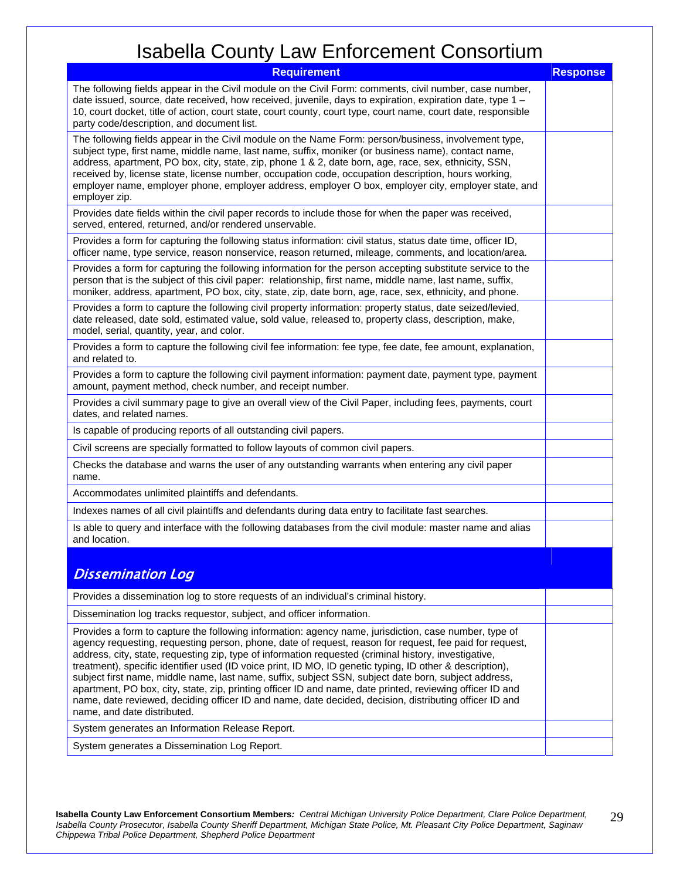| <b>Requirement</b>                                                                                                                                                                                                                                                                                                                                                                                                                                                                                                                                                                                                                                                                                                                                                                                  | <b>Response</b> |
|-----------------------------------------------------------------------------------------------------------------------------------------------------------------------------------------------------------------------------------------------------------------------------------------------------------------------------------------------------------------------------------------------------------------------------------------------------------------------------------------------------------------------------------------------------------------------------------------------------------------------------------------------------------------------------------------------------------------------------------------------------------------------------------------------------|-----------------|
| The following fields appear in the Civil module on the Civil Form: comments, civil number, case number,<br>date issued, source, date received, how received, juvenile, days to expiration, expiration date, type 1 -<br>10, court docket, title of action, court state, court county, court type, court name, court date, responsible<br>party code/description, and document list.                                                                                                                                                                                                                                                                                                                                                                                                                 |                 |
| The following fields appear in the Civil module on the Name Form: person/business, involvement type,<br>subject type, first name, middle name, last name, suffix, moniker (or business name), contact name,<br>address, apartment, PO box, city, state, zip, phone 1 & 2, date born, age, race, sex, ethnicity, SSN,<br>received by, license state, license number, occupation code, occupation description, hours working,<br>employer name, employer phone, employer address, employer O box, employer city, employer state, and<br>employer zip.                                                                                                                                                                                                                                                 |                 |
| Provides date fields within the civil paper records to include those for when the paper was received,<br>served, entered, returned, and/or rendered unservable.                                                                                                                                                                                                                                                                                                                                                                                                                                                                                                                                                                                                                                     |                 |
| Provides a form for capturing the following status information: civil status, status date time, officer ID,<br>officer name, type service, reason nonservice, reason returned, mileage, comments, and location/area.                                                                                                                                                                                                                                                                                                                                                                                                                                                                                                                                                                                |                 |
| Provides a form for capturing the following information for the person accepting substitute service to the<br>person that is the subject of this civil paper: relationship, first name, middle name, last name, suffix,<br>moniker, address, apartment, PO box, city, state, zip, date born, age, race, sex, ethnicity, and phone.                                                                                                                                                                                                                                                                                                                                                                                                                                                                  |                 |
| Provides a form to capture the following civil property information: property status, date seized/levied,<br>date released, date sold, estimated value, sold value, released to, property class, description, make,<br>model, serial, quantity, year, and color.                                                                                                                                                                                                                                                                                                                                                                                                                                                                                                                                    |                 |
| Provides a form to capture the following civil fee information: fee type, fee date, fee amount, explanation,<br>and related to.                                                                                                                                                                                                                                                                                                                                                                                                                                                                                                                                                                                                                                                                     |                 |
| Provides a form to capture the following civil payment information: payment date, payment type, payment<br>amount, payment method, check number, and receipt number.                                                                                                                                                                                                                                                                                                                                                                                                                                                                                                                                                                                                                                |                 |
| Provides a civil summary page to give an overall view of the Civil Paper, including fees, payments, court<br>dates, and related names.                                                                                                                                                                                                                                                                                                                                                                                                                                                                                                                                                                                                                                                              |                 |
| Is capable of producing reports of all outstanding civil papers.                                                                                                                                                                                                                                                                                                                                                                                                                                                                                                                                                                                                                                                                                                                                    |                 |
| Civil screens are specially formatted to follow layouts of common civil papers.                                                                                                                                                                                                                                                                                                                                                                                                                                                                                                                                                                                                                                                                                                                     |                 |
| Checks the database and warns the user of any outstanding warrants when entering any civil paper<br>name.                                                                                                                                                                                                                                                                                                                                                                                                                                                                                                                                                                                                                                                                                           |                 |
| Accommodates unlimited plaintiffs and defendants.                                                                                                                                                                                                                                                                                                                                                                                                                                                                                                                                                                                                                                                                                                                                                   |                 |
| Indexes names of all civil plaintiffs and defendants during data entry to facilitate fast searches.                                                                                                                                                                                                                                                                                                                                                                                                                                                                                                                                                                                                                                                                                                 |                 |
| Is able to query and interface with the following databases from the civil module: master name and alias<br>and location.                                                                                                                                                                                                                                                                                                                                                                                                                                                                                                                                                                                                                                                                           |                 |
| <b>Dissemination Log</b>                                                                                                                                                                                                                                                                                                                                                                                                                                                                                                                                                                                                                                                                                                                                                                            |                 |
| Provides a dissemination log to store requests of an individual's criminal history.                                                                                                                                                                                                                                                                                                                                                                                                                                                                                                                                                                                                                                                                                                                 |                 |
| Dissemination log tracks requestor, subject, and officer information.                                                                                                                                                                                                                                                                                                                                                                                                                                                                                                                                                                                                                                                                                                                               |                 |
| Provides a form to capture the following information: agency name, jurisdiction, case number, type of<br>agency requesting, requesting person, phone, date of request, reason for request, fee paid for request,<br>address, city, state, requesting zip, type of information requested (criminal history, investigative,<br>treatment), specific identifier used (ID voice print, ID MO, ID genetic typing, ID other & description),<br>subject first name, middle name, last name, suffix, subject SSN, subject date born, subject address,<br>apartment, PO box, city, state, zip, printing officer ID and name, date printed, reviewing officer ID and<br>name, date reviewed, deciding officer ID and name, date decided, decision, distributing officer ID and<br>name, and date distributed. |                 |
| System generates an Information Release Report.                                                                                                                                                                                                                                                                                                                                                                                                                                                                                                                                                                                                                                                                                                                                                     |                 |
| System generates a Dissemination Log Report.                                                                                                                                                                                                                                                                                                                                                                                                                                                                                                                                                                                                                                                                                                                                                        |                 |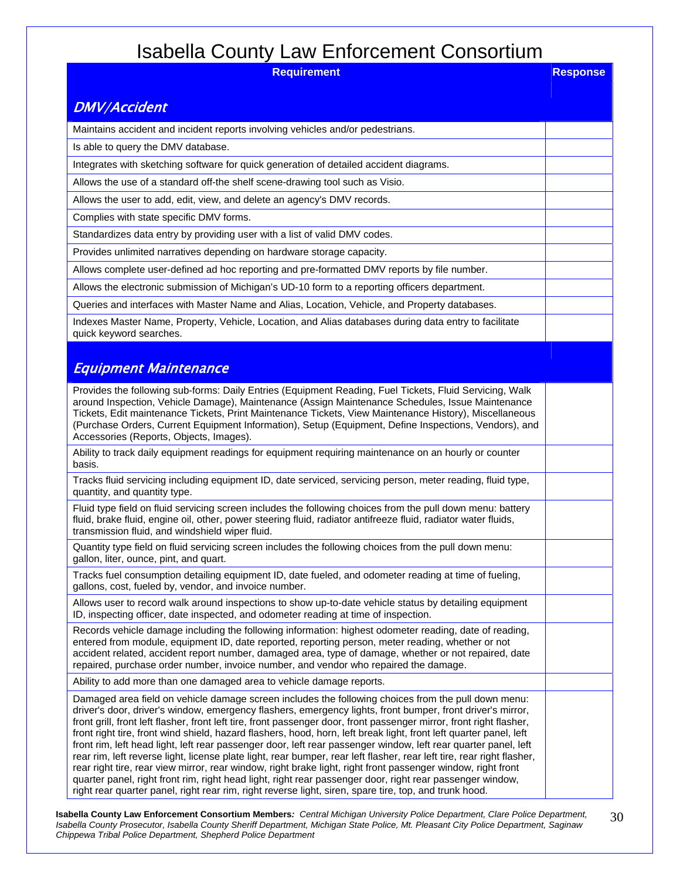| <b>Requirement</b>                                                                                                                                                                                                                                                                                                                                                                                                                                                                                                                                                                                                                                                                                                                                                                                                                                                                                                                                                                                                                                  | <b>Response</b> |
|-----------------------------------------------------------------------------------------------------------------------------------------------------------------------------------------------------------------------------------------------------------------------------------------------------------------------------------------------------------------------------------------------------------------------------------------------------------------------------------------------------------------------------------------------------------------------------------------------------------------------------------------------------------------------------------------------------------------------------------------------------------------------------------------------------------------------------------------------------------------------------------------------------------------------------------------------------------------------------------------------------------------------------------------------------|-----------------|
| <b>DMV/Accident</b>                                                                                                                                                                                                                                                                                                                                                                                                                                                                                                                                                                                                                                                                                                                                                                                                                                                                                                                                                                                                                                 |                 |
| Maintains accident and incident reports involving vehicles and/or pedestrians.                                                                                                                                                                                                                                                                                                                                                                                                                                                                                                                                                                                                                                                                                                                                                                                                                                                                                                                                                                      |                 |
| Is able to query the DMV database.                                                                                                                                                                                                                                                                                                                                                                                                                                                                                                                                                                                                                                                                                                                                                                                                                                                                                                                                                                                                                  |                 |
| Integrates with sketching software for quick generation of detailed accident diagrams.                                                                                                                                                                                                                                                                                                                                                                                                                                                                                                                                                                                                                                                                                                                                                                                                                                                                                                                                                              |                 |
| Allows the use of a standard off-the shelf scene-drawing tool such as Visio.                                                                                                                                                                                                                                                                                                                                                                                                                                                                                                                                                                                                                                                                                                                                                                                                                                                                                                                                                                        |                 |
| Allows the user to add, edit, view, and delete an agency's DMV records.                                                                                                                                                                                                                                                                                                                                                                                                                                                                                                                                                                                                                                                                                                                                                                                                                                                                                                                                                                             |                 |
| Complies with state specific DMV forms.                                                                                                                                                                                                                                                                                                                                                                                                                                                                                                                                                                                                                                                                                                                                                                                                                                                                                                                                                                                                             |                 |
| Standardizes data entry by providing user with a list of valid DMV codes.                                                                                                                                                                                                                                                                                                                                                                                                                                                                                                                                                                                                                                                                                                                                                                                                                                                                                                                                                                           |                 |
| Provides unlimited narratives depending on hardware storage capacity.                                                                                                                                                                                                                                                                                                                                                                                                                                                                                                                                                                                                                                                                                                                                                                                                                                                                                                                                                                               |                 |
| Allows complete user-defined ad hoc reporting and pre-formatted DMV reports by file number.                                                                                                                                                                                                                                                                                                                                                                                                                                                                                                                                                                                                                                                                                                                                                                                                                                                                                                                                                         |                 |
| Allows the electronic submission of Michigan's UD-10 form to a reporting officers department.                                                                                                                                                                                                                                                                                                                                                                                                                                                                                                                                                                                                                                                                                                                                                                                                                                                                                                                                                       |                 |
| Queries and interfaces with Master Name and Alias, Location, Vehicle, and Property databases.                                                                                                                                                                                                                                                                                                                                                                                                                                                                                                                                                                                                                                                                                                                                                                                                                                                                                                                                                       |                 |
| Indexes Master Name, Property, Vehicle, Location, and Alias databases during data entry to facilitate<br>quick keyword searches.                                                                                                                                                                                                                                                                                                                                                                                                                                                                                                                                                                                                                                                                                                                                                                                                                                                                                                                    |                 |
| Equipment Maintenance                                                                                                                                                                                                                                                                                                                                                                                                                                                                                                                                                                                                                                                                                                                                                                                                                                                                                                                                                                                                                               |                 |
| Provides the following sub-forms: Daily Entries (Equipment Reading, Fuel Tickets, Fluid Servicing, Walk<br>around Inspection, Vehicle Damage), Maintenance (Assign Maintenance Schedules, Issue Maintenance<br>Tickets, Edit maintenance Tickets, Print Maintenance Tickets, View Maintenance History), Miscellaneous<br>(Purchase Orders, Current Equipment Information), Setup (Equipment, Define Inspections, Vendors), and<br>Accessories (Reports, Objects, Images).                                                                                                                                                                                                                                                                                                                                                                                                                                                                                                                                                                           |                 |
| Ability to track daily equipment readings for equipment requiring maintenance on an hourly or counter<br>basis.                                                                                                                                                                                                                                                                                                                                                                                                                                                                                                                                                                                                                                                                                                                                                                                                                                                                                                                                     |                 |
| Tracks fluid servicing including equipment ID, date serviced, servicing person, meter reading, fluid type,<br>quantity, and quantity type.                                                                                                                                                                                                                                                                                                                                                                                                                                                                                                                                                                                                                                                                                                                                                                                                                                                                                                          |                 |
| Fluid type field on fluid servicing screen includes the following choices from the pull down menu: battery<br>fluid, brake fluid, engine oil, other, power steering fluid, radiator antifreeze fluid, radiator water fluids,<br>transmission fluid, and windshield wiper fluid.                                                                                                                                                                                                                                                                                                                                                                                                                                                                                                                                                                                                                                                                                                                                                                     |                 |
| Quantity type field on fluid servicing screen includes the following choices from the pull down menu:<br>gallon, liter, ounce, pint, and quart.                                                                                                                                                                                                                                                                                                                                                                                                                                                                                                                                                                                                                                                                                                                                                                                                                                                                                                     |                 |
| Tracks fuel consumption detailing equipment ID, date fueled, and odometer reading at time of fueling,<br>gallons, cost, fueled by, vendor, and invoice number.                                                                                                                                                                                                                                                                                                                                                                                                                                                                                                                                                                                                                                                                                                                                                                                                                                                                                      |                 |
| Allows user to record walk around inspections to show up-to-date vehicle status by detailing equipment<br>ID, inspecting officer, date inspected, and odometer reading at time of inspection.                                                                                                                                                                                                                                                                                                                                                                                                                                                                                                                                                                                                                                                                                                                                                                                                                                                       |                 |
| Records vehicle damage including the following information: highest odometer reading, date of reading,<br>entered from module, equipment ID, date reported, reporting person, meter reading, whether or not<br>accident related, accident report number, damaged area, type of damage, whether or not repaired, date<br>repaired, purchase order number, invoice number, and vendor who repaired the damage.                                                                                                                                                                                                                                                                                                                                                                                                                                                                                                                                                                                                                                        |                 |
| Ability to add more than one damaged area to vehicle damage reports.                                                                                                                                                                                                                                                                                                                                                                                                                                                                                                                                                                                                                                                                                                                                                                                                                                                                                                                                                                                |                 |
| Damaged area field on vehicle damage screen includes the following choices from the pull down menu:<br>driver's door, driver's window, emergency flashers, emergency lights, front bumper, front driver's mirror,<br>front grill, front left flasher, front left tire, front passenger door, front passenger mirror, front right flasher,<br>front right tire, front wind shield, hazard flashers, hood, horn, left break light, front left quarter panel, left<br>front rim, left head light, left rear passenger door, left rear passenger window, left rear quarter panel, left<br>rear rim, left reverse light, license plate light, rear bumper, rear left flasher, rear left tire, rear right flasher,<br>rear right tire, rear view mirror, rear window, right brake light, right front passenger window, right front<br>quarter panel, right front rim, right head light, right rear passenger door, right rear passenger window,<br>right rear quarter panel, right rear rim, right reverse light, siren, spare tire, top, and trunk hood. |                 |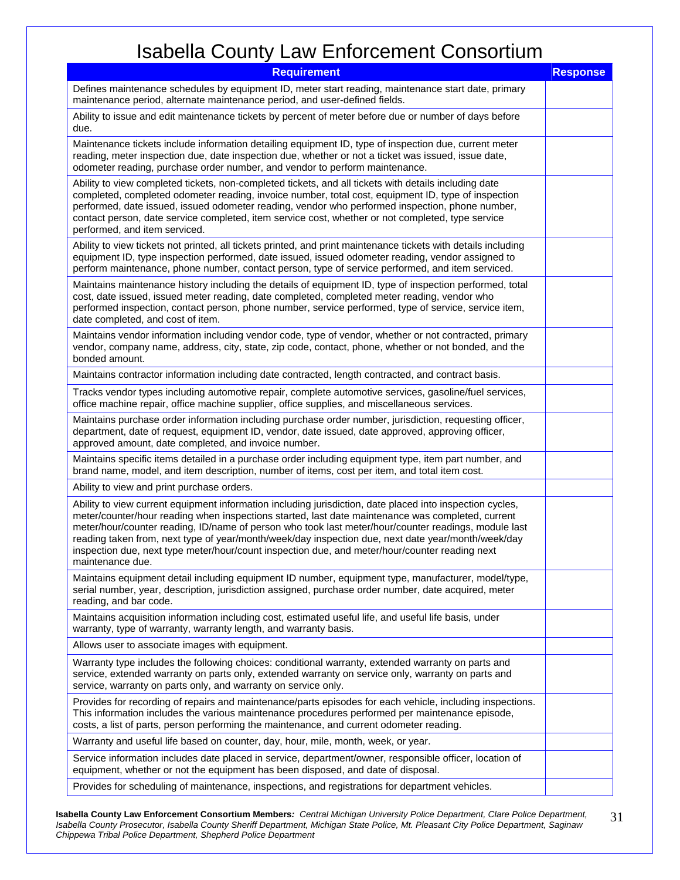| <b>Requirement</b>                                                                                                                                                                                                                                                                                                                                                                                                                                                                                                                                 | <b>Response</b> |
|----------------------------------------------------------------------------------------------------------------------------------------------------------------------------------------------------------------------------------------------------------------------------------------------------------------------------------------------------------------------------------------------------------------------------------------------------------------------------------------------------------------------------------------------------|-----------------|
| Defines maintenance schedules by equipment ID, meter start reading, maintenance start date, primary<br>maintenance period, alternate maintenance period, and user-defined fields.                                                                                                                                                                                                                                                                                                                                                                  |                 |
| Ability to issue and edit maintenance tickets by percent of meter before due or number of days before<br>due.                                                                                                                                                                                                                                                                                                                                                                                                                                      |                 |
| Maintenance tickets include information detailing equipment ID, type of inspection due, current meter<br>reading, meter inspection due, date inspection due, whether or not a ticket was issued, issue date,<br>odometer reading, purchase order number, and vendor to perform maintenance.                                                                                                                                                                                                                                                        |                 |
| Ability to view completed tickets, non-completed tickets, and all tickets with details including date<br>completed, completed odometer reading, invoice number, total cost, equipment ID, type of inspection<br>performed, date issued, issued odometer reading, vendor who performed inspection, phone number,<br>contact person, date service completed, item service cost, whether or not completed, type service<br>performed, and item serviced.                                                                                              |                 |
| Ability to view tickets not printed, all tickets printed, and print maintenance tickets with details including<br>equipment ID, type inspection performed, date issued, issued odometer reading, vendor assigned to<br>perform maintenance, phone number, contact person, type of service performed, and item serviced.                                                                                                                                                                                                                            |                 |
| Maintains maintenance history including the details of equipment ID, type of inspection performed, total<br>cost, date issued, issued meter reading, date completed, completed meter reading, vendor who<br>performed inspection, contact person, phone number, service performed, type of service, service item,<br>date completed, and cost of item.                                                                                                                                                                                             |                 |
| Maintains vendor information including vendor code, type of vendor, whether or not contracted, primary<br>vendor, company name, address, city, state, zip code, contact, phone, whether or not bonded, and the<br>bonded amount.                                                                                                                                                                                                                                                                                                                   |                 |
| Maintains contractor information including date contracted, length contracted, and contract basis.                                                                                                                                                                                                                                                                                                                                                                                                                                                 |                 |
| Tracks vendor types including automotive repair, complete automotive services, gasoline/fuel services,<br>office machine repair, office machine supplier, office supplies, and miscellaneous services.                                                                                                                                                                                                                                                                                                                                             |                 |
| Maintains purchase order information including purchase order number, jurisdiction, requesting officer,<br>department, date of request, equipment ID, vendor, date issued, date approved, approving officer,<br>approved amount, date completed, and invoice number.                                                                                                                                                                                                                                                                               |                 |
| Maintains specific items detailed in a purchase order including equipment type, item part number, and<br>brand name, model, and item description, number of items, cost per item, and total item cost.                                                                                                                                                                                                                                                                                                                                             |                 |
| Ability to view and print purchase orders.                                                                                                                                                                                                                                                                                                                                                                                                                                                                                                         |                 |
| Ability to view current equipment information including jurisdiction, date placed into inspection cycles,<br>meter/counter/hour reading when inspections started, last date maintenance was completed, current<br>meter/hour/counter reading, ID/name of person who took last meter/hour/counter readings, module last<br>reading taken from, next type of year/month/week/day inspection due, next date year/month/week/day<br>inspection due, next type meter/hour/count inspection due, and meter/hour/counter reading next<br>maintenance due. |                 |
| Maintains equipment detail including equipment ID number, equipment type, manufacturer, model/type,<br>serial number, year, description, jurisdiction assigned, purchase order number, date acquired, meter<br>reading, and bar code.                                                                                                                                                                                                                                                                                                              |                 |
| Maintains acquisition information including cost, estimated useful life, and useful life basis, under<br>warranty, type of warranty, warranty length, and warranty basis.                                                                                                                                                                                                                                                                                                                                                                          |                 |
| Allows user to associate images with equipment.                                                                                                                                                                                                                                                                                                                                                                                                                                                                                                    |                 |
| Warranty type includes the following choices: conditional warranty, extended warranty on parts and<br>service, extended warranty on parts only, extended warranty on service only, warranty on parts and<br>service, warranty on parts only, and warranty on service only.                                                                                                                                                                                                                                                                         |                 |
| Provides for recording of repairs and maintenance/parts episodes for each vehicle, including inspections.<br>This information includes the various maintenance procedures performed per maintenance episode,<br>costs, a list of parts, person performing the maintenance, and current odometer reading.                                                                                                                                                                                                                                           |                 |
| Warranty and useful life based on counter, day, hour, mile, month, week, or year.                                                                                                                                                                                                                                                                                                                                                                                                                                                                  |                 |
| Service information includes date placed in service, department/owner, responsible officer, location of<br>equipment, whether or not the equipment has been disposed, and date of disposal.                                                                                                                                                                                                                                                                                                                                                        |                 |
| Provides for scheduling of maintenance, inspections, and registrations for department vehicles.                                                                                                                                                                                                                                                                                                                                                                                                                                                    |                 |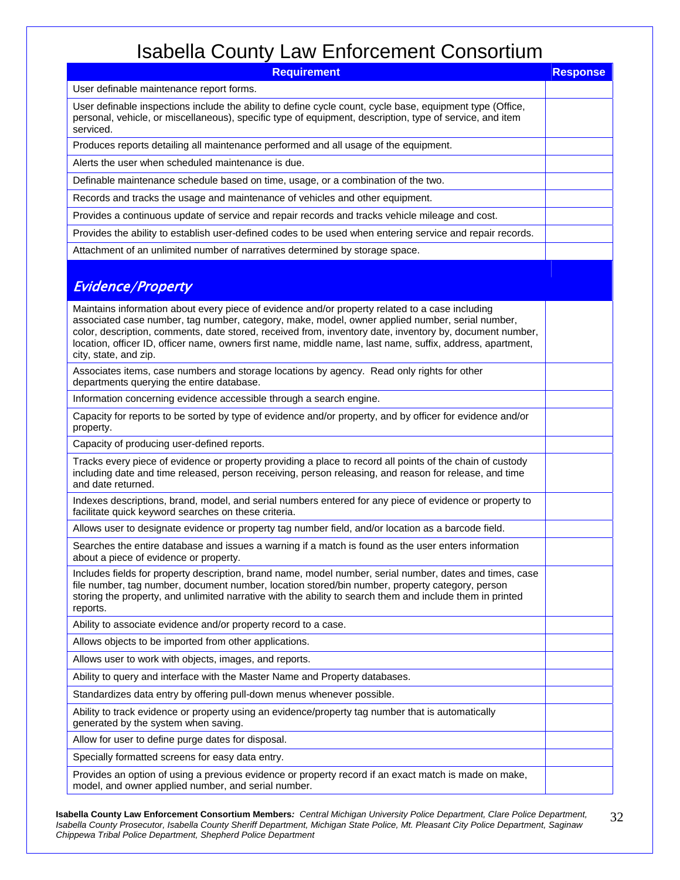| <b>Requirement</b>                                                                                                                                                                                                                                                                                                                                                                                                                                    | <b>Response</b> |
|-------------------------------------------------------------------------------------------------------------------------------------------------------------------------------------------------------------------------------------------------------------------------------------------------------------------------------------------------------------------------------------------------------------------------------------------------------|-----------------|
| User definable maintenance report forms.                                                                                                                                                                                                                                                                                                                                                                                                              |                 |
| User definable inspections include the ability to define cycle count, cycle base, equipment type (Office,<br>personal, vehicle, or miscellaneous), specific type of equipment, description, type of service, and item<br>serviced.                                                                                                                                                                                                                    |                 |
| Produces reports detailing all maintenance performed and all usage of the equipment.                                                                                                                                                                                                                                                                                                                                                                  |                 |
| Alerts the user when scheduled maintenance is due.                                                                                                                                                                                                                                                                                                                                                                                                    |                 |
| Definable maintenance schedule based on time, usage, or a combination of the two.                                                                                                                                                                                                                                                                                                                                                                     |                 |
| Records and tracks the usage and maintenance of vehicles and other equipment.                                                                                                                                                                                                                                                                                                                                                                         |                 |
| Provides a continuous update of service and repair records and tracks vehicle mileage and cost.                                                                                                                                                                                                                                                                                                                                                       |                 |
| Provides the ability to establish user-defined codes to be used when entering service and repair records.                                                                                                                                                                                                                                                                                                                                             |                 |
| Attachment of an unlimited number of narratives determined by storage space.                                                                                                                                                                                                                                                                                                                                                                          |                 |
| <b>Evidence/Property</b>                                                                                                                                                                                                                                                                                                                                                                                                                              |                 |
| Maintains information about every piece of evidence and/or property related to a case including<br>associated case number, tag number, category, make, model, owner applied number, serial number,<br>color, description, comments, date stored, received from, inventory date, inventory by, document number,<br>location, officer ID, officer name, owners first name, middle name, last name, suffix, address, apartment,<br>city, state, and zip. |                 |
| Associates items, case numbers and storage locations by agency. Read only rights for other<br>departments querying the entire database.                                                                                                                                                                                                                                                                                                               |                 |
| Information concerning evidence accessible through a search engine.                                                                                                                                                                                                                                                                                                                                                                                   |                 |
| Capacity for reports to be sorted by type of evidence and/or property, and by officer for evidence and/or<br>property.                                                                                                                                                                                                                                                                                                                                |                 |
| Capacity of producing user-defined reports.                                                                                                                                                                                                                                                                                                                                                                                                           |                 |
| Tracks every piece of evidence or property providing a place to record all points of the chain of custody<br>including date and time released, person receiving, person releasing, and reason for release, and time<br>and date returned.                                                                                                                                                                                                             |                 |
| Indexes descriptions, brand, model, and serial numbers entered for any piece of evidence or property to<br>facilitate quick keyword searches on these criteria.                                                                                                                                                                                                                                                                                       |                 |
| Allows user to designate evidence or property tag number field, and/or location as a barcode field.                                                                                                                                                                                                                                                                                                                                                   |                 |
| Searches the entire database and issues a warning if a match is found as the user enters information<br>about a piece of evidence or property.                                                                                                                                                                                                                                                                                                        |                 |
| Includes fields for property description, brand name, model number, serial number, dates and times, case<br>file number, tag number, document number, location stored/bin number, property category, person<br>storing the property, and unlimited narrative with the ability to search them and include them in printed<br>reports.                                                                                                                  |                 |
| Ability to associate evidence and/or property record to a case.                                                                                                                                                                                                                                                                                                                                                                                       |                 |
| Allows objects to be imported from other applications.                                                                                                                                                                                                                                                                                                                                                                                                |                 |
| Allows user to work with objects, images, and reports.                                                                                                                                                                                                                                                                                                                                                                                                |                 |
| Ability to query and interface with the Master Name and Property databases.                                                                                                                                                                                                                                                                                                                                                                           |                 |
| Standardizes data entry by offering pull-down menus whenever possible.                                                                                                                                                                                                                                                                                                                                                                                |                 |
| Ability to track evidence or property using an evidence/property tag number that is automatically<br>generated by the system when saving.                                                                                                                                                                                                                                                                                                             |                 |
| Allow for user to define purge dates for disposal.                                                                                                                                                                                                                                                                                                                                                                                                    |                 |
| Specially formatted screens for easy data entry.                                                                                                                                                                                                                                                                                                                                                                                                      |                 |
| Provides an option of using a previous evidence or property record if an exact match is made on make,<br>model, and owner applied number, and serial number.                                                                                                                                                                                                                                                                                          |                 |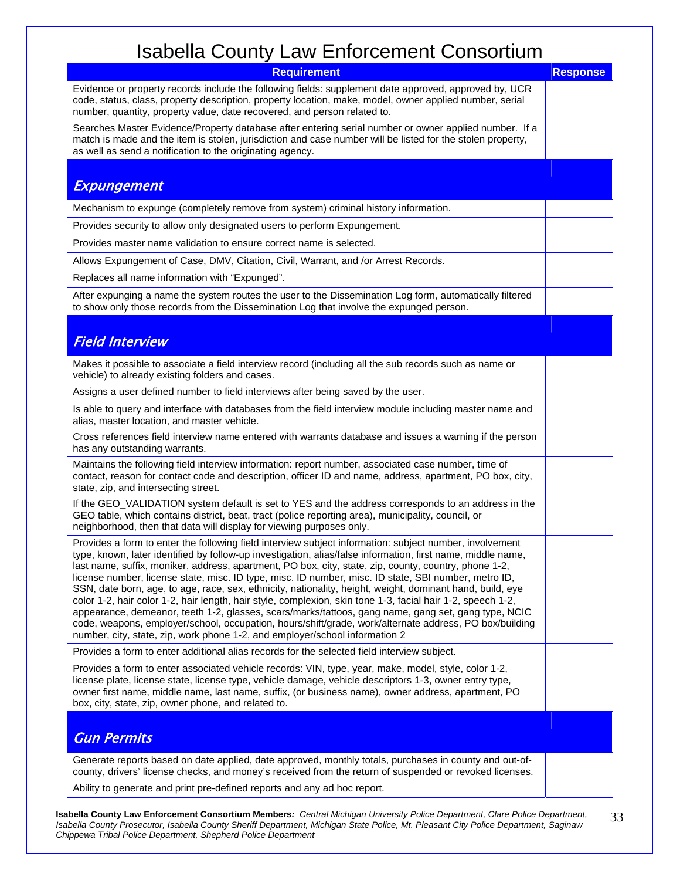| 1880                                                                                                                                                                                                                                                                                                                                                                                                                                                                                                                                                                                                                                                                                                                                                                                                                                                                                                                                                                |                 |
|---------------------------------------------------------------------------------------------------------------------------------------------------------------------------------------------------------------------------------------------------------------------------------------------------------------------------------------------------------------------------------------------------------------------------------------------------------------------------------------------------------------------------------------------------------------------------------------------------------------------------------------------------------------------------------------------------------------------------------------------------------------------------------------------------------------------------------------------------------------------------------------------------------------------------------------------------------------------|-----------------|
| <b>Requirement</b>                                                                                                                                                                                                                                                                                                                                                                                                                                                                                                                                                                                                                                                                                                                                                                                                                                                                                                                                                  | <b>Response</b> |
| Evidence or property records include the following fields: supplement date approved, approved by, UCR<br>code, status, class, property description, property location, make, model, owner applied number, serial<br>number, quantity, property value, date recovered, and person related to.                                                                                                                                                                                                                                                                                                                                                                                                                                                                                                                                                                                                                                                                        |                 |
| Searches Master Evidence/Property database after entering serial number or owner applied number. If a<br>match is made and the item is stolen, jurisdiction and case number will be listed for the stolen property,<br>as well as send a notification to the originating agency.                                                                                                                                                                                                                                                                                                                                                                                                                                                                                                                                                                                                                                                                                    |                 |
|                                                                                                                                                                                                                                                                                                                                                                                                                                                                                                                                                                                                                                                                                                                                                                                                                                                                                                                                                                     |                 |
| <b>Expungement</b>                                                                                                                                                                                                                                                                                                                                                                                                                                                                                                                                                                                                                                                                                                                                                                                                                                                                                                                                                  |                 |
| Mechanism to expunge (completely remove from system) criminal history information.                                                                                                                                                                                                                                                                                                                                                                                                                                                                                                                                                                                                                                                                                                                                                                                                                                                                                  |                 |
| Provides security to allow only designated users to perform Expungement.                                                                                                                                                                                                                                                                                                                                                                                                                                                                                                                                                                                                                                                                                                                                                                                                                                                                                            |                 |
| Provides master name validation to ensure correct name is selected.                                                                                                                                                                                                                                                                                                                                                                                                                                                                                                                                                                                                                                                                                                                                                                                                                                                                                                 |                 |
| Allows Expungement of Case, DMV, Citation, Civil, Warrant, and /or Arrest Records.                                                                                                                                                                                                                                                                                                                                                                                                                                                                                                                                                                                                                                                                                                                                                                                                                                                                                  |                 |
| Replaces all name information with "Expunged".                                                                                                                                                                                                                                                                                                                                                                                                                                                                                                                                                                                                                                                                                                                                                                                                                                                                                                                      |                 |
| After expunging a name the system routes the user to the Dissemination Log form, automatically filtered<br>to show only those records from the Dissemination Log that involve the expunged person.                                                                                                                                                                                                                                                                                                                                                                                                                                                                                                                                                                                                                                                                                                                                                                  |                 |
|                                                                                                                                                                                                                                                                                                                                                                                                                                                                                                                                                                                                                                                                                                                                                                                                                                                                                                                                                                     |                 |
| <b>Field Interview</b>                                                                                                                                                                                                                                                                                                                                                                                                                                                                                                                                                                                                                                                                                                                                                                                                                                                                                                                                              |                 |
| Makes it possible to associate a field interview record (including all the sub records such as name or<br>vehicle) to already existing folders and cases.                                                                                                                                                                                                                                                                                                                                                                                                                                                                                                                                                                                                                                                                                                                                                                                                           |                 |
| Assigns a user defined number to field interviews after being saved by the user.                                                                                                                                                                                                                                                                                                                                                                                                                                                                                                                                                                                                                                                                                                                                                                                                                                                                                    |                 |
| Is able to query and interface with databases from the field interview module including master name and<br>alias, master location, and master vehicle.                                                                                                                                                                                                                                                                                                                                                                                                                                                                                                                                                                                                                                                                                                                                                                                                              |                 |
| Cross references field interview name entered with warrants database and issues a warning if the person<br>has any outstanding warrants.                                                                                                                                                                                                                                                                                                                                                                                                                                                                                                                                                                                                                                                                                                                                                                                                                            |                 |
| Maintains the following field interview information: report number, associated case number, time of<br>contact, reason for contact code and description, officer ID and name, address, apartment, PO box, city,<br>state, zip, and intersecting street.                                                                                                                                                                                                                                                                                                                                                                                                                                                                                                                                                                                                                                                                                                             |                 |
| If the GEO_VALIDATION system default is set to YES and the address corresponds to an address in the<br>GEO table, which contains district, beat, tract (police reporting area), municipality, council, or<br>neighborhood, then that data will display for viewing purposes only.                                                                                                                                                                                                                                                                                                                                                                                                                                                                                                                                                                                                                                                                                   |                 |
| Provides a form to enter the following field interview subject information: subject number, involvement<br>type, known, later identified by follow-up investigation, alias/false information, first name, middle name.<br>last name, suffix, moniker, address, apartment, PO box, city, state, zip, county, country, phone 1-2,<br>license number, license state, misc. ID type, misc. ID number, misc. ID state, SBI number, metro ID,<br>SSN, date born, age, to age, race, sex, ethnicity, nationality, height, weight, dominant hand, build, eye<br>color 1-2, hair color 1-2, hair length, hair style, complexion, skin tone 1-3, facial hair 1-2, speech 1-2,<br>appearance, demeanor, teeth 1-2, glasses, scars/marks/tattoos, gang name, gang set, gang type, NCIC<br>code, weapons, employer/school, occupation, hours/shift/grade, work/alternate address, PO box/building<br>number, city, state, zip, work phone 1-2, and employer/school information 2 |                 |
| Provides a form to enter additional alias records for the selected field interview subject.                                                                                                                                                                                                                                                                                                                                                                                                                                                                                                                                                                                                                                                                                                                                                                                                                                                                         |                 |
| Provides a form to enter associated vehicle records: VIN, type, year, make, model, style, color 1-2,<br>license plate, license state, license type, vehicle damage, vehicle descriptors 1-3, owner entry type,<br>owner first name, middle name, last name, suffix, (or business name), owner address, apartment, PO<br>box, city, state, zip, owner phone, and related to.                                                                                                                                                                                                                                                                                                                                                                                                                                                                                                                                                                                         |                 |
| <b>Gun Permits</b>                                                                                                                                                                                                                                                                                                                                                                                                                                                                                                                                                                                                                                                                                                                                                                                                                                                                                                                                                  |                 |
| Generate reports based on date applied, date approved, monthly totals, purchases in county and out-of-<br>county, drivers' license checks, and money's received from the return of suspended or revoked licenses.                                                                                                                                                                                                                                                                                                                                                                                                                                                                                                                                                                                                                                                                                                                                                   |                 |
| Ability to generate and print pre-defined reports and any ad hoc report.                                                                                                                                                                                                                                                                                                                                                                                                                                                                                                                                                                                                                                                                                                                                                                                                                                                                                            |                 |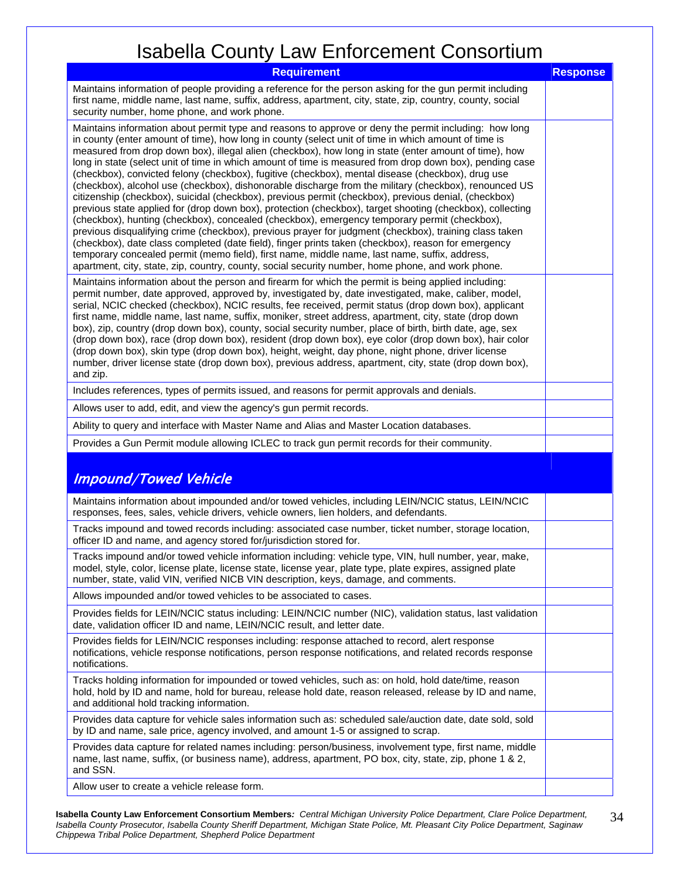| .<br><b>Requirement</b>                                                                                                                                                                                                                                                                                                                                                                                                                                                                                                                                                                                                                                                                                                                                                                                                                                                                                                                                                                                                                                                                                                                                                                                                                                                                                                                                                                      | <b>Response</b> |
|----------------------------------------------------------------------------------------------------------------------------------------------------------------------------------------------------------------------------------------------------------------------------------------------------------------------------------------------------------------------------------------------------------------------------------------------------------------------------------------------------------------------------------------------------------------------------------------------------------------------------------------------------------------------------------------------------------------------------------------------------------------------------------------------------------------------------------------------------------------------------------------------------------------------------------------------------------------------------------------------------------------------------------------------------------------------------------------------------------------------------------------------------------------------------------------------------------------------------------------------------------------------------------------------------------------------------------------------------------------------------------------------|-----------------|
| Maintains information of people providing a reference for the person asking for the gun permit including<br>first name, middle name, last name, suffix, address, apartment, city, state, zip, country, county, social<br>security number, home phone, and work phone.                                                                                                                                                                                                                                                                                                                                                                                                                                                                                                                                                                                                                                                                                                                                                                                                                                                                                                                                                                                                                                                                                                                        |                 |
| Maintains information about permit type and reasons to approve or deny the permit including: how long<br>in county (enter amount of time), how long in county (select unit of time in which amount of time is<br>measured from drop down box), illegal alien (checkbox), how long in state (enter amount of time), how<br>long in state (select unit of time in which amount of time is measured from drop down box), pending case<br>(checkbox), convicted felony (checkbox), fugitive (checkbox), mental disease (checkbox), drug use<br>(checkbox), alcohol use (checkbox), dishonorable discharge from the military (checkbox), renounced US<br>citizenship (checkbox), suicidal (checkbox), previous permit (checkbox), previous denial, (checkbox)<br>previous state applied for (drop down box), protection (checkbox), target shooting (checkbox), collecting<br>(checkbox), hunting (checkbox), concealed (checkbox), emergency temporary permit (checkbox),<br>previous disqualifying crime (checkbox), previous prayer for judgment (checkbox), training class taken<br>(checkbox), date class completed (date field), finger prints taken (checkbox), reason for emergency<br>temporary concealed permit (memo field), first name, middle name, last name, suffix, address,<br>apartment, city, state, zip, country, county, social security number, home phone, and work phone. |                 |
| Maintains information about the person and firearm for which the permit is being applied including:<br>permit number, date approved, approved by, investigated by, date investigated, make, caliber, model,<br>serial, NCIC checked (checkbox), NCIC results, fee received, permit status (drop down box), applicant<br>first name, middle name, last name, suffix, moniker, street address, apartment, city, state (drop down<br>box), zip, country (drop down box), county, social security number, place of birth, birth date, age, sex<br>(drop down box), race (drop down box), resident (drop down box), eye color (drop down box), hair color<br>(drop down box), skin type (drop down box), height, weight, day phone, night phone, driver license<br>number, driver license state (drop down box), previous address, apartment, city, state (drop down box),<br>and zip.                                                                                                                                                                                                                                                                                                                                                                                                                                                                                                            |                 |
| Includes references, types of permits issued, and reasons for permit approvals and denials.                                                                                                                                                                                                                                                                                                                                                                                                                                                                                                                                                                                                                                                                                                                                                                                                                                                                                                                                                                                                                                                                                                                                                                                                                                                                                                  |                 |
| Allows user to add, edit, and view the agency's gun permit records.                                                                                                                                                                                                                                                                                                                                                                                                                                                                                                                                                                                                                                                                                                                                                                                                                                                                                                                                                                                                                                                                                                                                                                                                                                                                                                                          |                 |
| Ability to query and interface with Master Name and Alias and Master Location databases.                                                                                                                                                                                                                                                                                                                                                                                                                                                                                                                                                                                                                                                                                                                                                                                                                                                                                                                                                                                                                                                                                                                                                                                                                                                                                                     |                 |
| Provides a Gun Permit module allowing ICLEC to track gun permit records for their community.                                                                                                                                                                                                                                                                                                                                                                                                                                                                                                                                                                                                                                                                                                                                                                                                                                                                                                                                                                                                                                                                                                                                                                                                                                                                                                 |                 |
| <b>Impound/Towed Vehicle</b>                                                                                                                                                                                                                                                                                                                                                                                                                                                                                                                                                                                                                                                                                                                                                                                                                                                                                                                                                                                                                                                                                                                                                                                                                                                                                                                                                                 |                 |
| Maintains information about impounded and/or towed vehicles, including LEIN/NCIC status, LEIN/NCIC<br>responses, fees, sales, vehicle drivers, vehicle owners, lien holders, and defendants.                                                                                                                                                                                                                                                                                                                                                                                                                                                                                                                                                                                                                                                                                                                                                                                                                                                                                                                                                                                                                                                                                                                                                                                                 |                 |
| Tracks impound and towed records including: associated case number, ticket number, storage location,<br>officer ID and name, and agency stored for/jurisdiction stored for.                                                                                                                                                                                                                                                                                                                                                                                                                                                                                                                                                                                                                                                                                                                                                                                                                                                                                                                                                                                                                                                                                                                                                                                                                  |                 |
| Tracks impound and/or towed vehicle information including: vehicle type, VIN, hull number, year, make,<br>model, style, color, license plate, license state, license year, plate type, plate expires, assigned plate<br>number, state, valid VIN, verified NICB VIN description, keys, damage, and comments.                                                                                                                                                                                                                                                                                                                                                                                                                                                                                                                                                                                                                                                                                                                                                                                                                                                                                                                                                                                                                                                                                 |                 |
| Allows impounded and/or towed vehicles to be associated to cases.                                                                                                                                                                                                                                                                                                                                                                                                                                                                                                                                                                                                                                                                                                                                                                                                                                                                                                                                                                                                                                                                                                                                                                                                                                                                                                                            |                 |
| Provides fields for LEIN/NCIC status including: LEIN/NCIC number (NIC), validation status, last validation<br>date, validation officer ID and name, LEIN/NCIC result, and letter date.                                                                                                                                                                                                                                                                                                                                                                                                                                                                                                                                                                                                                                                                                                                                                                                                                                                                                                                                                                                                                                                                                                                                                                                                       |                 |
| Provides fields for LEIN/NCIC responses including: response attached to record, alert response<br>notifications, vehicle response notifications, person response notifications, and related records response<br>notifications.                                                                                                                                                                                                                                                                                                                                                                                                                                                                                                                                                                                                                                                                                                                                                                                                                                                                                                                                                                                                                                                                                                                                                               |                 |
| Tracks holding information for impounded or towed vehicles, such as: on hold, hold date/time, reason<br>hold, hold by ID and name, hold for bureau, release hold date, reason released, release by ID and name,<br>and additional hold tracking information.                                                                                                                                                                                                                                                                                                                                                                                                                                                                                                                                                                                                                                                                                                                                                                                                                                                                                                                                                                                                                                                                                                                                 |                 |
| Provides data capture for vehicle sales information such as: scheduled sale/auction date, date sold, sold<br>by ID and name, sale price, agency involved, and amount 1-5 or assigned to scrap.                                                                                                                                                                                                                                                                                                                                                                                                                                                                                                                                                                                                                                                                                                                                                                                                                                                                                                                                                                                                                                                                                                                                                                                               |                 |
| Provides data capture for related names including: person/business, involvement type, first name, middle<br>name, last name, suffix, (or business name), address, apartment, PO box, city, state, zip, phone 1 & 2,<br>and SSN.                                                                                                                                                                                                                                                                                                                                                                                                                                                                                                                                                                                                                                                                                                                                                                                                                                                                                                                                                                                                                                                                                                                                                              |                 |
| Allow user to create a vehicle release form.                                                                                                                                                                                                                                                                                                                                                                                                                                                                                                                                                                                                                                                                                                                                                                                                                                                                                                                                                                                                                                                                                                                                                                                                                                                                                                                                                 |                 |

Allow user to create a vehicle release form.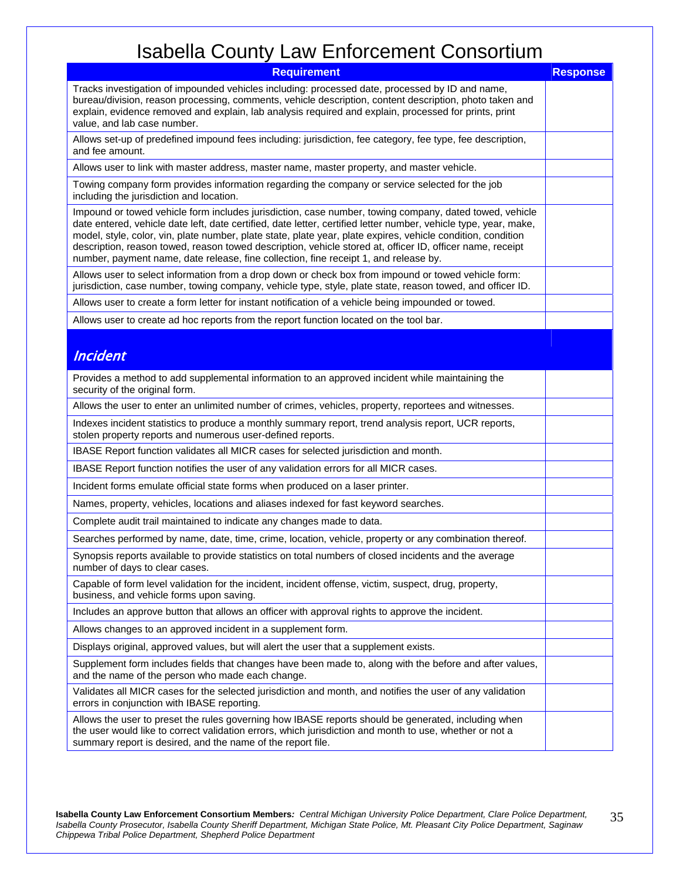| <b>Requirement</b>                                                                                                                                                                                                                                                                                                                                                                                                                                                                                                                              | <b>Response</b> |
|-------------------------------------------------------------------------------------------------------------------------------------------------------------------------------------------------------------------------------------------------------------------------------------------------------------------------------------------------------------------------------------------------------------------------------------------------------------------------------------------------------------------------------------------------|-----------------|
| Tracks investigation of impounded vehicles including: processed date, processed by ID and name,<br>bureau/division, reason processing, comments, vehicle description, content description, photo taken and<br>explain, evidence removed and explain, lab analysis required and explain, processed for prints, print<br>value, and lab case number.                                                                                                                                                                                              |                 |
| Allows set-up of predefined impound fees including: jurisdiction, fee category, fee type, fee description,<br>and fee amount.                                                                                                                                                                                                                                                                                                                                                                                                                   |                 |
| Allows user to link with master address, master name, master property, and master vehicle.                                                                                                                                                                                                                                                                                                                                                                                                                                                      |                 |
| Towing company form provides information regarding the company or service selected for the job<br>including the jurisdiction and location.                                                                                                                                                                                                                                                                                                                                                                                                      |                 |
| Impound or towed vehicle form includes jurisdiction, case number, towing company, dated towed, vehicle<br>date entered, vehicle date left, date certified, date letter, certified letter number, vehicle type, year, make,<br>model, style, color, vin, plate number, plate state, plate year, plate expires, vehicle condition, condition<br>description, reason towed, reason towed description, vehicle stored at, officer ID, officer name, receipt<br>number, payment name, date release, fine collection, fine receipt 1, and release by. |                 |
| Allows user to select information from a drop down or check box from impound or towed vehicle form:<br>jurisdiction, case number, towing company, vehicle type, style, plate state, reason towed, and officer ID.                                                                                                                                                                                                                                                                                                                               |                 |
| Allows user to create a form letter for instant notification of a vehicle being impounded or towed.                                                                                                                                                                                                                                                                                                                                                                                                                                             |                 |
| Allows user to create ad hoc reports from the report function located on the tool bar.                                                                                                                                                                                                                                                                                                                                                                                                                                                          |                 |
| <b>Incident</b>                                                                                                                                                                                                                                                                                                                                                                                                                                                                                                                                 |                 |
| Provides a method to add supplemental information to an approved incident while maintaining the<br>security of the original form.                                                                                                                                                                                                                                                                                                                                                                                                               |                 |
| Allows the user to enter an unlimited number of crimes, vehicles, property, reportees and witnesses.                                                                                                                                                                                                                                                                                                                                                                                                                                            |                 |
| Indexes incident statistics to produce a monthly summary report, trend analysis report, UCR reports,<br>stolen property reports and numerous user-defined reports.                                                                                                                                                                                                                                                                                                                                                                              |                 |
| IBASE Report function validates all MICR cases for selected jurisdiction and month.                                                                                                                                                                                                                                                                                                                                                                                                                                                             |                 |
| IBASE Report function notifies the user of any validation errors for all MICR cases.                                                                                                                                                                                                                                                                                                                                                                                                                                                            |                 |
| Incident forms emulate official state forms when produced on a laser printer.                                                                                                                                                                                                                                                                                                                                                                                                                                                                   |                 |
| Names, property, vehicles, locations and aliases indexed for fast keyword searches.                                                                                                                                                                                                                                                                                                                                                                                                                                                             |                 |
| Complete audit trail maintained to indicate any changes made to data.                                                                                                                                                                                                                                                                                                                                                                                                                                                                           |                 |
| Searches performed by name, date, time, crime, location, vehicle, property or any combination thereof.                                                                                                                                                                                                                                                                                                                                                                                                                                          |                 |
| Synopsis reports available to provide statistics on total numbers of closed incidents and the average<br>number of days to clear cases.                                                                                                                                                                                                                                                                                                                                                                                                         |                 |
| Capable of form level validation for the incident, incident offense, victim, suspect, drug, property,<br>business, and vehicle forms upon saving.                                                                                                                                                                                                                                                                                                                                                                                               |                 |
| Includes an approve button that allows an officer with approval rights to approve the incident.                                                                                                                                                                                                                                                                                                                                                                                                                                                 |                 |
| Allows changes to an approved incident in a supplement form.                                                                                                                                                                                                                                                                                                                                                                                                                                                                                    |                 |
| Displays original, approved values, but will alert the user that a supplement exists.                                                                                                                                                                                                                                                                                                                                                                                                                                                           |                 |
| Supplement form includes fields that changes have been made to, along with the before and after values,<br>and the name of the person who made each change.                                                                                                                                                                                                                                                                                                                                                                                     |                 |
| Validates all MICR cases for the selected jurisdiction and month, and notifies the user of any validation<br>errors in conjunction with IBASE reporting.                                                                                                                                                                                                                                                                                                                                                                                        |                 |
| Allows the user to preset the rules governing how IBASE reports should be generated, including when<br>the user would like to correct validation errors, which jurisdiction and month to use, whether or not a<br>summary report is desired, and the name of the report file.                                                                                                                                                                                                                                                                   |                 |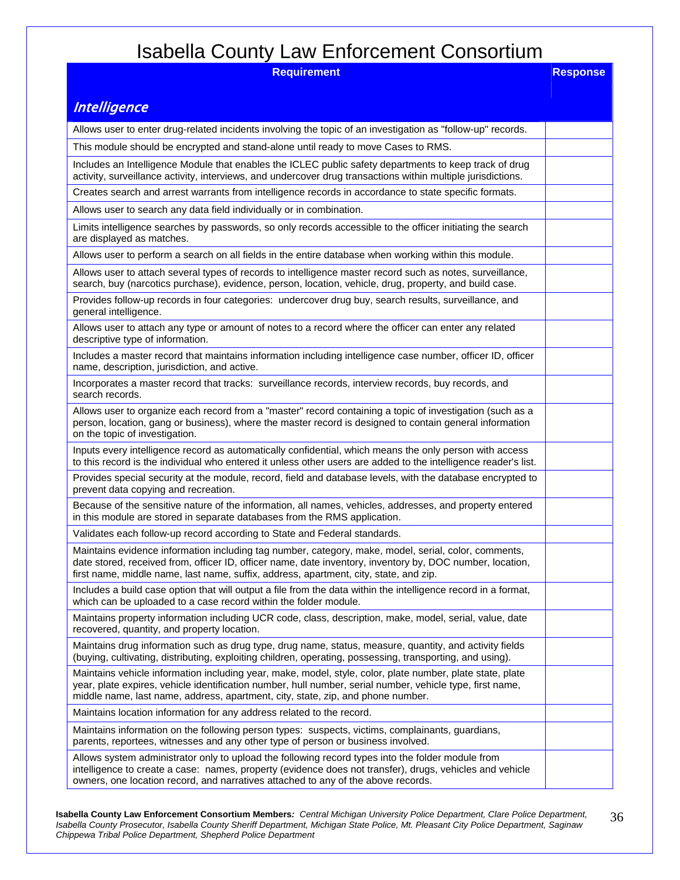| <b>Requirement</b>                                                                                                                                                                                                                                                                                         | <b>Response</b> |
|------------------------------------------------------------------------------------------------------------------------------------------------------------------------------------------------------------------------------------------------------------------------------------------------------------|-----------------|
|                                                                                                                                                                                                                                                                                                            |                 |
| <b>Intelligence</b>                                                                                                                                                                                                                                                                                        |                 |
| Allows user to enter drug-related incidents involving the topic of an investigation as "follow-up" records.                                                                                                                                                                                                |                 |
| This module should be encrypted and stand-alone until ready to move Cases to RMS.                                                                                                                                                                                                                          |                 |
| Includes an Intelligence Module that enables the ICLEC public safety departments to keep track of drug<br>activity, surveillance activity, interviews, and undercover drug transactions within multiple jurisdictions.                                                                                     |                 |
| Creates search and arrest warrants from intelligence records in accordance to state specific formats.                                                                                                                                                                                                      |                 |
| Allows user to search any data field individually or in combination.                                                                                                                                                                                                                                       |                 |
| Limits intelligence searches by passwords, so only records accessible to the officer initiating the search<br>are displayed as matches.                                                                                                                                                                    |                 |
| Allows user to perform a search on all fields in the entire database when working within this module.                                                                                                                                                                                                      |                 |
| Allows user to attach several types of records to intelligence master record such as notes, surveillance,<br>search, buy (narcotics purchase), evidence, person, location, vehicle, drug, property, and build case.                                                                                        |                 |
| Provides follow-up records in four categories: undercover drug buy, search results, surveillance, and<br>general intelligence.                                                                                                                                                                             |                 |
| Allows user to attach any type or amount of notes to a record where the officer can enter any related<br>descriptive type of information.                                                                                                                                                                  |                 |
| Includes a master record that maintains information including intelligence case number, officer ID, officer<br>name, description, jurisdiction, and active.                                                                                                                                                |                 |
| Incorporates a master record that tracks: surveillance records, interview records, buy records, and<br>search records.                                                                                                                                                                                     |                 |
| Allows user to organize each record from a "master" record containing a topic of investigation (such as a<br>person, location, gang or business), where the master record is designed to contain general information<br>on the topic of investigation.                                                     |                 |
| Inputs every intelligence record as automatically confidential, which means the only person with access<br>to this record is the individual who entered it unless other users are added to the intelligence reader's list.                                                                                 |                 |
| Provides special security at the module, record, field and database levels, with the database encrypted to<br>prevent data copying and recreation.                                                                                                                                                         |                 |
| Because of the sensitive nature of the information, all names, vehicles, addresses, and property entered<br>in this module are stored in separate databases from the RMS application.                                                                                                                      |                 |
| Validates each follow-up record according to State and Federal standards.                                                                                                                                                                                                                                  |                 |
| Maintains evidence information including tag number, category, make, model, serial, color, comments,<br>date stored, received from, officer ID, officer name, date inventory, inventory by, DOC number, location,<br>first name, middle name, last name, suffix, address, apartment, city, state, and zip. |                 |
| Includes a build case option that will output a file from the data within the intelligence record in a format,<br>which can be uploaded to a case record within the folder module.                                                                                                                         |                 |
| Maintains property information including UCR code, class, description, make, model, serial, value, date<br>recovered, quantity, and property location.                                                                                                                                                     |                 |
| Maintains drug information such as drug type, drug name, status, measure, quantity, and activity fields<br>(buying, cultivating, distributing, exploiting children, operating, possessing, transporting, and using).                                                                                       |                 |
| Maintains vehicle information including year, make, model, style, color, plate number, plate state, plate<br>year, plate expires, vehicle identification number, hull number, serial number, vehicle type, first name,<br>middle name, last name, address, apartment, city, state, zip, and phone number.  |                 |
| Maintains location information for any address related to the record.                                                                                                                                                                                                                                      |                 |
| Maintains information on the following person types: suspects, victims, complainants, guardians,<br>parents, reportees, witnesses and any other type of person or business involved.                                                                                                                       |                 |
| Allows system administrator only to upload the following record types into the folder module from<br>intelligence to create a case: names, property (evidence does not transfer), drugs, vehicles and vehicle<br>owners, one location record, and narratives attached to any of the above records.         |                 |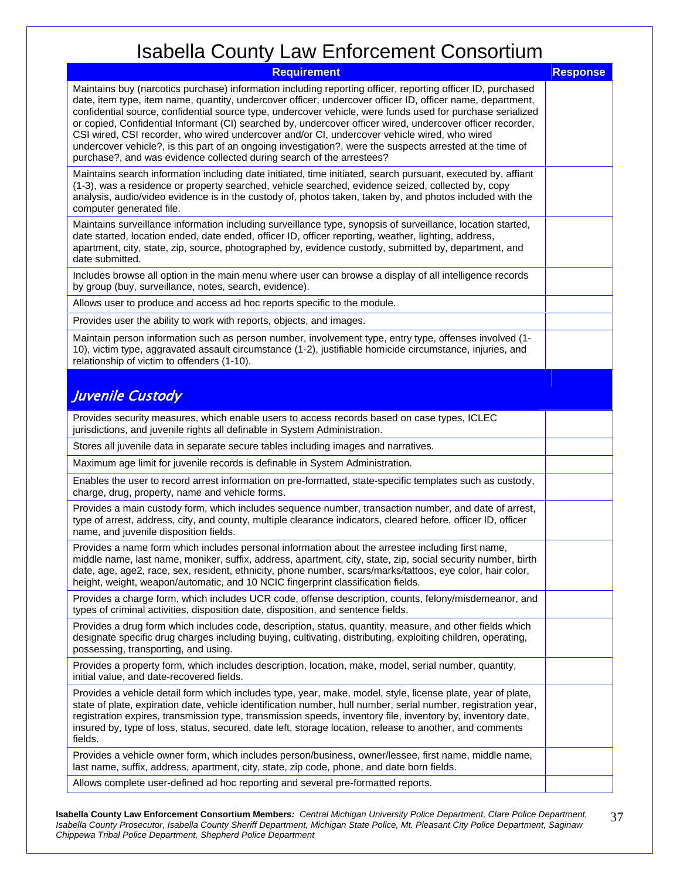| <b>Requirement</b>                                                                                                                                                                                                                                                                                                                                                                                                                                                                                                                                                                                                                                                                                                                          | <b>Response</b> |
|---------------------------------------------------------------------------------------------------------------------------------------------------------------------------------------------------------------------------------------------------------------------------------------------------------------------------------------------------------------------------------------------------------------------------------------------------------------------------------------------------------------------------------------------------------------------------------------------------------------------------------------------------------------------------------------------------------------------------------------------|-----------------|
| Maintains buy (narcotics purchase) information including reporting officer, reporting officer ID, purchased<br>date, item type, item name, quantity, undercover officer, undercover officer ID, officer name, department,<br>confidential source, confidential source type, undercover vehicle, were funds used for purchase serialized<br>or copied, Confidential Informant (CI) searched by, undercover officer wired, undercover officer recorder,<br>CSI wired, CSI recorder, who wired undercover and/or CI, undercover vehicle wired, who wired<br>undercover vehicle?, is this part of an ongoing investigation?, were the suspects arrested at the time of<br>purchase?, and was evidence collected during search of the arrestees? |                 |
| Maintains search information including date initiated, time initiated, search pursuant, executed by, affiant<br>(1-3), was a residence or property searched, vehicle searched, evidence seized, collected by, copy<br>analysis, audio/video evidence is in the custody of, photos taken, taken by, and photos included with the<br>computer generated file.                                                                                                                                                                                                                                                                                                                                                                                 |                 |
| Maintains surveillance information including surveillance type, synopsis of surveillance, location started,<br>date started, location ended, date ended, officer ID, officer reporting, weather, lighting, address,<br>apartment, city, state, zip, source, photographed by, evidence custody, submitted by, department, and<br>date submitted.                                                                                                                                                                                                                                                                                                                                                                                             |                 |
| Includes browse all option in the main menu where user can browse a display of all intelligence records<br>by group (buy, surveillance, notes, search, evidence).                                                                                                                                                                                                                                                                                                                                                                                                                                                                                                                                                                           |                 |
| Allows user to produce and access ad hoc reports specific to the module.                                                                                                                                                                                                                                                                                                                                                                                                                                                                                                                                                                                                                                                                    |                 |
| Provides user the ability to work with reports, objects, and images.                                                                                                                                                                                                                                                                                                                                                                                                                                                                                                                                                                                                                                                                        |                 |
| Maintain person information such as person number, involvement type, entry type, offenses involved (1-<br>10), victim type, aggravated assault circumstance (1-2), justifiable homicide circumstance, injuries, and<br>relationship of victim to offenders (1-10).                                                                                                                                                                                                                                                                                                                                                                                                                                                                          |                 |
| Juvenile Custody                                                                                                                                                                                                                                                                                                                                                                                                                                                                                                                                                                                                                                                                                                                            |                 |
| Provides security measures, which enable users to access records based on case types, ICLEC<br>jurisdictions, and juvenile rights all definable in System Administration.                                                                                                                                                                                                                                                                                                                                                                                                                                                                                                                                                                   |                 |
| Stores all juvenile data in separate secure tables including images and narratives.                                                                                                                                                                                                                                                                                                                                                                                                                                                                                                                                                                                                                                                         |                 |
| Maximum age limit for juvenile records is definable in System Administration.                                                                                                                                                                                                                                                                                                                                                                                                                                                                                                                                                                                                                                                               |                 |
| Enables the user to record arrest information on pre-formatted, state-specific templates such as custody,<br>charge, drug, property, name and vehicle forms.                                                                                                                                                                                                                                                                                                                                                                                                                                                                                                                                                                                |                 |
| Provides a main custody form, which includes sequence number, transaction number, and date of arrest,<br>type of arrest, address, city, and county, multiple clearance indicators, cleared before, officer ID, officer<br>name, and juvenile disposition fields.                                                                                                                                                                                                                                                                                                                                                                                                                                                                            |                 |
| Provides a name form which includes personal information about the arrestee including first name,<br>middle name, last name, moniker, suffix, address, apartment, city, state, zip, social security number, birth<br>date, age, age2, race, sex, resident, ethnicity, phone number, scars/marks/tattoos, eye color, hair color,<br>height, weight, weapon/automatic, and 10 NCIC fingerprint classification fields.                                                                                                                                                                                                                                                                                                                         |                 |
| Provides a charge form, which includes UCR code, offense description, counts, felony/misdemeanor, and<br>types of criminal activities, disposition date, disposition, and sentence fields.                                                                                                                                                                                                                                                                                                                                                                                                                                                                                                                                                  |                 |
| Provides a drug form which includes code, description, status, quantity, measure, and other fields which<br>designate specific drug charges including buying, cultivating, distributing, exploiting children, operating,<br>possessing, transporting, and using.                                                                                                                                                                                                                                                                                                                                                                                                                                                                            |                 |
| Provides a property form, which includes description, location, make, model, serial number, quantity,<br>initial value, and date-recovered fields.                                                                                                                                                                                                                                                                                                                                                                                                                                                                                                                                                                                          |                 |
| Provides a vehicle detail form which includes type, year, make, model, style, license plate, year of plate,<br>state of plate, expiration date, vehicle identification number, hull number, serial number, registration year,<br>registration expires, transmission type, transmission speeds, inventory file, inventory by, inventory date,<br>insured by, type of loss, status, secured, date left, storage location, release to another, and comments<br>fields.                                                                                                                                                                                                                                                                         |                 |
| Provides a vehicle owner form, which includes person/business, owner/lessee, first name, middle name,<br>last name, suffix, address, apartment, city, state, zip code, phone, and date born fields.                                                                                                                                                                                                                                                                                                                                                                                                                                                                                                                                         |                 |
| Allows complete user-defined ad hoc reporting and several pre-formatted reports.                                                                                                                                                                                                                                                                                                                                                                                                                                                                                                                                                                                                                                                            |                 |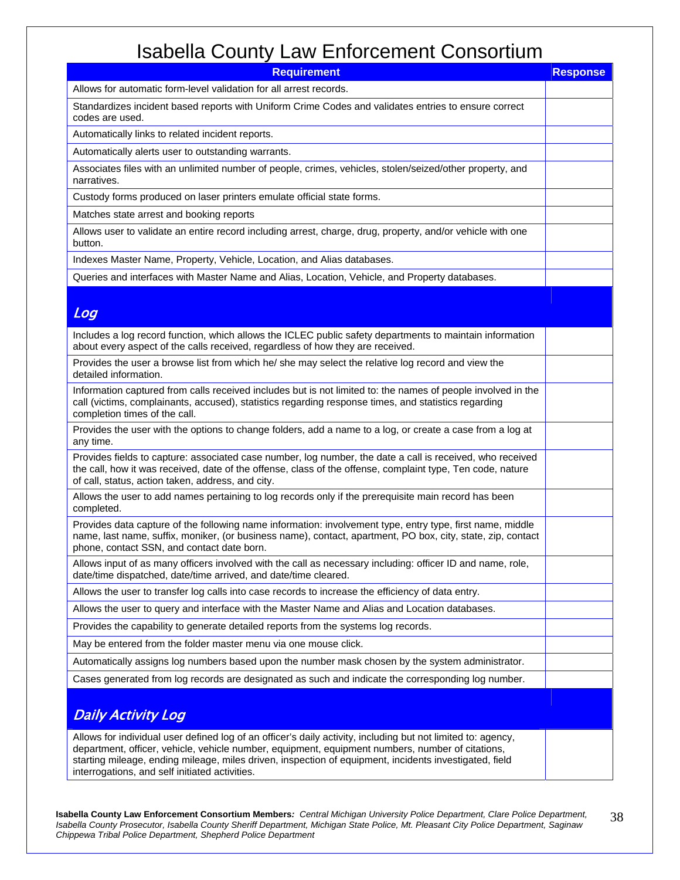| <b>Requirement</b>                                                                                                                                                                                                                                                                                                                                                           | <b>Response</b> |
|------------------------------------------------------------------------------------------------------------------------------------------------------------------------------------------------------------------------------------------------------------------------------------------------------------------------------------------------------------------------------|-----------------|
| Allows for automatic form-level validation for all arrest records.                                                                                                                                                                                                                                                                                                           |                 |
| Standardizes incident based reports with Uniform Crime Codes and validates entries to ensure correct<br>codes are used.                                                                                                                                                                                                                                                      |                 |
| Automatically links to related incident reports.                                                                                                                                                                                                                                                                                                                             |                 |
| Automatically alerts user to outstanding warrants.                                                                                                                                                                                                                                                                                                                           |                 |
| Associates files with an unlimited number of people, crimes, vehicles, stolen/seized/other property, and<br>narratives.                                                                                                                                                                                                                                                      |                 |
| Custody forms produced on laser printers emulate official state forms.                                                                                                                                                                                                                                                                                                       |                 |
| Matches state arrest and booking reports                                                                                                                                                                                                                                                                                                                                     |                 |
| Allows user to validate an entire record including arrest, charge, drug, property, and/or vehicle with one<br>button.                                                                                                                                                                                                                                                        |                 |
| Indexes Master Name, Property, Vehicle, Location, and Alias databases.                                                                                                                                                                                                                                                                                                       |                 |
| Queries and interfaces with Master Name and Alias, Location, Vehicle, and Property databases.                                                                                                                                                                                                                                                                                |                 |
|                                                                                                                                                                                                                                                                                                                                                                              |                 |
| Log                                                                                                                                                                                                                                                                                                                                                                          |                 |
| Includes a log record function, which allows the ICLEC public safety departments to maintain information<br>about every aspect of the calls received, regardless of how they are received.                                                                                                                                                                                   |                 |
| Provides the user a browse list from which he/ she may select the relative log record and view the<br>detailed information.                                                                                                                                                                                                                                                  |                 |
| Information captured from calls received includes but is not limited to: the names of people involved in the<br>call (victims, complainants, accused), statistics regarding response times, and statistics regarding<br>completion times of the call.                                                                                                                        |                 |
| Provides the user with the options to change folders, add a name to a log, or create a case from a log at<br>any time.                                                                                                                                                                                                                                                       |                 |
| Provides fields to capture: associated case number, log number, the date a call is received, who received<br>the call, how it was received, date of the offense, class of the offense, complaint type, Ten code, nature<br>of call, status, action taken, address, and city.                                                                                                 |                 |
| Allows the user to add names pertaining to log records only if the prerequisite main record has been<br>completed.                                                                                                                                                                                                                                                           |                 |
| Provides data capture of the following name information: involvement type, entry type, first name, middle<br>name, last name, suffix, moniker, (or business name), contact, apartment, PO box, city, state, zip, contact<br>phone, contact SSN, and contact date born.                                                                                                       |                 |
| Allows input of as many officers involved with the call as necessary including: officer ID and name, role,<br>date/time dispatched, date/time arrived, and date/time cleared.                                                                                                                                                                                                |                 |
| Allows the user to transfer log calls into case records to increase the efficiency of data entry.                                                                                                                                                                                                                                                                            |                 |
| Allows the user to query and interface with the Master Name and Alias and Location databases.                                                                                                                                                                                                                                                                                |                 |
| Provides the capability to generate detailed reports from the systems log records.                                                                                                                                                                                                                                                                                           |                 |
| May be entered from the folder master menu via one mouse click.                                                                                                                                                                                                                                                                                                              |                 |
| Automatically assigns log numbers based upon the number mask chosen by the system administrator.                                                                                                                                                                                                                                                                             |                 |
| Cases generated from log records are designated as such and indicate the corresponding log number.                                                                                                                                                                                                                                                                           |                 |
| <b>Daily Activity Log</b>                                                                                                                                                                                                                                                                                                                                                    |                 |
| Allows for individual user defined log of an officer's daily activity, including but not limited to: agency,<br>department, officer, vehicle, vehicle number, equipment, equipment numbers, number of citations,<br>starting mileage, ending mileage, miles driven, inspection of equipment, incidents investigated, field<br>interrogations, and self initiated activities. |                 |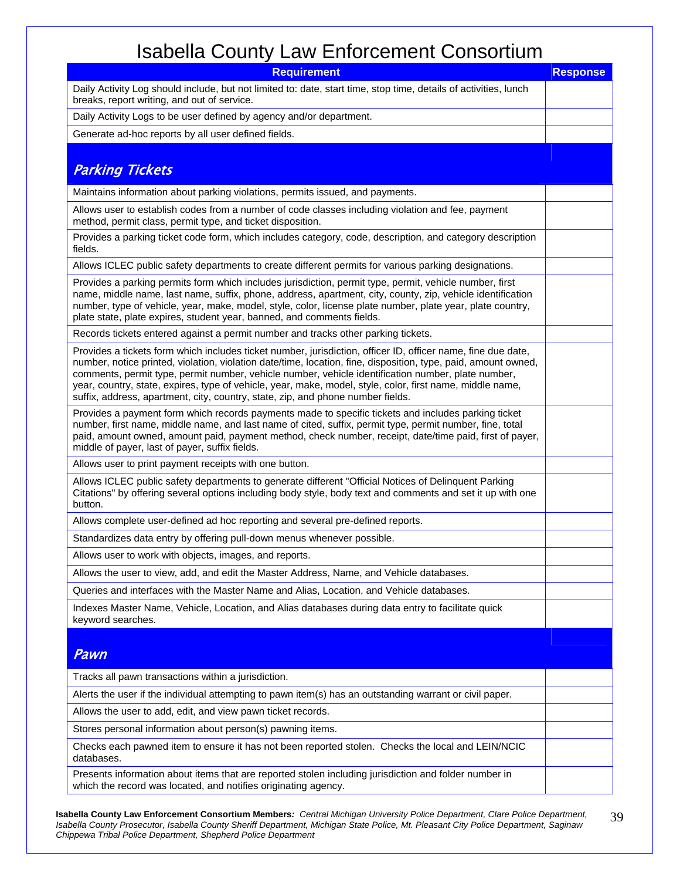| <b>Requirement</b>                                                                                                                                                                                                                                                                                                                                                                                                                                                                                                                   | <b>Response</b> |
|--------------------------------------------------------------------------------------------------------------------------------------------------------------------------------------------------------------------------------------------------------------------------------------------------------------------------------------------------------------------------------------------------------------------------------------------------------------------------------------------------------------------------------------|-----------------|
| Daily Activity Log should include, but not limited to: date, start time, stop time, details of activities, lunch<br>breaks, report writing, and out of service.                                                                                                                                                                                                                                                                                                                                                                      |                 |
| Daily Activity Logs to be user defined by agency and/or department.                                                                                                                                                                                                                                                                                                                                                                                                                                                                  |                 |
| Generate ad-hoc reports by all user defined fields.                                                                                                                                                                                                                                                                                                                                                                                                                                                                                  |                 |
|                                                                                                                                                                                                                                                                                                                                                                                                                                                                                                                                      |                 |
| <b>Parking Tickets</b>                                                                                                                                                                                                                                                                                                                                                                                                                                                                                                               |                 |
| Maintains information about parking violations, permits issued, and payments.                                                                                                                                                                                                                                                                                                                                                                                                                                                        |                 |
| Allows user to establish codes from a number of code classes including violation and fee, payment<br>method, permit class, permit type, and ticket disposition.                                                                                                                                                                                                                                                                                                                                                                      |                 |
| Provides a parking ticket code form, which includes category, code, description, and category description<br>fields.                                                                                                                                                                                                                                                                                                                                                                                                                 |                 |
| Allows ICLEC public safety departments to create different permits for various parking designations.                                                                                                                                                                                                                                                                                                                                                                                                                                 |                 |
| Provides a parking permits form which includes jurisdiction, permit type, permit, vehicle number, first<br>name, middle name, last name, suffix, phone, address, apartment, city, county, zip, vehicle identification<br>number, type of vehicle, year, make, model, style, color, license plate number, plate year, plate country,<br>plate state, plate expires, student year, banned, and comments fields.                                                                                                                        |                 |
| Records tickets entered against a permit number and tracks other parking tickets.                                                                                                                                                                                                                                                                                                                                                                                                                                                    |                 |
| Provides a tickets form which includes ticket number, jurisdiction, officer ID, officer name, fine due date,<br>number, notice printed, violation, violation date/time, location, fine, disposition, type, paid, amount owned,<br>comments, permit type, permit number, vehicle number, vehicle identification number, plate number,<br>year, country, state, expires, type of vehicle, year, make, model, style, color, first name, middle name,<br>suffix, address, apartment, city, country, state, zip, and phone number fields. |                 |
| Provides a payment form which records payments made to specific tickets and includes parking ticket<br>number, first name, middle name, and last name of cited, suffix, permit type, permit number, fine, total<br>paid, amount owned, amount paid, payment method, check number, receipt, date/time paid, first of payer,<br>middle of payer, last of payer, suffix fields.                                                                                                                                                         |                 |
| Allows user to print payment receipts with one button.                                                                                                                                                                                                                                                                                                                                                                                                                                                                               |                 |
| Allows ICLEC public safety departments to generate different "Official Notices of Delinquent Parking<br>Citations" by offering several options including body style, body text and comments and set it up with one<br>button.                                                                                                                                                                                                                                                                                                        |                 |
| Allows complete user-defined ad hoc reporting and several pre-defined reports.                                                                                                                                                                                                                                                                                                                                                                                                                                                       |                 |
| Standardizes data entry by offering pull-down menus whenever possible.                                                                                                                                                                                                                                                                                                                                                                                                                                                               |                 |
| Allows user to work with objects, images, and reports.                                                                                                                                                                                                                                                                                                                                                                                                                                                                               |                 |
| Allows the user to view, add, and edit the Master Address, Name, and Vehicle databases.                                                                                                                                                                                                                                                                                                                                                                                                                                              |                 |
| Queries and interfaces with the Master Name and Alias, Location, and Vehicle databases.                                                                                                                                                                                                                                                                                                                                                                                                                                              |                 |
| Indexes Master Name, Vehicle, Location, and Alias databases during data entry to facilitate quick<br>keyword searches.                                                                                                                                                                                                                                                                                                                                                                                                               |                 |
| Pawn                                                                                                                                                                                                                                                                                                                                                                                                                                                                                                                                 |                 |
| Tracks all pawn transactions within a jurisdiction.                                                                                                                                                                                                                                                                                                                                                                                                                                                                                  |                 |
| Alerts the user if the individual attempting to pawn item(s) has an outstanding warrant or civil paper.                                                                                                                                                                                                                                                                                                                                                                                                                              |                 |
| Allows the user to add, edit, and view pawn ticket records.                                                                                                                                                                                                                                                                                                                                                                                                                                                                          |                 |
| Stores personal information about person(s) pawning items.                                                                                                                                                                                                                                                                                                                                                                                                                                                                           |                 |
| Checks each pawned item to ensure it has not been reported stolen. Checks the local and LEIN/NCIC<br>databases.                                                                                                                                                                                                                                                                                                                                                                                                                      |                 |
| Presents information about items that are reported stolen including jurisdiction and folder number in<br>which the record was located, and notifies originating agency.                                                                                                                                                                                                                                                                                                                                                              |                 |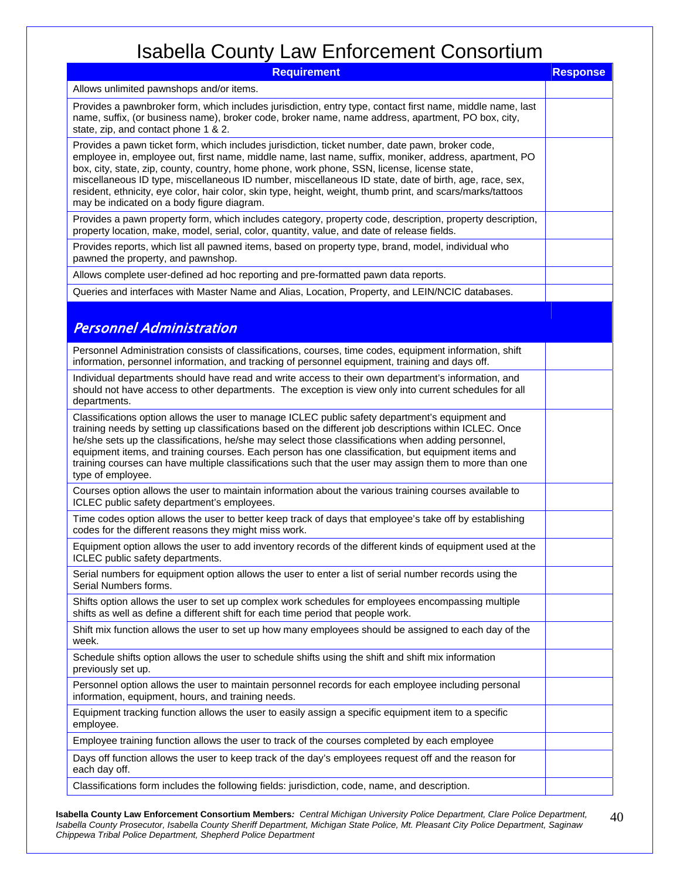| <b>Requirement</b>                                                                                                                                                                                                                                                                                                                                                                                                                                                                                                                                                                | <b>Response</b> |
|-----------------------------------------------------------------------------------------------------------------------------------------------------------------------------------------------------------------------------------------------------------------------------------------------------------------------------------------------------------------------------------------------------------------------------------------------------------------------------------------------------------------------------------------------------------------------------------|-----------------|
| Allows unlimited pawnshops and/or items.                                                                                                                                                                                                                                                                                                                                                                                                                                                                                                                                          |                 |
| Provides a pawnbroker form, which includes jurisdiction, entry type, contact first name, middle name, last<br>name, suffix, (or business name), broker code, broker name, name address, apartment, PO box, city,<br>state, zip, and contact phone 1 & 2.                                                                                                                                                                                                                                                                                                                          |                 |
| Provides a pawn ticket form, which includes jurisdiction, ticket number, date pawn, broker code,<br>employee in, employee out, first name, middle name, last name, suffix, moniker, address, apartment, PO<br>box, city, state, zip, county, country, home phone, work phone, SSN, license, license state,<br>miscellaneous ID type, miscellaneous ID number, miscellaneous ID state, date of birth, age, race, sex,<br>resident, ethnicity, eye color, hair color, skin type, height, weight, thumb print, and scars/marks/tattoos<br>may be indicated on a body figure diagram. |                 |
| Provides a pawn property form, which includes category, property code, description, property description,<br>property location, make, model, serial, color, quantity, value, and date of release fields.                                                                                                                                                                                                                                                                                                                                                                          |                 |
| Provides reports, which list all pawned items, based on property type, brand, model, individual who<br>pawned the property, and pawnshop.                                                                                                                                                                                                                                                                                                                                                                                                                                         |                 |
| Allows complete user-defined ad hoc reporting and pre-formatted pawn data reports.                                                                                                                                                                                                                                                                                                                                                                                                                                                                                                |                 |
| Queries and interfaces with Master Name and Alias, Location, Property, and LEIN/NCIC databases.                                                                                                                                                                                                                                                                                                                                                                                                                                                                                   |                 |
| <b>Personnel Administration</b>                                                                                                                                                                                                                                                                                                                                                                                                                                                                                                                                                   |                 |
| Personnel Administration consists of classifications, courses, time codes, equipment information, shift<br>information, personnel information, and tracking of personnel equipment, training and days off.                                                                                                                                                                                                                                                                                                                                                                        |                 |
| Individual departments should have read and write access to their own department's information, and<br>should not have access to other departments. The exception is view only into current schedules for all<br>departments.                                                                                                                                                                                                                                                                                                                                                     |                 |
| Classifications option allows the user to manage ICLEC public safety department's equipment and<br>training needs by setting up classifications based on the different job descriptions within ICLEC. Once<br>he/she sets up the classifications, he/she may select those classifications when adding personnel,<br>equipment items, and training courses. Each person has one classification, but equipment items and<br>training courses can have multiple classifications such that the user may assign them to more than one<br>type of employee.                             |                 |
| Courses option allows the user to maintain information about the various training courses available to<br>ICLEC public safety department's employees.                                                                                                                                                                                                                                                                                                                                                                                                                             |                 |
| Time codes option allows the user to better keep track of days that employee's take off by establishing<br>codes for the different reasons they might miss work.                                                                                                                                                                                                                                                                                                                                                                                                                  |                 |
| Equipment option allows the user to add inventory records of the different kinds of equipment used at the<br>ICLEC public safety departments.                                                                                                                                                                                                                                                                                                                                                                                                                                     |                 |
| Serial numbers for equipment option allows the user to enter a list of serial number records using the<br>Serial Numbers forms.                                                                                                                                                                                                                                                                                                                                                                                                                                                   |                 |
| Shifts option allows the user to set up complex work schedules for employees encompassing multiple<br>shifts as well as define a different shift for each time period that people work.                                                                                                                                                                                                                                                                                                                                                                                           |                 |
| Shift mix function allows the user to set up how many employees should be assigned to each day of the<br>week.                                                                                                                                                                                                                                                                                                                                                                                                                                                                    |                 |
| Schedule shifts option allows the user to schedule shifts using the shift and shift mix information<br>previously set up.                                                                                                                                                                                                                                                                                                                                                                                                                                                         |                 |
| Personnel option allows the user to maintain personnel records for each employee including personal<br>information, equipment, hours, and training needs.                                                                                                                                                                                                                                                                                                                                                                                                                         |                 |
| Equipment tracking function allows the user to easily assign a specific equipment item to a specific<br>employee.                                                                                                                                                                                                                                                                                                                                                                                                                                                                 |                 |
| Employee training function allows the user to track of the courses completed by each employee                                                                                                                                                                                                                                                                                                                                                                                                                                                                                     |                 |
| Days off function allows the user to keep track of the day's employees request off and the reason for<br>each day off.                                                                                                                                                                                                                                                                                                                                                                                                                                                            |                 |
| Classifications form includes the following fields: jurisdiction, code, name, and description.                                                                                                                                                                                                                                                                                                                                                                                                                                                                                    |                 |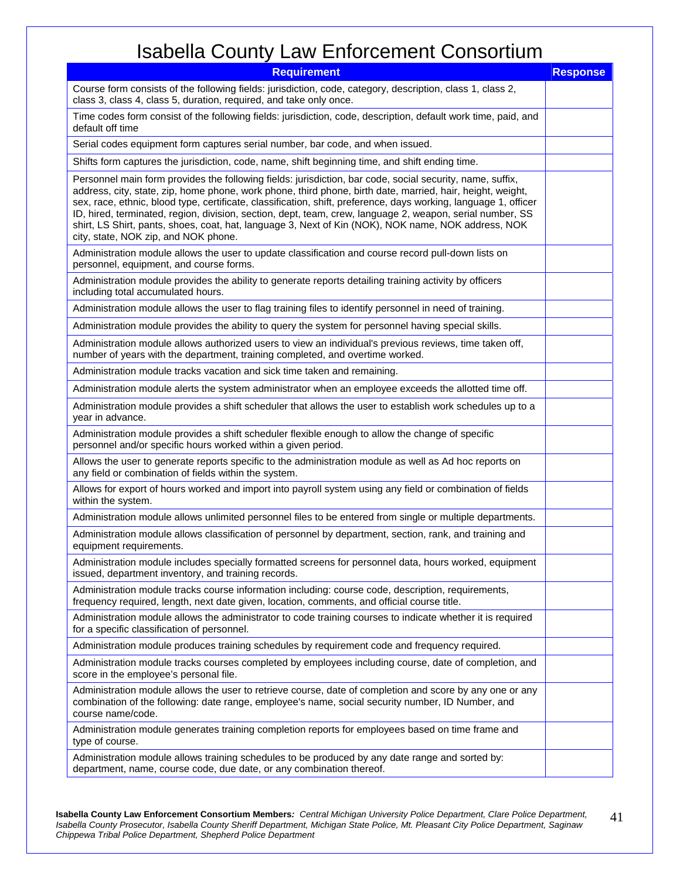| <b>Requirement</b>                                                                                                                                                                                                                                                                                                                                                                                                                                                                                                                                                                                      | <b>Response</b> |
|---------------------------------------------------------------------------------------------------------------------------------------------------------------------------------------------------------------------------------------------------------------------------------------------------------------------------------------------------------------------------------------------------------------------------------------------------------------------------------------------------------------------------------------------------------------------------------------------------------|-----------------|
| Course form consists of the following fields: jurisdiction, code, category, description, class 1, class 2,<br>class 3, class 4, class 5, duration, required, and take only once.                                                                                                                                                                                                                                                                                                                                                                                                                        |                 |
| Time codes form consist of the following fields: jurisdiction, code, description, default work time, paid, and<br>default off time                                                                                                                                                                                                                                                                                                                                                                                                                                                                      |                 |
| Serial codes equipment form captures serial number, bar code, and when issued.                                                                                                                                                                                                                                                                                                                                                                                                                                                                                                                          |                 |
| Shifts form captures the jurisdiction, code, name, shift beginning time, and shift ending time.                                                                                                                                                                                                                                                                                                                                                                                                                                                                                                         |                 |
| Personnel main form provides the following fields: jurisdiction, bar code, social security, name, suffix,<br>address, city, state, zip, home phone, work phone, third phone, birth date, married, hair, height, weight,<br>sex, race, ethnic, blood type, certificate, classification, shift, preference, days working, language 1, officer<br>ID, hired, terminated, region, division, section, dept, team, crew, language 2, weapon, serial number, SS<br>shirt, LS Shirt, pants, shoes, coat, hat, language 3, Next of Kin (NOK), NOK name, NOK address, NOK<br>city, state, NOK zip, and NOK phone. |                 |
| Administration module allows the user to update classification and course record pull-down lists on<br>personnel, equipment, and course forms.                                                                                                                                                                                                                                                                                                                                                                                                                                                          |                 |
| Administration module provides the ability to generate reports detailing training activity by officers<br>including total accumulated hours.                                                                                                                                                                                                                                                                                                                                                                                                                                                            |                 |
| Administration module allows the user to flag training files to identify personnel in need of training.                                                                                                                                                                                                                                                                                                                                                                                                                                                                                                 |                 |
| Administration module provides the ability to query the system for personnel having special skills.                                                                                                                                                                                                                                                                                                                                                                                                                                                                                                     |                 |
| Administration module allows authorized users to view an individual's previous reviews, time taken off,<br>number of years with the department, training completed, and overtime worked.                                                                                                                                                                                                                                                                                                                                                                                                                |                 |
| Administration module tracks vacation and sick time taken and remaining.                                                                                                                                                                                                                                                                                                                                                                                                                                                                                                                                |                 |
| Administration module alerts the system administrator when an employee exceeds the allotted time off.                                                                                                                                                                                                                                                                                                                                                                                                                                                                                                   |                 |
| Administration module provides a shift scheduler that allows the user to establish work schedules up to a<br>year in advance.                                                                                                                                                                                                                                                                                                                                                                                                                                                                           |                 |
| Administration module provides a shift scheduler flexible enough to allow the change of specific<br>personnel and/or specific hours worked within a given period.                                                                                                                                                                                                                                                                                                                                                                                                                                       |                 |
| Allows the user to generate reports specific to the administration module as well as Ad hoc reports on<br>any field or combination of fields within the system.                                                                                                                                                                                                                                                                                                                                                                                                                                         |                 |
| Allows for export of hours worked and import into payroll system using any field or combination of fields<br>within the system.                                                                                                                                                                                                                                                                                                                                                                                                                                                                         |                 |
| Administration module allows unlimited personnel files to be entered from single or multiple departments.                                                                                                                                                                                                                                                                                                                                                                                                                                                                                               |                 |
| Administration module allows classification of personnel by department, section, rank, and training and<br>equipment requirements.                                                                                                                                                                                                                                                                                                                                                                                                                                                                      |                 |
| Administration module includes specially formatted screens for personnel data, hours worked, equipment<br>issued, department inventory, and training records.                                                                                                                                                                                                                                                                                                                                                                                                                                           |                 |
| Administration module tracks course information including: course code, description, requirements,<br>frequency required, length, next date given, location, comments, and official course title.                                                                                                                                                                                                                                                                                                                                                                                                       |                 |
| Administration module allows the administrator to code training courses to indicate whether it is required<br>for a specific classification of personnel.                                                                                                                                                                                                                                                                                                                                                                                                                                               |                 |
| Administration module produces training schedules by requirement code and frequency required.                                                                                                                                                                                                                                                                                                                                                                                                                                                                                                           |                 |
| Administration module tracks courses completed by employees including course, date of completion, and<br>score in the employee's personal file.                                                                                                                                                                                                                                                                                                                                                                                                                                                         |                 |
| Administration module allows the user to retrieve course, date of completion and score by any one or any<br>combination of the following: date range, employee's name, social security number, ID Number, and<br>course name/code.                                                                                                                                                                                                                                                                                                                                                                      |                 |
| Administration module generates training completion reports for employees based on time frame and<br>type of course.                                                                                                                                                                                                                                                                                                                                                                                                                                                                                    |                 |
| Administration module allows training schedules to be produced by any date range and sorted by:<br>department, name, course code, due date, or any combination thereof.                                                                                                                                                                                                                                                                                                                                                                                                                                 |                 |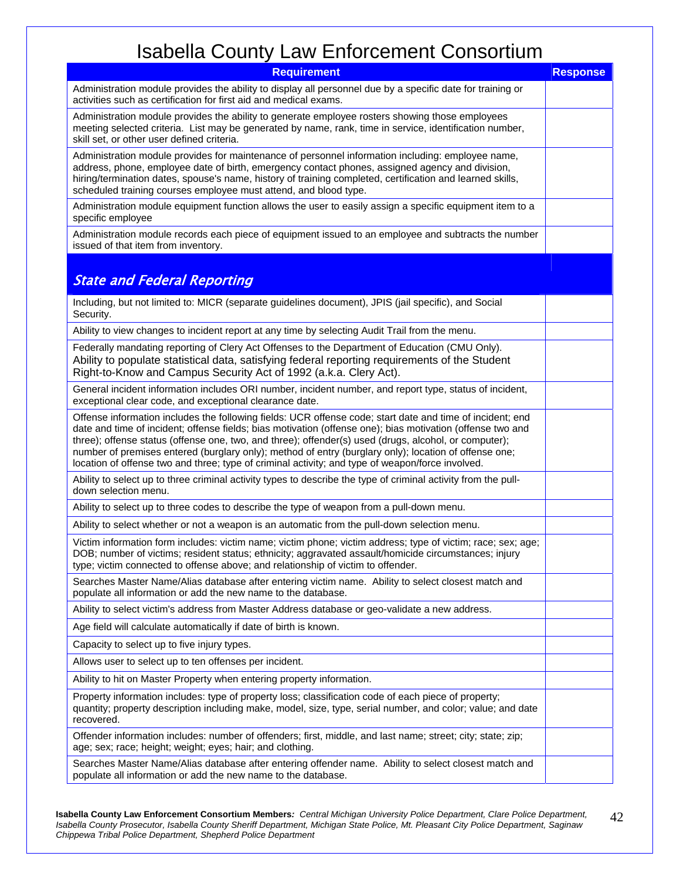| <b>Requirement</b>                                                                                                                                                                                                                                                                                                                                                                                                                                                                                                                            | <b>Response</b> |
|-----------------------------------------------------------------------------------------------------------------------------------------------------------------------------------------------------------------------------------------------------------------------------------------------------------------------------------------------------------------------------------------------------------------------------------------------------------------------------------------------------------------------------------------------|-----------------|
| Administration module provides the ability to display all personnel due by a specific date for training or<br>activities such as certification for first aid and medical exams.                                                                                                                                                                                                                                                                                                                                                               |                 |
| Administration module provides the ability to generate employee rosters showing those employees<br>meeting selected criteria. List may be generated by name, rank, time in service, identification number,<br>skill set, or other user defined criteria.                                                                                                                                                                                                                                                                                      |                 |
| Administration module provides for maintenance of personnel information including: employee name,<br>address, phone, employee date of birth, emergency contact phones, assigned agency and division,<br>hiring/termination dates, spouse's name, history of training completed, certification and learned skills,<br>scheduled training courses employee must attend, and blood type.                                                                                                                                                         |                 |
| Administration module equipment function allows the user to easily assign a specific equipment item to a<br>specific employee                                                                                                                                                                                                                                                                                                                                                                                                                 |                 |
| Administration module records each piece of equipment issued to an employee and subtracts the number<br>issued of that item from inventory.                                                                                                                                                                                                                                                                                                                                                                                                   |                 |
|                                                                                                                                                                                                                                                                                                                                                                                                                                                                                                                                               |                 |
| <b>State and Federal Reporting</b>                                                                                                                                                                                                                                                                                                                                                                                                                                                                                                            |                 |
| Including, but not limited to: MICR (separate guidelines document), JPIS (jail specific), and Social<br>Security.                                                                                                                                                                                                                                                                                                                                                                                                                             |                 |
| Ability to view changes to incident report at any time by selecting Audit Trail from the menu.                                                                                                                                                                                                                                                                                                                                                                                                                                                |                 |
| Federally mandating reporting of Clery Act Offenses to the Department of Education (CMU Only).<br>Ability to populate statistical data, satisfying federal reporting requirements of the Student<br>Right-to-Know and Campus Security Act of 1992 (a.k.a. Clery Act).                                                                                                                                                                                                                                                                         |                 |
| General incident information includes ORI number, incident number, and report type, status of incident,<br>exceptional clear code, and exceptional clearance date.                                                                                                                                                                                                                                                                                                                                                                            |                 |
| Offense information includes the following fields: UCR offense code; start date and time of incident; end<br>date and time of incident; offense fields; bias motivation (offense one); bias motivation (offense two and<br>three); offense status (offense one, two, and three); offender(s) used (drugs, alcohol, or computer);<br>number of premises entered (burglary only); method of entry (burglary only); location of offense one;<br>location of offense two and three; type of criminal activity; and type of weapon/force involved. |                 |
| Ability to select up to three criminal activity types to describe the type of criminal activity from the pull-<br>down selection menu.                                                                                                                                                                                                                                                                                                                                                                                                        |                 |
| Ability to select up to three codes to describe the type of weapon from a pull-down menu.                                                                                                                                                                                                                                                                                                                                                                                                                                                     |                 |
| Ability to select whether or not a weapon is an automatic from the pull-down selection menu.                                                                                                                                                                                                                                                                                                                                                                                                                                                  |                 |
| Victim information form includes: victim name; victim phone; victim address; type of victim; race; sex; age;<br>DOB; number of victims; resident status; ethnicity; aggravated assault/homicide circumstances; injury<br>type; victim connected to offense above; and relationship of victim to offender.                                                                                                                                                                                                                                     |                 |
| Searches Master Name/Alias database after entering victim name. Ability to select closest match and<br>populate all information or add the new name to the database.                                                                                                                                                                                                                                                                                                                                                                          |                 |
| Ability to select victim's address from Master Address database or geo-validate a new address.                                                                                                                                                                                                                                                                                                                                                                                                                                                |                 |
| Age field will calculate automatically if date of birth is known.                                                                                                                                                                                                                                                                                                                                                                                                                                                                             |                 |
| Capacity to select up to five injury types.                                                                                                                                                                                                                                                                                                                                                                                                                                                                                                   |                 |
| Allows user to select up to ten offenses per incident.                                                                                                                                                                                                                                                                                                                                                                                                                                                                                        |                 |
| Ability to hit on Master Property when entering property information.                                                                                                                                                                                                                                                                                                                                                                                                                                                                         |                 |
| Property information includes: type of property loss; classification code of each piece of property;<br>quantity; property description including make, model, size, type, serial number, and color; value; and date<br>recovered.                                                                                                                                                                                                                                                                                                             |                 |
| Offender information includes: number of offenders; first, middle, and last name; street; city; state; zip;<br>age; sex; race; height; weight; eyes; hair; and clothing.                                                                                                                                                                                                                                                                                                                                                                      |                 |
| Searches Master Name/Alias database after entering offender name. Ability to select closest match and<br>populate all information or add the new name to the database.                                                                                                                                                                                                                                                                                                                                                                        |                 |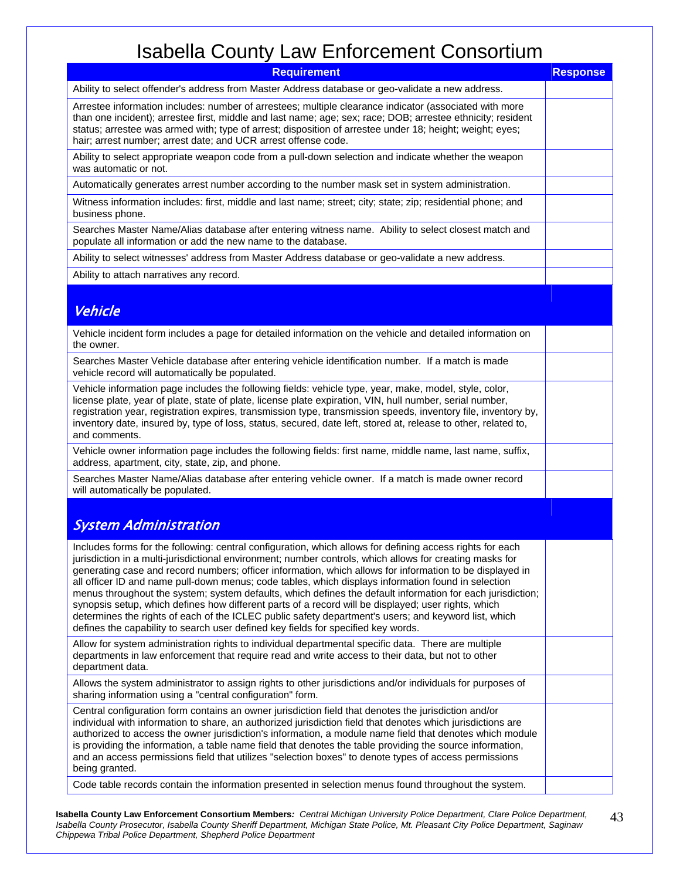| <b>Requirement</b>                                                                                                                                                                                                                                                                                                                                                                                                                                                                                                                                                                                                                                                                                                                                                                                                                                         | <b>Response</b> |
|------------------------------------------------------------------------------------------------------------------------------------------------------------------------------------------------------------------------------------------------------------------------------------------------------------------------------------------------------------------------------------------------------------------------------------------------------------------------------------------------------------------------------------------------------------------------------------------------------------------------------------------------------------------------------------------------------------------------------------------------------------------------------------------------------------------------------------------------------------|-----------------|
| Ability to select offender's address from Master Address database or geo-validate a new address.                                                                                                                                                                                                                                                                                                                                                                                                                                                                                                                                                                                                                                                                                                                                                           |                 |
| Arrestee information includes: number of arrestees; multiple clearance indicator (associated with more<br>than one incident); arrestee first, middle and last name; age; sex; race; DOB; arrestee ethnicity; resident<br>status; arrestee was armed with; type of arrest; disposition of arrestee under 18; height; weight; eyes;<br>hair; arrest number; arrest date; and UCR arrest offense code.                                                                                                                                                                                                                                                                                                                                                                                                                                                        |                 |
| Ability to select appropriate weapon code from a pull-down selection and indicate whether the weapon<br>was automatic or not.                                                                                                                                                                                                                                                                                                                                                                                                                                                                                                                                                                                                                                                                                                                              |                 |
| Automatically generates arrest number according to the number mask set in system administration.                                                                                                                                                                                                                                                                                                                                                                                                                                                                                                                                                                                                                                                                                                                                                           |                 |
| Witness information includes: first, middle and last name; street; city; state; zip; residential phone; and<br>business phone.                                                                                                                                                                                                                                                                                                                                                                                                                                                                                                                                                                                                                                                                                                                             |                 |
| Searches Master Name/Alias database after entering witness name. Ability to select closest match and<br>populate all information or add the new name to the database.                                                                                                                                                                                                                                                                                                                                                                                                                                                                                                                                                                                                                                                                                      |                 |
| Ability to select witnesses' address from Master Address database or geo-validate a new address.                                                                                                                                                                                                                                                                                                                                                                                                                                                                                                                                                                                                                                                                                                                                                           |                 |
| Ability to attach narratives any record.                                                                                                                                                                                                                                                                                                                                                                                                                                                                                                                                                                                                                                                                                                                                                                                                                   |                 |
| Vehicle                                                                                                                                                                                                                                                                                                                                                                                                                                                                                                                                                                                                                                                                                                                                                                                                                                                    |                 |
| Vehicle incident form includes a page for detailed information on the vehicle and detailed information on<br>the owner.                                                                                                                                                                                                                                                                                                                                                                                                                                                                                                                                                                                                                                                                                                                                    |                 |
| Searches Master Vehicle database after entering vehicle identification number. If a match is made<br>vehicle record will automatically be populated.                                                                                                                                                                                                                                                                                                                                                                                                                                                                                                                                                                                                                                                                                                       |                 |
| Vehicle information page includes the following fields: vehicle type, year, make, model, style, color,<br>license plate, year of plate, state of plate, license plate expiration, VIN, hull number, serial number,<br>registration year, registration expires, transmission type, transmission speeds, inventory file, inventory by,<br>inventory date, insured by, type of loss, status, secured, date left, stored at, release to other, related to,<br>and comments.                                                                                                                                                                                                                                                                                                                                                                                    |                 |
| Vehicle owner information page includes the following fields: first name, middle name, last name, suffix,<br>address, apartment, city, state, zip, and phone.                                                                                                                                                                                                                                                                                                                                                                                                                                                                                                                                                                                                                                                                                              |                 |
| Searches Master Name/Alias database after entering vehicle owner. If a match is made owner record<br>will automatically be populated.                                                                                                                                                                                                                                                                                                                                                                                                                                                                                                                                                                                                                                                                                                                      |                 |
|                                                                                                                                                                                                                                                                                                                                                                                                                                                                                                                                                                                                                                                                                                                                                                                                                                                            |                 |
| <b>System Administration</b>                                                                                                                                                                                                                                                                                                                                                                                                                                                                                                                                                                                                                                                                                                                                                                                                                               |                 |
| Includes forms for the following: central configuration, which allows for defining access rights for each<br>jurisdiction in a multi-jurisdictional environment; number controls, which allows for creating masks for<br>generating case and record numbers; officer information, which allows for information to be displayed in<br>all officer ID and name pull-down menus; code tables, which displays information found in selection<br>menus throughout the system; system defaults, which defines the default information for each jurisdiction;<br>synopsis setup, which defines how different parts of a record will be displayed; user rights, which<br>determines the rights of each of the ICLEC public safety department's users; and keyword list, which<br>defines the capability to search user defined key fields for specified key words. |                 |
| Allow for system administration rights to individual departmental specific data. There are multiple<br>departments in law enforcement that require read and write access to their data, but not to other<br>department data.                                                                                                                                                                                                                                                                                                                                                                                                                                                                                                                                                                                                                               |                 |
| Allows the system administrator to assign rights to other jurisdictions and/or individuals for purposes of<br>sharing information using a "central configuration" form.                                                                                                                                                                                                                                                                                                                                                                                                                                                                                                                                                                                                                                                                                    |                 |
| Central configuration form contains an owner jurisdiction field that denotes the jurisdiction and/or<br>individual with information to share, an authorized jurisdiction field that denotes which jurisdictions are<br>authorized to access the owner jurisdiction's information, a module name field that denotes which module<br>is providing the information, a table name field that denotes the table providing the source information,<br>and an access permissions field that utilizes "selection boxes" to denote types of access permissions<br>being granted.                                                                                                                                                                                                                                                                                    |                 |
| Code table records contain the information presented in selection menus found throughout the system.                                                                                                                                                                                                                                                                                                                                                                                                                                                                                                                                                                                                                                                                                                                                                       |                 |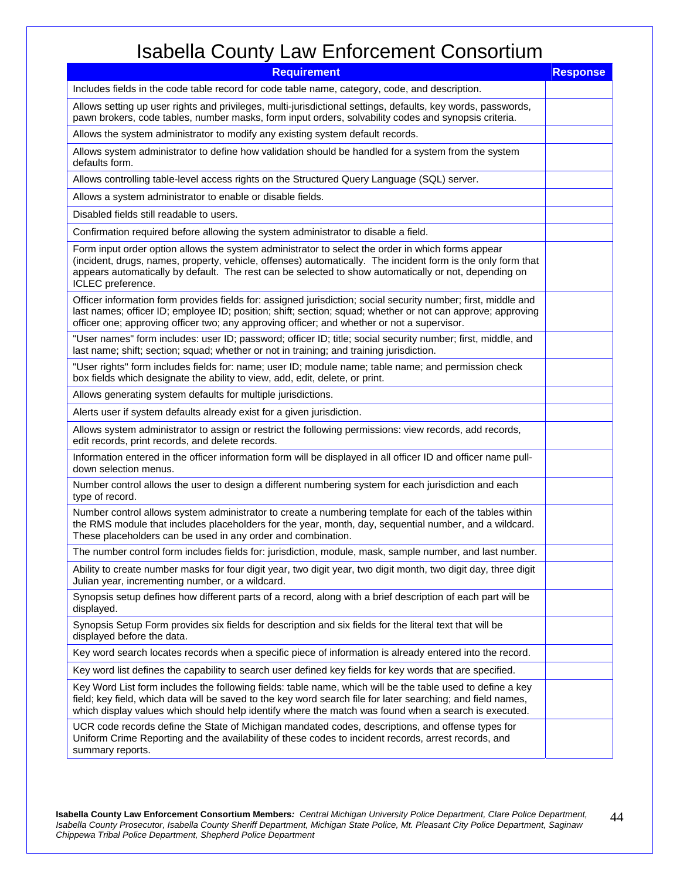| <b>Requirement</b>                                                                                                                                                                                                                                                                                                                              | <b>Response</b> |
|-------------------------------------------------------------------------------------------------------------------------------------------------------------------------------------------------------------------------------------------------------------------------------------------------------------------------------------------------|-----------------|
| Includes fields in the code table record for code table name, category, code, and description.                                                                                                                                                                                                                                                  |                 |
| Allows setting up user rights and privileges, multi-jurisdictional settings, defaults, key words, passwords,<br>pawn brokers, code tables, number masks, form input orders, solvability codes and synopsis criteria.                                                                                                                            |                 |
| Allows the system administrator to modify any existing system default records.                                                                                                                                                                                                                                                                  |                 |
| Allows system administrator to define how validation should be handled for a system from the system<br>defaults form.                                                                                                                                                                                                                           |                 |
| Allows controlling table-level access rights on the Structured Query Language (SQL) server.                                                                                                                                                                                                                                                     |                 |
| Allows a system administrator to enable or disable fields.                                                                                                                                                                                                                                                                                      |                 |
| Disabled fields still readable to users.                                                                                                                                                                                                                                                                                                        |                 |
| Confirmation required before allowing the system administrator to disable a field.                                                                                                                                                                                                                                                              |                 |
| Form input order option allows the system administrator to select the order in which forms appear<br>(incident, drugs, names, property, vehicle, offenses) automatically. The incident form is the only form that<br>appears automatically by default. The rest can be selected to show automatically or not, depending on<br>ICLEC preference. |                 |
| Officer information form provides fields for: assigned jurisdiction; social security number; first, middle and<br>last names; officer ID; employee ID; position; shift; section; squad; whether or not can approve; approving<br>officer one; approving officer two; any approving officer; and whether or not a supervisor.                    |                 |
| "User names" form includes: user ID; password; officer ID; title; social security number; first, middle, and<br>last name; shift; section; squad; whether or not in training; and training jurisdiction.                                                                                                                                        |                 |
| "User rights" form includes fields for: name; user ID; module name; table name; and permission check<br>box fields which designate the ability to view, add, edit, delete, or print.                                                                                                                                                            |                 |
| Allows generating system defaults for multiple jurisdictions.                                                                                                                                                                                                                                                                                   |                 |
| Alerts user if system defaults already exist for a given jurisdiction.                                                                                                                                                                                                                                                                          |                 |
| Allows system administrator to assign or restrict the following permissions: view records, add records,<br>edit records, print records, and delete records.                                                                                                                                                                                     |                 |
| Information entered in the officer information form will be displayed in all officer ID and officer name pull-<br>down selection menus.                                                                                                                                                                                                         |                 |
| Number control allows the user to design a different numbering system for each jurisdiction and each<br>type of record.                                                                                                                                                                                                                         |                 |
| Number control allows system administrator to create a numbering template for each of the tables within<br>the RMS module that includes placeholders for the year, month, day, sequential number, and a wildcard.<br>These placeholders can be used in any order and combination.                                                               |                 |
| The number control form includes fields for: jurisdiction, module, mask, sample number, and last number.                                                                                                                                                                                                                                        |                 |
| Ability to create number masks for four digit year, two digit year, two digit month, two digit day, three digit<br>Julian year, incrementing number, or a wildcard.                                                                                                                                                                             |                 |
| Synopsis setup defines how different parts of a record, along with a brief description of each part will be<br>displayed.                                                                                                                                                                                                                       |                 |
| Synopsis Setup Form provides six fields for description and six fields for the literal text that will be<br>displayed before the data.                                                                                                                                                                                                          |                 |
| Key word search locates records when a specific piece of information is already entered into the record.                                                                                                                                                                                                                                        |                 |
| Key word list defines the capability to search user defined key fields for key words that are specified.                                                                                                                                                                                                                                        |                 |
| Key Word List form includes the following fields: table name, which will be the table used to define a key<br>field; key field, which data will be saved to the key word search file for later searching; and field names,<br>which display values which should help identify where the match was found when a search is executed.              |                 |
| UCR code records define the State of Michigan mandated codes, descriptions, and offense types for<br>Uniform Crime Reporting and the availability of these codes to incident records, arrest records, and<br>summary reports.                                                                                                                   |                 |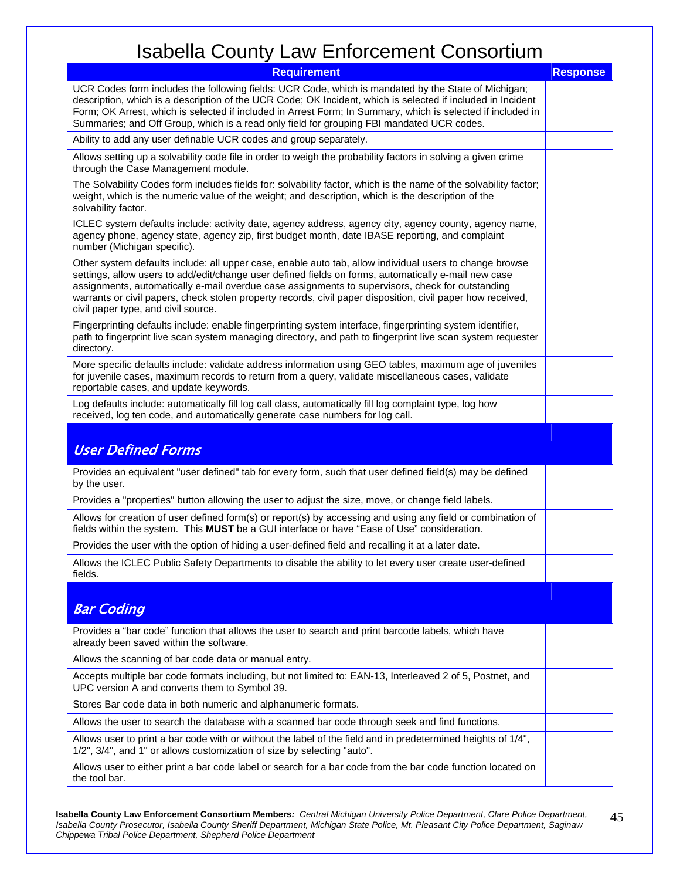| <b>Requirement</b>                                                                                                                                                                                                                                                                                                                                                                                                                                                        | <b>Response</b> |
|---------------------------------------------------------------------------------------------------------------------------------------------------------------------------------------------------------------------------------------------------------------------------------------------------------------------------------------------------------------------------------------------------------------------------------------------------------------------------|-----------------|
| UCR Codes form includes the following fields: UCR Code, which is mandated by the State of Michigan;<br>description, which is a description of the UCR Code; OK Incident, which is selected if included in Incident<br>Form; OK Arrest, which is selected if included in Arrest Form; In Summary, which is selected if included in<br>Summaries; and Off Group, which is a read only field for grouping FBI mandated UCR codes.                                            |                 |
| Ability to add any user definable UCR codes and group separately.                                                                                                                                                                                                                                                                                                                                                                                                         |                 |
| Allows setting up a solvability code file in order to weigh the probability factors in solving a given crime<br>through the Case Management module.                                                                                                                                                                                                                                                                                                                       |                 |
| The Solvability Codes form includes fields for: solvability factor, which is the name of the solvability factor;<br>weight, which is the numeric value of the weight; and description, which is the description of the<br>solvability factor.                                                                                                                                                                                                                             |                 |
| ICLEC system defaults include: activity date, agency address, agency city, agency county, agency name,<br>agency phone, agency state, agency zip, first budget month, date IBASE reporting, and complaint<br>number (Michigan specific).                                                                                                                                                                                                                                  |                 |
| Other system defaults include: all upper case, enable auto tab, allow individual users to change browse<br>settings, allow users to add/edit/change user defined fields on forms, automatically e-mail new case<br>assignments, automatically e-mail overdue case assignments to supervisors, check for outstanding<br>warrants or civil papers, check stolen property records, civil paper disposition, civil paper how received,<br>civil paper type, and civil source. |                 |
| Fingerprinting defaults include: enable fingerprinting system interface, fingerprinting system identifier,<br>path to fingerprint live scan system managing directory, and path to fingerprint live scan system requester<br>directory.                                                                                                                                                                                                                                   |                 |
| More specific defaults include: validate address information using GEO tables, maximum age of juveniles<br>for juvenile cases, maximum records to return from a query, validate miscellaneous cases, validate<br>reportable cases, and update keywords.                                                                                                                                                                                                                   |                 |
| Log defaults include: automatically fill log call class, automatically fill log complaint type, log how<br>received, log ten code, and automatically generate case numbers for log call.                                                                                                                                                                                                                                                                                  |                 |
| <b>User Defined Forms</b>                                                                                                                                                                                                                                                                                                                                                                                                                                                 |                 |
| Provides an equivalent "user defined" tab for every form, such that user defined field(s) may be defined<br>by the user.                                                                                                                                                                                                                                                                                                                                                  |                 |
| Provides a "properties" button allowing the user to adjust the size, move, or change field labels.                                                                                                                                                                                                                                                                                                                                                                        |                 |
| Allows for creation of user defined form(s) or report(s) by accessing and using any field or combination of<br>fields within the system. This MUST be a GUI interface or have "Ease of Use" consideration.                                                                                                                                                                                                                                                                |                 |
| Provides the user with the option of hiding a user-defined field and recalling it at a later date.                                                                                                                                                                                                                                                                                                                                                                        |                 |
| Allows the ICLEC Public Safety Departments to disable the ability to let every user create user-defined<br>fields.                                                                                                                                                                                                                                                                                                                                                        |                 |
| <b>Bar Coding</b>                                                                                                                                                                                                                                                                                                                                                                                                                                                         |                 |
| Provides a "bar code" function that allows the user to search and print barcode labels, which have<br>already been saved within the software.                                                                                                                                                                                                                                                                                                                             |                 |
| Allows the scanning of bar code data or manual entry.                                                                                                                                                                                                                                                                                                                                                                                                                     |                 |
| Accepts multiple bar code formats including, but not limited to: EAN-13, Interleaved 2 of 5, Postnet, and<br>UPC version A and converts them to Symbol 39.                                                                                                                                                                                                                                                                                                                |                 |
| Stores Bar code data in both numeric and alphanumeric formats.                                                                                                                                                                                                                                                                                                                                                                                                            |                 |
| Allows the user to search the database with a scanned bar code through seek and find functions.                                                                                                                                                                                                                                                                                                                                                                           |                 |
| Allows user to print a bar code with or without the label of the field and in predetermined heights of 1/4",<br>1/2", 3/4", and 1" or allows customization of size by selecting "auto".                                                                                                                                                                                                                                                                                   |                 |
| Allows user to either print a bar code label or search for a bar code from the bar code function located on<br>the tool bar.                                                                                                                                                                                                                                                                                                                                              |                 |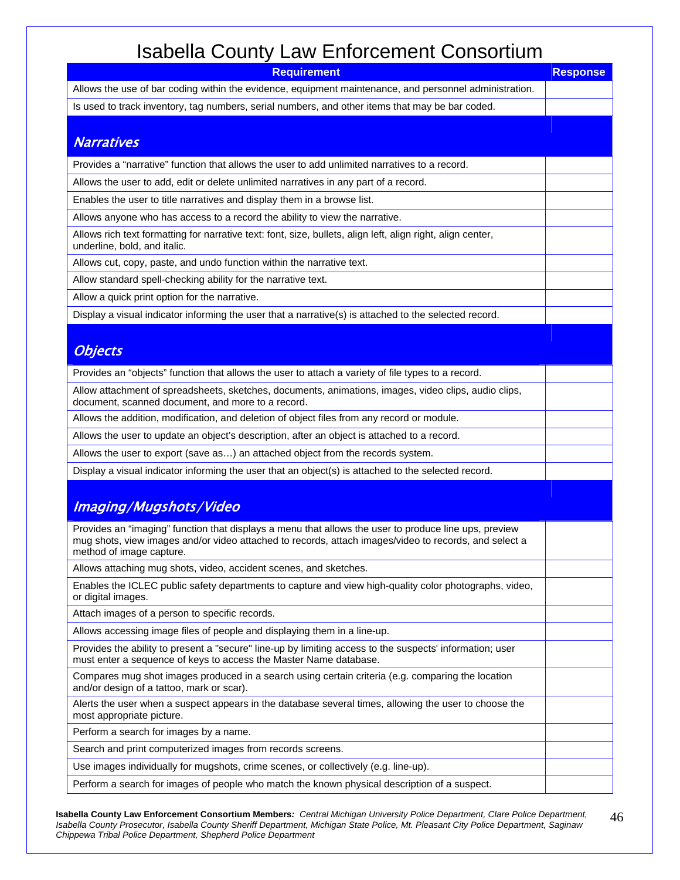| <b>Requirement</b>                                                                                                                                                                                                                         | <b>Response</b> |
|--------------------------------------------------------------------------------------------------------------------------------------------------------------------------------------------------------------------------------------------|-----------------|
| Allows the use of bar coding within the evidence, equipment maintenance, and personnel administration.                                                                                                                                     |                 |
| Is used to track inventory, tag numbers, serial numbers, and other items that may be bar coded.                                                                                                                                            |                 |
|                                                                                                                                                                                                                                            |                 |
| <b>Narratives</b>                                                                                                                                                                                                                          |                 |
| Provides a "narrative" function that allows the user to add unlimited narratives to a record.                                                                                                                                              |                 |
| Allows the user to add, edit or delete unlimited narratives in any part of a record.                                                                                                                                                       |                 |
| Enables the user to title narratives and display them in a browse list.                                                                                                                                                                    |                 |
| Allows anyone who has access to a record the ability to view the narrative.                                                                                                                                                                |                 |
| Allows rich text formatting for narrative text: font, size, bullets, align left, align right, align center,<br>underline, bold, and italic.                                                                                                |                 |
| Allows cut, copy, paste, and undo function within the narrative text.                                                                                                                                                                      |                 |
| Allow standard spell-checking ability for the narrative text.                                                                                                                                                                              |                 |
| Allow a quick print option for the narrative.                                                                                                                                                                                              |                 |
| Display a visual indicator informing the user that a narrative(s) is attached to the selected record.                                                                                                                                      |                 |
|                                                                                                                                                                                                                                            |                 |
| <b>Objects</b>                                                                                                                                                                                                                             |                 |
| Provides an "objects" function that allows the user to attach a variety of file types to a record.                                                                                                                                         |                 |
| Allow attachment of spreadsheets, sketches, documents, animations, images, video clips, audio clips,<br>document, scanned document, and more to a record.                                                                                  |                 |
| Allows the addition, modification, and deletion of object files from any record or module.                                                                                                                                                 |                 |
| Allows the user to update an object's description, after an object is attached to a record.                                                                                                                                                |                 |
| Allows the user to export (save as) an attached object from the records system.                                                                                                                                                            |                 |
| Display a visual indicator informing the user that an object(s) is attached to the selected record.                                                                                                                                        |                 |
|                                                                                                                                                                                                                                            |                 |
| Imaging/Mugshots/Video                                                                                                                                                                                                                     |                 |
| Provides an "imaging" function that displays a menu that allows the user to produce line ups, preview<br>mug shots, view images and/or video attached to records, attach images/video to records, and select a<br>method of image capture. |                 |
| Allows attaching mug shots, video, accident scenes, and sketches.                                                                                                                                                                          |                 |
| Enables the ICLEC public safety departments to capture and view high-quality color photographs, video,<br>or digital images.                                                                                                               |                 |
| Attach images of a person to specific records.                                                                                                                                                                                             |                 |
| Allows accessing image files of people and displaying them in a line-up.                                                                                                                                                                   |                 |
| Provides the ability to present a "secure" line-up by limiting access to the suspects' information; user<br>must enter a sequence of keys to access the Master Name database.                                                              |                 |
| Compares mug shot images produced in a search using certain criteria (e.g. comparing the location<br>and/or design of a tattoo, mark or scar).                                                                                             |                 |
| Alerts the user when a suspect appears in the database several times, allowing the user to choose the<br>most appropriate picture.                                                                                                         |                 |
| Perform a search for images by a name.                                                                                                                                                                                                     |                 |
| Search and print computerized images from records screens.                                                                                                                                                                                 |                 |
| Use images individually for mugshots, crime scenes, or collectively (e.g. line-up).                                                                                                                                                        |                 |
| Perform a search for images of people who match the known physical description of a suspect.                                                                                                                                               |                 |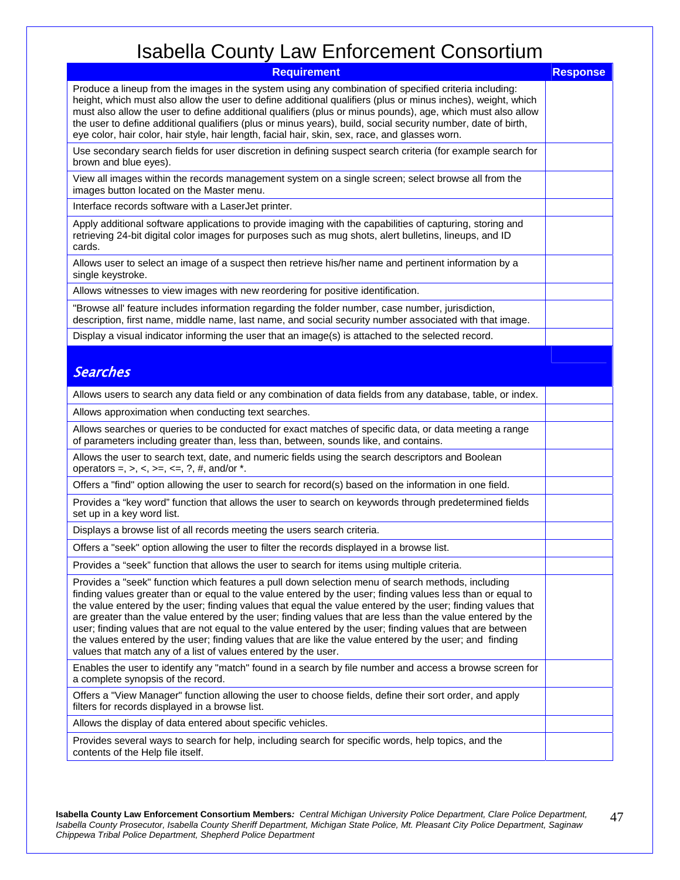| <b>Requirement</b>                                                                                                                                                                                                                                                                                                                                                                                                                                                                                                                                                                                                                                                                                                                      | <b>Response</b> |
|-----------------------------------------------------------------------------------------------------------------------------------------------------------------------------------------------------------------------------------------------------------------------------------------------------------------------------------------------------------------------------------------------------------------------------------------------------------------------------------------------------------------------------------------------------------------------------------------------------------------------------------------------------------------------------------------------------------------------------------------|-----------------|
| Produce a lineup from the images in the system using any combination of specified criteria including:<br>height, which must also allow the user to define additional qualifiers (plus or minus inches), weight, which<br>must also allow the user to define additional qualifiers (plus or minus pounds), age, which must also allow<br>the user to define additional qualifiers (plus or minus years), build, social security number, date of birth,<br>eye color, hair color, hair style, hair length, facial hair, skin, sex, race, and glasses worn.                                                                                                                                                                                |                 |
| Use secondary search fields for user discretion in defining suspect search criteria (for example search for<br>brown and blue eyes).                                                                                                                                                                                                                                                                                                                                                                                                                                                                                                                                                                                                    |                 |
| View all images within the records management system on a single screen; select browse all from the<br>images button located on the Master menu.                                                                                                                                                                                                                                                                                                                                                                                                                                                                                                                                                                                        |                 |
| Interface records software with a LaserJet printer.                                                                                                                                                                                                                                                                                                                                                                                                                                                                                                                                                                                                                                                                                     |                 |
| Apply additional software applications to provide imaging with the capabilities of capturing, storing and<br>retrieving 24-bit digital color images for purposes such as mug shots, alert bulletins, lineups, and ID<br>cards.                                                                                                                                                                                                                                                                                                                                                                                                                                                                                                          |                 |
| Allows user to select an image of a suspect then retrieve his/her name and pertinent information by a<br>single keystroke.                                                                                                                                                                                                                                                                                                                                                                                                                                                                                                                                                                                                              |                 |
| Allows witnesses to view images with new reordering for positive identification.                                                                                                                                                                                                                                                                                                                                                                                                                                                                                                                                                                                                                                                        |                 |
| "Browse all' feature includes information regarding the folder number, case number, jurisdiction,<br>description, first name, middle name, last name, and social security number associated with that image.                                                                                                                                                                                                                                                                                                                                                                                                                                                                                                                            |                 |
| Display a visual indicator informing the user that an image(s) is attached to the selected record.                                                                                                                                                                                                                                                                                                                                                                                                                                                                                                                                                                                                                                      |                 |
| <b>Searches</b>                                                                                                                                                                                                                                                                                                                                                                                                                                                                                                                                                                                                                                                                                                                         |                 |
| Allows users to search any data field or any combination of data fields from any database, table, or index.                                                                                                                                                                                                                                                                                                                                                                                                                                                                                                                                                                                                                             |                 |
| Allows approximation when conducting text searches.                                                                                                                                                                                                                                                                                                                                                                                                                                                                                                                                                                                                                                                                                     |                 |
| Allows searches or queries to be conducted for exact matches of specific data, or data meeting a range<br>of parameters including greater than, less than, between, sounds like, and contains.                                                                                                                                                                                                                                                                                                                                                                                                                                                                                                                                          |                 |
| Allows the user to search text, date, and numeric fields using the search descriptors and Boolean<br>operators =, >, <, >=, <=, ?, #, and/or $*$ .                                                                                                                                                                                                                                                                                                                                                                                                                                                                                                                                                                                      |                 |
| Offers a "find" option allowing the user to search for record(s) based on the information in one field.                                                                                                                                                                                                                                                                                                                                                                                                                                                                                                                                                                                                                                 |                 |
| Provides a "key word" function that allows the user to search on keywords through predetermined fields<br>set up in a key word list.                                                                                                                                                                                                                                                                                                                                                                                                                                                                                                                                                                                                    |                 |
| Displays a browse list of all records meeting the users search criteria.                                                                                                                                                                                                                                                                                                                                                                                                                                                                                                                                                                                                                                                                |                 |
| Offers a "seek" option allowing the user to filter the records displayed in a browse list.                                                                                                                                                                                                                                                                                                                                                                                                                                                                                                                                                                                                                                              |                 |
| Provides a "seek" function that allows the user to search for items using multiple criteria.                                                                                                                                                                                                                                                                                                                                                                                                                                                                                                                                                                                                                                            |                 |
| Provides a "seek" function which features a pull down selection menu of search methods, including<br>finding values greater than or equal to the value entered by the user; finding values less than or equal to<br>the value entered by the user; finding values that equal the value entered by the user; finding values that<br>are greater than the value entered by the user; finding values that are less than the value entered by the<br>user; finding values that are not equal to the value entered by the user; finding values that are between<br>the values entered by the user; finding values that are like the value entered by the user; and finding<br>values that match any of a list of values entered by the user. |                 |
| Enables the user to identify any "match" found in a search by file number and access a browse screen for<br>a complete synopsis of the record.                                                                                                                                                                                                                                                                                                                                                                                                                                                                                                                                                                                          |                 |
| Offers a "View Manager" function allowing the user to choose fields, define their sort order, and apply<br>filters for records displayed in a browse list.                                                                                                                                                                                                                                                                                                                                                                                                                                                                                                                                                                              |                 |
| Allows the display of data entered about specific vehicles.                                                                                                                                                                                                                                                                                                                                                                                                                                                                                                                                                                                                                                                                             |                 |
| Provides several ways to search for help, including search for specific words, help topics, and the<br>contents of the Help file itself.                                                                                                                                                                                                                                                                                                                                                                                                                                                                                                                                                                                                |                 |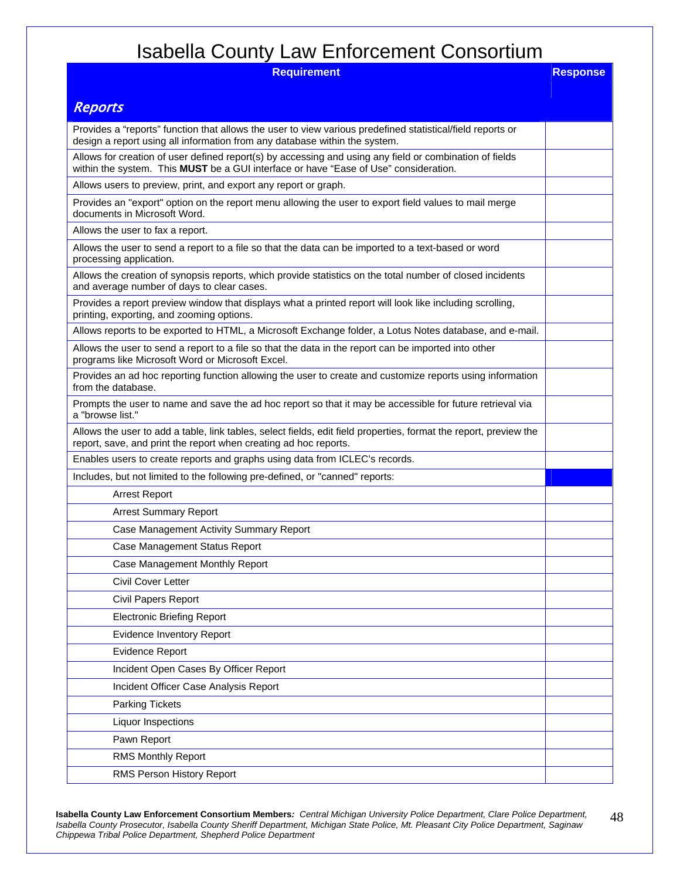| nouvonu ovuniy<br>$  -$<br>$\blacksquare$<br><b>Requirement</b>                                                                                                                                 | <b>Response</b> |
|-------------------------------------------------------------------------------------------------------------------------------------------------------------------------------------------------|-----------------|
|                                                                                                                                                                                                 |                 |
| <b>Reports</b>                                                                                                                                                                                  |                 |
| Provides a "reports" function that allows the user to view various predefined statistical/field reports or<br>design a report using all information from any database within the system.        |                 |
| Allows for creation of user defined report(s) by accessing and using any field or combination of fields<br>within the system. This MUST be a GUI interface or have "Ease of Use" consideration. |                 |
| Allows users to preview, print, and export any report or graph.                                                                                                                                 |                 |
| Provides an "export" option on the report menu allowing the user to export field values to mail merge<br>documents in Microsoft Word.                                                           |                 |
| Allows the user to fax a report.                                                                                                                                                                |                 |
| Allows the user to send a report to a file so that the data can be imported to a text-based or word<br>processing application.                                                                  |                 |
| Allows the creation of synopsis reports, which provide statistics on the total number of closed incidents<br>and average number of days to clear cases.                                         |                 |
| Provides a report preview window that displays what a printed report will look like including scrolling,<br>printing, exporting, and zooming options.                                           |                 |
| Allows reports to be exported to HTML, a Microsoft Exchange folder, a Lotus Notes database, and e-mail.                                                                                         |                 |
| Allows the user to send a report to a file so that the data in the report can be imported into other<br>programs like Microsoft Word or Microsoft Excel.                                        |                 |
| Provides an ad hoc reporting function allowing the user to create and customize reports using information<br>from the database.                                                                 |                 |
| Prompts the user to name and save the ad hoc report so that it may be accessible for future retrieval via<br>a "browse list."                                                                   |                 |
| Allows the user to add a table, link tables, select fields, edit field properties, format the report, preview the<br>report, save, and print the report when creating ad hoc reports.           |                 |
| Enables users to create reports and graphs using data from ICLEC's records.                                                                                                                     |                 |
| Includes, but not limited to the following pre-defined, or "canned" reports:                                                                                                                    |                 |
| <b>Arrest Report</b>                                                                                                                                                                            |                 |
| <b>Arrest Summary Report</b>                                                                                                                                                                    |                 |
| Case Management Activity Summary Report                                                                                                                                                         |                 |
| Case Management Status Report                                                                                                                                                                   |                 |
| Case Management Monthly Report                                                                                                                                                                  |                 |
| Civil Cover Letter                                                                                                                                                                              |                 |
| Civil Papers Report                                                                                                                                                                             |                 |
| <b>Electronic Briefing Report</b>                                                                                                                                                               |                 |
| <b>Evidence Inventory Report</b>                                                                                                                                                                |                 |
| <b>Evidence Report</b>                                                                                                                                                                          |                 |
| Incident Open Cases By Officer Report                                                                                                                                                           |                 |
| Incident Officer Case Analysis Report                                                                                                                                                           |                 |
| <b>Parking Tickets</b>                                                                                                                                                                          |                 |
| Liquor Inspections                                                                                                                                                                              |                 |
| Pawn Report                                                                                                                                                                                     |                 |
| RMS Monthly Report                                                                                                                                                                              |                 |
| RMS Person History Report                                                                                                                                                                       |                 |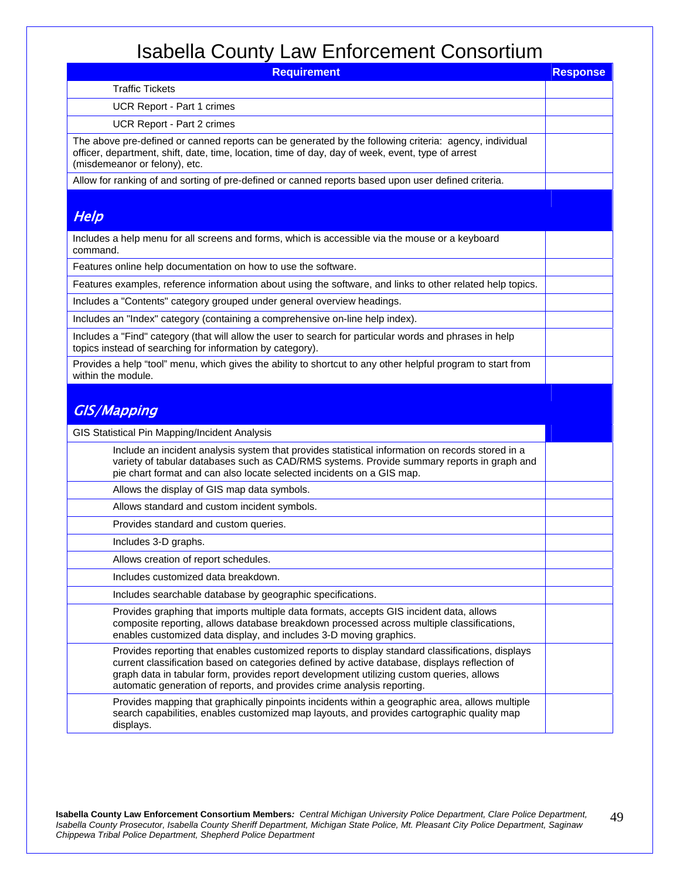| <b>Requirement</b>                                                                                                                                                                                                                                                                                                                                                       | <b>Response</b> |
|--------------------------------------------------------------------------------------------------------------------------------------------------------------------------------------------------------------------------------------------------------------------------------------------------------------------------------------------------------------------------|-----------------|
| <b>Traffic Tickets</b>                                                                                                                                                                                                                                                                                                                                                   |                 |
| UCR Report - Part 1 crimes                                                                                                                                                                                                                                                                                                                                               |                 |
| UCR Report - Part 2 crimes                                                                                                                                                                                                                                                                                                                                               |                 |
| The above pre-defined or canned reports can be generated by the following criteria: agency, individual<br>officer, department, shift, date, time, location, time of day, day of week, event, type of arrest<br>(misdemeanor or felony), etc.                                                                                                                             |                 |
| Allow for ranking of and sorting of pre-defined or canned reports based upon user defined criteria.                                                                                                                                                                                                                                                                      |                 |
| Help                                                                                                                                                                                                                                                                                                                                                                     |                 |
| Includes a help menu for all screens and forms, which is accessible via the mouse or a keyboard<br>command.                                                                                                                                                                                                                                                              |                 |
| Features online help documentation on how to use the software.                                                                                                                                                                                                                                                                                                           |                 |
| Features examples, reference information about using the software, and links to other related help topics.                                                                                                                                                                                                                                                               |                 |
| Includes a "Contents" category grouped under general overview headings.                                                                                                                                                                                                                                                                                                  |                 |
| Includes an "Index" category (containing a comprehensive on-line help index).                                                                                                                                                                                                                                                                                            |                 |
| Includes a "Find" category (that will allow the user to search for particular words and phrases in help<br>topics instead of searching for information by category).                                                                                                                                                                                                     |                 |
| Provides a help "tool" menu, which gives the ability to shortcut to any other helpful program to start from<br>within the module.                                                                                                                                                                                                                                        |                 |
| <b>GIS/Mapping</b>                                                                                                                                                                                                                                                                                                                                                       |                 |
| GIS Statistical Pin Mapping/Incident Analysis                                                                                                                                                                                                                                                                                                                            |                 |
| Include an incident analysis system that provides statistical information on records stored in a<br>variety of tabular databases such as CAD/RMS systems. Provide summary reports in graph and<br>pie chart format and can also locate selected incidents on a GIS map.                                                                                                  |                 |
| Allows the display of GIS map data symbols.                                                                                                                                                                                                                                                                                                                              |                 |
| Allows standard and custom incident symbols.                                                                                                                                                                                                                                                                                                                             |                 |
| Provides standard and custom queries.                                                                                                                                                                                                                                                                                                                                    |                 |
| Includes 3-D graphs.                                                                                                                                                                                                                                                                                                                                                     |                 |
| Allows creation of report schedules.                                                                                                                                                                                                                                                                                                                                     |                 |
| Includes customized data breakdown.                                                                                                                                                                                                                                                                                                                                      |                 |
| Includes searchable database by geographic specifications.                                                                                                                                                                                                                                                                                                               |                 |
| Provides graphing that imports multiple data formats, accepts GIS incident data, allows<br>composite reporting, allows database breakdown processed across multiple classifications,<br>enables customized data display, and includes 3-D moving graphics.                                                                                                               |                 |
| Provides reporting that enables customized reports to display standard classifications, displays<br>current classification based on categories defined by active database, displays reflection of<br>graph data in tabular form, provides report development utilizing custom queries, allows<br>automatic generation of reports, and provides crime analysis reporting. |                 |
| Provides mapping that graphically pinpoints incidents within a geographic area, allows multiple<br>search capabilities, enables customized map layouts, and provides cartographic quality map<br>displays.                                                                                                                                                               |                 |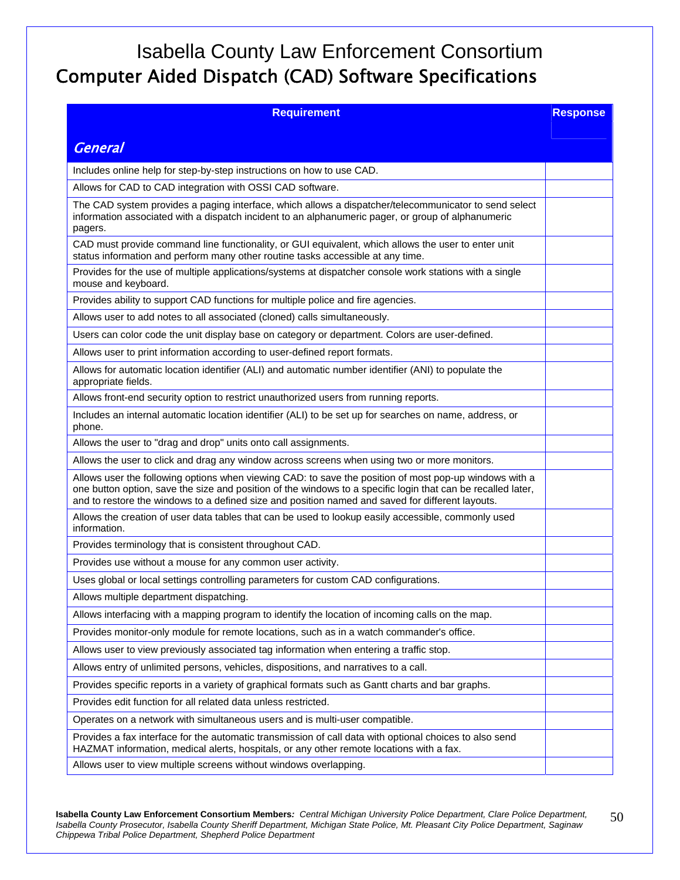## Isabella County Law Enforcement Consortium Computer Aided Dispatch (CAD) Software Specifications

| <b>Requirement</b>                                                                                                                                                                                                                                                                                                         | <b>Response</b> |
|----------------------------------------------------------------------------------------------------------------------------------------------------------------------------------------------------------------------------------------------------------------------------------------------------------------------------|-----------------|
|                                                                                                                                                                                                                                                                                                                            |                 |
| <b>General</b>                                                                                                                                                                                                                                                                                                             |                 |
| Includes online help for step-by-step instructions on how to use CAD.                                                                                                                                                                                                                                                      |                 |
| Allows for CAD to CAD integration with OSSI CAD software.                                                                                                                                                                                                                                                                  |                 |
| The CAD system provides a paging interface, which allows a dispatcher/telecommunicator to send select<br>information associated with a dispatch incident to an alphanumeric pager, or group of alphanumeric<br>pagers.                                                                                                     |                 |
| CAD must provide command line functionality, or GUI equivalent, which allows the user to enter unit<br>status information and perform many other routine tasks accessible at any time.                                                                                                                                     |                 |
| Provides for the use of multiple applications/systems at dispatcher console work stations with a single<br>mouse and keyboard.                                                                                                                                                                                             |                 |
| Provides ability to support CAD functions for multiple police and fire agencies.                                                                                                                                                                                                                                           |                 |
| Allows user to add notes to all associated (cloned) calls simultaneously.                                                                                                                                                                                                                                                  |                 |
| Users can color code the unit display base on category or department. Colors are user-defined.                                                                                                                                                                                                                             |                 |
| Allows user to print information according to user-defined report formats.                                                                                                                                                                                                                                                 |                 |
| Allows for automatic location identifier (ALI) and automatic number identifier (ANI) to populate the<br>appropriate fields.                                                                                                                                                                                                |                 |
| Allows front-end security option to restrict unauthorized users from running reports.                                                                                                                                                                                                                                      |                 |
| Includes an internal automatic location identifier (ALI) to be set up for searches on name, address, or<br>phone.                                                                                                                                                                                                          |                 |
| Allows the user to "drag and drop" units onto call assignments.                                                                                                                                                                                                                                                            |                 |
| Allows the user to click and drag any window across screens when using two or more monitors.                                                                                                                                                                                                                               |                 |
| Allows user the following options when viewing CAD: to save the position of most pop-up windows with a<br>one button option, save the size and position of the windows to a specific login that can be recalled later,<br>and to restore the windows to a defined size and position named and saved for different layouts. |                 |
| Allows the creation of user data tables that can be used to lookup easily accessible, commonly used<br>information.                                                                                                                                                                                                        |                 |
| Provides terminology that is consistent throughout CAD.                                                                                                                                                                                                                                                                    |                 |
| Provides use without a mouse for any common user activity.                                                                                                                                                                                                                                                                 |                 |
| Uses global or local settings controlling parameters for custom CAD configurations.                                                                                                                                                                                                                                        |                 |
| Allows multiple department dispatching.                                                                                                                                                                                                                                                                                    |                 |
| Allows interfacing with a mapping program to identify the location of incoming calls on the map.                                                                                                                                                                                                                           |                 |
| Provides monitor-only module for remote locations, such as in a watch commander's office.                                                                                                                                                                                                                                  |                 |
| Allows user to view previously associated tag information when entering a traffic stop.                                                                                                                                                                                                                                    |                 |
| Allows entry of unlimited persons, vehicles, dispositions, and narratives to a call.                                                                                                                                                                                                                                       |                 |
| Provides specific reports in a variety of graphical formats such as Gantt charts and bar graphs.                                                                                                                                                                                                                           |                 |
| Provides edit function for all related data unless restricted.                                                                                                                                                                                                                                                             |                 |
| Operates on a network with simultaneous users and is multi-user compatible.                                                                                                                                                                                                                                                |                 |
| Provides a fax interface for the automatic transmission of call data with optional choices to also send<br>HAZMAT information, medical alerts, hospitals, or any other remote locations with a fax.                                                                                                                        |                 |
| Allows user to view multiple screens without windows overlapping.                                                                                                                                                                                                                                                          |                 |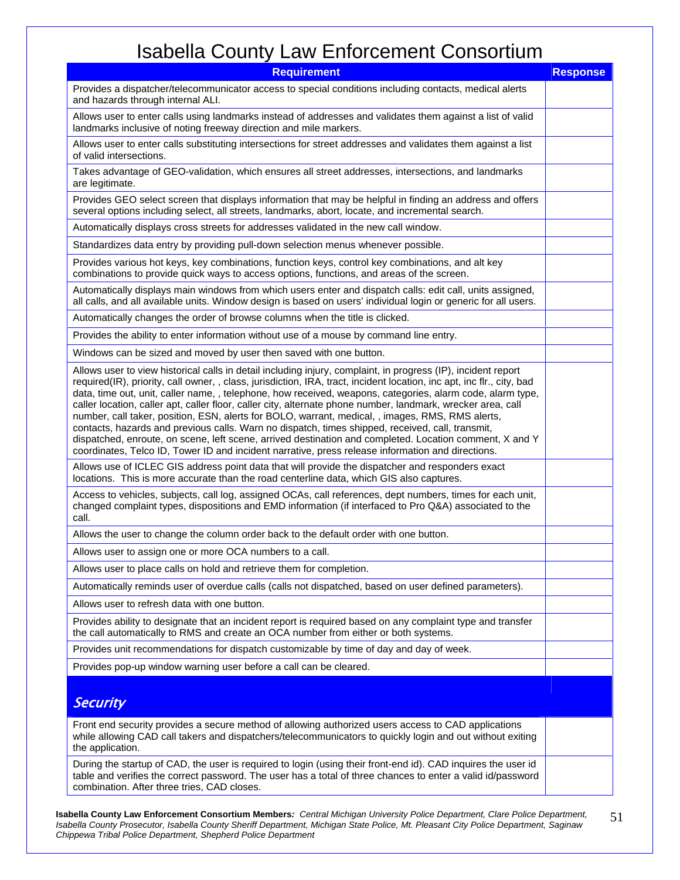| <b>Requirement</b>                                                                                                                                                                                                                                                                                                                                                                                                                                                                                                                                                                                                                                                                                                                                                                                                                                                                            | <b>Response</b> |
|-----------------------------------------------------------------------------------------------------------------------------------------------------------------------------------------------------------------------------------------------------------------------------------------------------------------------------------------------------------------------------------------------------------------------------------------------------------------------------------------------------------------------------------------------------------------------------------------------------------------------------------------------------------------------------------------------------------------------------------------------------------------------------------------------------------------------------------------------------------------------------------------------|-----------------|
| Provides a dispatcher/telecommunicator access to special conditions including contacts, medical alerts<br>and hazards through internal ALI.                                                                                                                                                                                                                                                                                                                                                                                                                                                                                                                                                                                                                                                                                                                                                   |                 |
| Allows user to enter calls using landmarks instead of addresses and validates them against a list of valid<br>landmarks inclusive of noting freeway direction and mile markers.                                                                                                                                                                                                                                                                                                                                                                                                                                                                                                                                                                                                                                                                                                               |                 |
| Allows user to enter calls substituting intersections for street addresses and validates them against a list<br>of valid intersections.                                                                                                                                                                                                                                                                                                                                                                                                                                                                                                                                                                                                                                                                                                                                                       |                 |
| Takes advantage of GEO-validation, which ensures all street addresses, intersections, and landmarks<br>are legitimate.                                                                                                                                                                                                                                                                                                                                                                                                                                                                                                                                                                                                                                                                                                                                                                        |                 |
| Provides GEO select screen that displays information that may be helpful in finding an address and offers<br>several options including select, all streets, landmarks, abort, locate, and incremental search.                                                                                                                                                                                                                                                                                                                                                                                                                                                                                                                                                                                                                                                                                 |                 |
| Automatically displays cross streets for addresses validated in the new call window.                                                                                                                                                                                                                                                                                                                                                                                                                                                                                                                                                                                                                                                                                                                                                                                                          |                 |
| Standardizes data entry by providing pull-down selection menus whenever possible.                                                                                                                                                                                                                                                                                                                                                                                                                                                                                                                                                                                                                                                                                                                                                                                                             |                 |
| Provides various hot keys, key combinations, function keys, control key combinations, and alt key<br>combinations to provide quick ways to access options, functions, and areas of the screen.                                                                                                                                                                                                                                                                                                                                                                                                                                                                                                                                                                                                                                                                                                |                 |
| Automatically displays main windows from which users enter and dispatch calls: edit call, units assigned,<br>all calls, and all available units. Window design is based on users' individual login or generic for all users.                                                                                                                                                                                                                                                                                                                                                                                                                                                                                                                                                                                                                                                                  |                 |
| Automatically changes the order of browse columns when the title is clicked.                                                                                                                                                                                                                                                                                                                                                                                                                                                                                                                                                                                                                                                                                                                                                                                                                  |                 |
| Provides the ability to enter information without use of a mouse by command line entry.                                                                                                                                                                                                                                                                                                                                                                                                                                                                                                                                                                                                                                                                                                                                                                                                       |                 |
| Windows can be sized and moved by user then saved with one button.                                                                                                                                                                                                                                                                                                                                                                                                                                                                                                                                                                                                                                                                                                                                                                                                                            |                 |
| Allows user to view historical calls in detail including injury, complaint, in progress (IP), incident report<br>required(IR), priority, call owner, , class, jurisdiction, IRA, tract, incident location, inc apt, inc flr., city, bad<br>data, time out, unit, caller name, , telephone, how received, weapons, categories, alarm code, alarm type,<br>caller location, caller apt, caller floor, caller city, alternate phone number, landmark, wrecker area, call<br>number, call taker, position, ESN, alerts for BOLO, warrant, medical, , images, RMS, RMS alerts,<br>contacts, hazards and previous calls. Warn no dispatch, times shipped, received, call, transmit,<br>dispatched, enroute, on scene, left scene, arrived destination and completed. Location comment, X and Y<br>coordinates, Telco ID, Tower ID and incident narrative, press release information and directions. |                 |
| Allows use of ICLEC GIS address point data that will provide the dispatcher and responders exact<br>locations. This is more accurate than the road centerline data, which GIS also captures.                                                                                                                                                                                                                                                                                                                                                                                                                                                                                                                                                                                                                                                                                                  |                 |
| Access to vehicles, subjects, call log, assigned OCAs, call references, dept numbers, times for each unit,<br>changed complaint types, dispositions and EMD information (if interfaced to Pro Q&A) associated to the<br>call.                                                                                                                                                                                                                                                                                                                                                                                                                                                                                                                                                                                                                                                                 |                 |
| Allows the user to change the column order back to the default order with one button.                                                                                                                                                                                                                                                                                                                                                                                                                                                                                                                                                                                                                                                                                                                                                                                                         |                 |
| Allows user to assign one or more OCA numbers to a call.                                                                                                                                                                                                                                                                                                                                                                                                                                                                                                                                                                                                                                                                                                                                                                                                                                      |                 |
| Allows user to place calls on hold and retrieve them for completion.                                                                                                                                                                                                                                                                                                                                                                                                                                                                                                                                                                                                                                                                                                                                                                                                                          |                 |
| Automatically reminds user of overdue calls (calls not dispatched, based on user defined parameters).                                                                                                                                                                                                                                                                                                                                                                                                                                                                                                                                                                                                                                                                                                                                                                                         |                 |
| Allows user to refresh data with one button.                                                                                                                                                                                                                                                                                                                                                                                                                                                                                                                                                                                                                                                                                                                                                                                                                                                  |                 |
| Provides ability to designate that an incident report is required based on any complaint type and transfer<br>the call automatically to RMS and create an OCA number from either or both systems.                                                                                                                                                                                                                                                                                                                                                                                                                                                                                                                                                                                                                                                                                             |                 |
| Provides unit recommendations for dispatch customizable by time of day and day of week.                                                                                                                                                                                                                                                                                                                                                                                                                                                                                                                                                                                                                                                                                                                                                                                                       |                 |
| Provides pop-up window warning user before a call can be cleared.                                                                                                                                                                                                                                                                                                                                                                                                                                                                                                                                                                                                                                                                                                                                                                                                                             |                 |
| <b>Security</b>                                                                                                                                                                                                                                                                                                                                                                                                                                                                                                                                                                                                                                                                                                                                                                                                                                                                               |                 |
| Front end security provides a secure method of allowing authorized users access to CAD applications<br>while allowing CAD call takers and dispatchers/telecommunicators to quickly login and out without exiting<br>the application.                                                                                                                                                                                                                                                                                                                                                                                                                                                                                                                                                                                                                                                          |                 |
| During the startup of CAD, the user is required to login (using their front-end id). CAD inquires the user id<br>table and verifies the correct password. The user has a total of three chances to enter a valid id/password<br>combination. After three tries, CAD closes.                                                                                                                                                                                                                                                                                                                                                                                                                                                                                                                                                                                                                   |                 |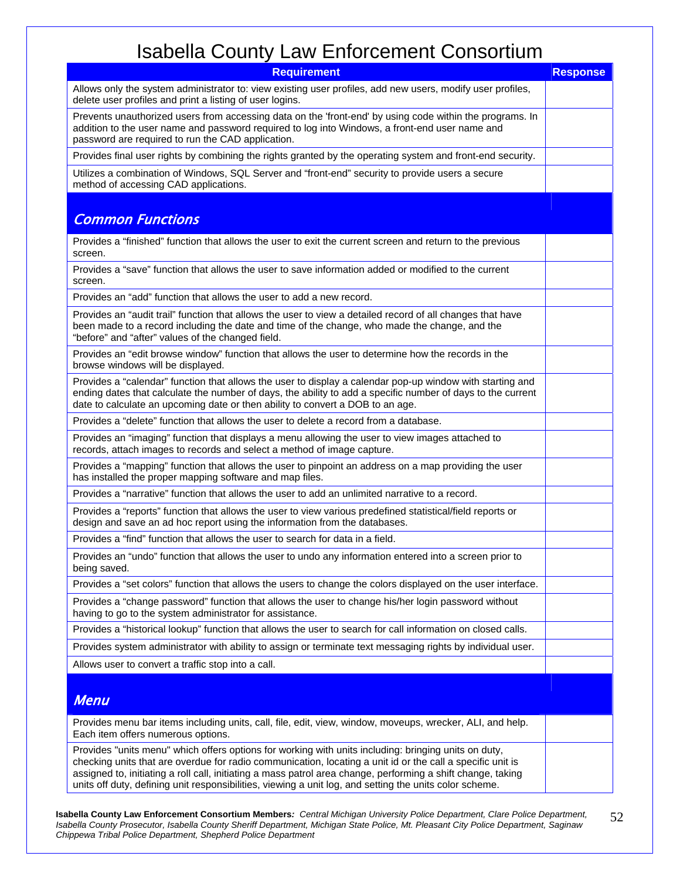| <b>Requirement</b>                                                                                                                                                                                                                                                                                                                                                                                                                            | <b>Response</b> |
|-----------------------------------------------------------------------------------------------------------------------------------------------------------------------------------------------------------------------------------------------------------------------------------------------------------------------------------------------------------------------------------------------------------------------------------------------|-----------------|
| Allows only the system administrator to: view existing user profiles, add new users, modify user profiles,<br>delete user profiles and print a listing of user logins.                                                                                                                                                                                                                                                                        |                 |
| Prevents unauthorized users from accessing data on the 'front-end' by using code within the programs. In<br>addition to the user name and password required to log into Windows, a front-end user name and<br>password are required to run the CAD application.                                                                                                                                                                               |                 |
| Provides final user rights by combining the rights granted by the operating system and front-end security.                                                                                                                                                                                                                                                                                                                                    |                 |
| Utilizes a combination of Windows, SQL Server and "front-end" security to provide users a secure<br>method of accessing CAD applications.                                                                                                                                                                                                                                                                                                     |                 |
|                                                                                                                                                                                                                                                                                                                                                                                                                                               |                 |
| <b>Common Functions</b>                                                                                                                                                                                                                                                                                                                                                                                                                       |                 |
| Provides a "finished" function that allows the user to exit the current screen and return to the previous<br>screen.                                                                                                                                                                                                                                                                                                                          |                 |
| Provides a "save" function that allows the user to save information added or modified to the current<br>screen.                                                                                                                                                                                                                                                                                                                               |                 |
| Provides an "add" function that allows the user to add a new record.                                                                                                                                                                                                                                                                                                                                                                          |                 |
| Provides an "audit trail" function that allows the user to view a detailed record of all changes that have<br>been made to a record including the date and time of the change, who made the change, and the<br>"before" and "after" values of the changed field.                                                                                                                                                                              |                 |
| Provides an "edit browse window" function that allows the user to determine how the records in the<br>browse windows will be displayed.                                                                                                                                                                                                                                                                                                       |                 |
| Provides a "calendar" function that allows the user to display a calendar pop-up window with starting and<br>ending dates that calculate the number of days, the ability to add a specific number of days to the current<br>date to calculate an upcoming date or then ability to convert a DOB to an age.                                                                                                                                    |                 |
| Provides a "delete" function that allows the user to delete a record from a database.                                                                                                                                                                                                                                                                                                                                                         |                 |
| Provides an "imaging" function that displays a menu allowing the user to view images attached to<br>records, attach images to records and select a method of image capture.                                                                                                                                                                                                                                                                   |                 |
| Provides a "mapping" function that allows the user to pinpoint an address on a map providing the user<br>has installed the proper mapping software and map files.                                                                                                                                                                                                                                                                             |                 |
| Provides a "narrative" function that allows the user to add an unlimited narrative to a record.                                                                                                                                                                                                                                                                                                                                               |                 |
| Provides a "reports" function that allows the user to view various predefined statistical/field reports or<br>design and save an ad hoc report using the information from the databases.                                                                                                                                                                                                                                                      |                 |
| Provides a "find" function that allows the user to search for data in a field.                                                                                                                                                                                                                                                                                                                                                                |                 |
| Provides an "undo" function that allows the user to undo any information entered into a screen prior to<br>being saved.                                                                                                                                                                                                                                                                                                                       |                 |
| Provides a "set colors" function that allows the users to change the colors displayed on the user interface.                                                                                                                                                                                                                                                                                                                                  |                 |
| Provides a "change password" function that allows the user to change his/her login password without<br>having to go to the system administrator for assistance.                                                                                                                                                                                                                                                                               |                 |
| Provides a "historical lookup" function that allows the user to search for call information on closed calls.                                                                                                                                                                                                                                                                                                                                  |                 |
| Provides system administrator with ability to assign or terminate text messaging rights by individual user.                                                                                                                                                                                                                                                                                                                                   |                 |
| Allows user to convert a traffic stop into a call.                                                                                                                                                                                                                                                                                                                                                                                            |                 |
|                                                                                                                                                                                                                                                                                                                                                                                                                                               |                 |
| <b>Menu</b>                                                                                                                                                                                                                                                                                                                                                                                                                                   |                 |
| Provides menu bar items including units, call, file, edit, view, window, moveups, wrecker, ALI, and help.<br>Each item offers numerous options.                                                                                                                                                                                                                                                                                               |                 |
| Provides "units menu" which offers options for working with units including: bringing units on duty,<br>checking units that are overdue for radio communication, locating a unit id or the call a specific unit is<br>assigned to, initiating a roll call, initiating a mass patrol area change, performing a shift change, taking<br>units off duty, defining unit responsibilities, viewing a unit log, and setting the units color scheme. |                 |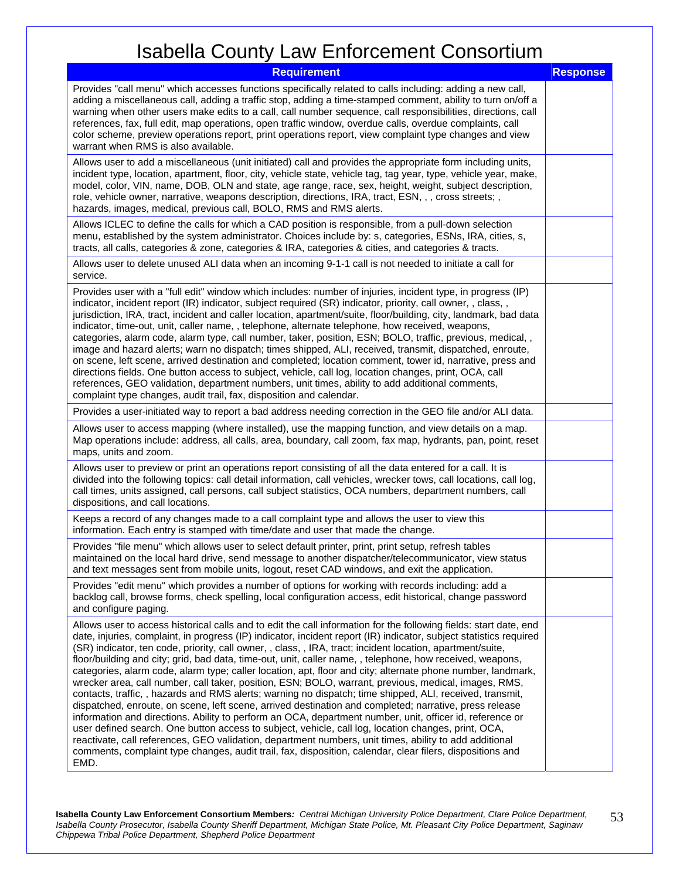| <b>Requirement</b>                                                                                                                                                                                                                                                                                                                                                                                                                                                                                                                                                                                                                                                                                                                                                                                                                                                                                                                                                                                                                                                                                                                                                                                                                                                                                                                                                | <b>Response</b> |
|-------------------------------------------------------------------------------------------------------------------------------------------------------------------------------------------------------------------------------------------------------------------------------------------------------------------------------------------------------------------------------------------------------------------------------------------------------------------------------------------------------------------------------------------------------------------------------------------------------------------------------------------------------------------------------------------------------------------------------------------------------------------------------------------------------------------------------------------------------------------------------------------------------------------------------------------------------------------------------------------------------------------------------------------------------------------------------------------------------------------------------------------------------------------------------------------------------------------------------------------------------------------------------------------------------------------------------------------------------------------|-----------------|
| Provides "call menu" which accesses functions specifically related to calls including: adding a new call,<br>adding a miscellaneous call, adding a traffic stop, adding a time-stamped comment, ability to turn on/off a<br>warning when other users make edits to a call, call number sequence, call responsibilities, directions, call<br>references, fax, full edit, map operations, open traffic window, overdue calls, overdue complaints, call<br>color scheme, preview operations report, print operations report, view complaint type changes and view<br>warrant when RMS is also available.                                                                                                                                                                                                                                                                                                                                                                                                                                                                                                                                                                                                                                                                                                                                                             |                 |
| Allows user to add a miscellaneous (unit initiated) call and provides the appropriate form including units,<br>incident type, location, apartment, floor, city, vehicle state, vehicle tag, tag year, type, vehicle year, make,<br>model, color, VIN, name, DOB, OLN and state, age range, race, sex, height, weight, subject description,<br>role, vehicle owner, narrative, weapons description, directions, IRA, tract, ESN, , , cross streets; ,<br>hazards, images, medical, previous call, BOLO, RMS and RMS alerts.                                                                                                                                                                                                                                                                                                                                                                                                                                                                                                                                                                                                                                                                                                                                                                                                                                        |                 |
| Allows ICLEC to define the calls for which a CAD position is responsible, from a pull-down selection<br>menu, established by the system administrator. Choices include by: s, categories, ESNs, IRA, cities, s,<br>tracts, all calls, categories & zone, categories & IRA, categories & cities, and categories & tracts.                                                                                                                                                                                                                                                                                                                                                                                                                                                                                                                                                                                                                                                                                                                                                                                                                                                                                                                                                                                                                                          |                 |
| Allows user to delete unused ALI data when an incoming 9-1-1 call is not needed to initiate a call for<br>service.                                                                                                                                                                                                                                                                                                                                                                                                                                                                                                                                                                                                                                                                                                                                                                                                                                                                                                                                                                                                                                                                                                                                                                                                                                                |                 |
| Provides user with a "full edit" window which includes: number of injuries, incident type, in progress (IP)<br>indicator, incident report (IR) indicator, subject required (SR) indicator, priority, call owner, , class, ,<br>jurisdiction, IRA, tract, incident and caller location, apartment/suite, floor/building, city, landmark, bad data<br>indicator, time-out, unit, caller name, , telephone, alternate telephone, how received, weapons,<br>categories, alarm code, alarm type, call number, taker, position, ESN; BOLO, traffic, previous, medical, ,<br>image and hazard alerts; warn no dispatch; times shipped, ALI, received, transmit, dispatched, enroute,<br>on scene, left scene, arrived destination and completed; location comment, tower id, narrative, press and<br>directions fields. One button access to subject, vehicle, call log, location changes, print, OCA, call<br>references, GEO validation, department numbers, unit times, ability to add additional comments,<br>complaint type changes, audit trail, fax, disposition and calendar.                                                                                                                                                                                                                                                                                    |                 |
| Provides a user-initiated way to report a bad address needing correction in the GEO file and/or ALI data.                                                                                                                                                                                                                                                                                                                                                                                                                                                                                                                                                                                                                                                                                                                                                                                                                                                                                                                                                                                                                                                                                                                                                                                                                                                         |                 |
| Allows user to access mapping (where installed), use the mapping function, and view details on a map.<br>Map operations include: address, all calls, area, boundary, call zoom, fax map, hydrants, pan, point, reset<br>maps, units and zoom.                                                                                                                                                                                                                                                                                                                                                                                                                                                                                                                                                                                                                                                                                                                                                                                                                                                                                                                                                                                                                                                                                                                     |                 |
| Allows user to preview or print an operations report consisting of all the data entered for a call. It is<br>divided into the following topics: call detail information, call vehicles, wrecker tows, call locations, call log,<br>call times, units assigned, call persons, call subject statistics, OCA numbers, department numbers, call<br>dispositions, and call locations.                                                                                                                                                                                                                                                                                                                                                                                                                                                                                                                                                                                                                                                                                                                                                                                                                                                                                                                                                                                  |                 |
| Keeps a record of any changes made to a call complaint type and allows the user to view this<br>information. Each entry is stamped with time/date and user that made the change.                                                                                                                                                                                                                                                                                                                                                                                                                                                                                                                                                                                                                                                                                                                                                                                                                                                                                                                                                                                                                                                                                                                                                                                  |                 |
| Provides "file menu" which allows user to select default printer, print, print setup, refresh tables<br>maintained on the local hard drive, send message to another dispatcher/telecommunicator, view status<br>and text messages sent from mobile units, logout, reset CAD windows, and exit the application.                                                                                                                                                                                                                                                                                                                                                                                                                                                                                                                                                                                                                                                                                                                                                                                                                                                                                                                                                                                                                                                    |                 |
| Provides "edit menu" which provides a number of options for working with records including: add a<br>backlog call, browse forms, check spelling, local configuration access, edit historical, change password<br>and configure paging.                                                                                                                                                                                                                                                                                                                                                                                                                                                                                                                                                                                                                                                                                                                                                                                                                                                                                                                                                                                                                                                                                                                            |                 |
| Allows user to access historical calls and to edit the call information for the following fields: start date, end<br>date, injuries, complaint, in progress (IP) indicator, incident report (IR) indicator, subject statistics required<br>(SR) indicator, ten code, priority, call owner, , class, , IRA, tract; incident location, apartment/suite,<br>floor/building and city; grid, bad data, time-out, unit, caller name, , telephone, how received, weapons,<br>categories, alarm code, alarm type; caller location, apt, floor and city; alternate phone number, landmark,<br>wrecker area, call number, call taker, position, ESN; BOLO, warrant, previous, medical, images, RMS,<br>contacts, traffic, , hazards and RMS alerts; warning no dispatch; time shipped, ALI, received, transmit,<br>dispatched, enroute, on scene, left scene, arrived destination and completed; narrative, press release<br>information and directions. Ability to perform an OCA, department number, unit, officer id, reference or<br>user defined search. One button access to subject, vehicle, call log, location changes, print, OCA,<br>reactivate, call references, GEO validation, department numbers, unit times, ability to add additional<br>comments, complaint type changes, audit trail, fax, disposition, calendar, clear filers, dispositions and<br>EMD. |                 |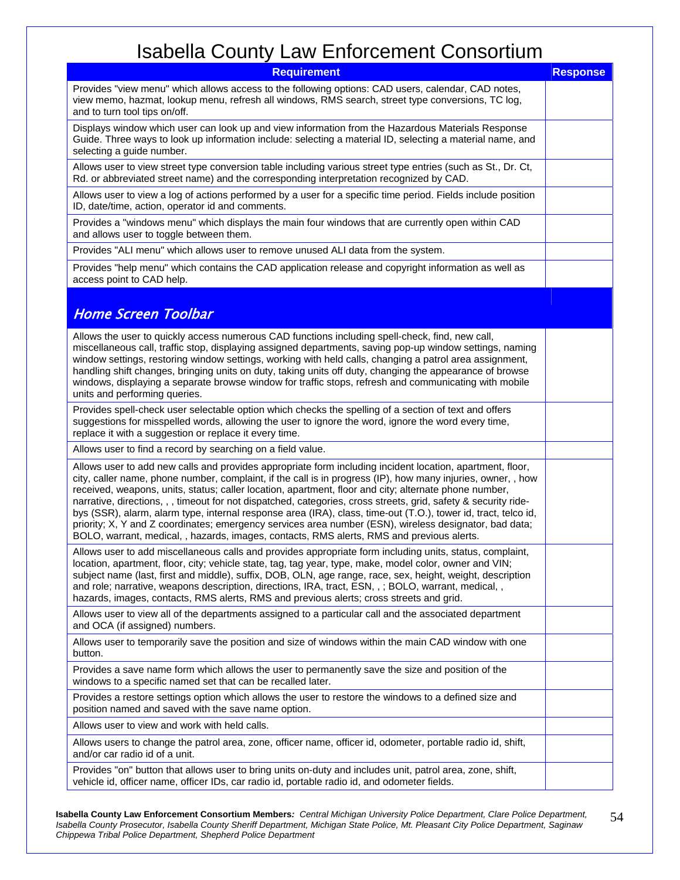| <b>Requirement</b>                                                                                                                                                                                                                                                                                                                                                                                                                                                                                                                                                                                                                                                                                                                                                             | <b>Response</b> |
|--------------------------------------------------------------------------------------------------------------------------------------------------------------------------------------------------------------------------------------------------------------------------------------------------------------------------------------------------------------------------------------------------------------------------------------------------------------------------------------------------------------------------------------------------------------------------------------------------------------------------------------------------------------------------------------------------------------------------------------------------------------------------------|-----------------|
| Provides "view menu" which allows access to the following options: CAD users, calendar, CAD notes,<br>view memo, hazmat, lookup menu, refresh all windows, RMS search, street type conversions, TC log,<br>and to turn tool tips on/off.                                                                                                                                                                                                                                                                                                                                                                                                                                                                                                                                       |                 |
| Displays window which user can look up and view information from the Hazardous Materials Response<br>Guide. Three ways to look up information include: selecting a material ID, selecting a material name, and<br>selecting a guide number.                                                                                                                                                                                                                                                                                                                                                                                                                                                                                                                                    |                 |
| Allows user to view street type conversion table including various street type entries (such as St., Dr. Ct,<br>Rd. or abbreviated street name) and the corresponding interpretation recognized by CAD.                                                                                                                                                                                                                                                                                                                                                                                                                                                                                                                                                                        |                 |
| Allows user to view a log of actions performed by a user for a specific time period. Fields include position<br>ID, date/time, action, operator id and comments.                                                                                                                                                                                                                                                                                                                                                                                                                                                                                                                                                                                                               |                 |
| Provides a "windows menu" which displays the main four windows that are currently open within CAD<br>and allows user to toggle between them.                                                                                                                                                                                                                                                                                                                                                                                                                                                                                                                                                                                                                                   |                 |
| Provides "ALI menu" which allows user to remove unused ALI data from the system.                                                                                                                                                                                                                                                                                                                                                                                                                                                                                                                                                                                                                                                                                               |                 |
| Provides "help menu" which contains the CAD application release and copyright information as well as<br>access point to CAD help.                                                                                                                                                                                                                                                                                                                                                                                                                                                                                                                                                                                                                                              |                 |
| <b>Home Screen Toolbar</b>                                                                                                                                                                                                                                                                                                                                                                                                                                                                                                                                                                                                                                                                                                                                                     |                 |
|                                                                                                                                                                                                                                                                                                                                                                                                                                                                                                                                                                                                                                                                                                                                                                                |                 |
| Allows the user to quickly access numerous CAD functions including spell-check, find, new call,<br>miscellaneous call, traffic stop, displaying assigned departments, saving pop-up window settings, naming<br>window settings, restoring window settings, working with held calls, changing a patrol area assignment,<br>handling shift changes, bringing units on duty, taking units off duty, changing the appearance of browse<br>windows, displaying a separate browse window for traffic stops, refresh and communicating with mobile<br>units and performing queries.                                                                                                                                                                                                   |                 |
| Provides spell-check user selectable option which checks the spelling of a section of text and offers<br>suggestions for misspelled words, allowing the user to ignore the word, ignore the word every time,<br>replace it with a suggestion or replace it every time.                                                                                                                                                                                                                                                                                                                                                                                                                                                                                                         |                 |
| Allows user to find a record by searching on a field value.                                                                                                                                                                                                                                                                                                                                                                                                                                                                                                                                                                                                                                                                                                                    |                 |
| Allows user to add new calls and provides appropriate form including incident location, apartment, floor,<br>city, caller name, phone number, complaint, if the call is in progress (IP), how many injuries, owner, , how<br>received, weapons, units, status; caller location, apartment, floor and city; alternate phone number,<br>narrative, directions, , , timeout for not dispatched, categories, cross streets, grid, safety & security ride-<br>bys (SSR), alarm, alarm type, internal response area (IRA), class, time-out (T.O.), tower id, tract, telco id,<br>priority; X, Y and Z coordinates; emergency services area number (ESN), wireless designator, bad data;<br>BOLO, warrant, medical, , hazards, images, contacts, RMS alerts, RMS and previous alerts. |                 |
| Allows user to add miscellaneous calls and provides appropriate form including units, status, complaint,<br>location, apartment, floor, city; vehicle state, tag, tag year, type, make, model color, owner and VIN;<br>subject name (last, first and middle), suffix, DOB, OLN, age range, race, sex, height, weight, description<br>and role; narrative, weapons description, directions, IRA, tract, ESN, , ; BOLO, warrant, medical, ,<br>hazards, images, contacts, RMS alerts, RMS and previous alerts; cross streets and grid.                                                                                                                                                                                                                                           |                 |
| Allows user to view all of the departments assigned to a particular call and the associated department<br>and OCA (if assigned) numbers.                                                                                                                                                                                                                                                                                                                                                                                                                                                                                                                                                                                                                                       |                 |
| Allows user to temporarily save the position and size of windows within the main CAD window with one<br>button.                                                                                                                                                                                                                                                                                                                                                                                                                                                                                                                                                                                                                                                                |                 |
| Provides a save name form which allows the user to permanently save the size and position of the<br>windows to a specific named set that can be recalled later.                                                                                                                                                                                                                                                                                                                                                                                                                                                                                                                                                                                                                |                 |
| Provides a restore settings option which allows the user to restore the windows to a defined size and<br>position named and saved with the save name option.                                                                                                                                                                                                                                                                                                                                                                                                                                                                                                                                                                                                                   |                 |
| Allows user to view and work with held calls.                                                                                                                                                                                                                                                                                                                                                                                                                                                                                                                                                                                                                                                                                                                                  |                 |
| Allows users to change the patrol area, zone, officer name, officer id, odometer, portable radio id, shift,<br>and/or car radio id of a unit.                                                                                                                                                                                                                                                                                                                                                                                                                                                                                                                                                                                                                                  |                 |
| Provides "on" button that allows user to bring units on-duty and includes unit, patrol area, zone, shift,<br>vehicle id, officer name, officer IDs, car radio id, portable radio id, and odometer fields.                                                                                                                                                                                                                                                                                                                                                                                                                                                                                                                                                                      |                 |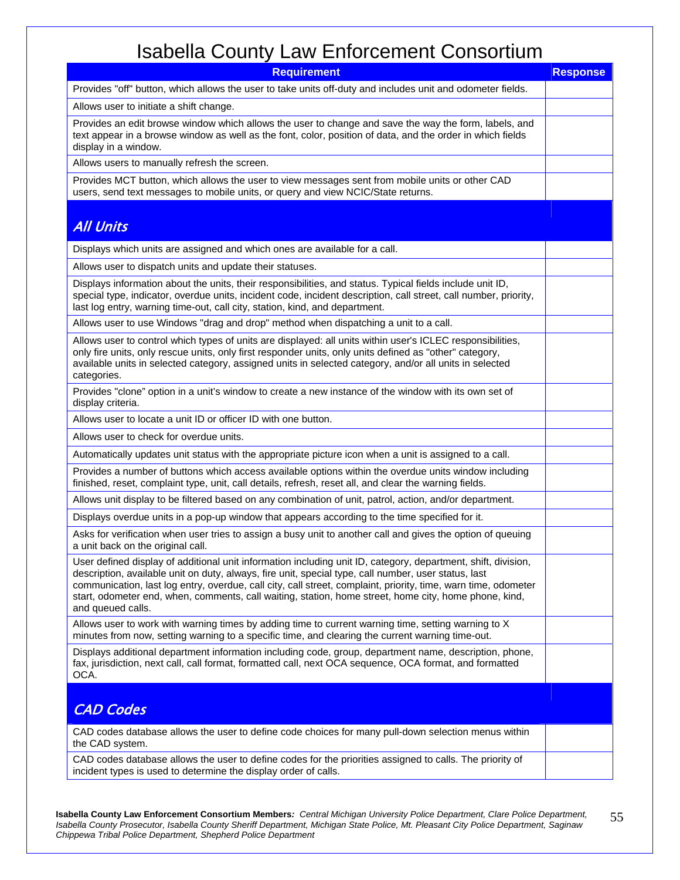| <b>Requirement</b>                                                                                                                                                                                                                                                                                                                                                                                                                                                    | <b>Response</b> |
|-----------------------------------------------------------------------------------------------------------------------------------------------------------------------------------------------------------------------------------------------------------------------------------------------------------------------------------------------------------------------------------------------------------------------------------------------------------------------|-----------------|
| Provides "off" button, which allows the user to take units off-duty and includes unit and odometer fields.                                                                                                                                                                                                                                                                                                                                                            |                 |
| Allows user to initiate a shift change.                                                                                                                                                                                                                                                                                                                                                                                                                               |                 |
| Provides an edit browse window which allows the user to change and save the way the form, labels, and<br>text appear in a browse window as well as the font, color, position of data, and the order in which fields<br>display in a window.                                                                                                                                                                                                                           |                 |
| Allows users to manually refresh the screen.                                                                                                                                                                                                                                                                                                                                                                                                                          |                 |
| Provides MCT button, which allows the user to view messages sent from mobile units or other CAD<br>users, send text messages to mobile units, or query and view NCIC/State returns.                                                                                                                                                                                                                                                                                   |                 |
| <b>All Units</b>                                                                                                                                                                                                                                                                                                                                                                                                                                                      |                 |
| Displays which units are assigned and which ones are available for a call.                                                                                                                                                                                                                                                                                                                                                                                            |                 |
| Allows user to dispatch units and update their statuses.                                                                                                                                                                                                                                                                                                                                                                                                              |                 |
| Displays information about the units, their responsibilities, and status. Typical fields include unit ID,<br>special type, indicator, overdue units, incident code, incident description, call street, call number, priority,<br>last log entry, warning time-out, call city, station, kind, and department.                                                                                                                                                          |                 |
| Allows user to use Windows "drag and drop" method when dispatching a unit to a call.                                                                                                                                                                                                                                                                                                                                                                                  |                 |
| Allows user to control which types of units are displayed: all units within user's ICLEC responsibilities,<br>only fire units, only rescue units, only first responder units, only units defined as "other" category,<br>available units in selected category, assigned units in selected category, and/or all units in selected<br>categories.                                                                                                                       |                 |
| Provides "clone" option in a unit's window to create a new instance of the window with its own set of<br>display criteria.                                                                                                                                                                                                                                                                                                                                            |                 |
| Allows user to locate a unit ID or officer ID with one button.                                                                                                                                                                                                                                                                                                                                                                                                        |                 |
| Allows user to check for overdue units.                                                                                                                                                                                                                                                                                                                                                                                                                               |                 |
| Automatically updates unit status with the appropriate picture icon when a unit is assigned to a call.                                                                                                                                                                                                                                                                                                                                                                |                 |
| Provides a number of buttons which access available options within the overdue units window including<br>finished, reset, complaint type, unit, call details, refresh, reset all, and clear the warning fields.                                                                                                                                                                                                                                                       |                 |
| Allows unit display to be filtered based on any combination of unit, patrol, action, and/or department.                                                                                                                                                                                                                                                                                                                                                               |                 |
| Displays overdue units in a pop-up window that appears according to the time specified for it.                                                                                                                                                                                                                                                                                                                                                                        |                 |
| Asks for verification when user tries to assign a busy unit to another call and gives the option of queuing<br>a unit back on the original call.                                                                                                                                                                                                                                                                                                                      |                 |
| User defined display of additional unit information including unit ID, category, department, shift, division,<br>description, available unit on duty, always, fire unit, special type, call number, user status, last<br>communication, last log entry, overdue, call city, call street, complaint, priority, time, warn time, odometer<br>start, odometer end, when, comments, call waiting, station, home street, home city, home phone, kind,<br>and queued calls. |                 |
| Allows user to work with warning times by adding time to current warning time, setting warning to X<br>minutes from now, setting warning to a specific time, and clearing the current warning time-out.                                                                                                                                                                                                                                                               |                 |
| Displays additional department information including code, group, department name, description, phone,<br>fax, jurisdiction, next call, call format, formatted call, next OCA sequence, OCA format, and formatted<br>OCA.                                                                                                                                                                                                                                             |                 |
| <b>CAD Codes</b>                                                                                                                                                                                                                                                                                                                                                                                                                                                      |                 |
| CAD codes database allows the user to define code choices for many pull-down selection menus within<br>the CAD system.                                                                                                                                                                                                                                                                                                                                                |                 |
| CAD codes database allows the user to define codes for the priorities assigned to calls. The priority of<br>incident types is used to determine the display order of calls.                                                                                                                                                                                                                                                                                           |                 |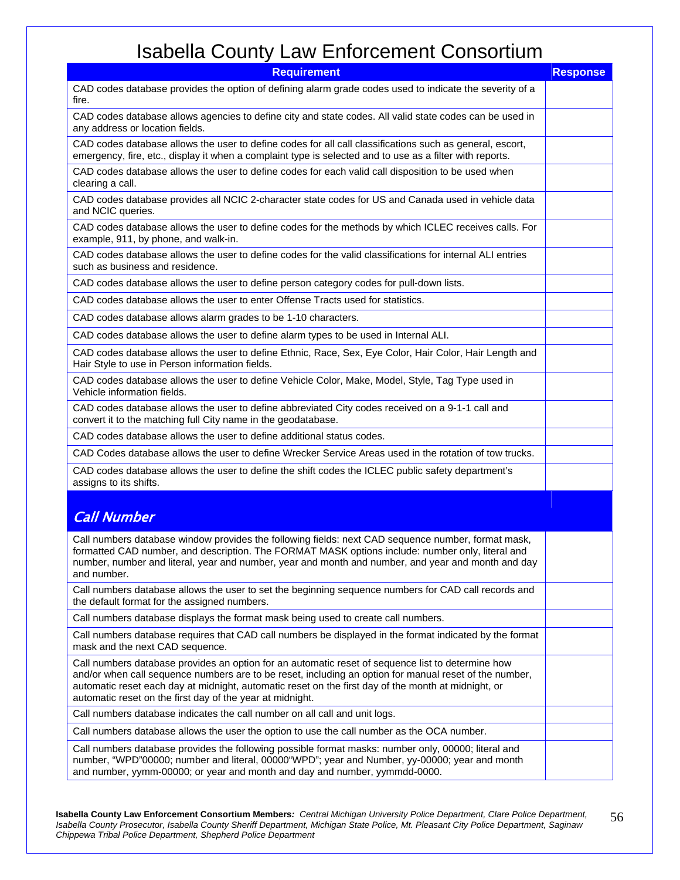| <b>Requirement</b>                                                                                                                                                                                                                                                                                                                                                              | <b>Response</b> |
|---------------------------------------------------------------------------------------------------------------------------------------------------------------------------------------------------------------------------------------------------------------------------------------------------------------------------------------------------------------------------------|-----------------|
| CAD codes database provides the option of defining alarm grade codes used to indicate the severity of a<br>fire.                                                                                                                                                                                                                                                                |                 |
| CAD codes database allows agencies to define city and state codes. All valid state codes can be used in<br>any address or location fields.                                                                                                                                                                                                                                      |                 |
| CAD codes database allows the user to define codes for all call classifications such as general, escort,<br>emergency, fire, etc., display it when a complaint type is selected and to use as a filter with reports.                                                                                                                                                            |                 |
| CAD codes database allows the user to define codes for each valid call disposition to be used when<br>clearing a call.                                                                                                                                                                                                                                                          |                 |
| CAD codes database provides all NCIC 2-character state codes for US and Canada used in vehicle data<br>and NCIC queries.                                                                                                                                                                                                                                                        |                 |
| CAD codes database allows the user to define codes for the methods by which ICLEC receives calls. For<br>example, 911, by phone, and walk-in.                                                                                                                                                                                                                                   |                 |
| CAD codes database allows the user to define codes for the valid classifications for internal ALI entries<br>such as business and residence.                                                                                                                                                                                                                                    |                 |
| CAD codes database allows the user to define person category codes for pull-down lists.                                                                                                                                                                                                                                                                                         |                 |
| CAD codes database allows the user to enter Offense Tracts used for statistics.                                                                                                                                                                                                                                                                                                 |                 |
| CAD codes database allows alarm grades to be 1-10 characters.                                                                                                                                                                                                                                                                                                                   |                 |
| CAD codes database allows the user to define alarm types to be used in Internal ALI.                                                                                                                                                                                                                                                                                            |                 |
| CAD codes database allows the user to define Ethnic, Race, Sex, Eye Color, Hair Color, Hair Length and<br>Hair Style to use in Person information fields.                                                                                                                                                                                                                       |                 |
| CAD codes database allows the user to define Vehicle Color, Make, Model, Style, Tag Type used in<br>Vehicle information fields.                                                                                                                                                                                                                                                 |                 |
| CAD codes database allows the user to define abbreviated City codes received on a 9-1-1 call and<br>convert it to the matching full City name in the geodatabase.                                                                                                                                                                                                               |                 |
| CAD codes database allows the user to define additional status codes.                                                                                                                                                                                                                                                                                                           |                 |
| CAD Codes database allows the user to define Wrecker Service Areas used in the rotation of tow trucks.                                                                                                                                                                                                                                                                          |                 |
| CAD codes database allows the user to define the shift codes the ICLEC public safety department's<br>assigns to its shifts.                                                                                                                                                                                                                                                     |                 |
|                                                                                                                                                                                                                                                                                                                                                                                 |                 |
| <b>Call Number</b>                                                                                                                                                                                                                                                                                                                                                              |                 |
| Call numbers database window provides the following fields: next CAD sequence number, format mask,<br>formatted CAD number, and description. The FORMAT MASK options include: number only, literal and<br>number, number and literal, year and number, year and month and number, and year and month and day<br>and number.                                                     |                 |
| Call numbers database allows the user to set the beginning sequence numbers for CAD call records and<br>the default format for the assigned numbers.                                                                                                                                                                                                                            |                 |
| Call numbers database displays the format mask being used to create call numbers.                                                                                                                                                                                                                                                                                               |                 |
| Call numbers database requires that CAD call numbers be displayed in the format indicated by the format<br>mask and the next CAD sequence.                                                                                                                                                                                                                                      |                 |
| Call numbers database provides an option for an automatic reset of sequence list to determine how<br>and/or when call sequence numbers are to be reset, including an option for manual reset of the number,<br>automatic reset each day at midnight, automatic reset on the first day of the month at midnight, or<br>automatic reset on the first day of the year at midnight. |                 |
| Call numbers database indicates the call number on all call and unit logs.                                                                                                                                                                                                                                                                                                      |                 |
| Call numbers database allows the user the option to use the call number as the OCA number.                                                                                                                                                                                                                                                                                      |                 |
| Call numbers database provides the following possible format masks: number only, 00000; literal and<br>number, "WPD"00000; number and literal, 00000"WPD"; year and Number, yy-00000; year and month<br>and number, yymm-00000; or year and month and day and number, yymmdd-0000.                                                                                              |                 |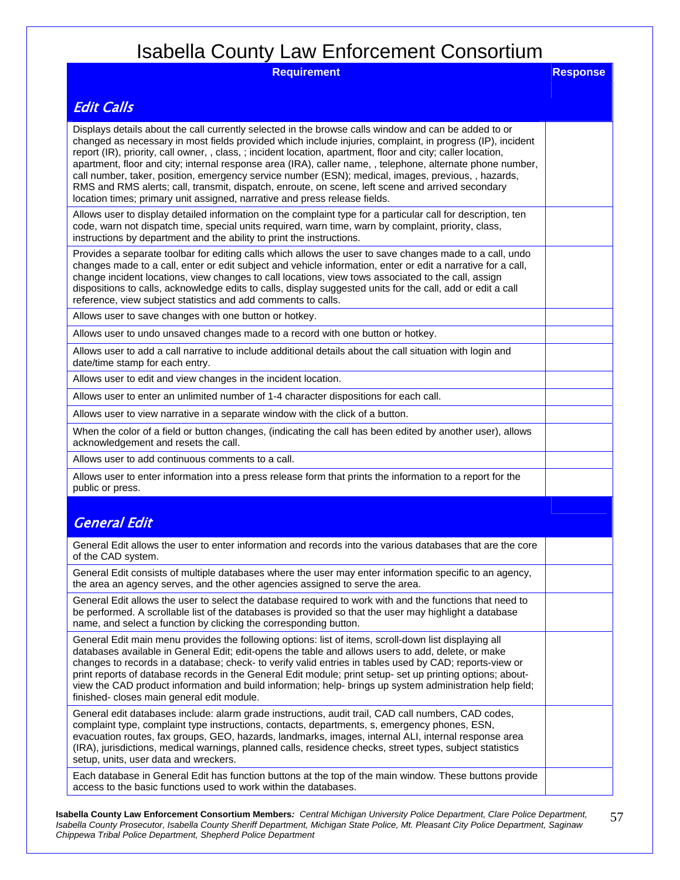| <b>Requirement</b>                                                                                                                                                                                                                                                                                                                                                                                                                                                                                                                                                                                                                                                                                                                         | <b>Response</b> |
|--------------------------------------------------------------------------------------------------------------------------------------------------------------------------------------------------------------------------------------------------------------------------------------------------------------------------------------------------------------------------------------------------------------------------------------------------------------------------------------------------------------------------------------------------------------------------------------------------------------------------------------------------------------------------------------------------------------------------------------------|-----------------|
| <b>Edit Calls</b>                                                                                                                                                                                                                                                                                                                                                                                                                                                                                                                                                                                                                                                                                                                          |                 |
| Displays details about the call currently selected in the browse calls window and can be added to or<br>changed as necessary in most fields provided which include injuries, complaint, in progress (IP), incident<br>report (IR), priority, call owner, , class, ; incident location, apartment, floor and city; caller location,<br>apartment, floor and city; internal response area (IRA), caller name, , telephone, alternate phone number,<br>call number, taker, position, emergency service number (ESN); medical, images, previous, , hazards,<br>RMS and RMS alerts; call, transmit, dispatch, enroute, on scene, left scene and arrived secondary<br>location times; primary unit assigned, narrative and press release fields. |                 |
| Allows user to display detailed information on the complaint type for a particular call for description, ten<br>code, warn not dispatch time, special units required, warn time, warn by complaint, priority, class,<br>instructions by department and the ability to print the instructions.                                                                                                                                                                                                                                                                                                                                                                                                                                              |                 |
| Provides a separate toolbar for editing calls which allows the user to save changes made to a call, undo<br>changes made to a call, enter or edit subject and vehicle information, enter or edit a narrative for a call,<br>change incident locations, view changes to call locations, view tows associated to the call, assign<br>dispositions to calls, acknowledge edits to calls, display suggested units for the call, add or edit a call<br>reference, view subject statistics and add comments to calls.                                                                                                                                                                                                                            |                 |
| Allows user to save changes with one button or hotkey.                                                                                                                                                                                                                                                                                                                                                                                                                                                                                                                                                                                                                                                                                     |                 |
| Allows user to undo unsaved changes made to a record with one button or hotkey.                                                                                                                                                                                                                                                                                                                                                                                                                                                                                                                                                                                                                                                            |                 |
| Allows user to add a call narrative to include additional details about the call situation with login and<br>date/time stamp for each entry.                                                                                                                                                                                                                                                                                                                                                                                                                                                                                                                                                                                               |                 |
| Allows user to edit and view changes in the incident location.                                                                                                                                                                                                                                                                                                                                                                                                                                                                                                                                                                                                                                                                             |                 |
| Allows user to enter an unlimited number of 1-4 character dispositions for each call.                                                                                                                                                                                                                                                                                                                                                                                                                                                                                                                                                                                                                                                      |                 |
| Allows user to view narrative in a separate window with the click of a button.                                                                                                                                                                                                                                                                                                                                                                                                                                                                                                                                                                                                                                                             |                 |
| When the color of a field or button changes, (indicating the call has been edited by another user), allows<br>acknowledgement and resets the call.                                                                                                                                                                                                                                                                                                                                                                                                                                                                                                                                                                                         |                 |
| Allows user to add continuous comments to a call.                                                                                                                                                                                                                                                                                                                                                                                                                                                                                                                                                                                                                                                                                          |                 |
| Allows user to enter information into a press release form that prints the information to a report for the<br>public or press.                                                                                                                                                                                                                                                                                                                                                                                                                                                                                                                                                                                                             |                 |
|                                                                                                                                                                                                                                                                                                                                                                                                                                                                                                                                                                                                                                                                                                                                            |                 |
| <b>General Edit</b>                                                                                                                                                                                                                                                                                                                                                                                                                                                                                                                                                                                                                                                                                                                        |                 |
| General Edit allows the user to enter information and records into the various databases that are the core<br>of the CAD system.                                                                                                                                                                                                                                                                                                                                                                                                                                                                                                                                                                                                           |                 |
| General Edit consists of multiple databases where the user may enter information specific to an agency,<br>the area an agency serves, and the other agencies assigned to serve the area.                                                                                                                                                                                                                                                                                                                                                                                                                                                                                                                                                   |                 |
| General Edit allows the user to select the database required to work with and the functions that need to<br>be performed. A scrollable list of the databases is provided so that the user may highlight a database<br>name, and select a function by clicking the corresponding button.                                                                                                                                                                                                                                                                                                                                                                                                                                                    |                 |
| General Edit main menu provides the following options: list of items, scroll-down list displaying all<br>databases available in General Edit; edit-opens the table and allows users to add, delete, or make<br>changes to records in a database; check- to verify valid entries in tables used by CAD; reports-view or<br>print reports of database records in the General Edit module; print setup- set up printing options; about-<br>view the CAD product information and build information; help- brings up system administration help field;<br>finished- closes main general edit module.                                                                                                                                            |                 |
| General edit databases include: alarm grade instructions, audit trail, CAD call numbers, CAD codes,<br>complaint type, complaint type instructions, contacts, departments, s, emergency phones, ESN,<br>evacuation routes, fax groups, GEO, hazards, landmarks, images, internal ALI, internal response area<br>(IRA), jurisdictions, medical warnings, planned calls, residence checks, street types, subject statistics<br>setup, units, user data and wreckers.                                                                                                                                                                                                                                                                         |                 |
| Each database in General Edit has function buttons at the top of the main window. These buttons provide<br>access to the basic functions used to work within the databases.                                                                                                                                                                                                                                                                                                                                                                                                                                                                                                                                                                |                 |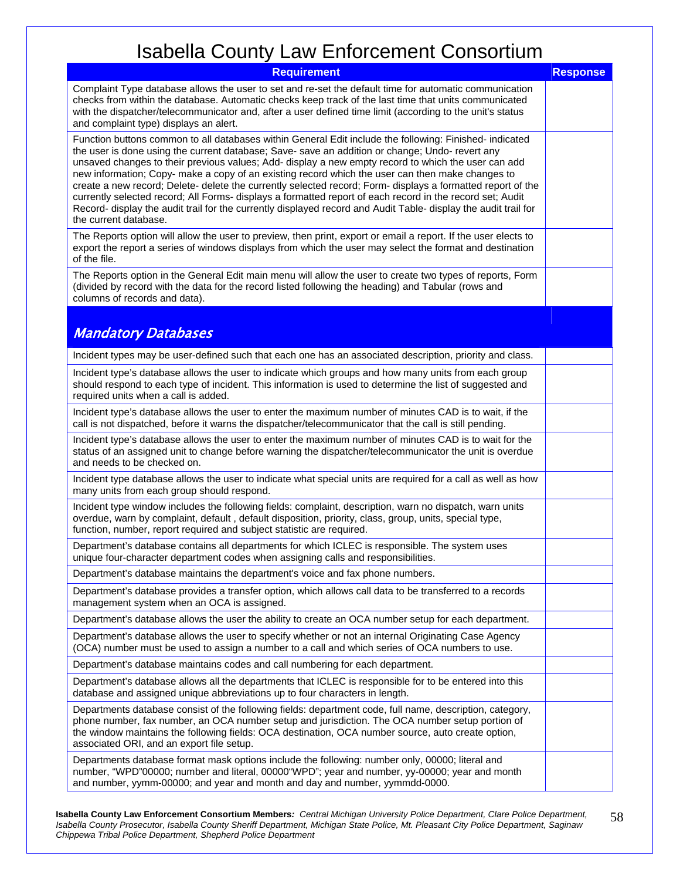| . <del>.</del> <i>.</i><br><b>Requirement</b>                                                                                                                                                                                                                                                                                                                                                                                                                                                                                                                                                                                                                                                                                                                                               | <b>Response</b> |
|---------------------------------------------------------------------------------------------------------------------------------------------------------------------------------------------------------------------------------------------------------------------------------------------------------------------------------------------------------------------------------------------------------------------------------------------------------------------------------------------------------------------------------------------------------------------------------------------------------------------------------------------------------------------------------------------------------------------------------------------------------------------------------------------|-----------------|
| Complaint Type database allows the user to set and re-set the default time for automatic communication<br>checks from within the database. Automatic checks keep track of the last time that units communicated<br>with the dispatcher/telecommunicator and, after a user defined time limit (according to the unit's status<br>and complaint type) displays an alert.                                                                                                                                                                                                                                                                                                                                                                                                                      |                 |
| Function buttons common to all databases within General Edit include the following: Finished- indicated<br>the user is done using the current database; Save-save an addition or change; Undo-revert any<br>unsaved changes to their previous values; Add- display a new empty record to which the user can add<br>new information; Copy- make a copy of an existing record which the user can then make changes to<br>create a new record; Delete- delete the currently selected record; Form- displays a formatted report of the<br>currently selected record; All Forms- displays a formatted report of each record in the record set; Audit<br>Record- display the audit trail for the currently displayed record and Audit Table- display the audit trail for<br>the current database. |                 |
| The Reports option will allow the user to preview, then print, export or email a report. If the user elects to<br>export the report a series of windows displays from which the user may select the format and destination<br>of the file.                                                                                                                                                                                                                                                                                                                                                                                                                                                                                                                                                  |                 |
| The Reports option in the General Edit main menu will allow the user to create two types of reports, Form<br>(divided by record with the data for the record listed following the heading) and Tabular (rows and<br>columns of records and data).                                                                                                                                                                                                                                                                                                                                                                                                                                                                                                                                           |                 |
| <b>Mandatory Databases</b>                                                                                                                                                                                                                                                                                                                                                                                                                                                                                                                                                                                                                                                                                                                                                                  |                 |
| Incident types may be user-defined such that each one has an associated description, priority and class.                                                                                                                                                                                                                                                                                                                                                                                                                                                                                                                                                                                                                                                                                    |                 |
| Incident type's database allows the user to indicate which groups and how many units from each group<br>should respond to each type of incident. This information is used to determine the list of suggested and<br>required units when a call is added.                                                                                                                                                                                                                                                                                                                                                                                                                                                                                                                                    |                 |
| Incident type's database allows the user to enter the maximum number of minutes CAD is to wait, if the<br>call is not dispatched, before it warns the dispatcher/telecommunicator that the call is still pending.                                                                                                                                                                                                                                                                                                                                                                                                                                                                                                                                                                           |                 |
| Incident type's database allows the user to enter the maximum number of minutes CAD is to wait for the<br>status of an assigned unit to change before warning the dispatcher/telecommunicator the unit is overdue<br>and needs to be checked on.                                                                                                                                                                                                                                                                                                                                                                                                                                                                                                                                            |                 |
| Incident type database allows the user to indicate what special units are required for a call as well as how<br>many units from each group should respond.                                                                                                                                                                                                                                                                                                                                                                                                                                                                                                                                                                                                                                  |                 |
| Incident type window includes the following fields: complaint, description, warn no dispatch, warn units<br>overdue, warn by complaint, default, default disposition, priority, class, group, units, special type,<br>function, number, report required and subject statistic are required.                                                                                                                                                                                                                                                                                                                                                                                                                                                                                                 |                 |
| Department's database contains all departments for which ICLEC is responsible. The system uses<br>unique four-character department codes when assigning calls and responsibilities.                                                                                                                                                                                                                                                                                                                                                                                                                                                                                                                                                                                                         |                 |
| Department's database maintains the department's voice and fax phone numbers.                                                                                                                                                                                                                                                                                                                                                                                                                                                                                                                                                                                                                                                                                                               |                 |
| Department's database provides a transfer option, which allows call data to be transferred to a records<br>management system when an OCA is assigned.                                                                                                                                                                                                                                                                                                                                                                                                                                                                                                                                                                                                                                       |                 |
| Department's database allows the user the ability to create an OCA number setup for each department.                                                                                                                                                                                                                                                                                                                                                                                                                                                                                                                                                                                                                                                                                        |                 |
| Department's database allows the user to specify whether or not an internal Originating Case Agency<br>(OCA) number must be used to assign a number to a call and which series of OCA numbers to use.                                                                                                                                                                                                                                                                                                                                                                                                                                                                                                                                                                                       |                 |
| Department's database maintains codes and call numbering for each department.                                                                                                                                                                                                                                                                                                                                                                                                                                                                                                                                                                                                                                                                                                               |                 |
| Department's database allows all the departments that ICLEC is responsible for to be entered into this<br>database and assigned unique abbreviations up to four characters in length.                                                                                                                                                                                                                                                                                                                                                                                                                                                                                                                                                                                                       |                 |
| Departments database consist of the following fields: department code, full name, description, category,<br>phone number, fax number, an OCA number setup and jurisdiction. The OCA number setup portion of<br>the window maintains the following fields: OCA destination, OCA number source, auto create option,<br>associated ORI, and an export file setup.                                                                                                                                                                                                                                                                                                                                                                                                                              |                 |
| Departments database format mask options include the following: number only, 00000; literal and<br>number, "WPD"00000; number and literal, 00000"WPD"; year and number, yy-00000; year and month<br>and number, yymm-00000; and year and month and day and number, yymmdd-0000.                                                                                                                                                                                                                                                                                                                                                                                                                                                                                                             |                 |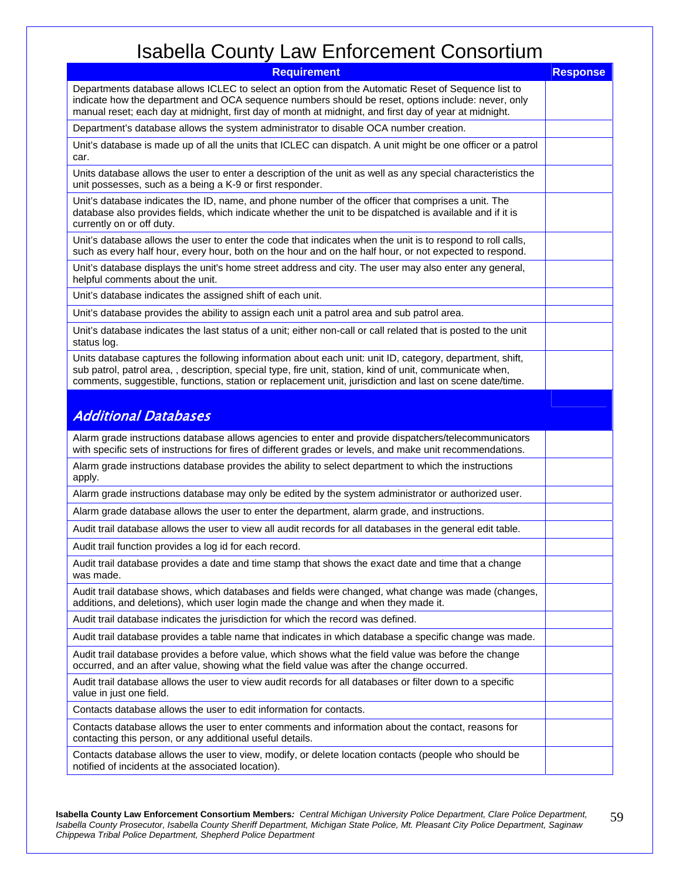| <b>Requirement</b>                                                                                                                                                                                                                                                                                                                | <b>Response</b> |
|-----------------------------------------------------------------------------------------------------------------------------------------------------------------------------------------------------------------------------------------------------------------------------------------------------------------------------------|-----------------|
| Departments database allows ICLEC to select an option from the Automatic Reset of Sequence list to<br>indicate how the department and OCA sequence numbers should be reset, options include: never, only<br>manual reset; each day at midnight, first day of month at midnight, and first day of year at midnight.                |                 |
| Department's database allows the system administrator to disable OCA number creation.                                                                                                                                                                                                                                             |                 |
| Unit's database is made up of all the units that ICLEC can dispatch. A unit might be one officer or a patrol<br>car.                                                                                                                                                                                                              |                 |
| Units database allows the user to enter a description of the unit as well as any special characteristics the<br>unit possesses, such as a being a K-9 or first responder.                                                                                                                                                         |                 |
| Unit's database indicates the ID, name, and phone number of the officer that comprises a unit. The<br>database also provides fields, which indicate whether the unit to be dispatched is available and if it is<br>currently on or off duty.                                                                                      |                 |
| Unit's database allows the user to enter the code that indicates when the unit is to respond to roll calls,<br>such as every half hour, every hour, both on the hour and on the half hour, or not expected to respond.                                                                                                            |                 |
| Unit's database displays the unit's home street address and city. The user may also enter any general,<br>helpful comments about the unit.                                                                                                                                                                                        |                 |
| Unit's database indicates the assigned shift of each unit.                                                                                                                                                                                                                                                                        |                 |
| Unit's database provides the ability to assign each unit a patrol area and sub patrol area.                                                                                                                                                                                                                                       |                 |
| Unit's database indicates the last status of a unit; either non-call or call related that is posted to the unit<br>status log.                                                                                                                                                                                                    |                 |
| Units database captures the following information about each unit: unit ID, category, department, shift,<br>sub patrol, patrol area, , description, special type, fire unit, station, kind of unit, communicate when,<br>comments, suggestible, functions, station or replacement unit, jurisdiction and last on scene date/time. |                 |
| <b>Additional Databases</b>                                                                                                                                                                                                                                                                                                       |                 |
| Alarm grade instructions database allows agencies to enter and provide dispatchers/telecommunicators<br>with specific sets of instructions for fires of different grades or levels, and make unit recommendations.                                                                                                                |                 |
| Alarm grade instructions database provides the ability to select department to which the instructions<br>apply.                                                                                                                                                                                                                   |                 |
| Alarm grade instructions database may only be edited by the system administrator or authorized user.                                                                                                                                                                                                                              |                 |
| Alarm grade database allows the user to enter the department, alarm grade, and instructions.                                                                                                                                                                                                                                      |                 |
| Audit trail database allows the user to view all audit records for all databases in the general edit table.                                                                                                                                                                                                                       |                 |
| Audit trail function provides a log id for each record.                                                                                                                                                                                                                                                                           |                 |
| Audit trail database provides a date and time stamp that shows the exact date and time that a change<br>was made.                                                                                                                                                                                                                 |                 |
| Audit trail database shows, which databases and fields were changed, what change was made (changes,<br>additions, and deletions), which user login made the change and when they made it.                                                                                                                                         |                 |
| Audit trail database indicates the jurisdiction for which the record was defined.                                                                                                                                                                                                                                                 |                 |
| Audit trail database provides a table name that indicates in which database a specific change was made.                                                                                                                                                                                                                           |                 |
| Audit trail database provides a before value, which shows what the field value was before the change<br>occurred, and an after value, showing what the field value was after the change occurred.                                                                                                                                 |                 |
| Audit trail database allows the user to view audit records for all databases or filter down to a specific<br>value in just one field.                                                                                                                                                                                             |                 |
| Contacts database allows the user to edit information for contacts.                                                                                                                                                                                                                                                               |                 |
| Contacts database allows the user to enter comments and information about the contact, reasons for<br>contacting this person, or any additional useful details.                                                                                                                                                                   |                 |
| Contacts database allows the user to view, modify, or delete location contacts (people who should be<br>notified of incidents at the associated location).                                                                                                                                                                        |                 |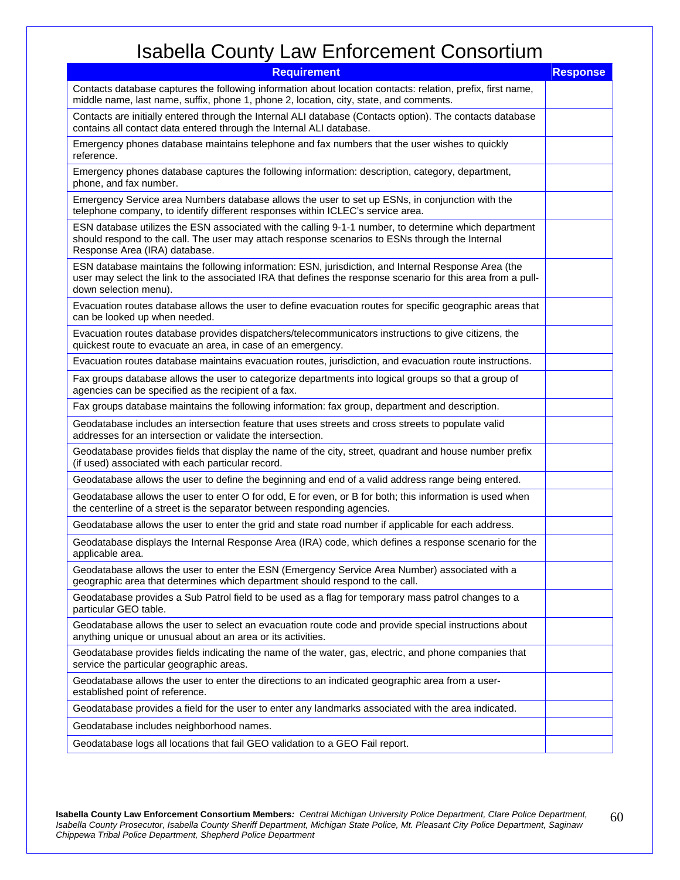| <b>Requirement</b>                                                                                                                                                                                                                            | <b>Response</b> |
|-----------------------------------------------------------------------------------------------------------------------------------------------------------------------------------------------------------------------------------------------|-----------------|
| Contacts database captures the following information about location contacts: relation, prefix, first name,<br>middle name, last name, suffix, phone 1, phone 2, location, city, state, and comments.                                         |                 |
| Contacts are initially entered through the Internal ALI database (Contacts option). The contacts database<br>contains all contact data entered through the Internal ALI database.                                                             |                 |
| Emergency phones database maintains telephone and fax numbers that the user wishes to quickly<br>reference.                                                                                                                                   |                 |
| Emergency phones database captures the following information: description, category, department,<br>phone, and fax number.                                                                                                                    |                 |
| Emergency Service area Numbers database allows the user to set up ESNs, in conjunction with the<br>telephone company, to identify different responses within ICLEC's service area.                                                            |                 |
| ESN database utilizes the ESN associated with the calling 9-1-1 number, to determine which department<br>should respond to the call. The user may attach response scenarios to ESNs through the Internal<br>Response Area (IRA) database.     |                 |
| ESN database maintains the following information: ESN, jurisdiction, and Internal Response Area (the<br>user may select the link to the associated IRA that defines the response scenario for this area from a pull-<br>down selection menu). |                 |
| Evacuation routes database allows the user to define evacuation routes for specific geographic areas that<br>can be looked up when needed.                                                                                                    |                 |
| Evacuation routes database provides dispatchers/telecommunicators instructions to give citizens, the<br>quickest route to evacuate an area, in case of an emergency.                                                                          |                 |
| Evacuation routes database maintains evacuation routes, jurisdiction, and evacuation route instructions.                                                                                                                                      |                 |
| Fax groups database allows the user to categorize departments into logical groups so that a group of<br>agencies can be specified as the recipient of a fax.                                                                                  |                 |
| Fax groups database maintains the following information: fax group, department and description.                                                                                                                                               |                 |
| Geodatabase includes an intersection feature that uses streets and cross streets to populate valid<br>addresses for an intersection or validate the intersection.                                                                             |                 |
| Geodatabase provides fields that display the name of the city, street, quadrant and house number prefix<br>(if used) associated with each particular record.                                                                                  |                 |
| Geodatabase allows the user to define the beginning and end of a valid address range being entered.                                                                                                                                           |                 |
| Geodatabase allows the user to enter O for odd, E for even, or B for both; this information is used when<br>the centerline of a street is the separator between responding agencies.                                                          |                 |
| Geodatabase allows the user to enter the grid and state road number if applicable for each address.                                                                                                                                           |                 |
| Geodatabase displays the Internal Response Area (IRA) code, which defines a response scenario for the<br>applicable area.                                                                                                                     |                 |
| Geodatabase allows the user to enter the ESN (Emergency Service Area Number) associated with a<br>geographic area that determines which department should respond to the call.                                                                |                 |
| Geodatabase provides a Sub Patrol field to be used as a flag for temporary mass patrol changes to a<br>particular GEO table.                                                                                                                  |                 |
| Geodatabase allows the user to select an evacuation route code and provide special instructions about<br>anything unique or unusual about an area or its activities.                                                                          |                 |
| Geodatabase provides fields indicating the name of the water, gas, electric, and phone companies that<br>service the particular geographic areas.                                                                                             |                 |
| Geodatabase allows the user to enter the directions to an indicated geographic area from a user-<br>established point of reference.                                                                                                           |                 |
| Geodatabase provides a field for the user to enter any landmarks associated with the area indicated.                                                                                                                                          |                 |
| Geodatabase includes neighborhood names.                                                                                                                                                                                                      |                 |
| Geodatabase logs all locations that fail GEO validation to a GEO Fail report.                                                                                                                                                                 |                 |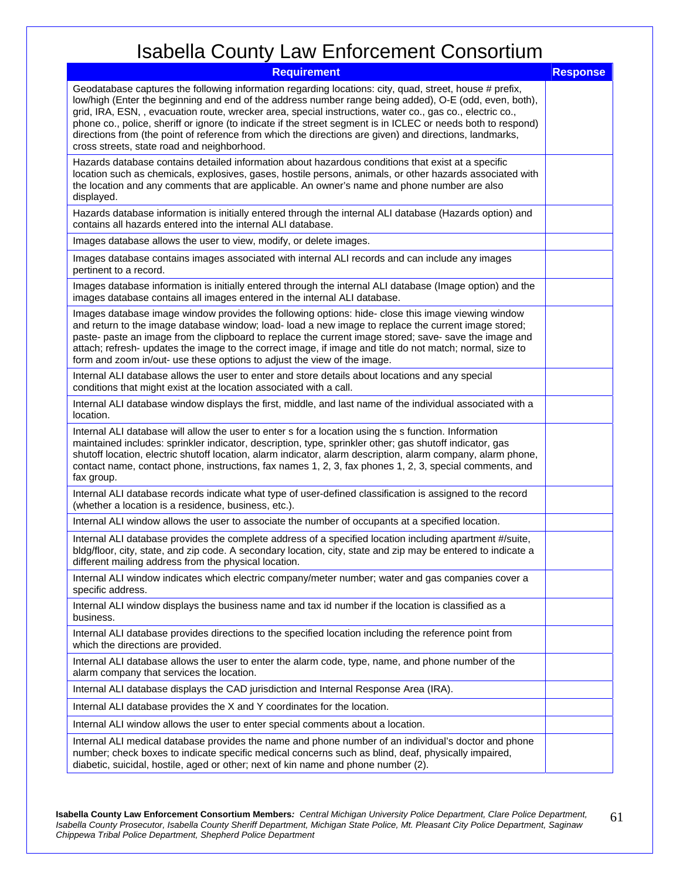| <b>Requirement</b>                                                                                                                                                                                                                                                                                                                                                                                                                                                                                                                                                                                        | <b>Response</b> |
|-----------------------------------------------------------------------------------------------------------------------------------------------------------------------------------------------------------------------------------------------------------------------------------------------------------------------------------------------------------------------------------------------------------------------------------------------------------------------------------------------------------------------------------------------------------------------------------------------------------|-----------------|
| Geodatabase captures the following information regarding locations: city, quad, street, house # prefix,<br>low/high (Enter the beginning and end of the address number range being added), O-E (odd, even, both),<br>grid, IRA, ESN, , evacuation route, wrecker area, special instructions, water co., gas co., electric co.,<br>phone co., police, sheriff or ignore (to indicate if the street segment is in ICLEC or needs both to respond)<br>directions from (the point of reference from which the directions are given) and directions, landmarks,<br>cross streets, state road and neighborhood. |                 |
| Hazards database contains detailed information about hazardous conditions that exist at a specific<br>location such as chemicals, explosives, gases, hostile persons, animals, or other hazards associated with<br>the location and any comments that are applicable. An owner's name and phone number are also<br>displayed.                                                                                                                                                                                                                                                                             |                 |
| Hazards database information is initially entered through the internal ALI database (Hazards option) and<br>contains all hazards entered into the internal ALI database.                                                                                                                                                                                                                                                                                                                                                                                                                                  |                 |
| Images database allows the user to view, modify, or delete images.                                                                                                                                                                                                                                                                                                                                                                                                                                                                                                                                        |                 |
| Images database contains images associated with internal ALI records and can include any images<br>pertinent to a record.                                                                                                                                                                                                                                                                                                                                                                                                                                                                                 |                 |
| Images database information is initially entered through the internal ALI database (Image option) and the<br>images database contains all images entered in the internal ALI database.                                                                                                                                                                                                                                                                                                                                                                                                                    |                 |
| Images database image window provides the following options: hide- close this image viewing window<br>and return to the image database window; load- load a new image to replace the current image stored;<br>paste- paste an image from the clipboard to replace the current image stored; save- save the image and<br>attach; refresh- updates the image to the correct image, if image and title do not match; normal, size to<br>form and zoom in/out- use these options to adjust the view of the image.                                                                                             |                 |
| Internal ALI database allows the user to enter and store details about locations and any special<br>conditions that might exist at the location associated with a call.                                                                                                                                                                                                                                                                                                                                                                                                                                   |                 |
| Internal ALI database window displays the first, middle, and last name of the individual associated with a<br>location.                                                                                                                                                                                                                                                                                                                                                                                                                                                                                   |                 |
| Internal ALI database will allow the user to enter s for a location using the s function. Information<br>maintained includes: sprinkler indicator, description, type, sprinkler other; gas shutoff indicator, gas<br>shutoff location, electric shutoff location, alarm indicator, alarm description, alarm company, alarm phone,<br>contact name, contact phone, instructions, fax names 1, 2, 3, fax phones 1, 2, 3, special comments, and<br>fax group.                                                                                                                                                |                 |
| Internal ALI database records indicate what type of user-defined classification is assigned to the record<br>(whether a location is a residence, business, etc.).                                                                                                                                                                                                                                                                                                                                                                                                                                         |                 |
| Internal ALI window allows the user to associate the number of occupants at a specified location.                                                                                                                                                                                                                                                                                                                                                                                                                                                                                                         |                 |
| Internal ALI database provides the complete address of a specified location including apartment #/suite,<br>bldg/floor, city, state, and zip code. A secondary location, city, state and zip may be entered to indicate a<br>different mailing address from the physical location.                                                                                                                                                                                                                                                                                                                        |                 |
| Internal ALI window indicates which electric company/meter number; water and gas companies cover a<br>specific address.                                                                                                                                                                                                                                                                                                                                                                                                                                                                                   |                 |
| Internal ALI window displays the business name and tax id number if the location is classified as a<br>business.                                                                                                                                                                                                                                                                                                                                                                                                                                                                                          |                 |
| Internal ALI database provides directions to the specified location including the reference point from<br>which the directions are provided.                                                                                                                                                                                                                                                                                                                                                                                                                                                              |                 |
| Internal ALI database allows the user to enter the alarm code, type, name, and phone number of the<br>alarm company that services the location.                                                                                                                                                                                                                                                                                                                                                                                                                                                           |                 |
| Internal ALI database displays the CAD jurisdiction and Internal Response Area (IRA).                                                                                                                                                                                                                                                                                                                                                                                                                                                                                                                     |                 |
| Internal ALI database provides the X and Y coordinates for the location.                                                                                                                                                                                                                                                                                                                                                                                                                                                                                                                                  |                 |
| Internal ALI window allows the user to enter special comments about a location.                                                                                                                                                                                                                                                                                                                                                                                                                                                                                                                           |                 |
| Internal ALI medical database provides the name and phone number of an individual's doctor and phone<br>number; check boxes to indicate specific medical concerns such as blind, deaf, physically impaired,<br>diabetic, suicidal, hostile, aged or other; next of kin name and phone number (2).                                                                                                                                                                                                                                                                                                         |                 |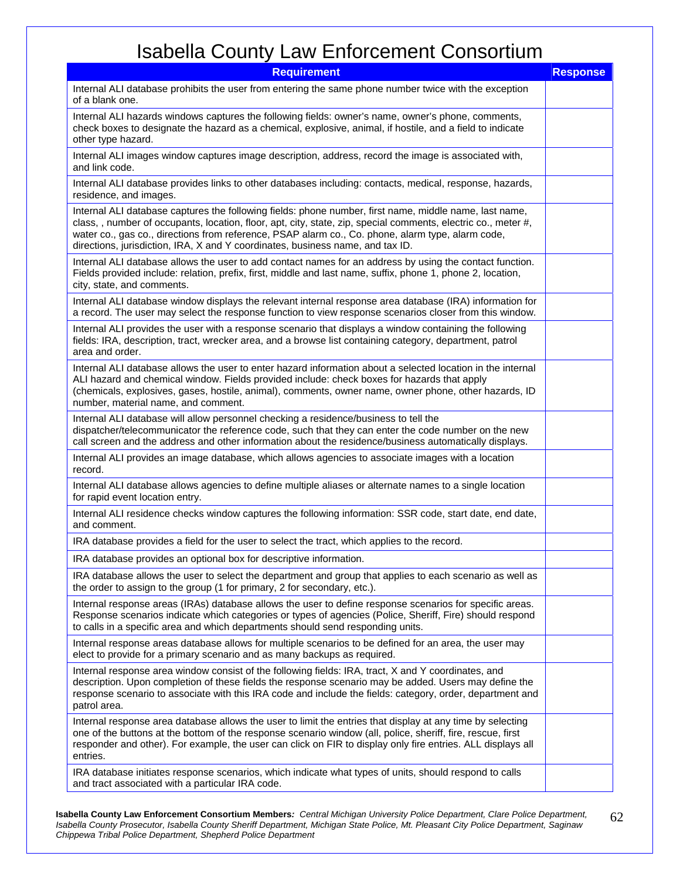| <b>Requirement</b>                                                                                                                                                                                                                                                                                                                                                                                              | <b>Response</b> |
|-----------------------------------------------------------------------------------------------------------------------------------------------------------------------------------------------------------------------------------------------------------------------------------------------------------------------------------------------------------------------------------------------------------------|-----------------|
| Internal ALI database prohibits the user from entering the same phone number twice with the exception<br>of a blank one.                                                                                                                                                                                                                                                                                        |                 |
| Internal ALI hazards windows captures the following fields: owner's name, owner's phone, comments,<br>check boxes to designate the hazard as a chemical, explosive, animal, if hostile, and a field to indicate<br>other type hazard.                                                                                                                                                                           |                 |
| Internal ALI images window captures image description, address, record the image is associated with,<br>and link code.                                                                                                                                                                                                                                                                                          |                 |
| Internal ALI database provides links to other databases including: contacts, medical, response, hazards,<br>residence, and images.                                                                                                                                                                                                                                                                              |                 |
| Internal ALI database captures the following fields: phone number, first name, middle name, last name,<br>class, , number of occupants, location, floor, apt, city, state, zip, special comments, electric co., meter #,<br>water co., gas co., directions from reference, PSAP alarm co., Co. phone, alarm type, alarm code,<br>directions, jurisdiction, IRA, X and Y coordinates, business name, and tax ID. |                 |
| Internal ALI database allows the user to add contact names for an address by using the contact function.<br>Fields provided include: relation, prefix, first, middle and last name, suffix, phone 1, phone 2, location,<br>city, state, and comments.                                                                                                                                                           |                 |
| Internal ALI database window displays the relevant internal response area database (IRA) information for<br>a record. The user may select the response function to view response scenarios closer from this window.                                                                                                                                                                                             |                 |
| Internal ALI provides the user with a response scenario that displays a window containing the following<br>fields: IRA, description, tract, wrecker area, and a browse list containing category, department, patrol<br>area and order.                                                                                                                                                                          |                 |
| Internal ALI database allows the user to enter hazard information about a selected location in the internal<br>ALI hazard and chemical window. Fields provided include: check boxes for hazards that apply<br>(chemicals, explosives, gases, hostile, animal), comments, owner name, owner phone, other hazards, ID<br>number, material name, and comment.                                                      |                 |
| Internal ALI database will allow personnel checking a residence/business to tell the<br>dispatcher/telecommunicator the reference code, such that they can enter the code number on the new<br>call screen and the address and other information about the residence/business automatically displays.                                                                                                           |                 |
| Internal ALI provides an image database, which allows agencies to associate images with a location<br>record.                                                                                                                                                                                                                                                                                                   |                 |
| Internal ALI database allows agencies to define multiple aliases or alternate names to a single location<br>for rapid event location entry.                                                                                                                                                                                                                                                                     |                 |
| Internal ALI residence checks window captures the following information: SSR code, start date, end date,<br>and comment.                                                                                                                                                                                                                                                                                        |                 |
| IRA database provides a field for the user to select the tract, which applies to the record.                                                                                                                                                                                                                                                                                                                    |                 |
| IRA database provides an optional box for descriptive information.                                                                                                                                                                                                                                                                                                                                              |                 |
| IRA database allows the user to select the department and group that applies to each scenario as well as<br>the order to assign to the group (1 for primary, 2 for secondary, etc.).                                                                                                                                                                                                                            |                 |
| Internal response areas (IRAs) database allows the user to define response scenarios for specific areas.<br>Response scenarios indicate which categories or types of agencies (Police, Sheriff, Fire) should respond<br>to calls in a specific area and which departments should send responding units.                                                                                                         |                 |
| Internal response areas database allows for multiple scenarios to be defined for an area, the user may<br>elect to provide for a primary scenario and as many backups as required.                                                                                                                                                                                                                              |                 |
| Internal response area window consist of the following fields: IRA, tract, X and Y coordinates, and<br>description. Upon completion of these fields the response scenario may be added. Users may define the<br>response scenario to associate with this IRA code and include the fields: category, order, department and<br>patrol area.                                                                       |                 |
| Internal response area database allows the user to limit the entries that display at any time by selecting<br>one of the buttons at the bottom of the response scenario window (all, police, sheriff, fire, rescue, first<br>responder and other). For example, the user can click on FIR to display only fire entries. ALL displays all<br>entries.                                                            |                 |
| IRA database initiates response scenarios, which indicate what types of units, should respond to calls<br>and tract associated with a particular IRA code.                                                                                                                                                                                                                                                      |                 |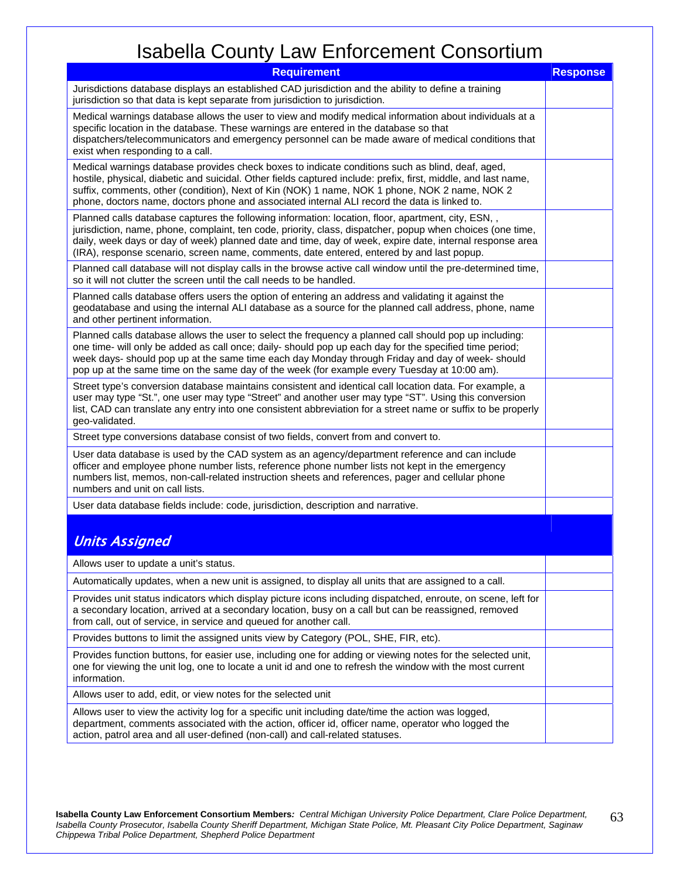| <b>Requirement</b>                                                                                                                                                                                                                                                                                                                                                                                                         | <b>Response</b> |
|----------------------------------------------------------------------------------------------------------------------------------------------------------------------------------------------------------------------------------------------------------------------------------------------------------------------------------------------------------------------------------------------------------------------------|-----------------|
| Jurisdictions database displays an established CAD jurisdiction and the ability to define a training<br>jurisdiction so that data is kept separate from jurisdiction to jurisdiction.                                                                                                                                                                                                                                      |                 |
| Medical warnings database allows the user to view and modify medical information about individuals at a<br>specific location in the database. These warnings are entered in the database so that<br>dispatchers/telecommunicators and emergency personnel can be made aware of medical conditions that<br>exist when responding to a call.                                                                                 |                 |
| Medical warnings database provides check boxes to indicate conditions such as blind, deaf, aged,<br>hostile, physical, diabetic and suicidal. Other fields captured include: prefix, first, middle, and last name,<br>suffix, comments, other (condition), Next of Kin (NOK) 1 name, NOK 1 phone, NOK 2 name, NOK 2<br>phone, doctors name, doctors phone and associated internal ALI record the data is linked to.        |                 |
| Planned calls database captures the following information: location, floor, apartment, city, ESN, ,<br>jurisdiction, name, phone, complaint, ten code, priority, class, dispatcher, popup when choices (one time,<br>daily, week days or day of week) planned date and time, day of week, expire date, internal response area<br>(IRA), response scenario, screen name, comments, date entered, entered by and last popup. |                 |
| Planned call database will not display calls in the browse active call window until the pre-determined time,<br>so it will not clutter the screen until the call needs to be handled.                                                                                                                                                                                                                                      |                 |
| Planned calls database offers users the option of entering an address and validating it against the<br>geodatabase and using the internal ALI database as a source for the planned call address, phone, name<br>and other pertinent information.                                                                                                                                                                           |                 |
| Planned calls database allows the user to select the frequency a planned call should pop up including:<br>one time- will only be added as call once; daily- should pop up each day for the specified time period;<br>week days- should pop up at the same time each day Monday through Friday and day of week- should<br>pop up at the same time on the same day of the week (for example every Tuesday at 10:00 am).      |                 |
| Street type's conversion database maintains consistent and identical call location data. For example, a<br>user may type "St.", one user may type "Street" and another user may type "ST". Using this conversion<br>list, CAD can translate any entry into one consistent abbreviation for a street name or suffix to be properly<br>geo-validated.                                                                        |                 |
| Street type conversions database consist of two fields, convert from and convert to.                                                                                                                                                                                                                                                                                                                                       |                 |
| User data database is used by the CAD system as an agency/department reference and can include<br>officer and employee phone number lists, reference phone number lists not kept in the emergency<br>numbers list, memos, non-call-related instruction sheets and references, pager and cellular phone<br>numbers and unit on call lists.                                                                                  |                 |
| User data database fields include: code, jurisdiction, description and narrative.                                                                                                                                                                                                                                                                                                                                          |                 |
| <b>Units Assigned</b>                                                                                                                                                                                                                                                                                                                                                                                                      |                 |
| Allows user to update a unit's status.                                                                                                                                                                                                                                                                                                                                                                                     |                 |
| Automatically updates, when a new unit is assigned, to display all units that are assigned to a call.                                                                                                                                                                                                                                                                                                                      |                 |
| Provides unit status indicators which display picture icons including dispatched, enroute, on scene, left for<br>a secondary location, arrived at a secondary location, busy on a call but can be reassigned, removed<br>from call, out of service, in service and queued for another call.                                                                                                                                |                 |
| Provides buttons to limit the assigned units view by Category (POL, SHE, FIR, etc).                                                                                                                                                                                                                                                                                                                                        |                 |
| Provides function buttons, for easier use, including one for adding or viewing notes for the selected unit,<br>one for viewing the unit log, one to locate a unit id and one to refresh the window with the most current<br>information.                                                                                                                                                                                   |                 |
| Allows user to add, edit, or view notes for the selected unit                                                                                                                                                                                                                                                                                                                                                              |                 |
| Allows user to view the activity log for a specific unit including date/time the action was logged,<br>department, comments associated with the action, officer id, officer name, operator who logged the<br>action, patrol area and all user-defined (non-call) and call-related statuses.                                                                                                                                |                 |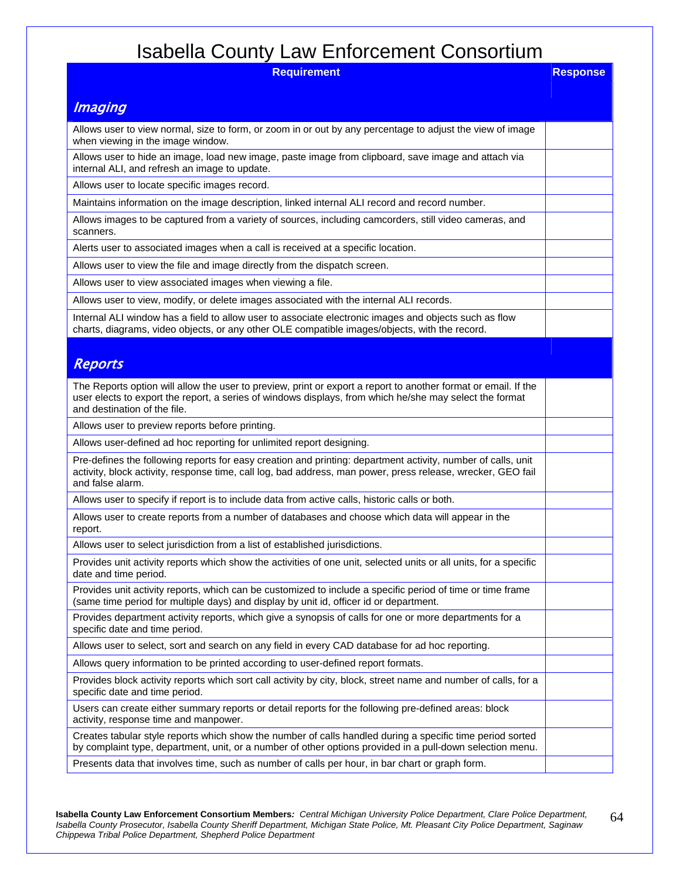| ivuvviiu vvuity<br>11919011911                                                                                                                                                                                                                            |                 |
|-----------------------------------------------------------------------------------------------------------------------------------------------------------------------------------------------------------------------------------------------------------|-----------------|
| <b>Requirement</b>                                                                                                                                                                                                                                        | <b>Response</b> |
| <i><b>Imaging</b></i>                                                                                                                                                                                                                                     |                 |
| Allows user to view normal, size to form, or zoom in or out by any percentage to adjust the view of image<br>when viewing in the image window.                                                                                                            |                 |
| Allows user to hide an image, load new image, paste image from clipboard, save image and attach via<br>internal ALI, and refresh an image to update.                                                                                                      |                 |
| Allows user to locate specific images record.                                                                                                                                                                                                             |                 |
| Maintains information on the image description, linked internal ALI record and record number.                                                                                                                                                             |                 |
| Allows images to be captured from a variety of sources, including camcorders, still video cameras, and<br>scanners.                                                                                                                                       |                 |
| Alerts user to associated images when a call is received at a specific location.                                                                                                                                                                          |                 |
| Allows user to view the file and image directly from the dispatch screen.                                                                                                                                                                                 |                 |
| Allows user to view associated images when viewing a file.                                                                                                                                                                                                |                 |
| Allows user to view, modify, or delete images associated with the internal ALI records.                                                                                                                                                                   |                 |
| Internal ALI window has a field to allow user to associate electronic images and objects such as flow<br>charts, diagrams, video objects, or any other OLE compatible images/objects, with the record.                                                    |                 |
|                                                                                                                                                                                                                                                           |                 |
| <b>Reports</b>                                                                                                                                                                                                                                            |                 |
| The Reports option will allow the user to preview, print or export a report to another format or email. If the<br>user elects to export the report, a series of windows displays, from which he/she may select the format<br>and destination of the file. |                 |
| Allows user to preview reports before printing.                                                                                                                                                                                                           |                 |
| Allows user-defined ad hoc reporting for unlimited report designing.                                                                                                                                                                                      |                 |
| Pre-defines the following reports for easy creation and printing: department activity, number of calls, unit<br>activity, block activity, response time, call log, bad address, man power, press release, wrecker, GEO fail<br>and false alarm.           |                 |
| Allows user to specify if report is to include data from active calls, historic calls or both.                                                                                                                                                            |                 |
| Allows user to create reports from a number of databases and choose which data will appear in the<br>report.                                                                                                                                              |                 |
| Allows user to select jurisdiction from a list of established jurisdictions.                                                                                                                                                                              |                 |
| Provides unit activity reports which show the activities of one unit, selected units or all units, for a specific<br>date and time period.                                                                                                                |                 |
| Provides unit activity reports, which can be customized to include a specific period of time or time frame<br>(same time period for multiple days) and display by unit id, officer id or department.                                                      |                 |
| Provides department activity reports, which give a synopsis of calls for one or more departments for a<br>specific date and time period.                                                                                                                  |                 |
| Allows user to select, sort and search on any field in every CAD database for ad hoc reporting.                                                                                                                                                           |                 |
| Allows query information to be printed according to user-defined report formats.                                                                                                                                                                          |                 |
| Provides block activity reports which sort call activity by city, block, street name and number of calls, for a<br>specific date and time period.                                                                                                         |                 |
| Users can create either summary reports or detail reports for the following pre-defined areas: block<br>activity, response time and manpower.                                                                                                             |                 |
| Creates tabular style reports which show the number of calls handled during a specific time period sorted<br>by complaint type, department, unit, or a number of other options provided in a pull-down selection menu.                                    |                 |
| Presents data that involves time, such as number of calls per hour, in bar chart or graph form.                                                                                                                                                           |                 |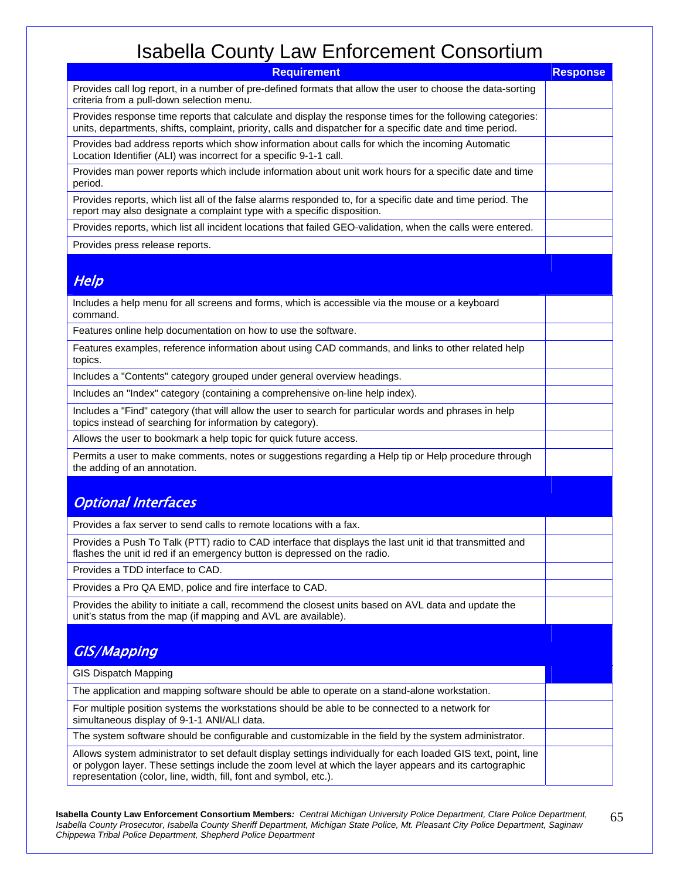| <b>Requirement</b>                                                                                                                                                                                                                                                                             | <b>Response</b> |
|------------------------------------------------------------------------------------------------------------------------------------------------------------------------------------------------------------------------------------------------------------------------------------------------|-----------------|
| Provides call log report, in a number of pre-defined formats that allow the user to choose the data-sorting<br>criteria from a pull-down selection menu.                                                                                                                                       |                 |
| Provides response time reports that calculate and display the response times for the following categories:<br>units, departments, shifts, complaint, priority, calls and dispatcher for a specific date and time period.                                                                       |                 |
| Provides bad address reports which show information about calls for which the incoming Automatic<br>Location Identifier (ALI) was incorrect for a specific 9-1-1 call.                                                                                                                         |                 |
| Provides man power reports which include information about unit work hours for a specific date and time<br>period.                                                                                                                                                                             |                 |
| Provides reports, which list all of the false alarms responded to, for a specific date and time period. The<br>report may also designate a complaint type with a specific disposition.                                                                                                         |                 |
| Provides reports, which list all incident locations that failed GEO-validation, when the calls were entered.                                                                                                                                                                                   |                 |
| Provides press release reports.                                                                                                                                                                                                                                                                |                 |
| Help                                                                                                                                                                                                                                                                                           |                 |
| Includes a help menu for all screens and forms, which is accessible via the mouse or a keyboard<br>command.                                                                                                                                                                                    |                 |
| Features online help documentation on how to use the software.                                                                                                                                                                                                                                 |                 |
| Features examples, reference information about using CAD commands, and links to other related help<br>topics.                                                                                                                                                                                  |                 |
| Includes a "Contents" category grouped under general overview headings.                                                                                                                                                                                                                        |                 |
| Includes an "Index" category (containing a comprehensive on-line help index).                                                                                                                                                                                                                  |                 |
| Includes a "Find" category (that will allow the user to search for particular words and phrases in help<br>topics instead of searching for information by category).                                                                                                                           |                 |
| Allows the user to bookmark a help topic for quick future access.                                                                                                                                                                                                                              |                 |
| Permits a user to make comments, notes or suggestions regarding a Help tip or Help procedure through<br>the adding of an annotation.                                                                                                                                                           |                 |
| <b>Optional Interfaces</b>                                                                                                                                                                                                                                                                     |                 |
| Provides a fax server to send calls to remote locations with a fax.                                                                                                                                                                                                                            |                 |
| Provides a Push To Talk (PTT) radio to CAD interface that displays the last unit id that transmitted and<br>flashes the unit id red if an emergency button is depressed on the radio.                                                                                                          |                 |
| Provides a TDD interface to CAD.                                                                                                                                                                                                                                                               |                 |
| Provides a Pro QA EMD, police and fire interface to CAD.                                                                                                                                                                                                                                       |                 |
| Provides the ability to initiate a call, recommend the closest units based on AVL data and update the<br>unit's status from the map (if mapping and AVL are available).                                                                                                                        |                 |
| <b>GIS/Mapping</b>                                                                                                                                                                                                                                                                             |                 |
| <b>GIS Dispatch Mapping</b>                                                                                                                                                                                                                                                                    |                 |
| The application and mapping software should be able to operate on a stand-alone workstation.                                                                                                                                                                                                   |                 |
| For multiple position systems the workstations should be able to be connected to a network for<br>simultaneous display of 9-1-1 ANI/ALI data.                                                                                                                                                  |                 |
| The system software should be configurable and customizable in the field by the system administrator.                                                                                                                                                                                          |                 |
| Allows system administrator to set default display settings individually for each loaded GIS text, point, line<br>or polygon layer. These settings include the zoom level at which the layer appears and its cartographic<br>representation (color, line, width, fill, font and symbol, etc.). |                 |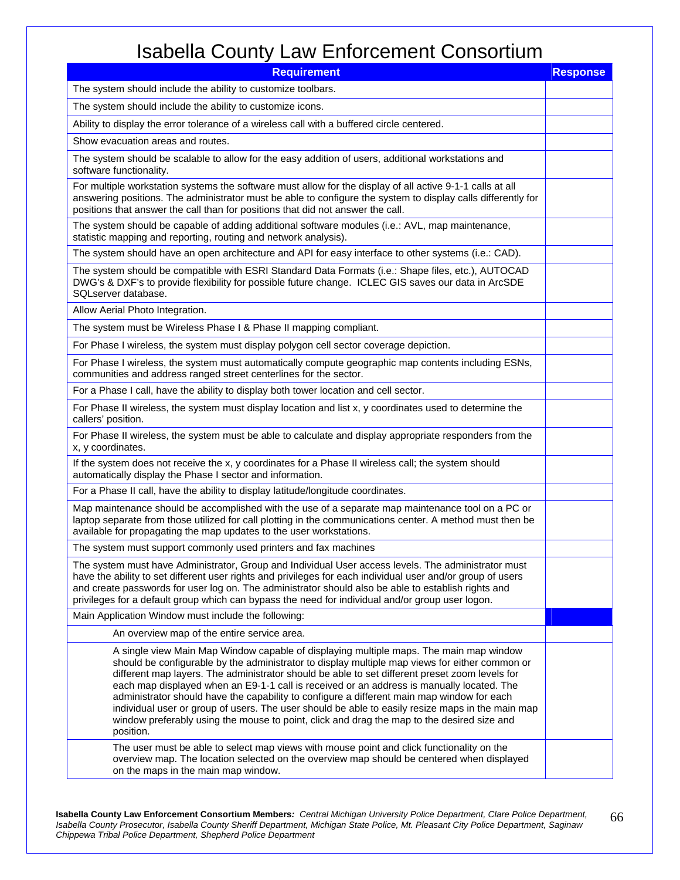| <b>Requirement</b>                                                                                                                                                                                                                                                                                                                                                                                                                                                                                                                                                                                                                                                                                   | <b>Response</b> |
|------------------------------------------------------------------------------------------------------------------------------------------------------------------------------------------------------------------------------------------------------------------------------------------------------------------------------------------------------------------------------------------------------------------------------------------------------------------------------------------------------------------------------------------------------------------------------------------------------------------------------------------------------------------------------------------------------|-----------------|
| The system should include the ability to customize toolbars.                                                                                                                                                                                                                                                                                                                                                                                                                                                                                                                                                                                                                                         |                 |
| The system should include the ability to customize icons.                                                                                                                                                                                                                                                                                                                                                                                                                                                                                                                                                                                                                                            |                 |
| Ability to display the error tolerance of a wireless call with a buffered circle centered.                                                                                                                                                                                                                                                                                                                                                                                                                                                                                                                                                                                                           |                 |
| Show evacuation areas and routes.                                                                                                                                                                                                                                                                                                                                                                                                                                                                                                                                                                                                                                                                    |                 |
| The system should be scalable to allow for the easy addition of users, additional workstations and<br>software functionality.                                                                                                                                                                                                                                                                                                                                                                                                                                                                                                                                                                        |                 |
| For multiple workstation systems the software must allow for the display of all active 9-1-1 calls at all<br>answering positions. The administrator must be able to configure the system to display calls differently for<br>positions that answer the call than for positions that did not answer the call.                                                                                                                                                                                                                                                                                                                                                                                         |                 |
| The system should be capable of adding additional software modules (i.e.: AVL, map maintenance,<br>statistic mapping and reporting, routing and network analysis).                                                                                                                                                                                                                                                                                                                                                                                                                                                                                                                                   |                 |
| The system should have an open architecture and API for easy interface to other systems (i.e.: CAD).                                                                                                                                                                                                                                                                                                                                                                                                                                                                                                                                                                                                 |                 |
| The system should be compatible with ESRI Standard Data Formats (i.e.: Shape files, etc.), AUTOCAD<br>DWG's & DXF's to provide flexibility for possible future change. ICLEC GIS saves our data in ArcSDE<br>SQLserver database.                                                                                                                                                                                                                                                                                                                                                                                                                                                                     |                 |
| Allow Aerial Photo Integration.                                                                                                                                                                                                                                                                                                                                                                                                                                                                                                                                                                                                                                                                      |                 |
| The system must be Wireless Phase I & Phase II mapping compliant.                                                                                                                                                                                                                                                                                                                                                                                                                                                                                                                                                                                                                                    |                 |
| For Phase I wireless, the system must display polygon cell sector coverage depiction.                                                                                                                                                                                                                                                                                                                                                                                                                                                                                                                                                                                                                |                 |
| For Phase I wireless, the system must automatically compute geographic map contents including ESNs,<br>communities and address ranged street centerlines for the sector.                                                                                                                                                                                                                                                                                                                                                                                                                                                                                                                             |                 |
| For a Phase I call, have the ability to display both tower location and cell sector.                                                                                                                                                                                                                                                                                                                                                                                                                                                                                                                                                                                                                 |                 |
| For Phase II wireless, the system must display location and list x, y coordinates used to determine the<br>callers' position.                                                                                                                                                                                                                                                                                                                                                                                                                                                                                                                                                                        |                 |
| For Phase II wireless, the system must be able to calculate and display appropriate responders from the<br>x, y coordinates.                                                                                                                                                                                                                                                                                                                                                                                                                                                                                                                                                                         |                 |
| If the system does not receive the x, y coordinates for a Phase II wireless call; the system should<br>automatically display the Phase I sector and information.                                                                                                                                                                                                                                                                                                                                                                                                                                                                                                                                     |                 |
| For a Phase II call, have the ability to display latitude/longitude coordinates.                                                                                                                                                                                                                                                                                                                                                                                                                                                                                                                                                                                                                     |                 |
| Map maintenance should be accomplished with the use of a separate map maintenance tool on a PC or<br>laptop separate from those utilized for call plotting in the communications center. A method must then be<br>available for propagating the map updates to the user workstations.                                                                                                                                                                                                                                                                                                                                                                                                                |                 |
| The system must support commonly used printers and fax machines                                                                                                                                                                                                                                                                                                                                                                                                                                                                                                                                                                                                                                      |                 |
| The system must have Administrator, Group and Individual User access levels. The administrator must<br>have the ability to set different user rights and privileges for each individual user and/or group of users<br>and create passwords for user log on. The administrator should also be able to establish rights and<br>privileges for a default group which can bypass the need for individual and/or group user logon.                                                                                                                                                                                                                                                                        |                 |
| Main Application Window must include the following:                                                                                                                                                                                                                                                                                                                                                                                                                                                                                                                                                                                                                                                  |                 |
| An overview map of the entire service area.                                                                                                                                                                                                                                                                                                                                                                                                                                                                                                                                                                                                                                                          |                 |
| A single view Main Map Window capable of displaying multiple maps. The main map window<br>should be configurable by the administrator to display multiple map views for either common or<br>different map layers. The administrator should be able to set different preset zoom levels for<br>each map displayed when an E9-1-1 call is received or an address is manually located. The<br>administrator should have the capability to configure a different main map window for each<br>individual user or group of users. The user should be able to easily resize maps in the main map<br>window preferably using the mouse to point, click and drag the map to the desired size and<br>position. |                 |
| The user must be able to select map views with mouse point and click functionality on the<br>overview map. The location selected on the overview map should be centered when displayed<br>on the maps in the main map window.                                                                                                                                                                                                                                                                                                                                                                                                                                                                        |                 |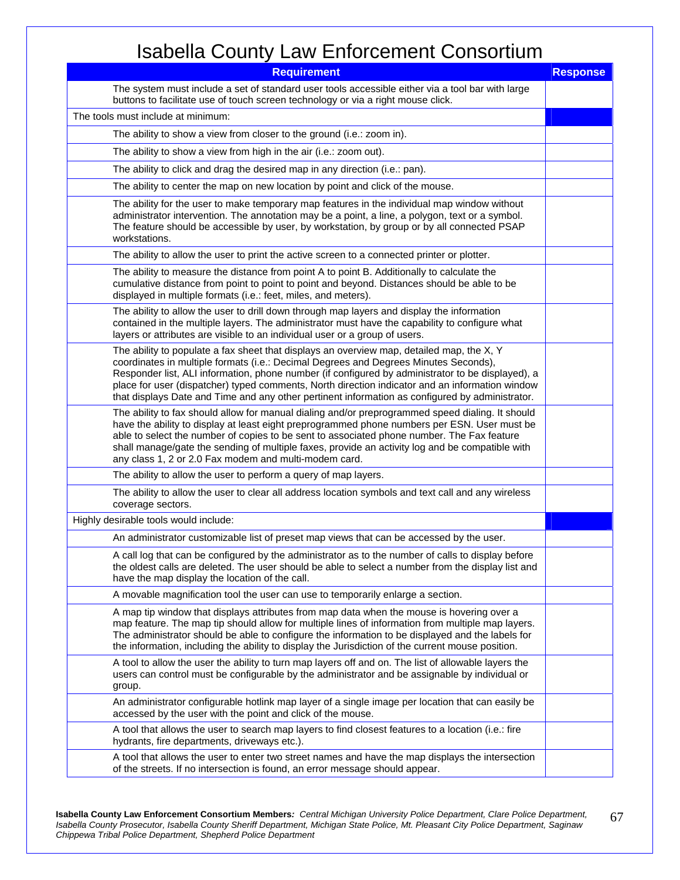| <b>Requirement</b>                                                                                                                                                                                                                                                                                                                                                                                                                                                                           | <b>Response</b> |
|----------------------------------------------------------------------------------------------------------------------------------------------------------------------------------------------------------------------------------------------------------------------------------------------------------------------------------------------------------------------------------------------------------------------------------------------------------------------------------------------|-----------------|
| The system must include a set of standard user tools accessible either via a tool bar with large<br>buttons to facilitate use of touch screen technology or via a right mouse click.                                                                                                                                                                                                                                                                                                         |                 |
| The tools must include at minimum:                                                                                                                                                                                                                                                                                                                                                                                                                                                           |                 |
| The ability to show a view from closer to the ground (i.e.: zoom in).                                                                                                                                                                                                                                                                                                                                                                                                                        |                 |
| The ability to show a view from high in the air (i.e.: zoom out).                                                                                                                                                                                                                                                                                                                                                                                                                            |                 |
| The ability to click and drag the desired map in any direction (i.e.: pan).                                                                                                                                                                                                                                                                                                                                                                                                                  |                 |
| The ability to center the map on new location by point and click of the mouse.                                                                                                                                                                                                                                                                                                                                                                                                               |                 |
| The ability for the user to make temporary map features in the individual map window without<br>administrator intervention. The annotation may be a point, a line, a polygon, text or a symbol.<br>The feature should be accessible by user, by workstation, by group or by all connected PSAP<br>workstations.                                                                                                                                                                              |                 |
| The ability to allow the user to print the active screen to a connected printer or plotter.                                                                                                                                                                                                                                                                                                                                                                                                  |                 |
| The ability to measure the distance from point A to point B. Additionally to calculate the<br>cumulative distance from point to point to point and beyond. Distances should be able to be<br>displayed in multiple formats (i.e.: feet, miles, and meters).                                                                                                                                                                                                                                  |                 |
| The ability to allow the user to drill down through map layers and display the information<br>contained in the multiple layers. The administrator must have the capability to configure what<br>layers or attributes are visible to an individual user or a group of users.                                                                                                                                                                                                                  |                 |
| The ability to populate a fax sheet that displays an overview map, detailed map, the X, Y<br>coordinates in multiple formats (i.e.: Decimal Degrees and Degrees Minutes Seconds),<br>Responder list, ALI information, phone number (if configured by administrator to be displayed), a<br>place for user (dispatcher) typed comments, North direction indicator and an information window<br>that displays Date and Time and any other pertinent information as configured by administrator. |                 |
| The ability to fax should allow for manual dialing and/or preprogrammed speed dialing. It should<br>have the ability to display at least eight preprogrammed phone numbers per ESN. User must be<br>able to select the number of copies to be sent to associated phone number. The Fax feature<br>shall manage/gate the sending of multiple faxes, provide an activity log and be compatible with<br>any class 1, 2 or 2.0 Fax modem and multi-modem card.                                   |                 |
| The ability to allow the user to perform a query of map layers.                                                                                                                                                                                                                                                                                                                                                                                                                              |                 |
| The ability to allow the user to clear all address location symbols and text call and any wireless<br>coverage sectors.                                                                                                                                                                                                                                                                                                                                                                      |                 |
| Highly desirable tools would include:                                                                                                                                                                                                                                                                                                                                                                                                                                                        |                 |
| An administrator customizable list of preset map views that can be accessed by the user.                                                                                                                                                                                                                                                                                                                                                                                                     |                 |
| A call log that can be configured by the administrator as to the number of calls to display before<br>the oldest calls are deleted. The user should be able to select a number from the display list and<br>have the map display the location of the call.                                                                                                                                                                                                                                   |                 |
| A movable magnification tool the user can use to temporarily enlarge a section.                                                                                                                                                                                                                                                                                                                                                                                                              |                 |
| A map tip window that displays attributes from map data when the mouse is hovering over a<br>map feature. The map tip should allow for multiple lines of information from multiple map layers.<br>The administrator should be able to configure the information to be displayed and the labels for<br>the information, including the ability to display the Jurisdiction of the current mouse position.                                                                                      |                 |
| A tool to allow the user the ability to turn map layers off and on. The list of allowable layers the<br>users can control must be configurable by the administrator and be assignable by individual or<br>group.                                                                                                                                                                                                                                                                             |                 |
| An administrator configurable hotlink map layer of a single image per location that can easily be<br>accessed by the user with the point and click of the mouse.                                                                                                                                                                                                                                                                                                                             |                 |
| A tool that allows the user to search map layers to find closest features to a location (i.e.: fire<br>hydrants, fire departments, driveways etc.).                                                                                                                                                                                                                                                                                                                                          |                 |
| A tool that allows the user to enter two street names and have the map displays the intersection<br>of the streets. If no intersection is found, an error message should appear.                                                                                                                                                                                                                                                                                                             |                 |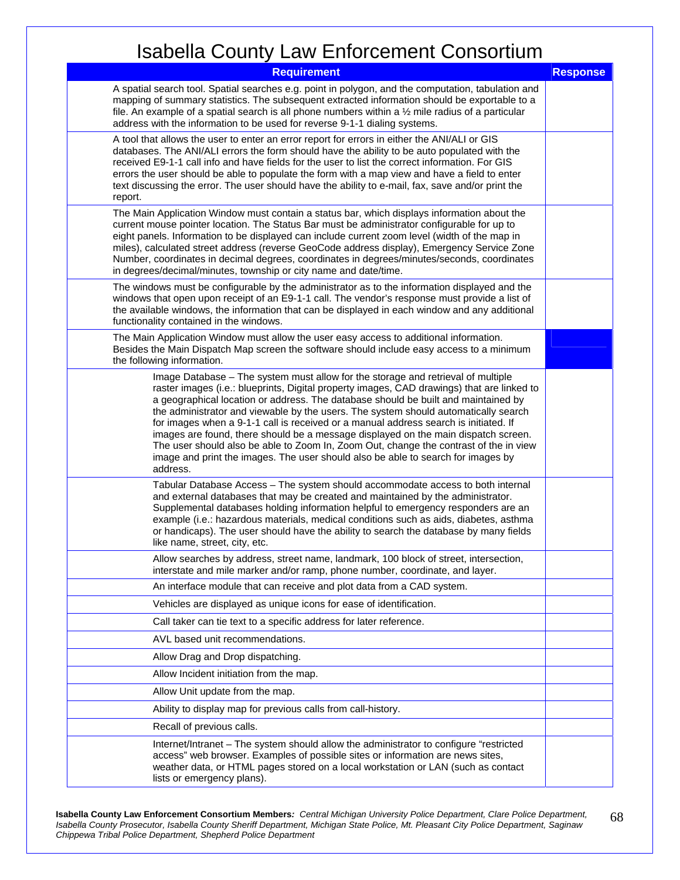| <b>Requirement</b>                                                                                                                                                                                                                                                                                                                                                                                                                                                                                                                                                                                                                                                                                                                 | <b>Response</b> |
|------------------------------------------------------------------------------------------------------------------------------------------------------------------------------------------------------------------------------------------------------------------------------------------------------------------------------------------------------------------------------------------------------------------------------------------------------------------------------------------------------------------------------------------------------------------------------------------------------------------------------------------------------------------------------------------------------------------------------------|-----------------|
| A spatial search tool. Spatial searches e.g. point in polygon, and the computation, tabulation and<br>mapping of summary statistics. The subsequent extracted information should be exportable to a<br>file. An example of a spatial search is all phone numbers within a $\frac{1}{2}$ mile radius of a particular<br>address with the information to be used for reverse 9-1-1 dialing systems.                                                                                                                                                                                                                                                                                                                                  |                 |
| A tool that allows the user to enter an error report for errors in either the ANI/ALI or GIS<br>databases. The ANI/ALI errors the form should have the ability to be auto populated with the<br>received E9-1-1 call info and have fields for the user to list the correct information. For GIS<br>errors the user should be able to populate the form with a map view and have a field to enter<br>text discussing the error. The user should have the ability to e-mail, fax, save and/or print the<br>report.                                                                                                                                                                                                                   |                 |
| The Main Application Window must contain a status bar, which displays information about the<br>current mouse pointer location. The Status Bar must be administrator configurable for up to<br>eight panels. Information to be displayed can include current zoom level (width of the map in<br>miles), calculated street address (reverse GeoCode address display), Emergency Service Zone<br>Number, coordinates in decimal degrees, coordinates in degrees/minutes/seconds, coordinates<br>in degrees/decimal/minutes, township or city name and date/time.                                                                                                                                                                      |                 |
| The windows must be configurable by the administrator as to the information displayed and the<br>windows that open upon receipt of an E9-1-1 call. The vendor's response must provide a list of<br>the available windows, the information that can be displayed in each window and any additional<br>functionality contained in the windows.                                                                                                                                                                                                                                                                                                                                                                                       |                 |
| The Main Application Window must allow the user easy access to additional information.<br>Besides the Main Dispatch Map screen the software should include easy access to a minimum<br>the following information.                                                                                                                                                                                                                                                                                                                                                                                                                                                                                                                  |                 |
| Image Database - The system must allow for the storage and retrieval of multiple<br>raster images (i.e.: blueprints, Digital property images, CAD drawings) that are linked to<br>a geographical location or address. The database should be built and maintained by<br>the administrator and viewable by the users. The system should automatically search<br>for images when a 9-1-1 call is received or a manual address search is initiated. If<br>images are found, there should be a message displayed on the main dispatch screen.<br>The user should also be able to Zoom In, Zoom Out, change the contrast of the in view<br>image and print the images. The user should also be able to search for images by<br>address. |                 |
| Tabular Database Access - The system should accommodate access to both internal<br>and external databases that may be created and maintained by the administrator.<br>Supplemental databases holding information helpful to emergency responders are an<br>example (i.e.: hazardous materials, medical conditions such as aids, diabetes, asthma<br>or handicaps). The user should have the ability to search the database by many fields<br>like name, street, city, etc.                                                                                                                                                                                                                                                         |                 |
| Allow searches by address, street name, landmark, 100 block of street, intersection,<br>interstate and mile marker and/or ramp, phone number, coordinate, and layer.                                                                                                                                                                                                                                                                                                                                                                                                                                                                                                                                                               |                 |
| An interface module that can receive and plot data from a CAD system.                                                                                                                                                                                                                                                                                                                                                                                                                                                                                                                                                                                                                                                              |                 |
| Vehicles are displayed as unique icons for ease of identification.                                                                                                                                                                                                                                                                                                                                                                                                                                                                                                                                                                                                                                                                 |                 |
| Call taker can tie text to a specific address for later reference.                                                                                                                                                                                                                                                                                                                                                                                                                                                                                                                                                                                                                                                                 |                 |
| AVL based unit recommendations.                                                                                                                                                                                                                                                                                                                                                                                                                                                                                                                                                                                                                                                                                                    |                 |
| Allow Drag and Drop dispatching.                                                                                                                                                                                                                                                                                                                                                                                                                                                                                                                                                                                                                                                                                                   |                 |
| Allow Incident initiation from the map.                                                                                                                                                                                                                                                                                                                                                                                                                                                                                                                                                                                                                                                                                            |                 |
| Allow Unit update from the map.                                                                                                                                                                                                                                                                                                                                                                                                                                                                                                                                                                                                                                                                                                    |                 |
| Ability to display map for previous calls from call-history.                                                                                                                                                                                                                                                                                                                                                                                                                                                                                                                                                                                                                                                                       |                 |
| Recall of previous calls.                                                                                                                                                                                                                                                                                                                                                                                                                                                                                                                                                                                                                                                                                                          |                 |
| Internet/Intranet - The system should allow the administrator to configure "restricted"<br>access" web browser. Examples of possible sites or information are news sites,<br>weather data, or HTML pages stored on a local workstation or LAN (such as contact<br>lists or emergency plans).                                                                                                                                                                                                                                                                                                                                                                                                                                       |                 |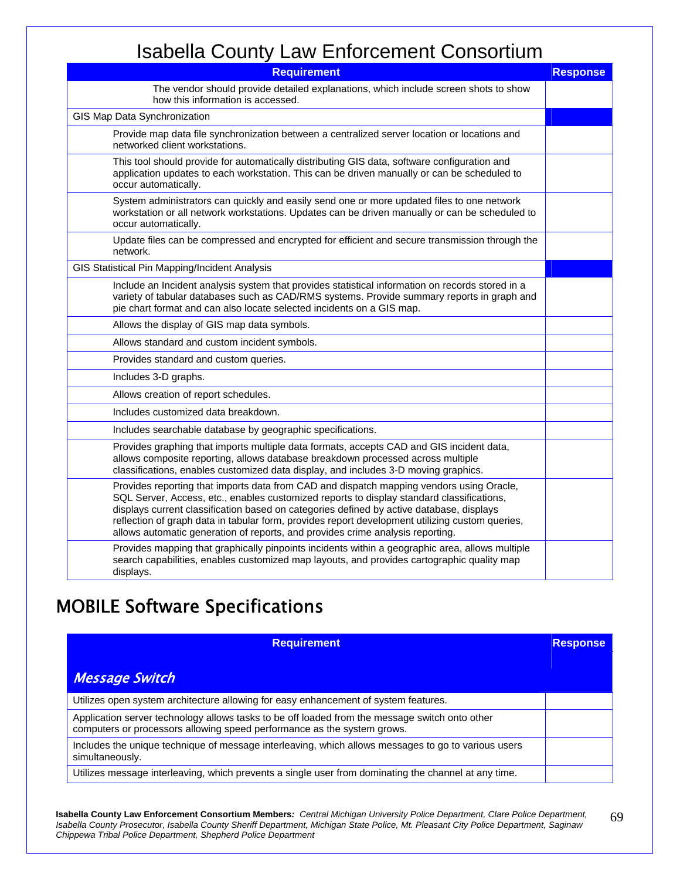| <b>Requirement</b>                                                                                                                                                                                                                                                                                                                                                                                                                                                     | <b>Response</b> |
|------------------------------------------------------------------------------------------------------------------------------------------------------------------------------------------------------------------------------------------------------------------------------------------------------------------------------------------------------------------------------------------------------------------------------------------------------------------------|-----------------|
| The vendor should provide detailed explanations, which include screen shots to show<br>how this information is accessed.                                                                                                                                                                                                                                                                                                                                               |                 |
| GIS Map Data Synchronization                                                                                                                                                                                                                                                                                                                                                                                                                                           |                 |
| Provide map data file synchronization between a centralized server location or locations and<br>networked client workstations.                                                                                                                                                                                                                                                                                                                                         |                 |
| This tool should provide for automatically distributing GIS data, software configuration and<br>application updates to each workstation. This can be driven manually or can be scheduled to<br>occur automatically.                                                                                                                                                                                                                                                    |                 |
| System administrators can quickly and easily send one or more updated files to one network<br>workstation or all network workstations. Updates can be driven manually or can be scheduled to<br>occur automatically.                                                                                                                                                                                                                                                   |                 |
| Update files can be compressed and encrypted for efficient and secure transmission through the<br>network.                                                                                                                                                                                                                                                                                                                                                             |                 |
| GIS Statistical Pin Mapping/Incident Analysis                                                                                                                                                                                                                                                                                                                                                                                                                          |                 |
| Include an Incident analysis system that provides statistical information on records stored in a<br>variety of tabular databases such as CAD/RMS systems. Provide summary reports in graph and<br>pie chart format and can also locate selected incidents on a GIS map.                                                                                                                                                                                                |                 |
| Allows the display of GIS map data symbols.                                                                                                                                                                                                                                                                                                                                                                                                                            |                 |
| Allows standard and custom incident symbols.                                                                                                                                                                                                                                                                                                                                                                                                                           |                 |
| Provides standard and custom queries.                                                                                                                                                                                                                                                                                                                                                                                                                                  |                 |
| Includes 3-D graphs.                                                                                                                                                                                                                                                                                                                                                                                                                                                   |                 |
| Allows creation of report schedules.                                                                                                                                                                                                                                                                                                                                                                                                                                   |                 |
| Includes customized data breakdown.                                                                                                                                                                                                                                                                                                                                                                                                                                    |                 |
| Includes searchable database by geographic specifications.                                                                                                                                                                                                                                                                                                                                                                                                             |                 |
| Provides graphing that imports multiple data formats, accepts CAD and GIS incident data,<br>allows composite reporting, allows database breakdown processed across multiple<br>classifications, enables customized data display, and includes 3-D moving graphics.                                                                                                                                                                                                     |                 |
| Provides reporting that imports data from CAD and dispatch mapping vendors using Oracle,<br>SQL Server, Access, etc., enables customized reports to display standard classifications,<br>displays current classification based on categories defined by active database, displays<br>reflection of graph data in tabular form, provides report development utilizing custom queries,<br>allows automatic generation of reports, and provides crime analysis reporting. |                 |
| Provides mapping that graphically pinpoints incidents within a geographic area, allows multiple<br>search capabilities, enables customized map layouts, and provides cartographic quality map<br>displays.                                                                                                                                                                                                                                                             |                 |

#### MOBILE Software Specifications

| <b>Requirement</b>                                                                                                                                                        | <b>Response</b> |
|---------------------------------------------------------------------------------------------------------------------------------------------------------------------------|-----------------|
| <b>Message Switch</b>                                                                                                                                                     |                 |
| Utilizes open system architecture allowing for easy enhancement of system features.                                                                                       |                 |
| Application server technology allows tasks to be off loaded from the message switch onto other<br>computers or processors allowing speed performance as the system grows. |                 |
| Includes the unique technique of message interleaving, which allows messages to go to various users<br>simultaneously.                                                    |                 |
| Utilizes message interleaving, which prevents a single user from dominating the channel at any time.                                                                      |                 |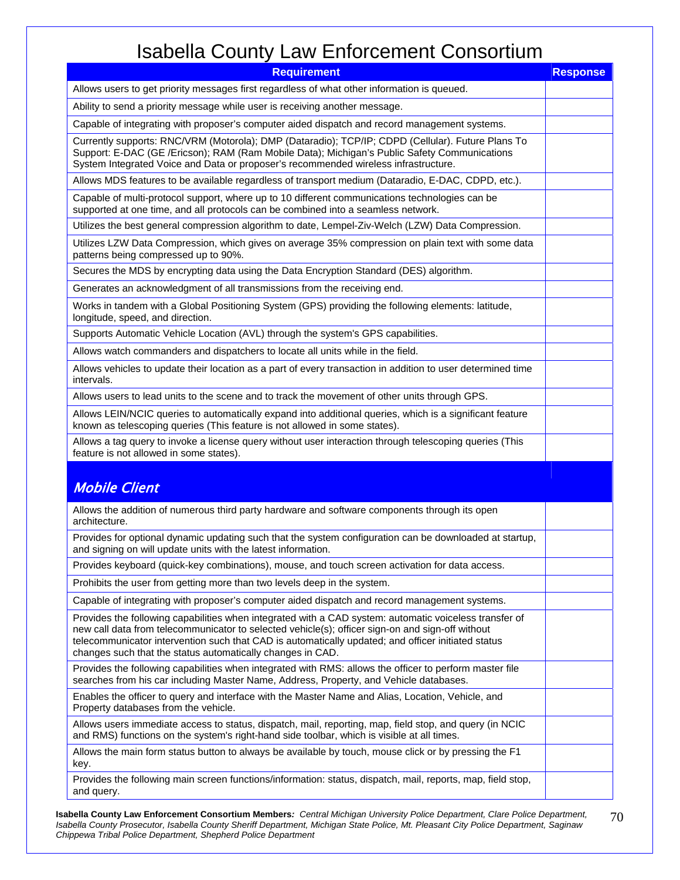| <b>Requirement</b>                                                                                                                                                                                                                                                                                                                                                             | <b>Response</b> |
|--------------------------------------------------------------------------------------------------------------------------------------------------------------------------------------------------------------------------------------------------------------------------------------------------------------------------------------------------------------------------------|-----------------|
| Allows users to get priority messages first regardless of what other information is queued.                                                                                                                                                                                                                                                                                    |                 |
| Ability to send a priority message while user is receiving another message.                                                                                                                                                                                                                                                                                                    |                 |
| Capable of integrating with proposer's computer aided dispatch and record management systems.                                                                                                                                                                                                                                                                                  |                 |
| Currently supports: RNC/VRM (Motorola); DMP (Dataradio); TCP/IP; CDPD (Cellular). Future Plans To<br>Support: E-DAC (GE /Ericson); RAM (Ram Mobile Data); Michigan's Public Safety Communications<br>System Integrated Voice and Data or proposer's recommended wireless infrastructure.                                                                                       |                 |
| Allows MDS features to be available regardless of transport medium (Dataradio, E-DAC, CDPD, etc.).                                                                                                                                                                                                                                                                             |                 |
| Capable of multi-protocol support, where up to 10 different communications technologies can be<br>supported at one time, and all protocols can be combined into a seamless network.                                                                                                                                                                                            |                 |
| Utilizes the best general compression algorithm to date, Lempel-Ziv-Welch (LZW) Data Compression.                                                                                                                                                                                                                                                                              |                 |
| Utilizes LZW Data Compression, which gives on average 35% compression on plain text with some data<br>patterns being compressed up to 90%.                                                                                                                                                                                                                                     |                 |
| Secures the MDS by encrypting data using the Data Encryption Standard (DES) algorithm.                                                                                                                                                                                                                                                                                         |                 |
| Generates an acknowledgment of all transmissions from the receiving end.                                                                                                                                                                                                                                                                                                       |                 |
| Works in tandem with a Global Positioning System (GPS) providing the following elements: latitude,<br>longitude, speed, and direction.                                                                                                                                                                                                                                         |                 |
| Supports Automatic Vehicle Location (AVL) through the system's GPS capabilities.                                                                                                                                                                                                                                                                                               |                 |
| Allows watch commanders and dispatchers to locate all units while in the field.                                                                                                                                                                                                                                                                                                |                 |
| Allows vehicles to update their location as a part of every transaction in addition to user determined time<br>intervals.                                                                                                                                                                                                                                                      |                 |
| Allows users to lead units to the scene and to track the movement of other units through GPS.                                                                                                                                                                                                                                                                                  |                 |
| Allows LEIN/NCIC queries to automatically expand into additional queries, which is a significant feature<br>known as telescoping queries (This feature is not allowed in some states).                                                                                                                                                                                         |                 |
| Allows a tag query to invoke a license query without user interaction through telescoping queries (This<br>feature is not allowed in some states).                                                                                                                                                                                                                             |                 |
| <b>Mobile Client</b>                                                                                                                                                                                                                                                                                                                                                           |                 |
| Allows the addition of numerous third party hardware and software components through its open<br>architecture.                                                                                                                                                                                                                                                                 |                 |
| Provides for optional dynamic updating such that the system configuration can be downloaded at startup,<br>and signing on will update units with the latest information.                                                                                                                                                                                                       |                 |
| Provides keyboard (quick-key combinations), mouse, and touch screen activation for data access.                                                                                                                                                                                                                                                                                |                 |
| Prohibits the user from getting more than two levels deep in the system.                                                                                                                                                                                                                                                                                                       |                 |
| Capable of integrating with proposer's computer aided dispatch and record management systems.                                                                                                                                                                                                                                                                                  |                 |
| Provides the following capabilities when integrated with a CAD system: automatic voiceless transfer of<br>new call data from telecommunicator to selected vehicle(s); officer sign-on and sign-off without<br>telecommunicator intervention such that CAD is automatically updated; and officer initiated status<br>changes such that the status automatically changes in CAD. |                 |
| Provides the following capabilities when integrated with RMS: allows the officer to perform master file<br>searches from his car including Master Name, Address, Property, and Vehicle databases.                                                                                                                                                                              |                 |
| Enables the officer to query and interface with the Master Name and Alias, Location, Vehicle, and<br>Property databases from the vehicle.                                                                                                                                                                                                                                      |                 |
| Allows users immediate access to status, dispatch, mail, reporting, map, field stop, and query (in NCIC<br>and RMS) functions on the system's right-hand side toolbar, which is visible at all times.                                                                                                                                                                          |                 |
| Allows the main form status button to always be available by touch, mouse click or by pressing the F1<br>key.                                                                                                                                                                                                                                                                  |                 |
| Provides the following main screen functions/information: status, dispatch, mail, reports, map, field stop,<br>and query.                                                                                                                                                                                                                                                      |                 |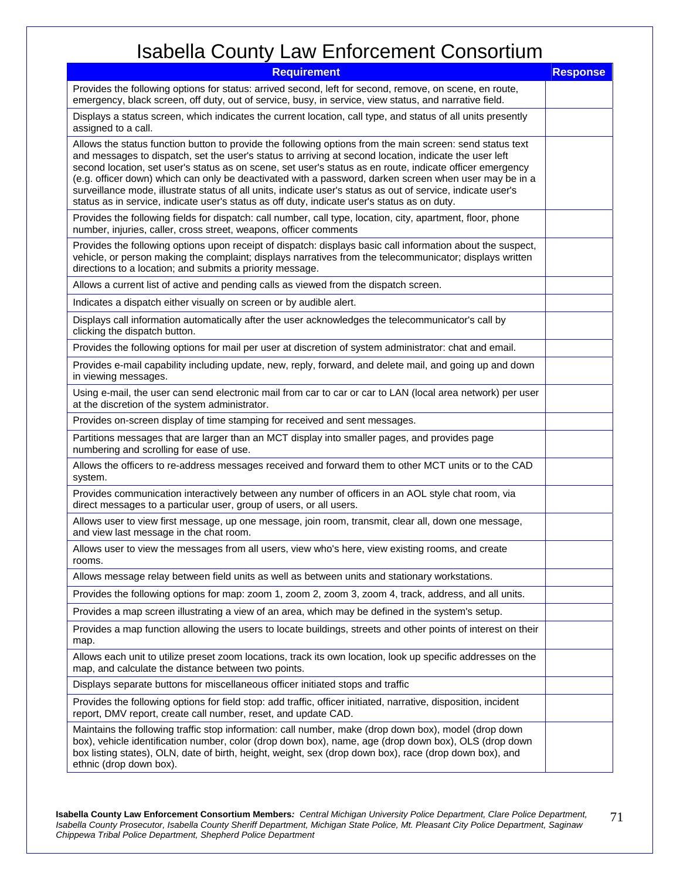| <b>Requirement</b>                                                                                                                                                                                                                                                                                                                                                                                                                                                                                                                                                                                                                                         | <b>Response</b> |
|------------------------------------------------------------------------------------------------------------------------------------------------------------------------------------------------------------------------------------------------------------------------------------------------------------------------------------------------------------------------------------------------------------------------------------------------------------------------------------------------------------------------------------------------------------------------------------------------------------------------------------------------------------|-----------------|
| Provides the following options for status: arrived second, left for second, remove, on scene, en route,<br>emergency, black screen, off duty, out of service, busy, in service, view status, and narrative field.                                                                                                                                                                                                                                                                                                                                                                                                                                          |                 |
| Displays a status screen, which indicates the current location, call type, and status of all units presently<br>assigned to a call.                                                                                                                                                                                                                                                                                                                                                                                                                                                                                                                        |                 |
| Allows the status function button to provide the following options from the main screen: send status text<br>and messages to dispatch, set the user's status to arriving at second location, indicate the user left<br>second location, set user's status as on scene, set user's status as en route, indicate officer emergency<br>(e.g. officer down) which can only be deactivated with a password, darken screen when user may be in a<br>surveillance mode, illustrate status of all units, indicate user's status as out of service, indicate user's<br>status as in service, indicate user's status as off duty, indicate user's status as on duty. |                 |
| Provides the following fields for dispatch: call number, call type, location, city, apartment, floor, phone<br>number, injuries, caller, cross street, weapons, officer comments                                                                                                                                                                                                                                                                                                                                                                                                                                                                           |                 |
| Provides the following options upon receipt of dispatch: displays basic call information about the suspect,<br>vehicle, or person making the complaint; displays narratives from the telecommunicator; displays written<br>directions to a location; and submits a priority message.                                                                                                                                                                                                                                                                                                                                                                       |                 |
| Allows a current list of active and pending calls as viewed from the dispatch screen.                                                                                                                                                                                                                                                                                                                                                                                                                                                                                                                                                                      |                 |
| Indicates a dispatch either visually on screen or by audible alert.                                                                                                                                                                                                                                                                                                                                                                                                                                                                                                                                                                                        |                 |
| Displays call information automatically after the user acknowledges the telecommunicator's call by<br>clicking the dispatch button.                                                                                                                                                                                                                                                                                                                                                                                                                                                                                                                        |                 |
| Provides the following options for mail per user at discretion of system administrator: chat and email.                                                                                                                                                                                                                                                                                                                                                                                                                                                                                                                                                    |                 |
| Provides e-mail capability including update, new, reply, forward, and delete mail, and going up and down<br>in viewing messages.                                                                                                                                                                                                                                                                                                                                                                                                                                                                                                                           |                 |
| Using e-mail, the user can send electronic mail from car to car or car to LAN (local area network) per user<br>at the discretion of the system administrator.                                                                                                                                                                                                                                                                                                                                                                                                                                                                                              |                 |
| Provides on-screen display of time stamping for received and sent messages.                                                                                                                                                                                                                                                                                                                                                                                                                                                                                                                                                                                |                 |
| Partitions messages that are larger than an MCT display into smaller pages, and provides page<br>numbering and scrolling for ease of use.                                                                                                                                                                                                                                                                                                                                                                                                                                                                                                                  |                 |
| Allows the officers to re-address messages received and forward them to other MCT units or to the CAD<br>system.                                                                                                                                                                                                                                                                                                                                                                                                                                                                                                                                           |                 |
| Provides communication interactively between any number of officers in an AOL style chat room, via<br>direct messages to a particular user, group of users, or all users.                                                                                                                                                                                                                                                                                                                                                                                                                                                                                  |                 |
| Allows user to view first message, up one message, join room, transmit, clear all, down one message,<br>and view last message in the chat room.                                                                                                                                                                                                                                                                                                                                                                                                                                                                                                            |                 |
| Allows user to view the messages from all users, view who's here, view existing rooms, and create<br>rooms.                                                                                                                                                                                                                                                                                                                                                                                                                                                                                                                                                |                 |
| Allows message relay between field units as well as between units and stationary workstations.                                                                                                                                                                                                                                                                                                                                                                                                                                                                                                                                                             |                 |
| Provides the following options for map: zoom 1, zoom 2, zoom 3, zoom 4, track, address, and all units.                                                                                                                                                                                                                                                                                                                                                                                                                                                                                                                                                     |                 |
| Provides a map screen illustrating a view of an area, which may be defined in the system's setup.                                                                                                                                                                                                                                                                                                                                                                                                                                                                                                                                                          |                 |
| Provides a map function allowing the users to locate buildings, streets and other points of interest on their<br>map.                                                                                                                                                                                                                                                                                                                                                                                                                                                                                                                                      |                 |
| Allows each unit to utilize preset zoom locations, track its own location, look up specific addresses on the<br>map, and calculate the distance between two points.                                                                                                                                                                                                                                                                                                                                                                                                                                                                                        |                 |
| Displays separate buttons for miscellaneous officer initiated stops and traffic                                                                                                                                                                                                                                                                                                                                                                                                                                                                                                                                                                            |                 |
| Provides the following options for field stop: add traffic, officer initiated, narrative, disposition, incident<br>report, DMV report, create call number, reset, and update CAD.                                                                                                                                                                                                                                                                                                                                                                                                                                                                          |                 |
| Maintains the following traffic stop information: call number, make (drop down box), model (drop down<br>box), vehicle identification number, color (drop down box), name, age (drop down box), OLS (drop down<br>box listing states), OLN, date of birth, height, weight, sex (drop down box), race (drop down box), and<br>ethnic (drop down box).                                                                                                                                                                                                                                                                                                       |                 |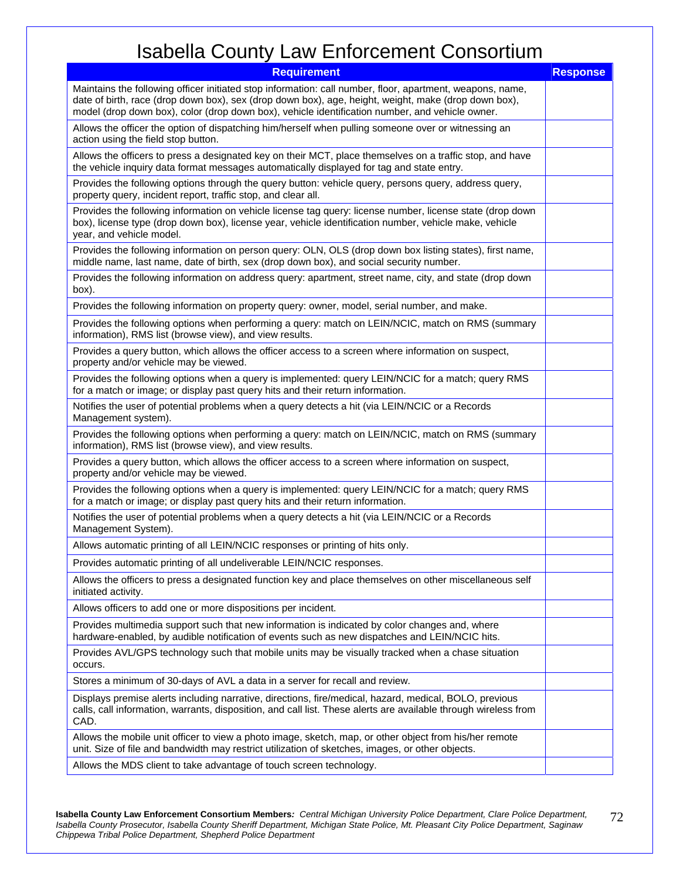| <b>Requirement</b>                                                                                                                                                                                                                                                                                                   | <b>Response</b> |
|----------------------------------------------------------------------------------------------------------------------------------------------------------------------------------------------------------------------------------------------------------------------------------------------------------------------|-----------------|
| Maintains the following officer initiated stop information: call number, floor, apartment, weapons, name,<br>date of birth, race (drop down box), sex (drop down box), age, height, weight, make (drop down box),<br>model (drop down box), color (drop down box), vehicle identification number, and vehicle owner. |                 |
| Allows the officer the option of dispatching him/herself when pulling someone over or witnessing an<br>action using the field stop button.                                                                                                                                                                           |                 |
| Allows the officers to press a designated key on their MCT, place themselves on a traffic stop, and have<br>the vehicle inquiry data format messages automatically displayed for tag and state entry.                                                                                                                |                 |
| Provides the following options through the query button: vehicle query, persons query, address query,<br>property query, incident report, traffic stop, and clear all.                                                                                                                                               |                 |
| Provides the following information on vehicle license tag query: license number, license state (drop down<br>box), license type (drop down box), license year, vehicle identification number, vehicle make, vehicle<br>year, and vehicle model.                                                                      |                 |
| Provides the following information on person query: OLN, OLS (drop down box listing states), first name,<br>middle name, last name, date of birth, sex (drop down box), and social security number.                                                                                                                  |                 |
| Provides the following information on address query: apartment, street name, city, and state (drop down<br>box).                                                                                                                                                                                                     |                 |
| Provides the following information on property query: owner, model, serial number, and make.                                                                                                                                                                                                                         |                 |
| Provides the following options when performing a query: match on LEIN/NCIC, match on RMS (summary<br>information), RMS list (browse view), and view results.                                                                                                                                                         |                 |
| Provides a query button, which allows the officer access to a screen where information on suspect,<br>property and/or vehicle may be viewed.                                                                                                                                                                         |                 |
| Provides the following options when a query is implemented: query LEIN/NCIC for a match; query RMS<br>for a match or image; or display past query hits and their return information.                                                                                                                                 |                 |
| Notifies the user of potential problems when a query detects a hit (via LEIN/NCIC or a Records<br>Management system).                                                                                                                                                                                                |                 |
| Provides the following options when performing a query: match on LEIN/NCIC, match on RMS (summary<br>information), RMS list (browse view), and view results.                                                                                                                                                         |                 |
| Provides a query button, which allows the officer access to a screen where information on suspect,<br>property and/or vehicle may be viewed.                                                                                                                                                                         |                 |
| Provides the following options when a query is implemented: query LEIN/NCIC for a match; query RMS<br>for a match or image; or display past query hits and their return information.                                                                                                                                 |                 |
| Notifies the user of potential problems when a query detects a hit (via LEIN/NCIC or a Records<br>Management System).                                                                                                                                                                                                |                 |
| Allows automatic printing of all LEIN/NCIC responses or printing of hits only.                                                                                                                                                                                                                                       |                 |
| Provides automatic printing of all undeliverable LEIN/NCIC responses.                                                                                                                                                                                                                                                |                 |
| Allows the officers to press a designated function key and place themselves on other miscellaneous self<br>initiated activity.                                                                                                                                                                                       |                 |
| Allows officers to add one or more dispositions per incident.                                                                                                                                                                                                                                                        |                 |
| Provides multimedia support such that new information is indicated by color changes and, where<br>hardware-enabled, by audible notification of events such as new dispatches and LEIN/NCIC hits.                                                                                                                     |                 |
| Provides AVL/GPS technology such that mobile units may be visually tracked when a chase situation<br>occurs.                                                                                                                                                                                                         |                 |
| Stores a minimum of 30-days of AVL a data in a server for recall and review.                                                                                                                                                                                                                                         |                 |
| Displays premise alerts including narrative, directions, fire/medical, hazard, medical, BOLO, previous<br>calls, call information, warrants, disposition, and call list. These alerts are available through wireless from<br>CAD.                                                                                    |                 |
| Allows the mobile unit officer to view a photo image, sketch, map, or other object from his/her remote<br>unit. Size of file and bandwidth may restrict utilization of sketches, images, or other objects.                                                                                                           |                 |
| Allows the MDS client to take advantage of touch screen technology.                                                                                                                                                                                                                                                  |                 |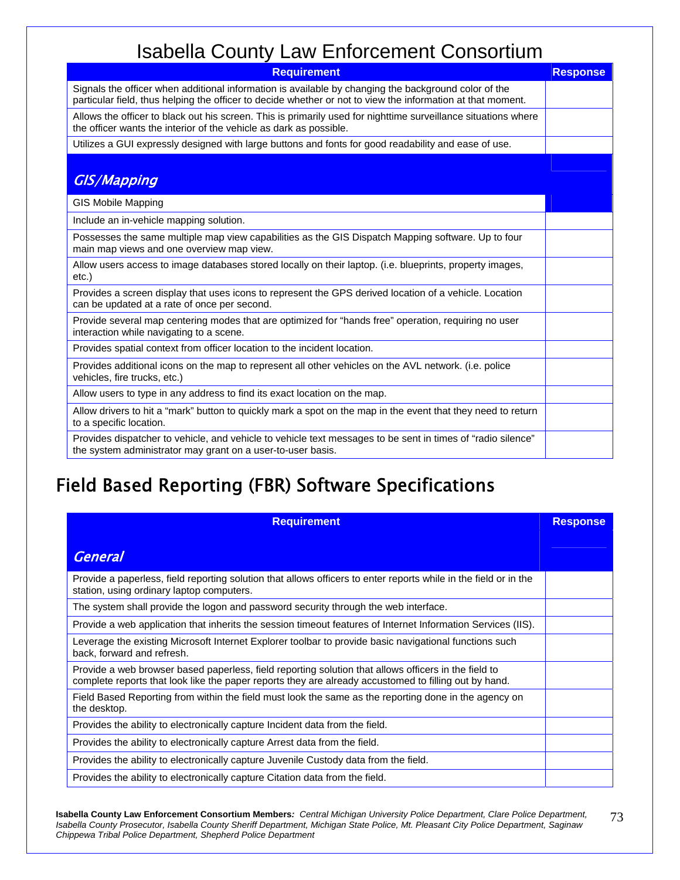| <b>Requirement</b>                                                                                                                                                                                                  | <b>Response</b> |
|---------------------------------------------------------------------------------------------------------------------------------------------------------------------------------------------------------------------|-----------------|
| Signals the officer when additional information is available by changing the background color of the<br>particular field, thus helping the officer to decide whether or not to view the information at that moment. |                 |
| Allows the officer to black out his screen. This is primarily used for nighttime surveillance situations where<br>the officer wants the interior of the vehicle as dark as possible.                                |                 |
| Utilizes a GUI expressly designed with large buttons and fonts for good readability and ease of use.                                                                                                                |                 |
| <b>GIS/Mapping</b>                                                                                                                                                                                                  |                 |
| <b>GIS Mobile Mapping</b>                                                                                                                                                                                           |                 |
| Include an in-vehicle mapping solution.                                                                                                                                                                             |                 |
| Possesses the same multiple map view capabilities as the GIS Dispatch Mapping software. Up to four<br>main map views and one overview map view.                                                                     |                 |
| Allow users access to image databases stored locally on their laptop. (i.e. blueprints, property images,<br>$etc.$ )                                                                                                |                 |
| Provides a screen display that uses icons to represent the GPS derived location of a vehicle. Location<br>can be updated at a rate of once per second.                                                              |                 |
| Provide several map centering modes that are optimized for "hands free" operation, requiring no user<br>interaction while navigating to a scene.                                                                    |                 |
| Provides spatial context from officer location to the incident location.                                                                                                                                            |                 |
| Provides additional icons on the map to represent all other vehicles on the AVL network. (i.e. police<br>vehicles, fire trucks, etc.)                                                                               |                 |
| Allow users to type in any address to find its exact location on the map.                                                                                                                                           |                 |
| Allow drivers to hit a "mark" button to quickly mark a spot on the map in the event that they need to return<br>to a specific location.                                                                             |                 |
| Provides dispatcher to vehicle, and vehicle to vehicle text messages to be sent in times of "radio silence"<br>the system administrator may grant on a user-to-user basis.                                          |                 |

### Field Based Reporting (FBR) Software Specifications

| <b>Requirement</b>                                                                                                                                                                                            | <b>Response</b> |
|---------------------------------------------------------------------------------------------------------------------------------------------------------------------------------------------------------------|-----------------|
| <b>General</b>                                                                                                                                                                                                |                 |
| Provide a paperless, field reporting solution that allows officers to enter reports while in the field or in the<br>station, using ordinary laptop computers.                                                 |                 |
| The system shall provide the logon and password security through the web interface.                                                                                                                           |                 |
| Provide a web application that inherits the session timeout features of Internet Information Services (IIS).                                                                                                  |                 |
| Leverage the existing Microsoft Internet Explorer toolbar to provide basic navigational functions such<br>back, forward and refresh.                                                                          |                 |
| Provide a web browser based paperless, field reporting solution that allows officers in the field to<br>complete reports that look like the paper reports they are already accustomed to filling out by hand. |                 |
| Field Based Reporting from within the field must look the same as the reporting done in the agency on<br>the desktop.                                                                                         |                 |
| Provides the ability to electronically capture Incident data from the field.                                                                                                                                  |                 |
| Provides the ability to electronically capture Arrest data from the field.                                                                                                                                    |                 |
| Provides the ability to electronically capture Juvenile Custody data from the field.                                                                                                                          |                 |
| Provides the ability to electronically capture Citation data from the field.                                                                                                                                  |                 |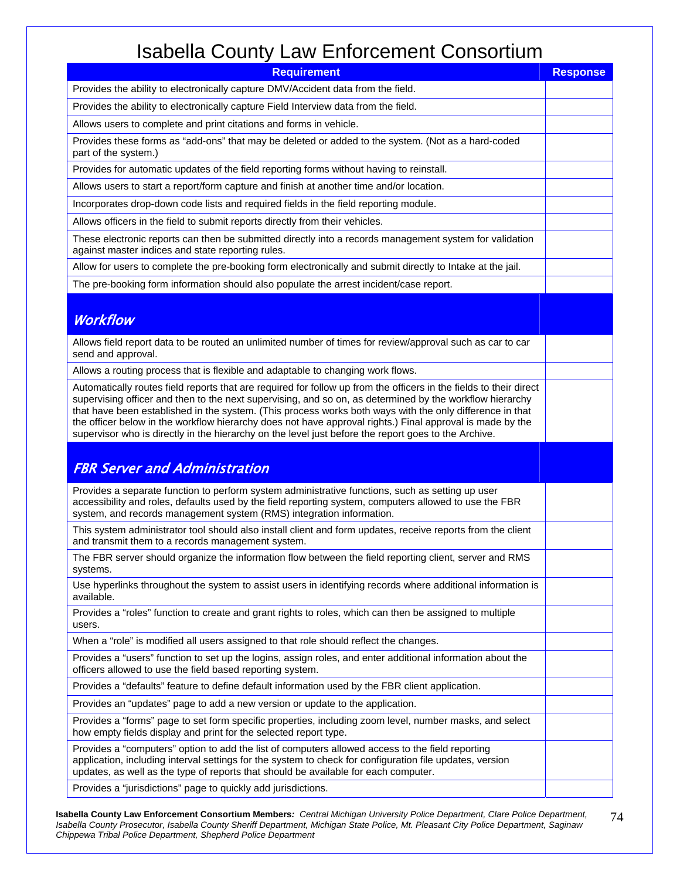| <b>Requirement</b>                                                                                                                                                                                                                                                                                                                                                                                                                                                                                                                                              | <b>Response</b> |
|-----------------------------------------------------------------------------------------------------------------------------------------------------------------------------------------------------------------------------------------------------------------------------------------------------------------------------------------------------------------------------------------------------------------------------------------------------------------------------------------------------------------------------------------------------------------|-----------------|
| Provides the ability to electronically capture DMV/Accident data from the field.                                                                                                                                                                                                                                                                                                                                                                                                                                                                                |                 |
| Provides the ability to electronically capture Field Interview data from the field.                                                                                                                                                                                                                                                                                                                                                                                                                                                                             |                 |
| Allows users to complete and print citations and forms in vehicle.                                                                                                                                                                                                                                                                                                                                                                                                                                                                                              |                 |
| Provides these forms as "add-ons" that may be deleted or added to the system. (Not as a hard-coded<br>part of the system.)                                                                                                                                                                                                                                                                                                                                                                                                                                      |                 |
| Provides for automatic updates of the field reporting forms without having to reinstall.                                                                                                                                                                                                                                                                                                                                                                                                                                                                        |                 |
| Allows users to start a report/form capture and finish at another time and/or location.                                                                                                                                                                                                                                                                                                                                                                                                                                                                         |                 |
| Incorporates drop-down code lists and required fields in the field reporting module.                                                                                                                                                                                                                                                                                                                                                                                                                                                                            |                 |
| Allows officers in the field to submit reports directly from their vehicles.                                                                                                                                                                                                                                                                                                                                                                                                                                                                                    |                 |
| These electronic reports can then be submitted directly into a records management system for validation<br>against master indices and state reporting rules.                                                                                                                                                                                                                                                                                                                                                                                                    |                 |
| Allow for users to complete the pre-booking form electronically and submit directly to Intake at the jail.                                                                                                                                                                                                                                                                                                                                                                                                                                                      |                 |
| The pre-booking form information should also populate the arrest incident/case report.                                                                                                                                                                                                                                                                                                                                                                                                                                                                          |                 |
| <b>Workflow</b>                                                                                                                                                                                                                                                                                                                                                                                                                                                                                                                                                 |                 |
| Allows field report data to be routed an unlimited number of times for review/approval such as car to car<br>send and approval.                                                                                                                                                                                                                                                                                                                                                                                                                                 |                 |
| Allows a routing process that is flexible and adaptable to changing work flows.                                                                                                                                                                                                                                                                                                                                                                                                                                                                                 |                 |
| Automatically routes field reports that are required for follow up from the officers in the fields to their direct<br>supervising officer and then to the next supervising, and so on, as determined by the workflow hierarchy<br>that have been established in the system. (This process works both ways with the only difference in that<br>the officer below in the workflow hierarchy does not have approval rights.) Final approval is made by the<br>supervisor who is directly in the hierarchy on the level just before the report goes to the Archive. |                 |
| <b>FBR Server and Administration</b>                                                                                                                                                                                                                                                                                                                                                                                                                                                                                                                            |                 |
| Provides a separate function to perform system administrative functions, such as setting up user<br>accessibility and roles, defaults used by the field reporting system, computers allowed to use the FBR<br>system, and records management system (RMS) integration information.                                                                                                                                                                                                                                                                              |                 |
| This system administrator tool should also install client and form updates, receive reports from the client<br>and transmit them to a records management system.                                                                                                                                                                                                                                                                                                                                                                                                |                 |
| The FBR server should organize the information flow between the field reporting client, server and RMS<br>systems.                                                                                                                                                                                                                                                                                                                                                                                                                                              |                 |
| Use hyperlinks throughout the system to assist users in identifying records where additional information is<br>available.                                                                                                                                                                                                                                                                                                                                                                                                                                       |                 |
| Provides a "roles" function to create and grant rights to roles, which can then be assigned to multiple<br>users.                                                                                                                                                                                                                                                                                                                                                                                                                                               |                 |
| When a "role" is modified all users assigned to that role should reflect the changes.                                                                                                                                                                                                                                                                                                                                                                                                                                                                           |                 |
| Provides a "users" function to set up the logins, assign roles, and enter additional information about the<br>officers allowed to use the field based reporting system.                                                                                                                                                                                                                                                                                                                                                                                         |                 |
| Provides a "defaults" feature to define default information used by the FBR client application.                                                                                                                                                                                                                                                                                                                                                                                                                                                                 |                 |
| Provides an "updates" page to add a new version or update to the application.                                                                                                                                                                                                                                                                                                                                                                                                                                                                                   |                 |
| Provides a "forms" page to set form specific properties, including zoom level, number masks, and select<br>how empty fields display and print for the selected report type.                                                                                                                                                                                                                                                                                                                                                                                     |                 |
| Provides a "computers" option to add the list of computers allowed access to the field reporting<br>application, including interval settings for the system to check for configuration file updates, version<br>updates, as well as the type of reports that should be available for each computer.                                                                                                                                                                                                                                                             |                 |
| Provides a "jurisdictions" page to quickly add jurisdictions.                                                                                                                                                                                                                                                                                                                                                                                                                                                                                                   |                 |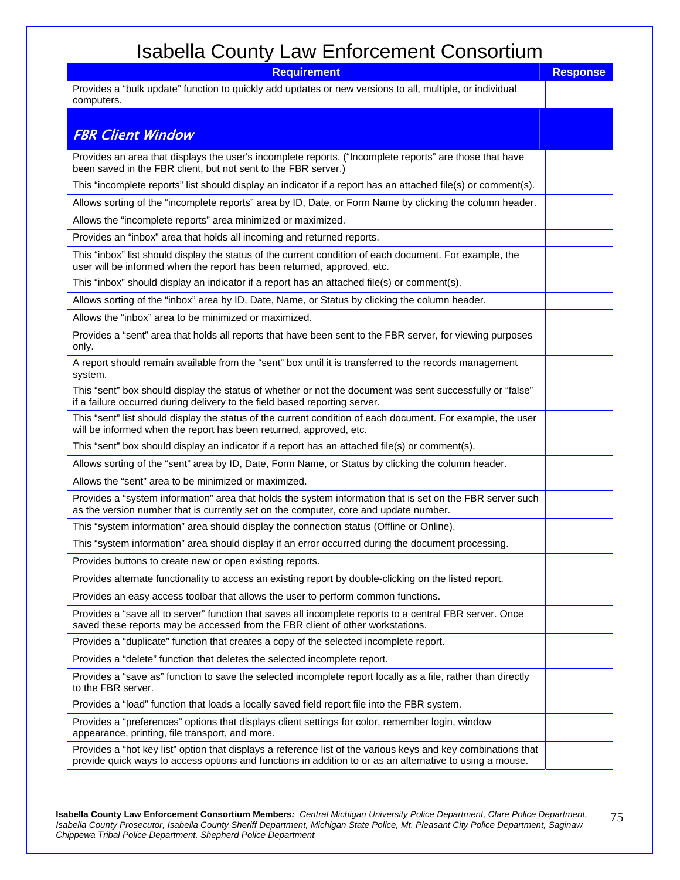| <b>Requirement</b>                                                                                                                                                                                                        | <b>Response</b> |
|---------------------------------------------------------------------------------------------------------------------------------------------------------------------------------------------------------------------------|-----------------|
| Provides a "bulk update" function to quickly add updates or new versions to all, multiple, or individual<br>computers.                                                                                                    |                 |
|                                                                                                                                                                                                                           |                 |
| <b>FBR Client Window</b>                                                                                                                                                                                                  |                 |
| Provides an area that displays the user's incomplete reports. ("Incomplete reports" are those that have<br>been saved in the FBR client, but not sent to the FBR server.)                                                 |                 |
| This "incomplete reports" list should display an indicator if a report has an attached file(s) or comment(s).                                                                                                             |                 |
| Allows sorting of the "incomplete reports" area by ID, Date, or Form Name by clicking the column header.                                                                                                                  |                 |
| Allows the "incomplete reports" area minimized or maximized.                                                                                                                                                              |                 |
| Provides an "inbox" area that holds all incoming and returned reports.                                                                                                                                                    |                 |
| This "inbox" list should display the status of the current condition of each document. For example, the<br>user will be informed when the report has been returned, approved, etc.                                        |                 |
| This "inbox" should display an indicator if a report has an attached file(s) or comment(s).                                                                                                                               |                 |
| Allows sorting of the "inbox" area by ID, Date, Name, or Status by clicking the column header.                                                                                                                            |                 |
| Allows the "inbox" area to be minimized or maximized.                                                                                                                                                                     |                 |
| Provides a "sent" area that holds all reports that have been sent to the FBR server, for viewing purposes<br>only.                                                                                                        |                 |
| A report should remain available from the "sent" box until it is transferred to the records management<br>system.                                                                                                         |                 |
| This "sent" box should display the status of whether or not the document was sent successfully or "false"<br>if a failure occurred during delivery to the field based reporting server.                                   |                 |
| This "sent" list should display the status of the current condition of each document. For example, the user<br>will be informed when the report has been returned, approved, etc.                                         |                 |
| This "sent" box should display an indicator if a report has an attached file(s) or comment(s).                                                                                                                            |                 |
| Allows sorting of the "sent" area by ID, Date, Form Name, or Status by clicking the column header.                                                                                                                        |                 |
| Allows the "sent" area to be minimized or maximized.                                                                                                                                                                      |                 |
| Provides a "system information" area that holds the system information that is set on the FBR server such<br>as the version number that is currently set on the computer, core and update number.                         |                 |
| This "system information" area should display the connection status (Offline or Online).                                                                                                                                  |                 |
| This "system information" area should display if an error occurred during the document processing.                                                                                                                        |                 |
| Provides buttons to create new or open existing reports.                                                                                                                                                                  |                 |
| Provides alternate functionality to access an existing report by double-clicking on the listed report.                                                                                                                    |                 |
| Provides an easy access toolbar that allows the user to perform common functions.                                                                                                                                         |                 |
| Provides a "save all to server" function that saves all incomplete reports to a central FBR server. Once<br>saved these reports may be accessed from the FBR client of other workstations.                                |                 |
| Provides a "duplicate" function that creates a copy of the selected incomplete report.                                                                                                                                    |                 |
| Provides a "delete" function that deletes the selected incomplete report.                                                                                                                                                 |                 |
| Provides a "save as" function to save the selected incomplete report locally as a file, rather than directly<br>to the FBR server.                                                                                        |                 |
| Provides a "load" function that loads a locally saved field report file into the FBR system.                                                                                                                              |                 |
| Provides a "preferences" options that displays client settings for color, remember login, window<br>appearance, printing, file transport, and more.                                                                       |                 |
| Provides a "hot key list" option that displays a reference list of the various keys and key combinations that<br>provide quick ways to access options and functions in addition to or as an alternative to using a mouse. |                 |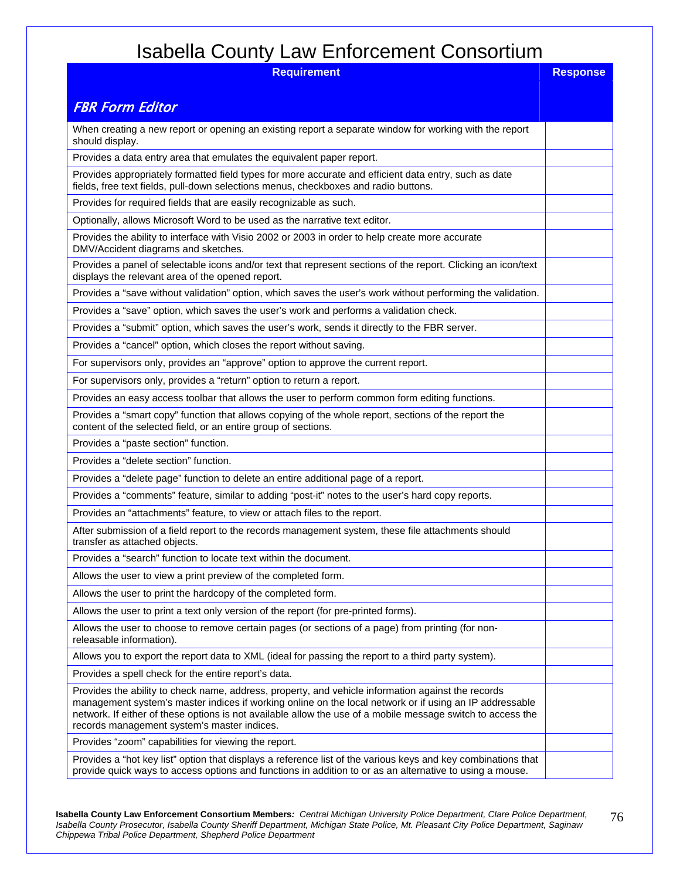**Requirement** Response

#### FBR Form Editor

| When creating a new report or opening an existing report a separate window for working with the report<br>should display.                                                                                                                                                                                                                                                   |  |
|-----------------------------------------------------------------------------------------------------------------------------------------------------------------------------------------------------------------------------------------------------------------------------------------------------------------------------------------------------------------------------|--|
| Provides a data entry area that emulates the equivalent paper report.                                                                                                                                                                                                                                                                                                       |  |
| Provides appropriately formatted field types for more accurate and efficient data entry, such as date<br>fields, free text fields, pull-down selections menus, checkboxes and radio buttons.                                                                                                                                                                                |  |
| Provides for required fields that are easily recognizable as such.                                                                                                                                                                                                                                                                                                          |  |
| Optionally, allows Microsoft Word to be used as the narrative text editor.                                                                                                                                                                                                                                                                                                  |  |
| Provides the ability to interface with Visio 2002 or 2003 in order to help create more accurate<br>DMV/Accident diagrams and sketches.                                                                                                                                                                                                                                      |  |
| Provides a panel of selectable icons and/or text that represent sections of the report. Clicking an icon/text<br>displays the relevant area of the opened report.                                                                                                                                                                                                           |  |
| Provides a "save without validation" option, which saves the user's work without performing the validation.                                                                                                                                                                                                                                                                 |  |
| Provides a "save" option, which saves the user's work and performs a validation check.                                                                                                                                                                                                                                                                                      |  |
| Provides a "submit" option, which saves the user's work, sends it directly to the FBR server.                                                                                                                                                                                                                                                                               |  |
| Provides a "cancel" option, which closes the report without saving.                                                                                                                                                                                                                                                                                                         |  |
| For supervisors only, provides an "approve" option to approve the current report.                                                                                                                                                                                                                                                                                           |  |
| For supervisors only, provides a "return" option to return a report.                                                                                                                                                                                                                                                                                                        |  |
| Provides an easy access toolbar that allows the user to perform common form editing functions.                                                                                                                                                                                                                                                                              |  |
| Provides a "smart copy" function that allows copying of the whole report, sections of the report the<br>content of the selected field, or an entire group of sections.                                                                                                                                                                                                      |  |
| Provides a "paste section" function.                                                                                                                                                                                                                                                                                                                                        |  |
| Provides a "delete section" function.                                                                                                                                                                                                                                                                                                                                       |  |
| Provides a "delete page" function to delete an entire additional page of a report.                                                                                                                                                                                                                                                                                          |  |
| Provides a "comments" feature, similar to adding "post-it" notes to the user's hard copy reports.                                                                                                                                                                                                                                                                           |  |
| Provides an "attachments" feature, to view or attach files to the report.                                                                                                                                                                                                                                                                                                   |  |
| After submission of a field report to the records management system, these file attachments should<br>transfer as attached objects.                                                                                                                                                                                                                                         |  |
| Provides a "search" function to locate text within the document.                                                                                                                                                                                                                                                                                                            |  |
| Allows the user to view a print preview of the completed form.                                                                                                                                                                                                                                                                                                              |  |
| Allows the user to print the hardcopy of the completed form.                                                                                                                                                                                                                                                                                                                |  |
| Allows the user to print a text only version of the report (for pre-printed forms).                                                                                                                                                                                                                                                                                         |  |
| Allows the user to choose to remove certain pages (or sections of a page) from printing (for non-<br>releasable information).                                                                                                                                                                                                                                               |  |
| Allows you to export the report data to XML (ideal for passing the report to a third party system).                                                                                                                                                                                                                                                                         |  |
| Provides a spell check for the entire report's data.                                                                                                                                                                                                                                                                                                                        |  |
| Provides the ability to check name, address, property, and vehicle information against the records<br>management system's master indices if working online on the local network or if using an IP addressable<br>network. If either of these options is not available allow the use of a mobile message switch to access the<br>records management system's master indices. |  |
| Provides "zoom" capabilities for viewing the report.                                                                                                                                                                                                                                                                                                                        |  |
| Provides a "hot key list" option that displays a reference list of the various keys and key combinations that<br>provide quick ways to access options and functions in addition to or as an alternative to using a mouse.                                                                                                                                                   |  |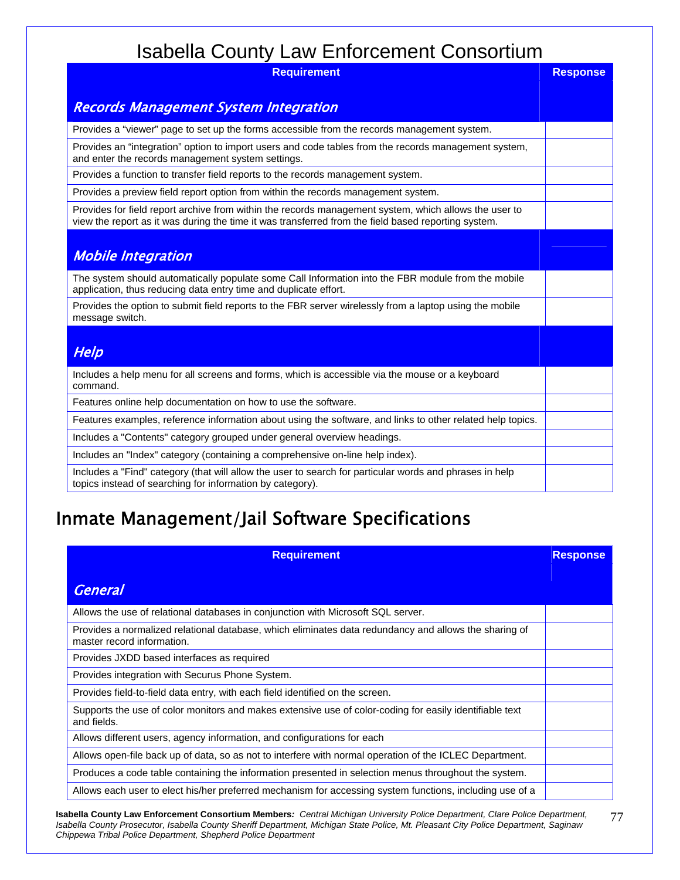| <b>Requirement</b>                                                                                                                                                                                           | <b>Response</b> |
|--------------------------------------------------------------------------------------------------------------------------------------------------------------------------------------------------------------|-----------------|
| <b>Records Management System Integration</b>                                                                                                                                                                 |                 |
| Provides a "viewer" page to set up the forms accessible from the records management system.                                                                                                                  |                 |
| Provides an "integration" option to import users and code tables from the records management system,<br>and enter the records management system settings.                                                    |                 |
| Provides a function to transfer field reports to the records management system.                                                                                                                              |                 |
| Provides a preview field report option from within the records management system.                                                                                                                            |                 |
| Provides for field report archive from within the records management system, which allows the user to<br>view the report as it was during the time it was transferred from the field based reporting system. |                 |
| <b>Mobile Integration</b>                                                                                                                                                                                    |                 |
| The system should automatically populate some Call Information into the FBR module from the mobile<br>application, thus reducing data entry time and duplicate effort.                                       |                 |
| Provides the option to submit field reports to the FBR server wirelessly from a laptop using the mobile<br>message switch.                                                                                   |                 |
| Help                                                                                                                                                                                                         |                 |
| Includes a help menu for all screens and forms, which is accessible via the mouse or a keyboard<br>command.                                                                                                  |                 |
| Features online help documentation on how to use the software.                                                                                                                                               |                 |
| Features examples, reference information about using the software, and links to other related help topics.                                                                                                   |                 |
| Includes a "Contents" category grouped under general overview headings.                                                                                                                                      |                 |
| Includes an "Index" category (containing a comprehensive on-line help index).                                                                                                                                |                 |
| Includes a "Find" category (that will allow the user to search for particular words and phrases in help<br>topics instead of searching for information by category).                                         |                 |

# Inmate Management/Jail Software Specifications

| <b>Requirement</b>                                                                                                                  | <b>Response</b> |
|-------------------------------------------------------------------------------------------------------------------------------------|-----------------|
| <b>General</b>                                                                                                                      |                 |
| Allows the use of relational databases in conjunction with Microsoft SQL server.                                                    |                 |
| Provides a normalized relational database, which eliminates data redundancy and allows the sharing of<br>master record information. |                 |
| Provides JXDD based interfaces as required                                                                                          |                 |
| Provides integration with Securus Phone System.                                                                                     |                 |
| Provides field-to-field data entry, with each field identified on the screen.                                                       |                 |
| Supports the use of color monitors and makes extensive use of color-coding for easily identifiable text<br>and fields.              |                 |
| Allows different users, agency information, and configurations for each                                                             |                 |
| Allows open-file back up of data, so as not to interfere with normal operation of the ICLEC Department.                             |                 |
| Produces a code table containing the information presented in selection menus throughout the system.                                |                 |
| Allows each user to elect his/her preferred mechanism for accessing system functions, including use of a                            |                 |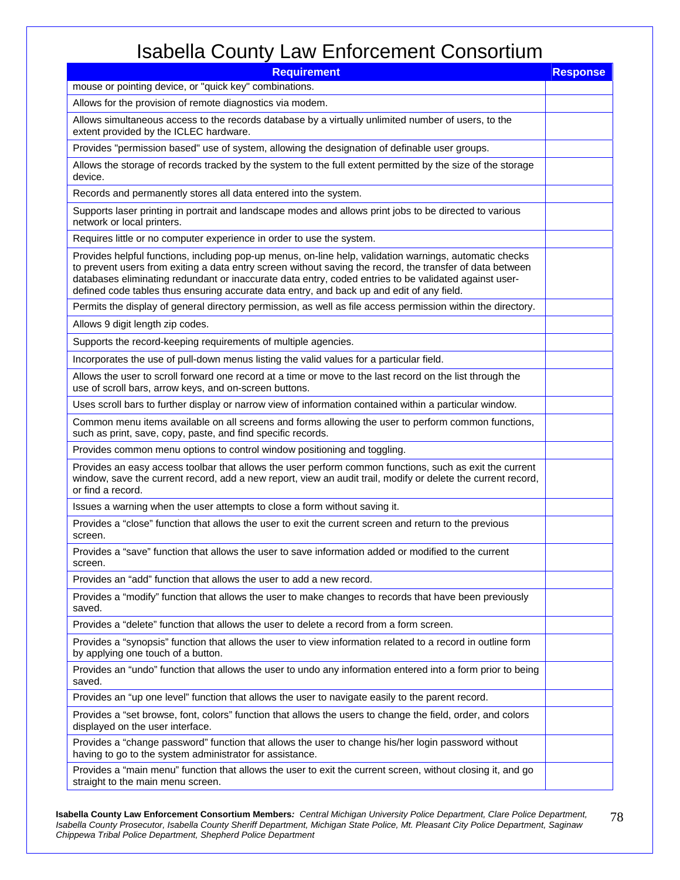| <b>Requirement</b>                                                                                                                                                                                                                                                                                                                                                                                                         | <b>Response</b> |
|----------------------------------------------------------------------------------------------------------------------------------------------------------------------------------------------------------------------------------------------------------------------------------------------------------------------------------------------------------------------------------------------------------------------------|-----------------|
| mouse or pointing device, or "quick key" combinations.                                                                                                                                                                                                                                                                                                                                                                     |                 |
| Allows for the provision of remote diagnostics via modem.                                                                                                                                                                                                                                                                                                                                                                  |                 |
| Allows simultaneous access to the records database by a virtually unlimited number of users, to the<br>extent provided by the ICLEC hardware.                                                                                                                                                                                                                                                                              |                 |
| Provides "permission based" use of system, allowing the designation of definable user groups.                                                                                                                                                                                                                                                                                                                              |                 |
| Allows the storage of records tracked by the system to the full extent permitted by the size of the storage<br>device.                                                                                                                                                                                                                                                                                                     |                 |
| Records and permanently stores all data entered into the system.                                                                                                                                                                                                                                                                                                                                                           |                 |
| Supports laser printing in portrait and landscape modes and allows print jobs to be directed to various<br>network or local printers.                                                                                                                                                                                                                                                                                      |                 |
| Requires little or no computer experience in order to use the system.                                                                                                                                                                                                                                                                                                                                                      |                 |
| Provides helpful functions, including pop-up menus, on-line help, validation warnings, automatic checks<br>to prevent users from exiting a data entry screen without saving the record, the transfer of data between<br>databases eliminating redundant or inaccurate data entry, coded entries to be validated against user-<br>defined code tables thus ensuring accurate data entry, and back up and edit of any field. |                 |
| Permits the display of general directory permission, as well as file access permission within the directory.                                                                                                                                                                                                                                                                                                               |                 |
| Allows 9 digit length zip codes.                                                                                                                                                                                                                                                                                                                                                                                           |                 |
| Supports the record-keeping requirements of multiple agencies.                                                                                                                                                                                                                                                                                                                                                             |                 |
| Incorporates the use of pull-down menus listing the valid values for a particular field.                                                                                                                                                                                                                                                                                                                                   |                 |
| Allows the user to scroll forward one record at a time or move to the last record on the list through the<br>use of scroll bars, arrow keys, and on-screen buttons.                                                                                                                                                                                                                                                        |                 |
| Uses scroll bars to further display or narrow view of information contained within a particular window.                                                                                                                                                                                                                                                                                                                    |                 |
| Common menu items available on all screens and forms allowing the user to perform common functions,<br>such as print, save, copy, paste, and find specific records.                                                                                                                                                                                                                                                        |                 |
| Provides common menu options to control window positioning and toggling.                                                                                                                                                                                                                                                                                                                                                   |                 |
| Provides an easy access toolbar that allows the user perform common functions, such as exit the current<br>window, save the current record, add a new report, view an audit trail, modify or delete the current record,<br>or find a record.                                                                                                                                                                               |                 |
| Issues a warning when the user attempts to close a form without saving it.                                                                                                                                                                                                                                                                                                                                                 |                 |
| Provides a "close" function that allows the user to exit the current screen and return to the previous<br>screen.                                                                                                                                                                                                                                                                                                          |                 |
| Provides a "save" function that allows the user to save information added or modified to the current<br>screen.                                                                                                                                                                                                                                                                                                            |                 |
| Provides an "add" function that allows the user to add a new record.                                                                                                                                                                                                                                                                                                                                                       |                 |
| Provides a "modify" function that allows the user to make changes to records that have been previously<br>saved.                                                                                                                                                                                                                                                                                                           |                 |
| Provides a "delete" function that allows the user to delete a record from a form screen.                                                                                                                                                                                                                                                                                                                                   |                 |
| Provides a "synopsis" function that allows the user to view information related to a record in outline form<br>by applying one touch of a button.                                                                                                                                                                                                                                                                          |                 |
| Provides an "undo" function that allows the user to undo any information entered into a form prior to being<br>saved.                                                                                                                                                                                                                                                                                                      |                 |
| Provides an "up one level" function that allows the user to navigate easily to the parent record.                                                                                                                                                                                                                                                                                                                          |                 |
| Provides a "set browse, font, colors" function that allows the users to change the field, order, and colors<br>displayed on the user interface.                                                                                                                                                                                                                                                                            |                 |
| Provides a "change password" function that allows the user to change his/her login password without<br>having to go to the system administrator for assistance.                                                                                                                                                                                                                                                            |                 |
| Provides a "main menu" function that allows the user to exit the current screen, without closing it, and go<br>straight to the main menu screen.                                                                                                                                                                                                                                                                           |                 |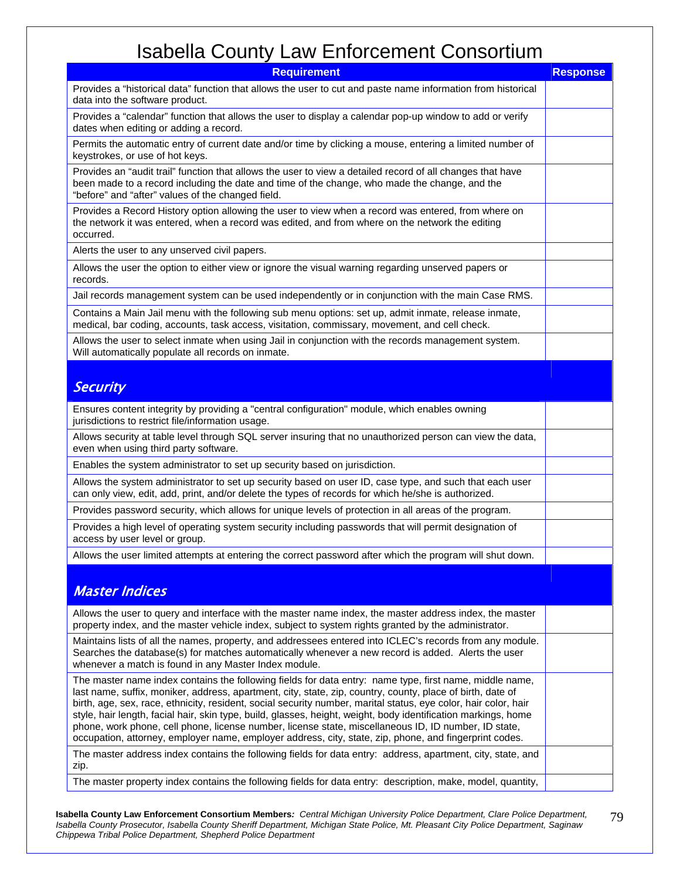| <b>Requirement</b>                                                                                                                                                                                                                                                                                                                                                                                                                                                                                                                                                                                                                                                           | <b>Response</b> |
|------------------------------------------------------------------------------------------------------------------------------------------------------------------------------------------------------------------------------------------------------------------------------------------------------------------------------------------------------------------------------------------------------------------------------------------------------------------------------------------------------------------------------------------------------------------------------------------------------------------------------------------------------------------------------|-----------------|
| Provides a "historical data" function that allows the user to cut and paste name information from historical<br>data into the software product.                                                                                                                                                                                                                                                                                                                                                                                                                                                                                                                              |                 |
| Provides a "calendar" function that allows the user to display a calendar pop-up window to add or verify<br>dates when editing or adding a record.                                                                                                                                                                                                                                                                                                                                                                                                                                                                                                                           |                 |
| Permits the automatic entry of current date and/or time by clicking a mouse, entering a limited number of<br>keystrokes, or use of hot keys.                                                                                                                                                                                                                                                                                                                                                                                                                                                                                                                                 |                 |
| Provides an "audit trail" function that allows the user to view a detailed record of all changes that have<br>been made to a record including the date and time of the change, who made the change, and the<br>"before" and "after" values of the changed field.                                                                                                                                                                                                                                                                                                                                                                                                             |                 |
| Provides a Record History option allowing the user to view when a record was entered, from where on<br>the network it was entered, when a record was edited, and from where on the network the editing<br>occurred.                                                                                                                                                                                                                                                                                                                                                                                                                                                          |                 |
| Alerts the user to any unserved civil papers.                                                                                                                                                                                                                                                                                                                                                                                                                                                                                                                                                                                                                                |                 |
| Allows the user the option to either view or ignore the visual warning regarding unserved papers or<br>records.                                                                                                                                                                                                                                                                                                                                                                                                                                                                                                                                                              |                 |
| Jail records management system can be used independently or in conjunction with the main Case RMS.                                                                                                                                                                                                                                                                                                                                                                                                                                                                                                                                                                           |                 |
| Contains a Main Jail menu with the following sub menu options: set up, admit inmate, release inmate,<br>medical, bar coding, accounts, task access, visitation, commissary, movement, and cell check.                                                                                                                                                                                                                                                                                                                                                                                                                                                                        |                 |
| Allows the user to select inmate when using Jail in conjunction with the records management system.<br>Will automatically populate all records on inmate.                                                                                                                                                                                                                                                                                                                                                                                                                                                                                                                    |                 |
| <b>Security</b>                                                                                                                                                                                                                                                                                                                                                                                                                                                                                                                                                                                                                                                              |                 |
| Ensures content integrity by providing a "central configuration" module, which enables owning<br>jurisdictions to restrict file/information usage.                                                                                                                                                                                                                                                                                                                                                                                                                                                                                                                           |                 |
| Allows security at table level through SQL server insuring that no unauthorized person can view the data,<br>even when using third party software.                                                                                                                                                                                                                                                                                                                                                                                                                                                                                                                           |                 |
| Enables the system administrator to set up security based on jurisdiction.                                                                                                                                                                                                                                                                                                                                                                                                                                                                                                                                                                                                   |                 |
| Allows the system administrator to set up security based on user ID, case type, and such that each user<br>can only view, edit, add, print, and/or delete the types of records for which he/she is authorized.                                                                                                                                                                                                                                                                                                                                                                                                                                                               |                 |
| Provides password security, which allows for unique levels of protection in all areas of the program.                                                                                                                                                                                                                                                                                                                                                                                                                                                                                                                                                                        |                 |
| Provides a high level of operating system security including passwords that will permit designation of<br>access by user level or group.                                                                                                                                                                                                                                                                                                                                                                                                                                                                                                                                     |                 |
| Allows the user limited attempts at entering the correct password after which the program will shut down.                                                                                                                                                                                                                                                                                                                                                                                                                                                                                                                                                                    |                 |
| <b>Master Indices</b>                                                                                                                                                                                                                                                                                                                                                                                                                                                                                                                                                                                                                                                        |                 |
| Allows the user to query and interface with the master name index, the master address index, the master<br>property index, and the master vehicle index, subject to system rights granted by the administrator.                                                                                                                                                                                                                                                                                                                                                                                                                                                              |                 |
| Maintains lists of all the names, property, and addressees entered into ICLEC's records from any module.<br>Searches the database(s) for matches automatically whenever a new record is added. Alerts the user<br>whenever a match is found in any Master Index module.                                                                                                                                                                                                                                                                                                                                                                                                      |                 |
| The master name index contains the following fields for data entry: name type, first name, middle name,<br>last name, suffix, moniker, address, apartment, city, state, zip, country, county, place of birth, date of<br>birth, age, sex, race, ethnicity, resident, social security number, marital status, eye color, hair color, hair<br>style, hair length, facial hair, skin type, build, glasses, height, weight, body identification markings, home<br>phone, work phone, cell phone, license number, license state, miscellaneous ID, ID number, ID state,<br>occupation, attorney, employer name, employer address, city, state, zip, phone, and fingerprint codes. |                 |
| The master address index contains the following fields for data entry: address, apartment, city, state, and<br>zip.                                                                                                                                                                                                                                                                                                                                                                                                                                                                                                                                                          |                 |
| The master property index contains the following fields for data entry: description, make, model, quantity,                                                                                                                                                                                                                                                                                                                                                                                                                                                                                                                                                                  |                 |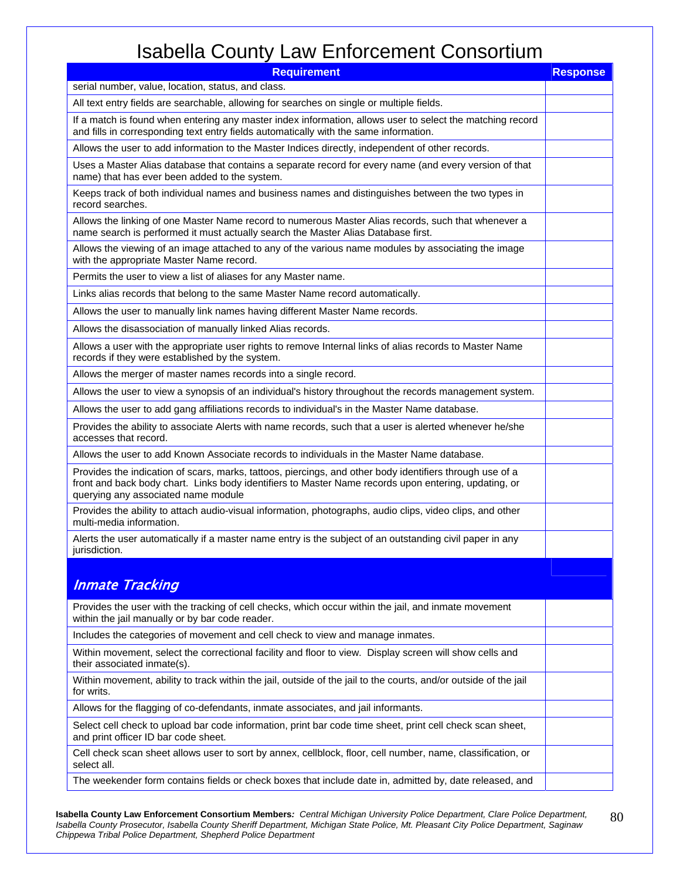| <b>Requirement</b>                                                                                                                                                                                                                                      | <b>Response</b> |
|---------------------------------------------------------------------------------------------------------------------------------------------------------------------------------------------------------------------------------------------------------|-----------------|
| serial number, value, location, status, and class.                                                                                                                                                                                                      |                 |
| All text entry fields are searchable, allowing for searches on single or multiple fields.                                                                                                                                                               |                 |
| If a match is found when entering any master index information, allows user to select the matching record<br>and fills in corresponding text entry fields automatically with the same information.                                                      |                 |
| Allows the user to add information to the Master Indices directly, independent of other records.                                                                                                                                                        |                 |
| Uses a Master Alias database that contains a separate record for every name (and every version of that<br>name) that has ever been added to the system.                                                                                                 |                 |
| Keeps track of both individual names and business names and distinguishes between the two types in<br>record searches.                                                                                                                                  |                 |
| Allows the linking of one Master Name record to numerous Master Alias records, such that whenever a<br>name search is performed it must actually search the Master Alias Database first.                                                                |                 |
| Allows the viewing of an image attached to any of the various name modules by associating the image<br>with the appropriate Master Name record.                                                                                                         |                 |
| Permits the user to view a list of aliases for any Master name.                                                                                                                                                                                         |                 |
| Links alias records that belong to the same Master Name record automatically.                                                                                                                                                                           |                 |
| Allows the user to manually link names having different Master Name records.                                                                                                                                                                            |                 |
| Allows the disassociation of manually linked Alias records.                                                                                                                                                                                             |                 |
| Allows a user with the appropriate user rights to remove Internal links of alias records to Master Name<br>records if they were established by the system.                                                                                              |                 |
| Allows the merger of master names records into a single record.                                                                                                                                                                                         |                 |
| Allows the user to view a synopsis of an individual's history throughout the records management system.                                                                                                                                                 |                 |
| Allows the user to add gang affiliations records to individual's in the Master Name database.                                                                                                                                                           |                 |
| Provides the ability to associate Alerts with name records, such that a user is alerted whenever he/she<br>accesses that record.                                                                                                                        |                 |
| Allows the user to add Known Associate records to individuals in the Master Name database.                                                                                                                                                              |                 |
| Provides the indication of scars, marks, tattoos, piercings, and other body identifiers through use of a<br>front and back body chart. Links body identifiers to Master Name records upon entering, updating, or<br>querying any associated name module |                 |
| Provides the ability to attach audio-visual information, photographs, audio clips, video clips, and other<br>multi-media information.                                                                                                                   |                 |
| Alerts the user automatically if a master name entry is the subject of an outstanding civil paper in any<br>jurisdiction.                                                                                                                               |                 |
| <b>Inmate Tracking</b>                                                                                                                                                                                                                                  |                 |
| Provides the user with the tracking of cell checks, which occur within the jail, and inmate movement<br>within the jail manually or by bar code reader.                                                                                                 |                 |
| Includes the categories of movement and cell check to view and manage inmates.                                                                                                                                                                          |                 |
| Within movement, select the correctional facility and floor to view. Display screen will show cells and<br>their associated inmate(s).                                                                                                                  |                 |
| Within movement, ability to track within the jail, outside of the jail to the courts, and/or outside of the jail<br>for writs.                                                                                                                          |                 |
| Allows for the flagging of co-defendants, inmate associates, and jail informants.                                                                                                                                                                       |                 |
| Select cell check to upload bar code information, print bar code time sheet, print cell check scan sheet,<br>and print officer ID bar code sheet.                                                                                                       |                 |
| Cell check scan sheet allows user to sort by annex, cellblock, floor, cell number, name, classification, or<br>select all.                                                                                                                              |                 |
| The weekender form contains fields or check boxes that include date in, admitted by, date released, and                                                                                                                                                 |                 |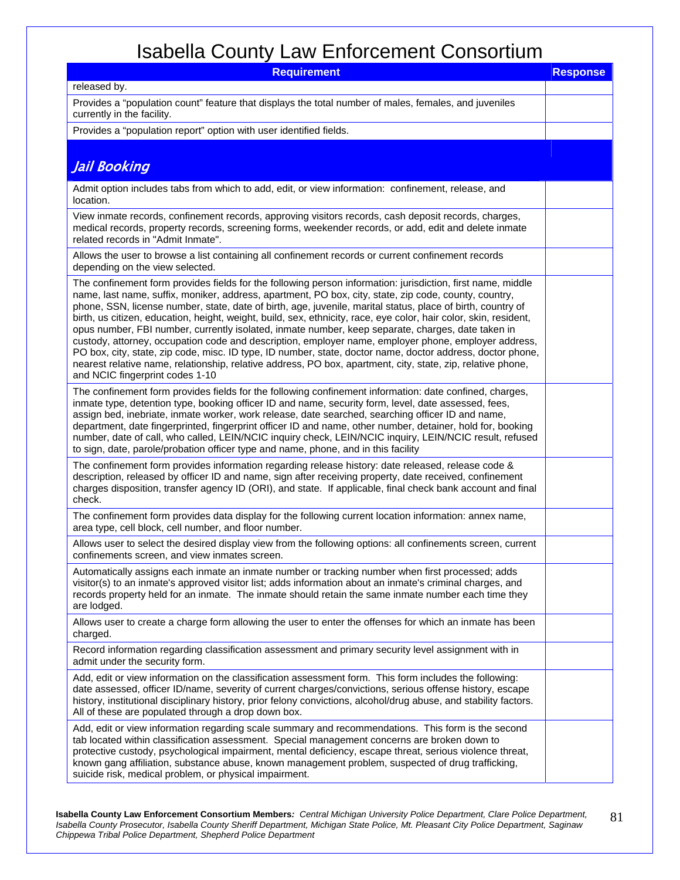| <b>Requirement</b>                                                                                                                                                                                                                                                                                                                                                                                                                                                                                                                                                                                                                                                                                                                                                                                                                                                                                                                    | <b>Response</b> |
|---------------------------------------------------------------------------------------------------------------------------------------------------------------------------------------------------------------------------------------------------------------------------------------------------------------------------------------------------------------------------------------------------------------------------------------------------------------------------------------------------------------------------------------------------------------------------------------------------------------------------------------------------------------------------------------------------------------------------------------------------------------------------------------------------------------------------------------------------------------------------------------------------------------------------------------|-----------------|
| released by.                                                                                                                                                                                                                                                                                                                                                                                                                                                                                                                                                                                                                                                                                                                                                                                                                                                                                                                          |                 |
| Provides a "population count" feature that displays the total number of males, females, and juveniles<br>currently in the facility.                                                                                                                                                                                                                                                                                                                                                                                                                                                                                                                                                                                                                                                                                                                                                                                                   |                 |
| Provides a "population report" option with user identified fields.                                                                                                                                                                                                                                                                                                                                                                                                                                                                                                                                                                                                                                                                                                                                                                                                                                                                    |                 |
|                                                                                                                                                                                                                                                                                                                                                                                                                                                                                                                                                                                                                                                                                                                                                                                                                                                                                                                                       |                 |
| Jail Booking                                                                                                                                                                                                                                                                                                                                                                                                                                                                                                                                                                                                                                                                                                                                                                                                                                                                                                                          |                 |
| Admit option includes tabs from which to add, edit, or view information: confinement, release, and<br>location.                                                                                                                                                                                                                                                                                                                                                                                                                                                                                                                                                                                                                                                                                                                                                                                                                       |                 |
| View inmate records, confinement records, approving visitors records, cash deposit records, charges,<br>medical records, property records, screening forms, weekender records, or add, edit and delete inmate<br>related records in "Admit Inmate".                                                                                                                                                                                                                                                                                                                                                                                                                                                                                                                                                                                                                                                                                   |                 |
| Allows the user to browse a list containing all confinement records or current confinement records<br>depending on the view selected.                                                                                                                                                                                                                                                                                                                                                                                                                                                                                                                                                                                                                                                                                                                                                                                                 |                 |
| The confinement form provides fields for the following person information: jurisdiction, first name, middle<br>name, last name, suffix, moniker, address, apartment, PO box, city, state, zip code, county, country,<br>phone, SSN, license number, state, date of birth, age, juvenile, marital status, place of birth, country of<br>birth, us citizen, education, height, weight, build, sex, ethnicity, race, eye color, hair color, skin, resident,<br>opus number, FBI number, currently isolated, inmate number, keep separate, charges, date taken in<br>custody, attorney, occupation code and description, employer name, employer phone, employer address,<br>PO box, city, state, zip code, misc. ID type, ID number, state, doctor name, doctor address, doctor phone,<br>nearest relative name, relationship, relative address, PO box, apartment, city, state, zip, relative phone,<br>and NCIC fingerprint codes 1-10 |                 |
| The confinement form provides fields for the following confinement information: date confined, charges,<br>inmate type, detention type, booking officer ID and name, security form, level, date assessed, fees,<br>assign bed, inebriate, inmate worker, work release, date searched, searching officer ID and name,<br>department, date fingerprinted, fingerprint officer ID and name, other number, detainer, hold for, booking<br>number, date of call, who called, LEIN/NCIC inquiry check, LEIN/NCIC inquiry, LEIN/NCIC result, refused<br>to sign, date, parole/probation officer type and name, phone, and in this facility                                                                                                                                                                                                                                                                                                   |                 |
| The confinement form provides information regarding release history: date released, release code &<br>description, released by officer ID and name, sign after receiving property, date received, confinement<br>charges disposition, transfer agency ID (ORI), and state. If applicable, final check bank account and final<br>check.                                                                                                                                                                                                                                                                                                                                                                                                                                                                                                                                                                                                |                 |
| The confinement form provides data display for the following current location information: annex name,<br>area type, cell block, cell number, and floor number.                                                                                                                                                                                                                                                                                                                                                                                                                                                                                                                                                                                                                                                                                                                                                                       |                 |
| Allows user to select the desired display view from the following options: all confinements screen, current<br>confinements screen, and view inmates screen.                                                                                                                                                                                                                                                                                                                                                                                                                                                                                                                                                                                                                                                                                                                                                                          |                 |
| Automatically assigns each inmate an inmate number or tracking number when first processed; adds<br>visitor(s) to an inmate's approved visitor list; adds information about an inmate's criminal charges, and<br>records property held for an inmate. The inmate should retain the same inmate number each time they<br>are lodged.                                                                                                                                                                                                                                                                                                                                                                                                                                                                                                                                                                                                   |                 |
| Allows user to create a charge form allowing the user to enter the offenses for which an inmate has been<br>charged.                                                                                                                                                                                                                                                                                                                                                                                                                                                                                                                                                                                                                                                                                                                                                                                                                  |                 |
| Record information regarding classification assessment and primary security level assignment with in<br>admit under the security form.                                                                                                                                                                                                                                                                                                                                                                                                                                                                                                                                                                                                                                                                                                                                                                                                |                 |
| Add, edit or view information on the classification assessment form. This form includes the following:<br>date assessed, officer ID/name, severity of current charges/convictions, serious offense history, escape<br>history, institutional disciplinary history, prior felony convictions, alcohol/drug abuse, and stability factors.<br>All of these are populated through a drop down box.                                                                                                                                                                                                                                                                                                                                                                                                                                                                                                                                        |                 |
| Add, edit or view information regarding scale summary and recommendations. This form is the second<br>tab located within classification assessment. Special management concerns are broken down to<br>protective custody, psychological impairment, mental deficiency, escape threat, serious violence threat,<br>known gang affiliation, substance abuse, known management problem, suspected of drug trafficking,<br>suicide risk, medical problem, or physical impairment.                                                                                                                                                                                                                                                                                                                                                                                                                                                         |                 |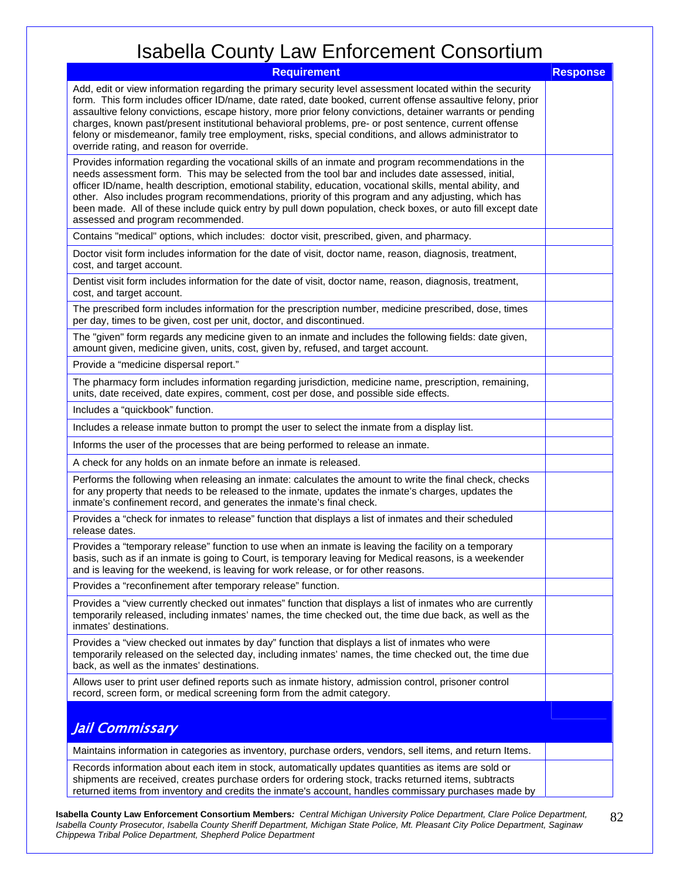| <b>Requirement</b>                                                                                                                                                                                                                                                                                                                                                                                                                                                                                                                                                                                    | <b>Response</b> |
|-------------------------------------------------------------------------------------------------------------------------------------------------------------------------------------------------------------------------------------------------------------------------------------------------------------------------------------------------------------------------------------------------------------------------------------------------------------------------------------------------------------------------------------------------------------------------------------------------------|-----------------|
| Add, edit or view information regarding the primary security level assessment located within the security<br>form. This form includes officer ID/name, date rated, date booked, current offense assaultive felony, prior<br>assaultive felony convictions, escape history, more prior felony convictions, detainer warrants or pending<br>charges, known past/present institutional behavioral problems, pre- or post sentence, current offense<br>felony or misdemeanor, family tree employment, risks, special conditions, and allows administrator to<br>override rating, and reason for override. |                 |
| Provides information regarding the vocational skills of an inmate and program recommendations in the<br>needs assessment form. This may be selected from the tool bar and includes date assessed, initial,<br>officer ID/name, health description, emotional stability, education, vocational skills, mental ability, and<br>other. Also includes program recommendations, priority of this program and any adjusting, which has<br>been made. All of these include quick entry by pull down population, check boxes, or auto fill except date<br>assessed and program recommended.                   |                 |
| Contains "medical" options, which includes: doctor visit, prescribed, given, and pharmacy.                                                                                                                                                                                                                                                                                                                                                                                                                                                                                                            |                 |
| Doctor visit form includes information for the date of visit, doctor name, reason, diagnosis, treatment,<br>cost, and target account.                                                                                                                                                                                                                                                                                                                                                                                                                                                                 |                 |
| Dentist visit form includes information for the date of visit, doctor name, reason, diagnosis, treatment,<br>cost, and target account.                                                                                                                                                                                                                                                                                                                                                                                                                                                                |                 |
| The prescribed form includes information for the prescription number, medicine prescribed, dose, times<br>per day, times to be given, cost per unit, doctor, and discontinued.                                                                                                                                                                                                                                                                                                                                                                                                                        |                 |
| The "given" form regards any medicine given to an inmate and includes the following fields: date given,<br>amount given, medicine given, units, cost, given by, refused, and target account.                                                                                                                                                                                                                                                                                                                                                                                                          |                 |
| Provide a "medicine dispersal report."                                                                                                                                                                                                                                                                                                                                                                                                                                                                                                                                                                |                 |
| The pharmacy form includes information regarding jurisdiction, medicine name, prescription, remaining,<br>units, date received, date expires, comment, cost per dose, and possible side effects.                                                                                                                                                                                                                                                                                                                                                                                                      |                 |
| Includes a "quickbook" function.                                                                                                                                                                                                                                                                                                                                                                                                                                                                                                                                                                      |                 |
| Includes a release inmate button to prompt the user to select the inmate from a display list.                                                                                                                                                                                                                                                                                                                                                                                                                                                                                                         |                 |
| Informs the user of the processes that are being performed to release an inmate.                                                                                                                                                                                                                                                                                                                                                                                                                                                                                                                      |                 |
| A check for any holds on an inmate before an inmate is released.                                                                                                                                                                                                                                                                                                                                                                                                                                                                                                                                      |                 |
| Performs the following when releasing an inmate: calculates the amount to write the final check, checks<br>for any property that needs to be released to the inmate, updates the inmate's charges, updates the<br>inmate's confinement record, and generates the inmate's final check.                                                                                                                                                                                                                                                                                                                |                 |
| Provides a "check for inmates to release" function that displays a list of inmates and their scheduled<br>release dates.                                                                                                                                                                                                                                                                                                                                                                                                                                                                              |                 |
| Provides a "temporary release" function to use when an inmate is leaving the facility on a temporary<br>basis, such as if an inmate is going to Court, is temporary leaving for Medical reasons, is a weekender<br>and is leaving for the weekend, is leaving for work release, or for other reasons.                                                                                                                                                                                                                                                                                                 |                 |
| Provides a "reconfinement after temporary release" function.                                                                                                                                                                                                                                                                                                                                                                                                                                                                                                                                          |                 |
| Provides a "view currently checked out inmates" function that displays a list of inmates who are currently<br>temporarily released, including inmates' names, the time checked out, the time due back, as well as the<br>inmates' destinations.                                                                                                                                                                                                                                                                                                                                                       |                 |
| Provides a "view checked out inmates by day" function that displays a list of inmates who were<br>temporarily released on the selected day, including inmates' names, the time checked out, the time due<br>back, as well as the inmates' destinations.                                                                                                                                                                                                                                                                                                                                               |                 |
| Allows user to print user defined reports such as inmate history, admission control, prisoner control<br>record, screen form, or medical screening form from the admit category.                                                                                                                                                                                                                                                                                                                                                                                                                      |                 |
| <b>Jail Commissary</b>                                                                                                                                                                                                                                                                                                                                                                                                                                                                                                                                                                                |                 |
| Maintains information in categories as inventory, purchase orders, vendors, sell items, and return Items.                                                                                                                                                                                                                                                                                                                                                                                                                                                                                             |                 |
| Records information about each item in stock, automatically updates quantities as items are sold or<br>shipments are received, creates purchase orders for ordering stock, tracks returned items, subtracts<br>returned items from inventory and credits the inmate's account, handles commissary purchases made by                                                                                                                                                                                                                                                                                   |                 |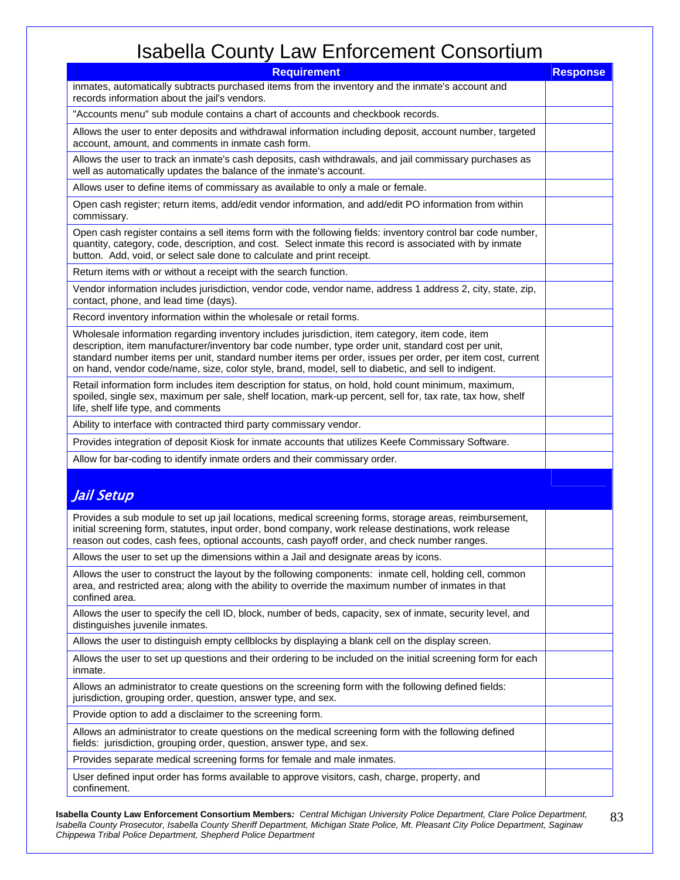| <b>Requirement</b>                                                                                                                                                                                                                                                                                                                                                                                                        |  |  |  |
|---------------------------------------------------------------------------------------------------------------------------------------------------------------------------------------------------------------------------------------------------------------------------------------------------------------------------------------------------------------------------------------------------------------------------|--|--|--|
| inmates, automatically subtracts purchased items from the inventory and the inmate's account and<br>records information about the jail's vendors.                                                                                                                                                                                                                                                                         |  |  |  |
| "Accounts menu" sub module contains a chart of accounts and checkbook records.                                                                                                                                                                                                                                                                                                                                            |  |  |  |
| Allows the user to enter deposits and withdrawal information including deposit, account number, targeted<br>account, amount, and comments in inmate cash form.                                                                                                                                                                                                                                                            |  |  |  |
| Allows the user to track an inmate's cash deposits, cash withdrawals, and jail commissary purchases as<br>well as automatically updates the balance of the inmate's account.                                                                                                                                                                                                                                              |  |  |  |
| Allows user to define items of commissary as available to only a male or female.                                                                                                                                                                                                                                                                                                                                          |  |  |  |
| Open cash register; return items, add/edit vendor information, and add/edit PO information from within<br>commissary.                                                                                                                                                                                                                                                                                                     |  |  |  |
| Open cash register contains a sell items form with the following fields: inventory control bar code number,<br>quantity, category, code, description, and cost. Select inmate this record is associated with by inmate<br>button. Add, void, or select sale done to calculate and print receipt.                                                                                                                          |  |  |  |
| Return items with or without a receipt with the search function.                                                                                                                                                                                                                                                                                                                                                          |  |  |  |
| Vendor information includes jurisdiction, vendor code, vendor name, address 1 address 2, city, state, zip,<br>contact, phone, and lead time (days).                                                                                                                                                                                                                                                                       |  |  |  |
| Record inventory information within the wholesale or retail forms.                                                                                                                                                                                                                                                                                                                                                        |  |  |  |
| Wholesale information regarding inventory includes jurisdiction, item category, item code, item<br>description, item manufacturer/inventory bar code number, type order unit, standard cost per unit,<br>standard number items per unit, standard number items per order, issues per order, per item cost, current<br>on hand, vendor code/name, size, color style, brand, model, sell to diabetic, and sell to indigent. |  |  |  |
| Retail information form includes item description for status, on hold, hold count minimum, maximum,<br>spoiled, single sex, maximum per sale, shelf location, mark-up percent, sell for, tax rate, tax how, shelf<br>life, shelf life type, and comments                                                                                                                                                                  |  |  |  |
| Ability to interface with contracted third party commissary vendor.                                                                                                                                                                                                                                                                                                                                                       |  |  |  |
| Provides integration of deposit Kiosk for inmate accounts that utilizes Keefe Commissary Software.                                                                                                                                                                                                                                                                                                                        |  |  |  |
| Allow for bar-coding to identify inmate orders and their commissary order.                                                                                                                                                                                                                                                                                                                                                |  |  |  |
| Jail Setup                                                                                                                                                                                                                                                                                                                                                                                                                |  |  |  |
| Provides a sub module to set up jail locations, medical screening forms, storage areas, reimbursement,<br>initial screening form, statutes, input order, bond company, work release destinations, work release<br>reason out codes, cash fees, optional accounts, cash payoff order, and check number ranges.                                                                                                             |  |  |  |
| Allows the user to set up the dimensions within a Jail and designate areas by icons.                                                                                                                                                                                                                                                                                                                                      |  |  |  |
| Allows the user to construct the layout by the following components: inmate cell, holding cell, common<br>area, and restricted area; along with the ability to override the maximum number of inmates in that<br>confined area.                                                                                                                                                                                           |  |  |  |
| Allows the user to specify the cell ID, block, number of beds, capacity, sex of inmate, security level, and<br>distinguishes juvenile inmates.                                                                                                                                                                                                                                                                            |  |  |  |
| Allows the user to distinguish empty cellblocks by displaying a blank cell on the display screen.                                                                                                                                                                                                                                                                                                                         |  |  |  |
| Allows the user to set up questions and their ordering to be included on the initial screening form for each<br>inmate.                                                                                                                                                                                                                                                                                                   |  |  |  |
| Allows an administrator to create questions on the screening form with the following defined fields:<br>jurisdiction, grouping order, question, answer type, and sex.                                                                                                                                                                                                                                                     |  |  |  |
| Provide option to add a disclaimer to the screening form.                                                                                                                                                                                                                                                                                                                                                                 |  |  |  |
| Allows an administrator to create questions on the medical screening form with the following defined<br>fields: jurisdiction, grouping order, question, answer type, and sex.                                                                                                                                                                                                                                             |  |  |  |
| Provides separate medical screening forms for female and male inmates.                                                                                                                                                                                                                                                                                                                                                    |  |  |  |
| User defined input order has forms available to approve visitors, cash, charge, property, and<br>confinement.                                                                                                                                                                                                                                                                                                             |  |  |  |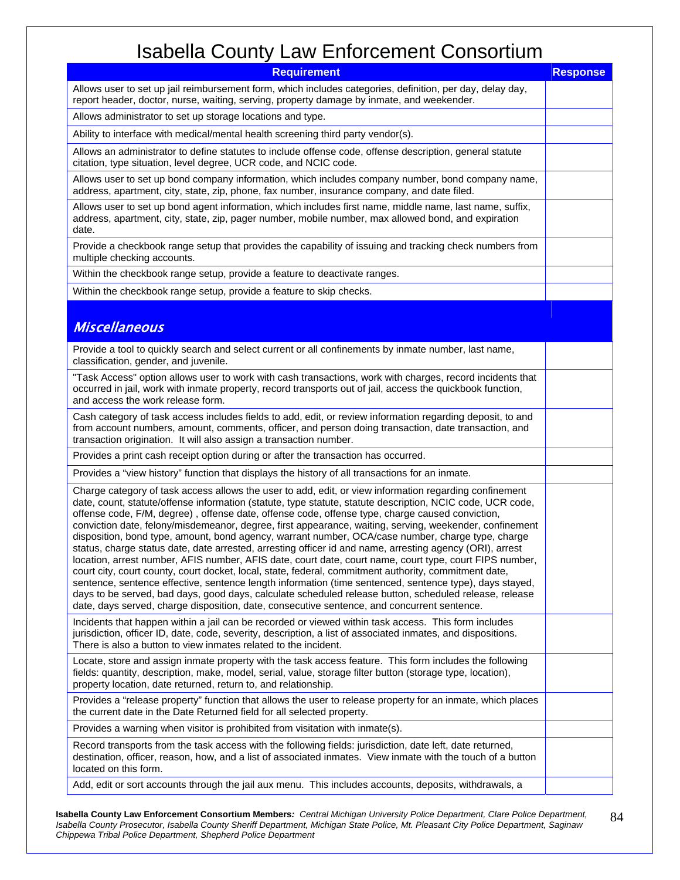| <b>Requirement</b>                                                                                                                                                                                                                                                                                                                                                                                                                                                                                                                                                                                                                                                                                                                                                                                                                                                                                                                                                                                                                                                                                                                                                                          | <b>Response</b> |  |
|---------------------------------------------------------------------------------------------------------------------------------------------------------------------------------------------------------------------------------------------------------------------------------------------------------------------------------------------------------------------------------------------------------------------------------------------------------------------------------------------------------------------------------------------------------------------------------------------------------------------------------------------------------------------------------------------------------------------------------------------------------------------------------------------------------------------------------------------------------------------------------------------------------------------------------------------------------------------------------------------------------------------------------------------------------------------------------------------------------------------------------------------------------------------------------------------|-----------------|--|
| Allows user to set up jail reimbursement form, which includes categories, definition, per day, delay day,<br>report header, doctor, nurse, waiting, serving, property damage by inmate, and weekender.                                                                                                                                                                                                                                                                                                                                                                                                                                                                                                                                                                                                                                                                                                                                                                                                                                                                                                                                                                                      |                 |  |
| Allows administrator to set up storage locations and type.                                                                                                                                                                                                                                                                                                                                                                                                                                                                                                                                                                                                                                                                                                                                                                                                                                                                                                                                                                                                                                                                                                                                  |                 |  |
| Ability to interface with medical/mental health screening third party vendor(s).                                                                                                                                                                                                                                                                                                                                                                                                                                                                                                                                                                                                                                                                                                                                                                                                                                                                                                                                                                                                                                                                                                            |                 |  |
| Allows an administrator to define statutes to include offense code, offense description, general statute<br>citation, type situation, level degree, UCR code, and NCIC code.                                                                                                                                                                                                                                                                                                                                                                                                                                                                                                                                                                                                                                                                                                                                                                                                                                                                                                                                                                                                                |                 |  |
| Allows user to set up bond company information, which includes company number, bond company name,<br>address, apartment, city, state, zip, phone, fax number, insurance company, and date filed.                                                                                                                                                                                                                                                                                                                                                                                                                                                                                                                                                                                                                                                                                                                                                                                                                                                                                                                                                                                            |                 |  |
| Allows user to set up bond agent information, which includes first name, middle name, last name, suffix,<br>address, apartment, city, state, zip, pager number, mobile number, max allowed bond, and expiration<br>date.                                                                                                                                                                                                                                                                                                                                                                                                                                                                                                                                                                                                                                                                                                                                                                                                                                                                                                                                                                    |                 |  |
| Provide a checkbook range setup that provides the capability of issuing and tracking check numbers from<br>multiple checking accounts.                                                                                                                                                                                                                                                                                                                                                                                                                                                                                                                                                                                                                                                                                                                                                                                                                                                                                                                                                                                                                                                      |                 |  |
| Within the checkbook range setup, provide a feature to deactivate ranges.                                                                                                                                                                                                                                                                                                                                                                                                                                                                                                                                                                                                                                                                                                                                                                                                                                                                                                                                                                                                                                                                                                                   |                 |  |
| Within the checkbook range setup, provide a feature to skip checks.                                                                                                                                                                                                                                                                                                                                                                                                                                                                                                                                                                                                                                                                                                                                                                                                                                                                                                                                                                                                                                                                                                                         |                 |  |
| <b>Miscellaneous</b>                                                                                                                                                                                                                                                                                                                                                                                                                                                                                                                                                                                                                                                                                                                                                                                                                                                                                                                                                                                                                                                                                                                                                                        |                 |  |
| Provide a tool to quickly search and select current or all confinements by inmate number, last name,<br>classification, gender, and juvenile.                                                                                                                                                                                                                                                                                                                                                                                                                                                                                                                                                                                                                                                                                                                                                                                                                                                                                                                                                                                                                                               |                 |  |
| "Task Access" option allows user to work with cash transactions, work with charges, record incidents that<br>occurred in jail, work with inmate property, record transports out of jail, access the quickbook function,<br>and access the work release form.                                                                                                                                                                                                                                                                                                                                                                                                                                                                                                                                                                                                                                                                                                                                                                                                                                                                                                                                |                 |  |
| Cash category of task access includes fields to add, edit, or review information regarding deposit, to and<br>from account numbers, amount, comments, officer, and person doing transaction, date transaction, and<br>transaction origination. It will also assign a transaction number.                                                                                                                                                                                                                                                                                                                                                                                                                                                                                                                                                                                                                                                                                                                                                                                                                                                                                                    |                 |  |
| Provides a print cash receipt option during or after the transaction has occurred.                                                                                                                                                                                                                                                                                                                                                                                                                                                                                                                                                                                                                                                                                                                                                                                                                                                                                                                                                                                                                                                                                                          |                 |  |
| Provides a "view history" function that displays the history of all transactions for an inmate.                                                                                                                                                                                                                                                                                                                                                                                                                                                                                                                                                                                                                                                                                                                                                                                                                                                                                                                                                                                                                                                                                             |                 |  |
| Charge category of task access allows the user to add, edit, or view information regarding confinement<br>date, count, statute/offense information (statute, type statute, statute description, NCIC code, UCR code,<br>offense code, F/M, degree), offense date, offense code, offense type, charge caused conviction,<br>conviction date, felony/misdemeanor, degree, first appearance, waiting, serving, weekender, confinement<br>disposition, bond type, amount, bond agency, warrant number, OCA/case number, charge type, charge<br>status, charge status date, date arrested, arresting officer id and name, arresting agency (ORI), arrest<br>location, arrest number, AFIS number, AFIS date, court date, court name, court type, court FIPS number,<br>court city, court county, court docket, local, state, federal, commitment authority, commitment date,<br>sentence, sentence effective, sentence length information (time sentenced, sentence type), days stayed,<br>days to be served, bad days, good days, calculate scheduled release button, scheduled release, release<br>date, days served, charge disposition, date, consecutive sentence, and concurrent sentence. |                 |  |
| Incidents that happen within a jail can be recorded or viewed within task access. This form includes<br>jurisdiction, officer ID, date, code, severity, description, a list of associated inmates, and dispositions.<br>There is also a button to view inmates related to the incident.                                                                                                                                                                                                                                                                                                                                                                                                                                                                                                                                                                                                                                                                                                                                                                                                                                                                                                     |                 |  |
| Locate, store and assign inmate property with the task access feature. This form includes the following<br>fields: quantity, description, make, model, serial, value, storage filter button (storage type, location),<br>property location, date returned, return to, and relationship.                                                                                                                                                                                                                                                                                                                                                                                                                                                                                                                                                                                                                                                                                                                                                                                                                                                                                                     |                 |  |
| Provides a "release property" function that allows the user to release property for an inmate, which places<br>the current date in the Date Returned field for all selected property.                                                                                                                                                                                                                                                                                                                                                                                                                                                                                                                                                                                                                                                                                                                                                                                                                                                                                                                                                                                                       |                 |  |
| Provides a warning when visitor is prohibited from visitation with inmate(s).                                                                                                                                                                                                                                                                                                                                                                                                                                                                                                                                                                                                                                                                                                                                                                                                                                                                                                                                                                                                                                                                                                               |                 |  |
| Record transports from the task access with the following fields: jurisdiction, date left, date returned,<br>destination, officer, reason, how, and a list of associated inmates. View inmate with the touch of a button<br>located on this form.                                                                                                                                                                                                                                                                                                                                                                                                                                                                                                                                                                                                                                                                                                                                                                                                                                                                                                                                           |                 |  |
| Add, edit or sort accounts through the jail aux menu. This includes accounts, deposits, withdrawals, a                                                                                                                                                                                                                                                                                                                                                                                                                                                                                                                                                                                                                                                                                                                                                                                                                                                                                                                                                                                                                                                                                      |                 |  |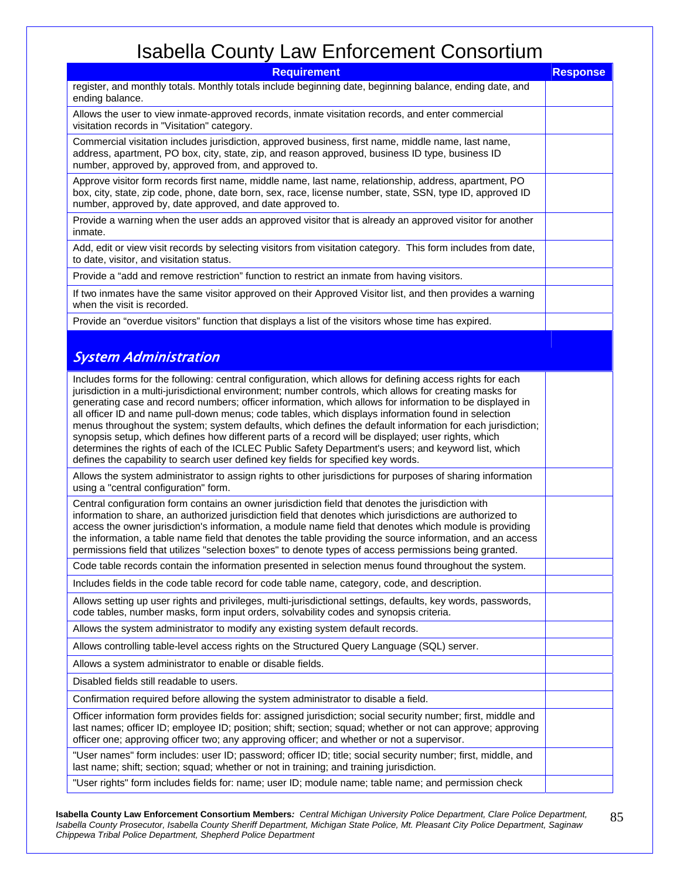| <b>Requirement</b>                                                                                                                                                                                                                                                                                                                                                                                                                                                                                                                                                                                                                                                                                                                                                                                                                                         |  |  |
|------------------------------------------------------------------------------------------------------------------------------------------------------------------------------------------------------------------------------------------------------------------------------------------------------------------------------------------------------------------------------------------------------------------------------------------------------------------------------------------------------------------------------------------------------------------------------------------------------------------------------------------------------------------------------------------------------------------------------------------------------------------------------------------------------------------------------------------------------------|--|--|
| register, and monthly totals. Monthly totals include beginning date, beginning balance, ending date, and<br>ending balance.                                                                                                                                                                                                                                                                                                                                                                                                                                                                                                                                                                                                                                                                                                                                |  |  |
| Allows the user to view inmate-approved records, inmate visitation records, and enter commercial<br>visitation records in "Visitation" category.                                                                                                                                                                                                                                                                                                                                                                                                                                                                                                                                                                                                                                                                                                           |  |  |
| Commercial visitation includes jurisdiction, approved business, first name, middle name, last name,<br>address, apartment, PO box, city, state, zip, and reason approved, business ID type, business ID<br>number, approved by, approved from, and approved to.                                                                                                                                                                                                                                                                                                                                                                                                                                                                                                                                                                                            |  |  |
| Approve visitor form records first name, middle name, last name, relationship, address, apartment, PO<br>box, city, state, zip code, phone, date born, sex, race, license number, state, SSN, type ID, approved ID<br>number, approved by, date approved, and date approved to.                                                                                                                                                                                                                                                                                                                                                                                                                                                                                                                                                                            |  |  |
| Provide a warning when the user adds an approved visitor that is already an approved visitor for another<br>inmate.                                                                                                                                                                                                                                                                                                                                                                                                                                                                                                                                                                                                                                                                                                                                        |  |  |
| Add, edit or view visit records by selecting visitors from visitation category. This form includes from date,<br>to date, visitor, and visitation status.                                                                                                                                                                                                                                                                                                                                                                                                                                                                                                                                                                                                                                                                                                  |  |  |
| Provide a "add and remove restriction" function to restrict an inmate from having visitors.                                                                                                                                                                                                                                                                                                                                                                                                                                                                                                                                                                                                                                                                                                                                                                |  |  |
| If two inmates have the same visitor approved on their Approved Visitor list, and then provides a warning<br>when the visit is recorded.                                                                                                                                                                                                                                                                                                                                                                                                                                                                                                                                                                                                                                                                                                                   |  |  |
| Provide an "overdue visitors" function that displays a list of the visitors whose time has expired.                                                                                                                                                                                                                                                                                                                                                                                                                                                                                                                                                                                                                                                                                                                                                        |  |  |
| <b>System Administration</b>                                                                                                                                                                                                                                                                                                                                                                                                                                                                                                                                                                                                                                                                                                                                                                                                                               |  |  |
| Includes forms for the following: central configuration, which allows for defining access rights for each<br>jurisdiction in a multi-jurisdictional environment; number controls, which allows for creating masks for<br>generating case and record numbers; officer information, which allows for information to be displayed in<br>all officer ID and name pull-down menus; code tables, which displays information found in selection<br>menus throughout the system; system defaults, which defines the default information for each jurisdiction;<br>synopsis setup, which defines how different parts of a record will be displayed; user rights, which<br>determines the rights of each of the ICLEC Public Safety Department's users; and keyword list, which<br>defines the capability to search user defined key fields for specified key words. |  |  |
| Allows the system administrator to assign rights to other jurisdictions for purposes of sharing information<br>using a "central configuration" form.                                                                                                                                                                                                                                                                                                                                                                                                                                                                                                                                                                                                                                                                                                       |  |  |
| Central configuration form contains an owner jurisdiction field that denotes the jurisdiction with<br>information to share, an authorized jurisdiction field that denotes which jurisdictions are authorized to<br>access the owner jurisdiction's information, a module name field that denotes which module is providing<br>the information, a table name field that denotes the table providing the source information, and an access<br>permissions field that utilizes "selection boxes" to denote types of access permissions being granted.                                                                                                                                                                                                                                                                                                         |  |  |
| Code table records contain the information presented in selection menus found throughout the system.                                                                                                                                                                                                                                                                                                                                                                                                                                                                                                                                                                                                                                                                                                                                                       |  |  |
| Includes fields in the code table record for code table name, category, code, and description.                                                                                                                                                                                                                                                                                                                                                                                                                                                                                                                                                                                                                                                                                                                                                             |  |  |
| Allows setting up user rights and privileges, multi-jurisdictional settings, defaults, key words, passwords,<br>code tables, number masks, form input orders, solvability codes and synopsis criteria.                                                                                                                                                                                                                                                                                                                                                                                                                                                                                                                                                                                                                                                     |  |  |
| Allows the system administrator to modify any existing system default records.                                                                                                                                                                                                                                                                                                                                                                                                                                                                                                                                                                                                                                                                                                                                                                             |  |  |
| Allows controlling table-level access rights on the Structured Query Language (SQL) server.                                                                                                                                                                                                                                                                                                                                                                                                                                                                                                                                                                                                                                                                                                                                                                |  |  |
| Allows a system administrator to enable or disable fields.                                                                                                                                                                                                                                                                                                                                                                                                                                                                                                                                                                                                                                                                                                                                                                                                 |  |  |
| Disabled fields still readable to users.                                                                                                                                                                                                                                                                                                                                                                                                                                                                                                                                                                                                                                                                                                                                                                                                                   |  |  |
| Confirmation required before allowing the system administrator to disable a field.                                                                                                                                                                                                                                                                                                                                                                                                                                                                                                                                                                                                                                                                                                                                                                         |  |  |
| Officer information form provides fields for: assigned jurisdiction; social security number; first, middle and<br>last names; officer ID; employee ID; position; shift; section; squad; whether or not can approve; approving<br>officer one; approving officer two; any approving officer; and whether or not a supervisor.                                                                                                                                                                                                                                                                                                                                                                                                                                                                                                                               |  |  |
| "User names" form includes: user ID; password; officer ID; title; social security number; first, middle, and<br>last name; shift; section; squad; whether or not in training; and training jurisdiction.                                                                                                                                                                                                                                                                                                                                                                                                                                                                                                                                                                                                                                                   |  |  |
| "User rights" form includes fields for: name; user ID; module name; table name; and permission check                                                                                                                                                                                                                                                                                                                                                                                                                                                                                                                                                                                                                                                                                                                                                       |  |  |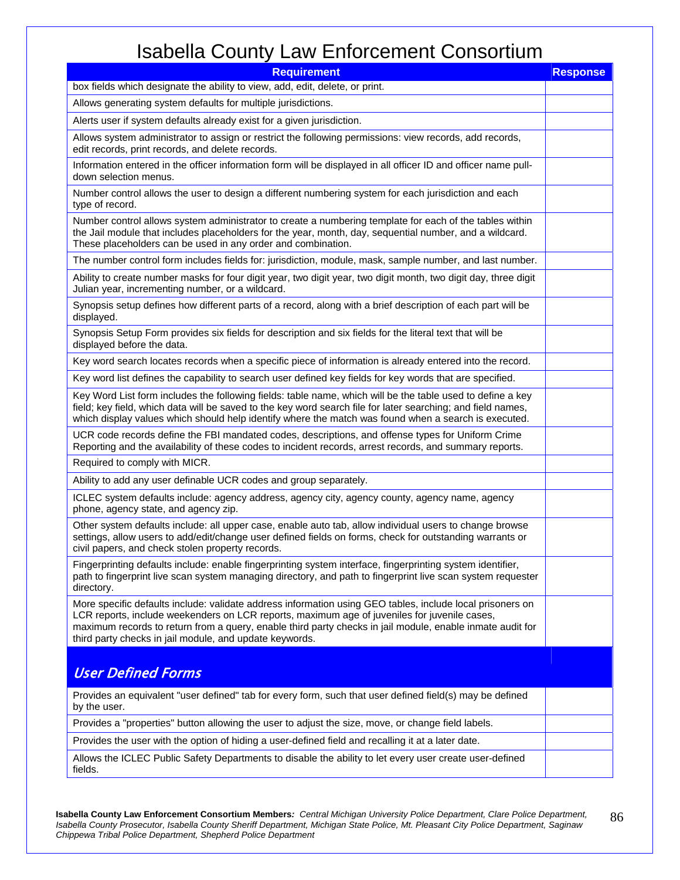| <b>Requirement</b>                                                                                                                                                                                                                                                                                                                                                                | <b>Response</b> |  |
|-----------------------------------------------------------------------------------------------------------------------------------------------------------------------------------------------------------------------------------------------------------------------------------------------------------------------------------------------------------------------------------|-----------------|--|
| box fields which designate the ability to view, add, edit, delete, or print.                                                                                                                                                                                                                                                                                                      |                 |  |
| Allows generating system defaults for multiple jurisdictions.                                                                                                                                                                                                                                                                                                                     |                 |  |
| Alerts user if system defaults already exist for a given jurisdiction.                                                                                                                                                                                                                                                                                                            |                 |  |
| Allows system administrator to assign or restrict the following permissions: view records, add records,<br>edit records, print records, and delete records.                                                                                                                                                                                                                       |                 |  |
| Information entered in the officer information form will be displayed in all officer ID and officer name pull-<br>down selection menus.                                                                                                                                                                                                                                           |                 |  |
| Number control allows the user to design a different numbering system for each jurisdiction and each<br>type of record.                                                                                                                                                                                                                                                           |                 |  |
| Number control allows system administrator to create a numbering template for each of the tables within<br>the Jail module that includes placeholders for the year, month, day, sequential number, and a wildcard.<br>These placeholders can be used in any order and combination.                                                                                                |                 |  |
| The number control form includes fields for: jurisdiction, module, mask, sample number, and last number.                                                                                                                                                                                                                                                                          |                 |  |
| Ability to create number masks for four digit year, two digit year, two digit month, two digit day, three digit<br>Julian year, incrementing number, or a wildcard.                                                                                                                                                                                                               |                 |  |
| Synopsis setup defines how different parts of a record, along with a brief description of each part will be<br>displayed.                                                                                                                                                                                                                                                         |                 |  |
| Synopsis Setup Form provides six fields for description and six fields for the literal text that will be<br>displayed before the data.                                                                                                                                                                                                                                            |                 |  |
| Key word search locates records when a specific piece of information is already entered into the record.                                                                                                                                                                                                                                                                          |                 |  |
| Key word list defines the capability to search user defined key fields for key words that are specified.                                                                                                                                                                                                                                                                          |                 |  |
| Key Word List form includes the following fields: table name, which will be the table used to define a key<br>field; key field, which data will be saved to the key word search file for later searching; and field names,<br>which display values which should help identify where the match was found when a search is executed.                                                |                 |  |
| UCR code records define the FBI mandated codes, descriptions, and offense types for Uniform Crime<br>Reporting and the availability of these codes to incident records, arrest records, and summary reports.                                                                                                                                                                      |                 |  |
| Required to comply with MICR.                                                                                                                                                                                                                                                                                                                                                     |                 |  |
| Ability to add any user definable UCR codes and group separately.                                                                                                                                                                                                                                                                                                                 |                 |  |
| ICLEC system defaults include: agency address, agency city, agency county, agency name, agency<br>phone, agency state, and agency zip.                                                                                                                                                                                                                                            |                 |  |
| Other system defaults include: all upper case, enable auto tab, allow individual users to change browse<br>settings, allow users to add/edit/change user defined fields on forms, check for outstanding warrants or<br>civil papers, and check stolen property records.                                                                                                           |                 |  |
| Fingerprinting defaults include: enable fingerprinting system interface, fingerprinting system identifier,<br>path to fingerprint live scan system managing directory, and path to fingerprint live scan system requester<br>directory.                                                                                                                                           |                 |  |
| More specific defaults include: validate address information using GEO tables, include local prisoners on<br>LCR reports, include weekenders on LCR reports, maximum age of juveniles for juvenile cases,<br>maximum records to return from a query, enable third party checks in jail module, enable inmate audit for<br>third party checks in jail module, and update keywords. |                 |  |
| <b>User Defined Forms</b>                                                                                                                                                                                                                                                                                                                                                         |                 |  |
| Provides an equivalent "user defined" tab for every form, such that user defined field(s) may be defined<br>by the user.                                                                                                                                                                                                                                                          |                 |  |
| Provides a "properties" button allowing the user to adjust the size, move, or change field labels.                                                                                                                                                                                                                                                                                |                 |  |
| Provides the user with the option of hiding a user-defined field and recalling it at a later date.                                                                                                                                                                                                                                                                                |                 |  |
| Allows the ICLEC Public Safety Departments to disable the ability to let every user create user-defined<br>fields.                                                                                                                                                                                                                                                                |                 |  |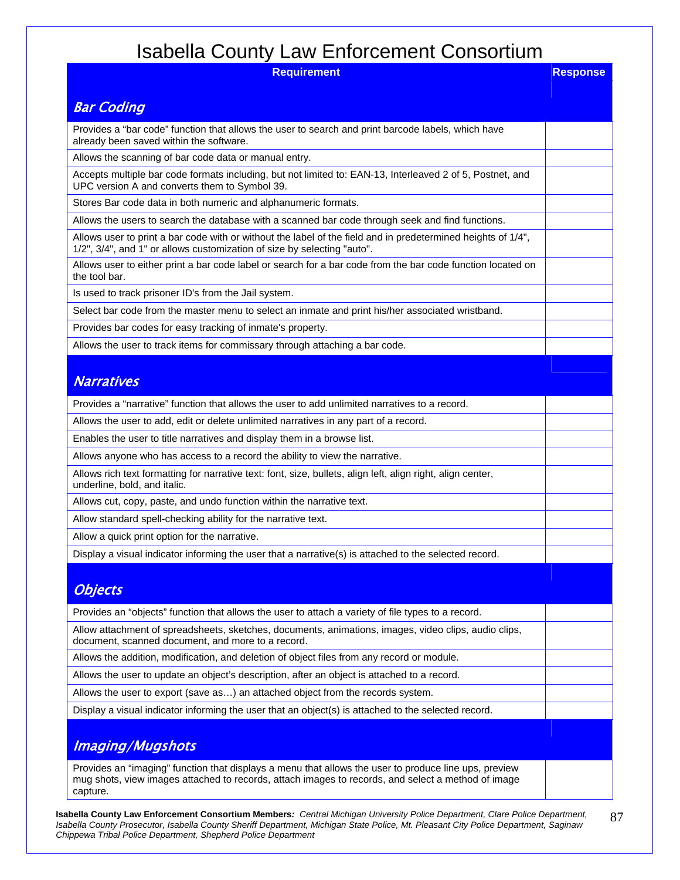| <b>BUDGEOUTH LAW LITURION CONSUMING</b>                                                                                                                                                 |                 |  |
|-----------------------------------------------------------------------------------------------------------------------------------------------------------------------------------------|-----------------|--|
| <b>Requirement</b>                                                                                                                                                                      | <b>Response</b> |  |
| <b>Bar Coding</b>                                                                                                                                                                       |                 |  |
| Provides a "bar code" function that allows the user to search and print barcode labels, which have<br>already been saved within the software.                                           |                 |  |
| Allows the scanning of bar code data or manual entry.                                                                                                                                   |                 |  |
| Accepts multiple bar code formats including, but not limited to: EAN-13, Interleaved 2 of 5, Postnet, and<br>UPC version A and converts them to Symbol 39.                              |                 |  |
| Stores Bar code data in both numeric and alphanumeric formats.                                                                                                                          |                 |  |
| Allows the users to search the database with a scanned bar code through seek and find functions.                                                                                        |                 |  |
| Allows user to print a bar code with or without the label of the field and in predetermined heights of 1/4",<br>1/2", 3/4", and 1" or allows customization of size by selecting "auto". |                 |  |
| Allows user to either print a bar code label or search for a bar code from the bar code function located on<br>the tool bar.                                                            |                 |  |
| Is used to track prisoner ID's from the Jail system.                                                                                                                                    |                 |  |
| Select bar code from the master menu to select an inmate and print his/her associated wristband.                                                                                        |                 |  |
| Provides bar codes for easy tracking of inmate's property.                                                                                                                              |                 |  |
| Allows the user to track items for commissary through attaching a bar code.                                                                                                             |                 |  |
| <b>Narratives</b>                                                                                                                                                                       |                 |  |
| Provides a "narrative" function that allows the user to add unlimited narratives to a record.                                                                                           |                 |  |
| Allows the user to add, edit or delete unlimited narratives in any part of a record.                                                                                                    |                 |  |
| Enables the user to title narratives and display them in a browse list.                                                                                                                 |                 |  |
| Allows anyone who has access to a record the ability to view the narrative.                                                                                                             |                 |  |
| Allows rich text formatting for narrative text: font, size, bullets, align left, align right, align center,<br>underline, bold, and italic.                                             |                 |  |
| Allows cut, copy, paste, and undo function within the narrative text.                                                                                                                   |                 |  |
| Allow standard spell-checking ability for the narrative text.                                                                                                                           |                 |  |
| Allow a quick print option for the narrative.                                                                                                                                           |                 |  |
| Display a visual indicator informing the user that a narrative(s) is attached to the selected record.                                                                                   |                 |  |
| <b>Objects</b>                                                                                                                                                                          |                 |  |
| Provides an "objects" function that allows the user to attach a variety of file types to a record.                                                                                      |                 |  |
| Allow attachment of spreadsheets, sketches, documents, animations, images, video clips, audio clips,<br>document, scanned document, and more to a record.                               |                 |  |
| Allows the addition, modification, and deletion of object files from any record or module.                                                                                              |                 |  |
| Allows the user to update an object's description, after an object is attached to a record.                                                                                             |                 |  |
| Allows the user to export (save as) an attached object from the records system.                                                                                                         |                 |  |
| Display a visual indicator informing the user that an object(s) is attached to the selected record.                                                                                     |                 |  |
| <b>Imaging/Mugshots</b>                                                                                                                                                                 |                 |  |
| Provides an "imaging" function that displays a menu that allows the user to produce line ups, preview                                                                                   |                 |  |

mug shots, view images attached to records, attach images to records, and select a method of image capture.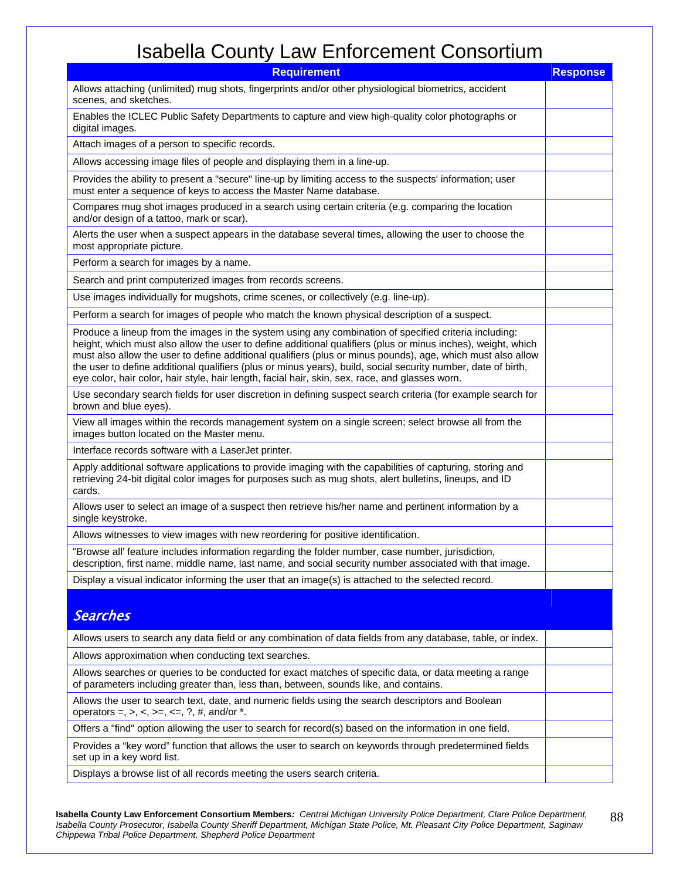| <b>Requirement</b>                                                                                                                                                                                                                                                                                                                                                                                                                                                                                                                                       | <b>Response</b> |  |
|----------------------------------------------------------------------------------------------------------------------------------------------------------------------------------------------------------------------------------------------------------------------------------------------------------------------------------------------------------------------------------------------------------------------------------------------------------------------------------------------------------------------------------------------------------|-----------------|--|
| Allows attaching (unlimited) mug shots, fingerprints and/or other physiological biometrics, accident<br>scenes, and sketches.                                                                                                                                                                                                                                                                                                                                                                                                                            |                 |  |
| Enables the ICLEC Public Safety Departments to capture and view high-quality color photographs or<br>digital images.                                                                                                                                                                                                                                                                                                                                                                                                                                     |                 |  |
| Attach images of a person to specific records.                                                                                                                                                                                                                                                                                                                                                                                                                                                                                                           |                 |  |
| Allows accessing image files of people and displaying them in a line-up.                                                                                                                                                                                                                                                                                                                                                                                                                                                                                 |                 |  |
| Provides the ability to present a "secure" line-up by limiting access to the suspects' information; user<br>must enter a sequence of keys to access the Master Name database.                                                                                                                                                                                                                                                                                                                                                                            |                 |  |
| Compares mug shot images produced in a search using certain criteria (e.g. comparing the location<br>and/or design of a tattoo, mark or scar).                                                                                                                                                                                                                                                                                                                                                                                                           |                 |  |
| Alerts the user when a suspect appears in the database several times, allowing the user to choose the<br>most appropriate picture.                                                                                                                                                                                                                                                                                                                                                                                                                       |                 |  |
| Perform a search for images by a name.                                                                                                                                                                                                                                                                                                                                                                                                                                                                                                                   |                 |  |
| Search and print computerized images from records screens.                                                                                                                                                                                                                                                                                                                                                                                                                                                                                               |                 |  |
| Use images individually for mugshots, crime scenes, or collectively (e.g. line-up).                                                                                                                                                                                                                                                                                                                                                                                                                                                                      |                 |  |
| Perform a search for images of people who match the known physical description of a suspect.                                                                                                                                                                                                                                                                                                                                                                                                                                                             |                 |  |
| Produce a lineup from the images in the system using any combination of specified criteria including:<br>height, which must also allow the user to define additional qualifiers (plus or minus inches), weight, which<br>must also allow the user to define additional qualifiers (plus or minus pounds), age, which must also allow<br>the user to define additional qualifiers (plus or minus years), build, social security number, date of birth,<br>eye color, hair color, hair style, hair length, facial hair, skin, sex, race, and glasses worn. |                 |  |
| Use secondary search fields for user discretion in defining suspect search criteria (for example search for<br>brown and blue eyes).                                                                                                                                                                                                                                                                                                                                                                                                                     |                 |  |
| View all images within the records management system on a single screen; select browse all from the<br>images button located on the Master menu.                                                                                                                                                                                                                                                                                                                                                                                                         |                 |  |
| Interface records software with a LaserJet printer.                                                                                                                                                                                                                                                                                                                                                                                                                                                                                                      |                 |  |
| Apply additional software applications to provide imaging with the capabilities of capturing, storing and<br>retrieving 24-bit digital color images for purposes such as mug shots, alert bulletins, lineups, and ID<br>cards.                                                                                                                                                                                                                                                                                                                           |                 |  |
| Allows user to select an image of a suspect then retrieve his/her name and pertinent information by a<br>single keystroke.                                                                                                                                                                                                                                                                                                                                                                                                                               |                 |  |
| Allows witnesses to view images with new reordering for positive identification.                                                                                                                                                                                                                                                                                                                                                                                                                                                                         |                 |  |
| "Browse all' feature includes information regarding the folder number, case number, jurisdiction,<br>description, first name, middle name, last name, and social security number associated with that image.                                                                                                                                                                                                                                                                                                                                             |                 |  |
| Display a visual indicator informing the user that an image(s) is attached to the selected record.                                                                                                                                                                                                                                                                                                                                                                                                                                                       |                 |  |
| <b>Searches</b>                                                                                                                                                                                                                                                                                                                                                                                                                                                                                                                                          |                 |  |
| Allows users to search any data field or any combination of data fields from any database, table, or index.                                                                                                                                                                                                                                                                                                                                                                                                                                              |                 |  |
| Allows approximation when conducting text searches.                                                                                                                                                                                                                                                                                                                                                                                                                                                                                                      |                 |  |
| Allows searches or queries to be conducted for exact matches of specific data, or data meeting a range<br>of parameters including greater than, less than, between, sounds like, and contains.                                                                                                                                                                                                                                                                                                                                                           |                 |  |
| Allows the user to search text, date, and numeric fields using the search descriptors and Boolean<br>operators =, >, <, >=, <=, ?, #, and/or $*$ .                                                                                                                                                                                                                                                                                                                                                                                                       |                 |  |
| Offers a "find" option allowing the user to search for record(s) based on the information in one field.                                                                                                                                                                                                                                                                                                                                                                                                                                                  |                 |  |
| Provides a "key word" function that allows the user to search on keywords through predetermined fields<br>set up in a key word list.                                                                                                                                                                                                                                                                                                                                                                                                                     |                 |  |
| Displays a browse list of all records meeting the users search criteria.                                                                                                                                                                                                                                                                                                                                                                                                                                                                                 |                 |  |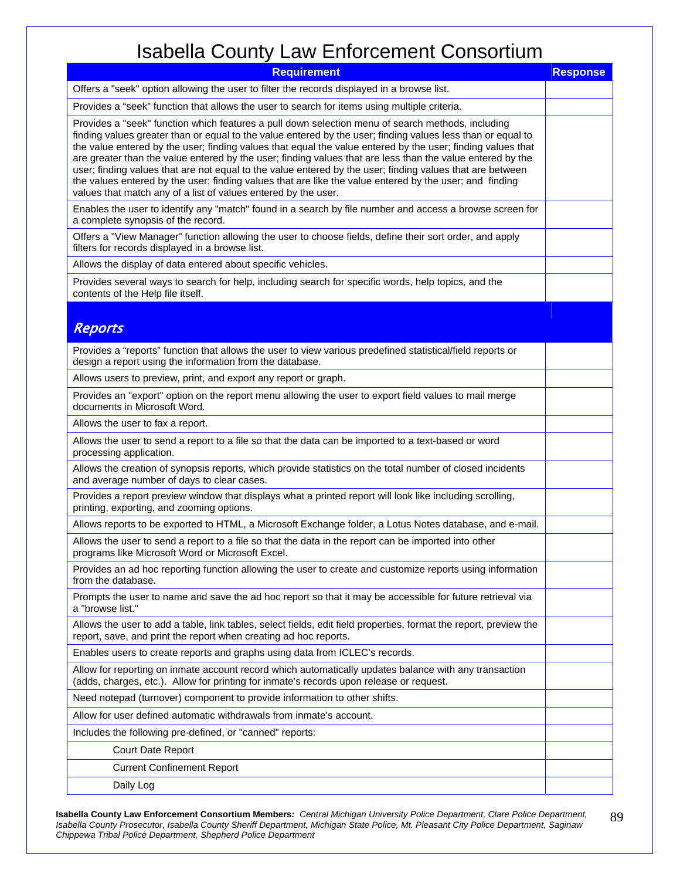| <b>Requirement</b>                                                                                                                                                                                                                                                                                                                                                                                                                                                                                                                                                                                                                                                                                                                      |  |  |
|-----------------------------------------------------------------------------------------------------------------------------------------------------------------------------------------------------------------------------------------------------------------------------------------------------------------------------------------------------------------------------------------------------------------------------------------------------------------------------------------------------------------------------------------------------------------------------------------------------------------------------------------------------------------------------------------------------------------------------------------|--|--|
| Offers a "seek" option allowing the user to filter the records displayed in a browse list.                                                                                                                                                                                                                                                                                                                                                                                                                                                                                                                                                                                                                                              |  |  |
| Provides a "seek" function that allows the user to search for items using multiple criteria.                                                                                                                                                                                                                                                                                                                                                                                                                                                                                                                                                                                                                                            |  |  |
| Provides a "seek" function which features a pull down selection menu of search methods, including<br>finding values greater than or equal to the value entered by the user; finding values less than or equal to<br>the value entered by the user; finding values that equal the value entered by the user; finding values that<br>are greater than the value entered by the user; finding values that are less than the value entered by the<br>user; finding values that are not equal to the value entered by the user; finding values that are between<br>the values entered by the user; finding values that are like the value entered by the user; and finding<br>values that match any of a list of values entered by the user. |  |  |
| Enables the user to identify any "match" found in a search by file number and access a browse screen for<br>a complete synopsis of the record.                                                                                                                                                                                                                                                                                                                                                                                                                                                                                                                                                                                          |  |  |
| Offers a "View Manager" function allowing the user to choose fields, define their sort order, and apply<br>filters for records displayed in a browse list.                                                                                                                                                                                                                                                                                                                                                                                                                                                                                                                                                                              |  |  |
| Allows the display of data entered about specific vehicles.                                                                                                                                                                                                                                                                                                                                                                                                                                                                                                                                                                                                                                                                             |  |  |
| Provides several ways to search for help, including search for specific words, help topics, and the<br>contents of the Help file itself.                                                                                                                                                                                                                                                                                                                                                                                                                                                                                                                                                                                                |  |  |
| <b>Reports</b>                                                                                                                                                                                                                                                                                                                                                                                                                                                                                                                                                                                                                                                                                                                          |  |  |
| Provides a "reports" function that allows the user to view various predefined statistical/field reports or<br>design a report using the information from the database.                                                                                                                                                                                                                                                                                                                                                                                                                                                                                                                                                                  |  |  |
| Allows users to preview, print, and export any report or graph.                                                                                                                                                                                                                                                                                                                                                                                                                                                                                                                                                                                                                                                                         |  |  |
| Provides an "export" option on the report menu allowing the user to export field values to mail merge<br>documents in Microsoft Word.                                                                                                                                                                                                                                                                                                                                                                                                                                                                                                                                                                                                   |  |  |
| Allows the user to fax a report.                                                                                                                                                                                                                                                                                                                                                                                                                                                                                                                                                                                                                                                                                                        |  |  |
| Allows the user to send a report to a file so that the data can be imported to a text-based or word<br>processing application.                                                                                                                                                                                                                                                                                                                                                                                                                                                                                                                                                                                                          |  |  |
| Allows the creation of synopsis reports, which provide statistics on the total number of closed incidents<br>and average number of days to clear cases.                                                                                                                                                                                                                                                                                                                                                                                                                                                                                                                                                                                 |  |  |
| Provides a report preview window that displays what a printed report will look like including scrolling,<br>printing, exporting, and zooming options.                                                                                                                                                                                                                                                                                                                                                                                                                                                                                                                                                                                   |  |  |
| Allows reports to be exported to HTML, a Microsoft Exchange folder, a Lotus Notes database, and e-mail.                                                                                                                                                                                                                                                                                                                                                                                                                                                                                                                                                                                                                                 |  |  |
| Allows the user to send a report to a file so that the data in the report can be imported into other<br>programs like Microsoft Word or Microsoft Excel.                                                                                                                                                                                                                                                                                                                                                                                                                                                                                                                                                                                |  |  |
| Provides an ad hoc reporting function allowing the user to create and customize reports using information<br>from the database.                                                                                                                                                                                                                                                                                                                                                                                                                                                                                                                                                                                                         |  |  |
| Prompts the user to name and save the ad hoc report so that it may be accessible for future retrieval via<br>a "browse list."                                                                                                                                                                                                                                                                                                                                                                                                                                                                                                                                                                                                           |  |  |
| Allows the user to add a table, link tables, select fields, edit field properties, format the report, preview the<br>report, save, and print the report when creating ad hoc reports.                                                                                                                                                                                                                                                                                                                                                                                                                                                                                                                                                   |  |  |
| Enables users to create reports and graphs using data from ICLEC's records.                                                                                                                                                                                                                                                                                                                                                                                                                                                                                                                                                                                                                                                             |  |  |
| Allow for reporting on inmate account record which automatically updates balance with any transaction<br>(adds, charges, etc.). Allow for printing for inmate's records upon release or request.                                                                                                                                                                                                                                                                                                                                                                                                                                                                                                                                        |  |  |
| Need notepad (turnover) component to provide information to other shifts.                                                                                                                                                                                                                                                                                                                                                                                                                                                                                                                                                                                                                                                               |  |  |
| Allow for user defined automatic withdrawals from inmate's account.                                                                                                                                                                                                                                                                                                                                                                                                                                                                                                                                                                                                                                                                     |  |  |
| Includes the following pre-defined, or "canned" reports:                                                                                                                                                                                                                                                                                                                                                                                                                                                                                                                                                                                                                                                                                |  |  |
| Court Date Report                                                                                                                                                                                                                                                                                                                                                                                                                                                                                                                                                                                                                                                                                                                       |  |  |
| <b>Current Confinement Report</b>                                                                                                                                                                                                                                                                                                                                                                                                                                                                                                                                                                                                                                                                                                       |  |  |
| Daily Log                                                                                                                                                                                                                                                                                                                                                                                                                                                                                                                                                                                                                                                                                                                               |  |  |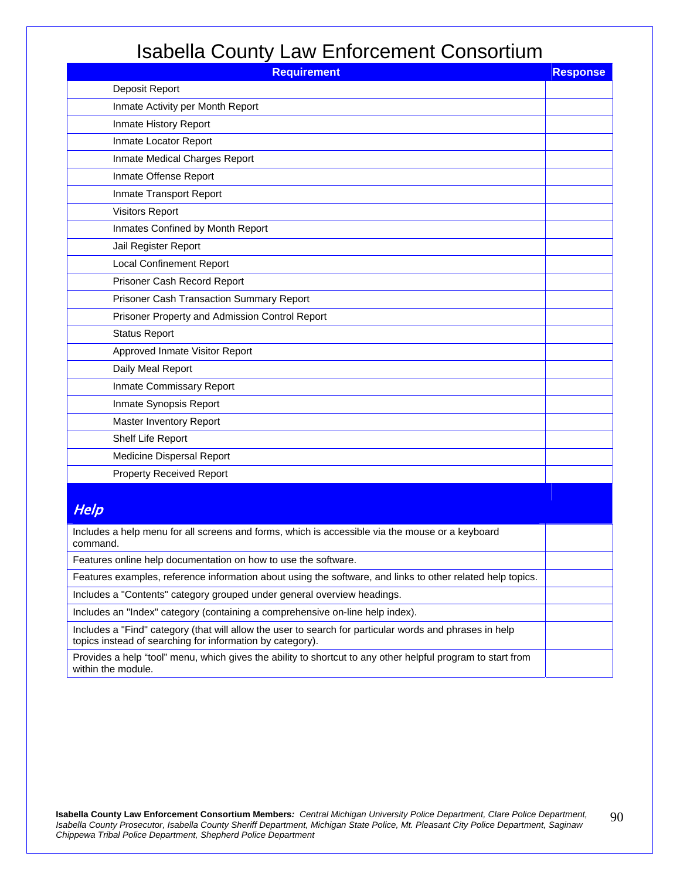| <b>Requirement</b>                                                                                                                                                   | <b>Response</b> |
|----------------------------------------------------------------------------------------------------------------------------------------------------------------------|-----------------|
| Deposit Report                                                                                                                                                       |                 |
| Inmate Activity per Month Report                                                                                                                                     |                 |
| Inmate History Report                                                                                                                                                |                 |
| Inmate Locator Report                                                                                                                                                |                 |
| Inmate Medical Charges Report                                                                                                                                        |                 |
| Inmate Offense Report                                                                                                                                                |                 |
| Inmate Transport Report                                                                                                                                              |                 |
| <b>Visitors Report</b>                                                                                                                                               |                 |
| Inmates Confined by Month Report                                                                                                                                     |                 |
| Jail Register Report                                                                                                                                                 |                 |
| <b>Local Confinement Report</b>                                                                                                                                      |                 |
| Prisoner Cash Record Report                                                                                                                                          |                 |
| Prisoner Cash Transaction Summary Report                                                                                                                             |                 |
| Prisoner Property and Admission Control Report                                                                                                                       |                 |
| <b>Status Report</b>                                                                                                                                                 |                 |
| Approved Inmate Visitor Report                                                                                                                                       |                 |
| Daily Meal Report                                                                                                                                                    |                 |
| Inmate Commissary Report                                                                                                                                             |                 |
| Inmate Synopsis Report                                                                                                                                               |                 |
| Master Inventory Report                                                                                                                                              |                 |
| Shelf Life Report                                                                                                                                                    |                 |
| Medicine Dispersal Report                                                                                                                                            |                 |
| <b>Property Received Report</b>                                                                                                                                      |                 |
|                                                                                                                                                                      |                 |
| Help                                                                                                                                                                 |                 |
| Includes a help menu for all screens and forms, which is accessible via the mouse or a keyboard<br>command.                                                          |                 |
| Features online help documentation on how to use the software.                                                                                                       |                 |
| Features examples, reference information about using the software, and links to other related help topics.                                                           |                 |
| Includes a "Contents" category grouped under general overview headings.                                                                                              |                 |
| Includes an "Index" category (containing a comprehensive on-line help index).                                                                                        |                 |
| Includes a "Find" category (that will allow the user to search for particular words and phrases in help<br>topics instead of searching for information by category). |                 |

Provides a help "tool" menu, which gives the ability to shortcut to any other helpful program to start from within the module.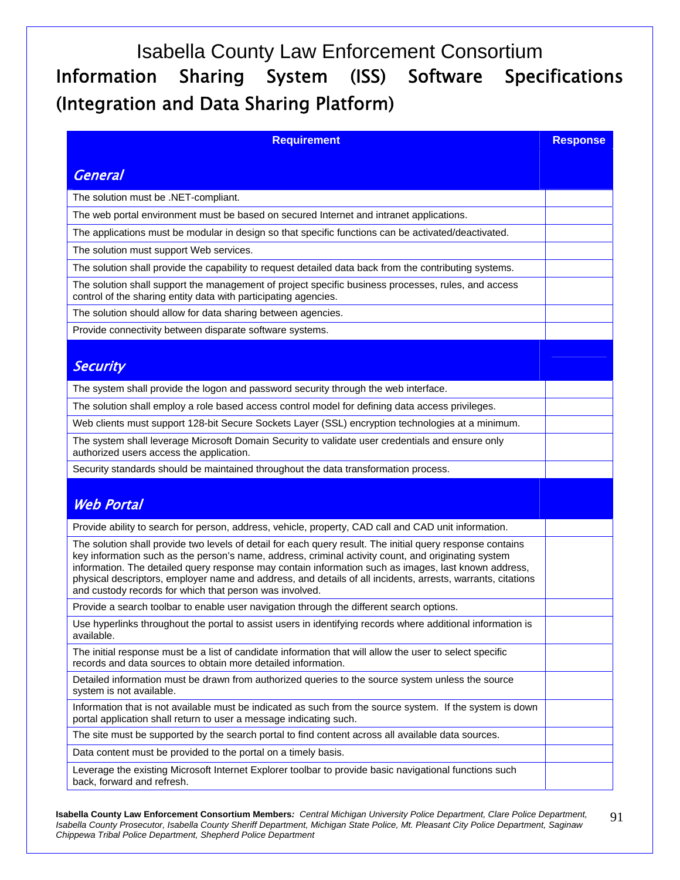# Isabella County Law Enforcement Consortium Information Sharing System (ISS) Software Specifications (Integration and Data Sharing Platform)

| <b>Requirement</b>                                                                                                                                                                                                                                                                                                                                                                                                                                                                                  | <b>Response</b> |
|-----------------------------------------------------------------------------------------------------------------------------------------------------------------------------------------------------------------------------------------------------------------------------------------------------------------------------------------------------------------------------------------------------------------------------------------------------------------------------------------------------|-----------------|
|                                                                                                                                                                                                                                                                                                                                                                                                                                                                                                     |                 |
| <b>General</b>                                                                                                                                                                                                                                                                                                                                                                                                                                                                                      |                 |
| The solution must be .NET-compliant.                                                                                                                                                                                                                                                                                                                                                                                                                                                                |                 |
| The web portal environment must be based on secured Internet and intranet applications.                                                                                                                                                                                                                                                                                                                                                                                                             |                 |
| The applications must be modular in design so that specific functions can be activated/deactivated.                                                                                                                                                                                                                                                                                                                                                                                                 |                 |
| The solution must support Web services.                                                                                                                                                                                                                                                                                                                                                                                                                                                             |                 |
| The solution shall provide the capability to request detailed data back from the contributing systems.                                                                                                                                                                                                                                                                                                                                                                                              |                 |
| The solution shall support the management of project specific business processes, rules, and access<br>control of the sharing entity data with participating agencies.                                                                                                                                                                                                                                                                                                                              |                 |
| The solution should allow for data sharing between agencies.                                                                                                                                                                                                                                                                                                                                                                                                                                        |                 |
| Provide connectivity between disparate software systems.                                                                                                                                                                                                                                                                                                                                                                                                                                            |                 |
| <b>Security</b>                                                                                                                                                                                                                                                                                                                                                                                                                                                                                     |                 |
| The system shall provide the logon and password security through the web interface.                                                                                                                                                                                                                                                                                                                                                                                                                 |                 |
| The solution shall employ a role based access control model for defining data access privileges.                                                                                                                                                                                                                                                                                                                                                                                                    |                 |
| Web clients must support 128-bit Secure Sockets Layer (SSL) encryption technologies at a minimum.                                                                                                                                                                                                                                                                                                                                                                                                   |                 |
| The system shall leverage Microsoft Domain Security to validate user credentials and ensure only<br>authorized users access the application.                                                                                                                                                                                                                                                                                                                                                        |                 |
| Security standards should be maintained throughout the data transformation process.                                                                                                                                                                                                                                                                                                                                                                                                                 |                 |
|                                                                                                                                                                                                                                                                                                                                                                                                                                                                                                     |                 |
| <b>Web Portal</b>                                                                                                                                                                                                                                                                                                                                                                                                                                                                                   |                 |
| Provide ability to search for person, address, vehicle, property, CAD call and CAD unit information.                                                                                                                                                                                                                                                                                                                                                                                                |                 |
| The solution shall provide two levels of detail for each query result. The initial query response contains<br>key information such as the person's name, address, criminal activity count, and originating system<br>information. The detailed query response may contain information such as images, last known address,<br>physical descriptors, employer name and address, and details of all incidents, arrests, warrants, citations<br>and custody records for which that person was involved. |                 |
| Provide a search toolbar to enable user navigation through the different search options.                                                                                                                                                                                                                                                                                                                                                                                                            |                 |
| Use hyperlinks throughout the portal to assist users in identifying records where additional information is<br>available.                                                                                                                                                                                                                                                                                                                                                                           |                 |
| The initial response must be a list of candidate information that will allow the user to select specific<br>records and data sources to obtain more detailed information.                                                                                                                                                                                                                                                                                                                           |                 |
| Detailed information must be drawn from authorized queries to the source system unless the source<br>system is not available.                                                                                                                                                                                                                                                                                                                                                                       |                 |
| Information that is not available must be indicated as such from the source system. If the system is down<br>portal application shall return to user a message indicating such.                                                                                                                                                                                                                                                                                                                     |                 |
| The site must be supported by the search portal to find content across all available data sources.                                                                                                                                                                                                                                                                                                                                                                                                  |                 |
| Data content must be provided to the portal on a timely basis.                                                                                                                                                                                                                                                                                                                                                                                                                                      |                 |
| Leverage the existing Microsoft Internet Explorer toolbar to provide basic navigational functions such<br>back, forward and refresh.                                                                                                                                                                                                                                                                                                                                                                |                 |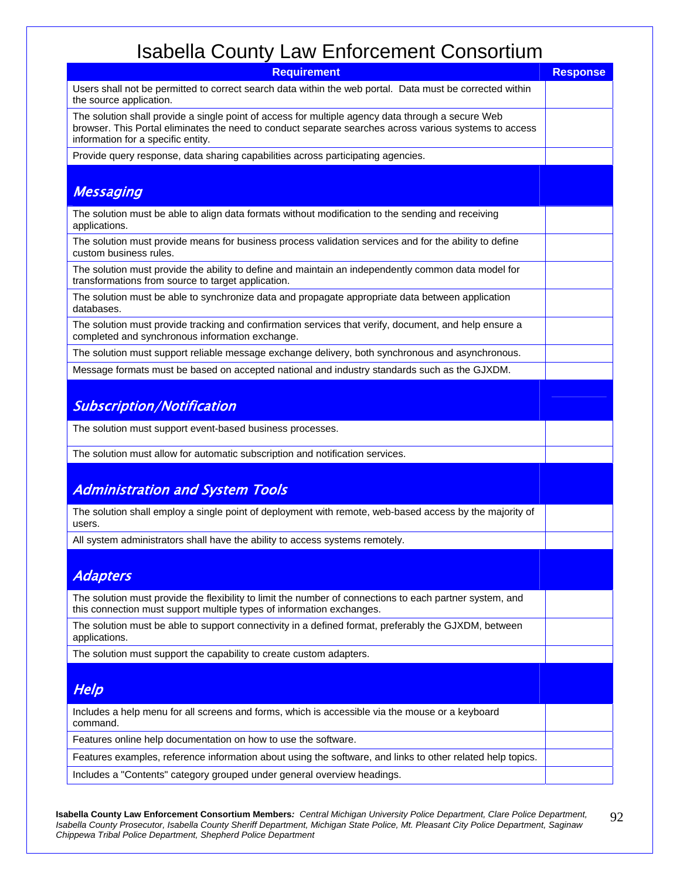| <b>Requirement</b>                                                                                                                                                                                                                                | <b>Response</b> |  |
|---------------------------------------------------------------------------------------------------------------------------------------------------------------------------------------------------------------------------------------------------|-----------------|--|
| Users shall not be permitted to correct search data within the web portal. Data must be corrected within<br>the source application.                                                                                                               |                 |  |
| The solution shall provide a single point of access for multiple agency data through a secure Web<br>browser. This Portal eliminates the need to conduct separate searches across various systems to access<br>information for a specific entity. |                 |  |
| Provide query response, data sharing capabilities across participating agencies.                                                                                                                                                                  |                 |  |
| <b>Messaging</b>                                                                                                                                                                                                                                  |                 |  |
| The solution must be able to align data formats without modification to the sending and receiving<br>applications.                                                                                                                                |                 |  |
| The solution must provide means for business process validation services and for the ability to define<br>custom business rules.                                                                                                                  |                 |  |
| The solution must provide the ability to define and maintain an independently common data model for<br>transformations from source to target application.                                                                                         |                 |  |
| The solution must be able to synchronize data and propagate appropriate data between application<br>databases.                                                                                                                                    |                 |  |
| The solution must provide tracking and confirmation services that verify, document, and help ensure a<br>completed and synchronous information exchange.                                                                                          |                 |  |
| The solution must support reliable message exchange delivery, both synchronous and asynchronous.                                                                                                                                                  |                 |  |
| Message formats must be based on accepted national and industry standards such as the GJXDM.                                                                                                                                                      |                 |  |
| <b>Subscription/Notification</b>                                                                                                                                                                                                                  |                 |  |
| The solution must support event-based business processes.                                                                                                                                                                                         |                 |  |
| The solution must allow for automatic subscription and notification services.                                                                                                                                                                     |                 |  |
| <b>Administration and System Tools</b>                                                                                                                                                                                                            |                 |  |
| The solution shall employ a single point of deployment with remote, web-based access by the majority of<br>users.                                                                                                                                 |                 |  |
| All system administrators shall have the ability to access systems remotely.                                                                                                                                                                      |                 |  |
| <b>Adapters</b>                                                                                                                                                                                                                                   |                 |  |
| The solution must provide the flexibility to limit the number of connections to each partner system, and<br>this connection must support multiple types of information exchanges.                                                                 |                 |  |
| The solution must be able to support connectivity in a defined format, preferably the GJXDM, between<br>applications.                                                                                                                             |                 |  |
| The solution must support the capability to create custom adapters.                                                                                                                                                                               |                 |  |
| Help                                                                                                                                                                                                                                              |                 |  |
| Includes a help menu for all screens and forms, which is accessible via the mouse or a keyboard<br>command.                                                                                                                                       |                 |  |
| Features online help documentation on how to use the software.                                                                                                                                                                                    |                 |  |
| Features examples, reference information about using the software, and links to other related help topics.                                                                                                                                        |                 |  |
| Includes a "Contents" category grouped under general overview headings.                                                                                                                                                                           |                 |  |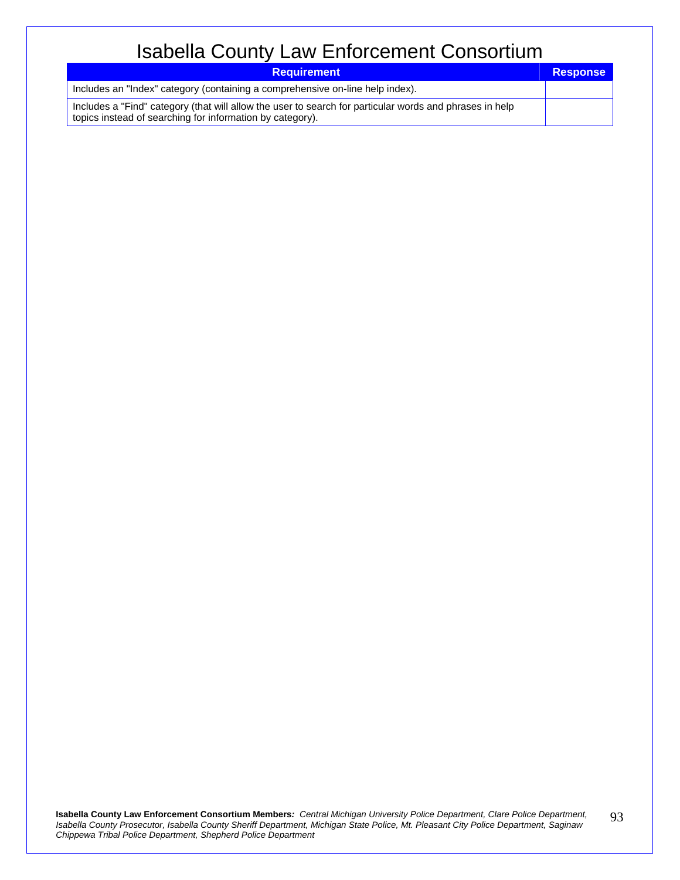| <b>Requirement</b>                                                                                                                                                   | <b>Response</b> |
|----------------------------------------------------------------------------------------------------------------------------------------------------------------------|-----------------|
| Includes an "Index" category (containing a comprehensive on-line help index).                                                                                        |                 |
| Includes a "Find" category (that will allow the user to search for particular words and phrases in help<br>topics instead of searching for information by category). |                 |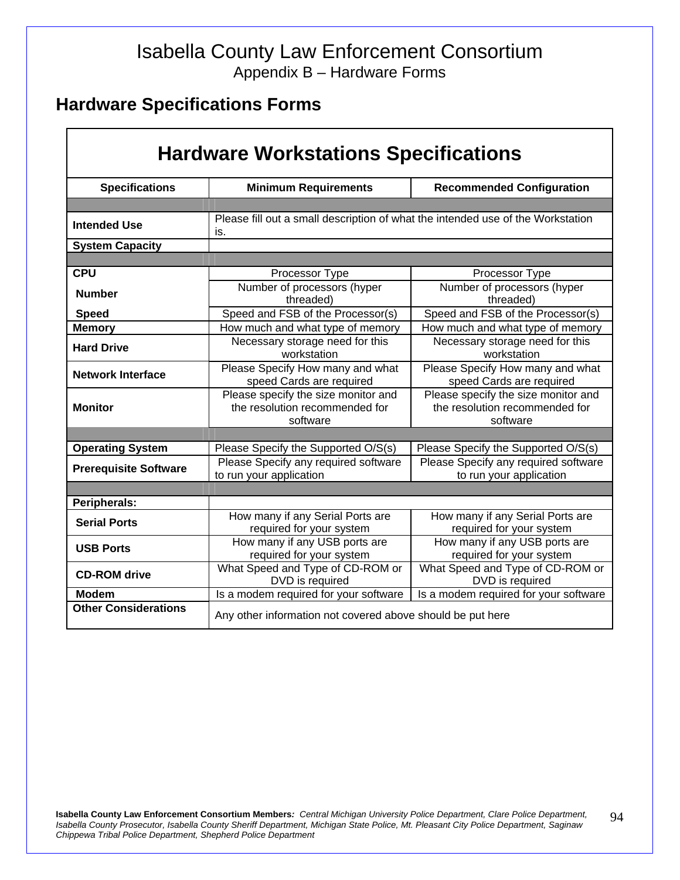#### Isabella County Law Enforcement Consortium Appendix B – Hardware Forms

#### **Hardware Specifications Forms**

| <b>Hardware Workstations Specifications</b> |                                                                                        |                                                                                   |
|---------------------------------------------|----------------------------------------------------------------------------------------|-----------------------------------------------------------------------------------|
| <b>Specifications</b>                       | <b>Minimum Requirements</b>                                                            | <b>Recommended Configuration</b>                                                  |
|                                             |                                                                                        |                                                                                   |
| <b>Intended Use</b>                         | Please fill out a small description of what the intended use of the Workstation<br>is. |                                                                                   |
| <b>System Capacity</b>                      |                                                                                        |                                                                                   |
|                                             |                                                                                        |                                                                                   |
| <b>CPU</b>                                  | Processor Type                                                                         | Processor Type                                                                    |
| <b>Number</b>                               | Number of processors (hyper<br>threaded)                                               | Number of processors (hyper<br>threaded)                                          |
| <b>Speed</b>                                | Speed and FSB of the Processor(s)                                                      | Speed and FSB of the Processor(s)                                                 |
| <b>Memory</b>                               | How much and what type of memory                                                       | How much and what type of memory                                                  |
| <b>Hard Drive</b>                           | Necessary storage need for this<br>workstation                                         | Necessary storage need for this<br>workstation                                    |
| <b>Network Interface</b>                    | Please Specify How many and what<br>speed Cards are required                           | Please Specify How many and what<br>speed Cards are required                      |
| <b>Monitor</b>                              | Please specify the size monitor and<br>the resolution recommended for<br>software      | Please specify the size monitor and<br>the resolution recommended for<br>software |
|                                             |                                                                                        |                                                                                   |
| <b>Operating System</b>                     | Please Specify the Supported O/S(s)                                                    | Please Specify the Supported O/S(s)                                               |
| <b>Prerequisite Software</b>                | Please Specify any required software<br>to run your application                        | Please Specify any required software<br>to run your application                   |
|                                             |                                                                                        |                                                                                   |
| Peripherals:                                |                                                                                        |                                                                                   |
| <b>Serial Ports</b>                         | How many if any Serial Ports are<br>required for your system                           | How many if any Serial Ports are<br>required for your system                      |
| <b>USB Ports</b>                            | How many if any USB ports are<br>required for your system                              | How many if any USB ports are<br>required for your system                         |
| <b>CD-ROM</b> drive                         | What Speed and Type of CD-ROM or<br>DVD is required                                    | What Speed and Type of CD-ROM or<br>DVD is required                               |
| <b>Modem</b>                                | Is a modem required for your software                                                  | Is a modem required for your software                                             |
| <b>Other Considerations</b>                 | Any other information not covered above should be put here                             |                                                                                   |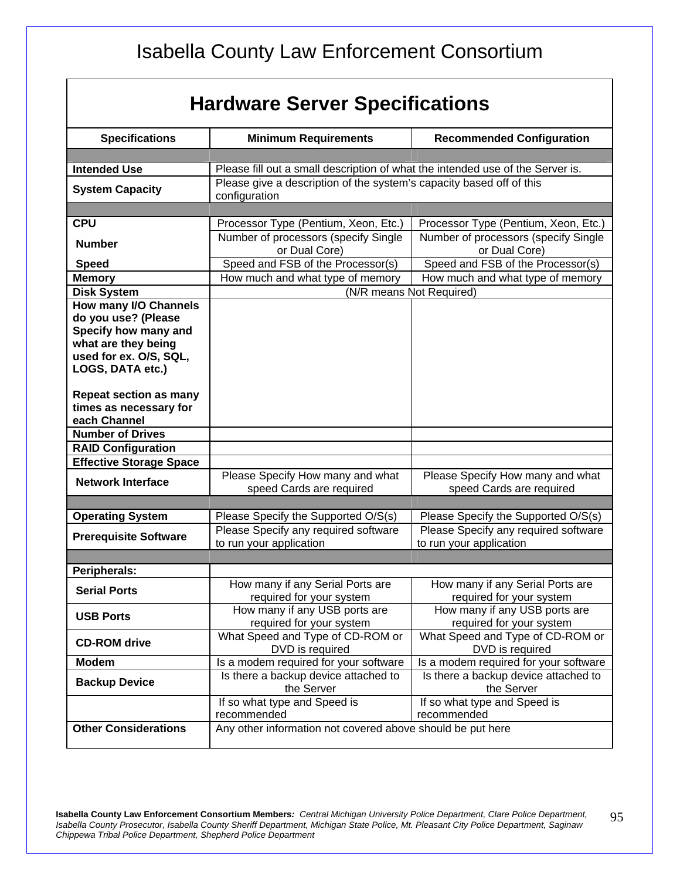# **Hardware Server Specifications**

| <b>Specifications</b>                      | <b>Minimum Requirements</b>                                                           | <b>Recommended Configuration</b>      |  |
|--------------------------------------------|---------------------------------------------------------------------------------------|---------------------------------------|--|
|                                            |                                                                                       |                                       |  |
| <b>Intended Use</b>                        | Please fill out a small description of what the intended use of the Server is.        |                                       |  |
| <b>System Capacity</b>                     | Please give a description of the system's capacity based off of this<br>configuration |                                       |  |
| <b>CPU</b>                                 | Processor Type (Pentium, Xeon, Etc.)                                                  | Processor Type (Pentium, Xeon, Etc.)  |  |
|                                            | Number of processors (specify Single                                                  | Number of processors (specify Single) |  |
| <b>Number</b>                              | or Dual Core)                                                                         | or Dual Core)                         |  |
| <b>Speed</b>                               | Speed and FSB of the Processor(s)                                                     | Speed and FSB of the Processor(s)     |  |
| <b>Memory</b>                              | How much and what type of memory                                                      | How much and what type of memory      |  |
| <b>Disk System</b>                         |                                                                                       | (N/R means Not Required)              |  |
| How many I/O Channels                      |                                                                                       |                                       |  |
| do you use? (Please                        |                                                                                       |                                       |  |
| Specify how many and                       |                                                                                       |                                       |  |
| what are they being                        |                                                                                       |                                       |  |
| used for ex. O/S, SQL,<br>LOGS, DATA etc.) |                                                                                       |                                       |  |
|                                            |                                                                                       |                                       |  |
| <b>Repeat section as many</b>              |                                                                                       |                                       |  |
| times as necessary for                     |                                                                                       |                                       |  |
| each Channel                               |                                                                                       |                                       |  |
| <b>Number of Drives</b>                    |                                                                                       |                                       |  |
| <b>RAID Configuration</b>                  |                                                                                       |                                       |  |
| <b>Effective Storage Space</b>             |                                                                                       |                                       |  |
| <b>Network Interface</b>                   | Please Specify How many and what                                                      | Please Specify How many and what      |  |
|                                            | speed Cards are required                                                              | speed Cards are required              |  |
|                                            |                                                                                       |                                       |  |
| <b>Operating System</b>                    | Please Specify the Supported O/S(s)                                                   | Please Specify the Supported O/S(s)   |  |
| <b>Prerequisite Software</b>               | Please Specify any required software                                                  | Please Specify any required software  |  |
|                                            | to run your application                                                               | to run your application               |  |
|                                            |                                                                                       |                                       |  |
| Peripherals:                               | How many if any Serial Ports are                                                      | How many if any Serial Ports are      |  |
| <b>Serial Ports</b>                        | required for your system                                                              | required for your system              |  |
|                                            | How many if any USB ports are                                                         | How many if any USB ports are         |  |
| <b>USB Ports</b>                           | required for your system                                                              | required for your system              |  |
|                                            | What Speed and Type of CD-ROM or                                                      | What Speed and Type of CD-ROM or      |  |
| <b>CD-ROM</b> drive                        | DVD is required                                                                       | DVD is required                       |  |
| <b>Modem</b>                               | Is a modem required for your software                                                 | Is a modem required for your software |  |
| <b>Backup Device</b>                       | Is there a backup device attached to                                                  | Is there a backup device attached to  |  |
|                                            | the Server                                                                            | the Server                            |  |
|                                            | If so what type and Speed is                                                          | If so what type and Speed is          |  |
|                                            | recommended                                                                           | recommended                           |  |
| <b>Other Considerations</b>                | Any other information not covered above should be put here                            |                                       |  |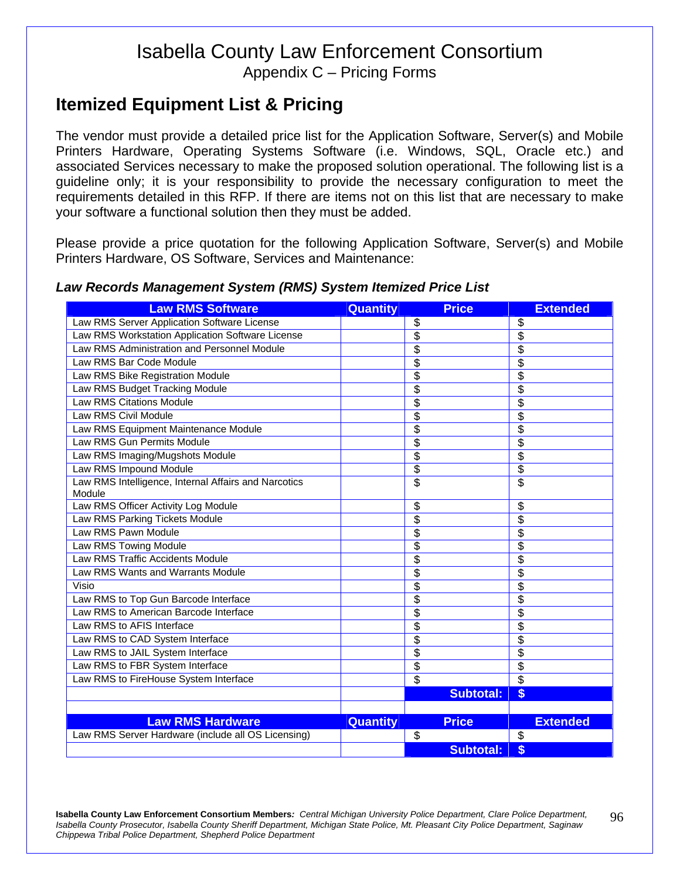Appendix C – Pricing Forms

#### **Itemized Equipment List & Pricing**

The vendor must provide a detailed price list for the Application Software, Server(s) and Mobile Printers Hardware, Operating Systems Software (i.e. Windows, SQL, Oracle etc.) and associated Services necessary to make the proposed solution operational. The following list is a guideline only; it is your responsibility to provide the necessary configuration to meet the requirements detailed in this RFP. If there are items not on this list that are necessary to make your software a functional solution then they must be added.

Please provide a price quotation for the following Application Software, Server(s) and Mobile Printers Hardware, OS Software, Services and Maintenance:

#### *Law Records Management System (RMS) System Itemized Price List*

| <b>Law RMS Software</b>                                        | Quantity        | <b>Price</b>             | <b>Extended</b>          |
|----------------------------------------------------------------|-----------------|--------------------------|--------------------------|
| Law RMS Server Application Software License                    |                 | \$                       | \$                       |
| Law RMS Workstation Application Software License               |                 | $\overline{\$}$          | $\overline{\$}$          |
| Law RMS Administration and Personnel Module                    |                 | $\overline{\$}$          | $\bar{\$}$               |
| Law RMS Bar Code Module                                        |                 | $\overline{\$}$          | $\overline{\$}$          |
| Law RMS Bike Registration Module                               |                 | $\overline{\$}$          | \$                       |
| Law RMS Budget Tracking Module                                 |                 | $\overline{\$}$          | \$                       |
| <b>Law RMS Citations Module</b>                                |                 | $\overline{\$}$          | $\overline{\$}$          |
| Law RMS Civil Module                                           |                 | $\overline{\$}$          | $\overline{\$}$          |
| Law RMS Equipment Maintenance Module                           |                 | $\overline{\$}$          | $\overline{\$}$          |
| Law RMS Gun Permits Module                                     |                 | $\overline{\$}$          | $\overline{\$}$          |
| Law RMS Imaging/Mugshots Module                                |                 | $\overline{\$}$          | \$                       |
| Law RMS Impound Module                                         |                 | \$                       | \$                       |
| Law RMS Intelligence, Internal Affairs and Narcotics<br>Module |                 | $\overline{\$}$          | $\overline{\$}$          |
| Law RMS Officer Activity Log Module                            |                 | \$                       | \$                       |
| Law RMS Parking Tickets Module                                 |                 | \$                       | \$                       |
| Law RMS Pawn Module                                            |                 | \$                       | \$                       |
| Law RMS Towing Module                                          |                 | $\overline{\$}$          | $\overline{\$}$          |
| <b>Law RMS Traffic Accidents Module</b>                        |                 | $\overline{\$}$          | \$                       |
| Law RMS Wants and Warrants Module                              |                 | \$                       | \$                       |
| Visio                                                          |                 | \$                       | \$                       |
| Law RMS to Top Gun Barcode Interface                           |                 | $\overline{\$}$          | \$                       |
| Law RMS to American Barcode Interface                          |                 | $\overline{\$}$          | \$                       |
| Law RMS to AFIS Interface                                      |                 | $\overline{\$}$          | \$                       |
| Law RMS to CAD System Interface                                |                 | $\overline{\$}$          | \$                       |
| Law RMS to JAIL System Interface                               |                 | \$                       | \$                       |
| Law RMS to FBR System Interface                                |                 | \$                       | \$                       |
| Law RMS to FireHouse System Interface                          |                 | $\overline{\mathcal{S}}$ | $\overline{\mathcal{S}}$ |
|                                                                |                 | <b>Subtotal:</b>         | \$                       |
|                                                                |                 |                          |                          |
| <b>Law RMS Hardware</b>                                        | <b>Quantity</b> | <b>Price</b>             | <b>Extended</b>          |
| Law RMS Server Hardware (include all OS Licensing)             |                 | \$                       | \$                       |
|                                                                |                 | <b>Subtotal:</b>         | \$                       |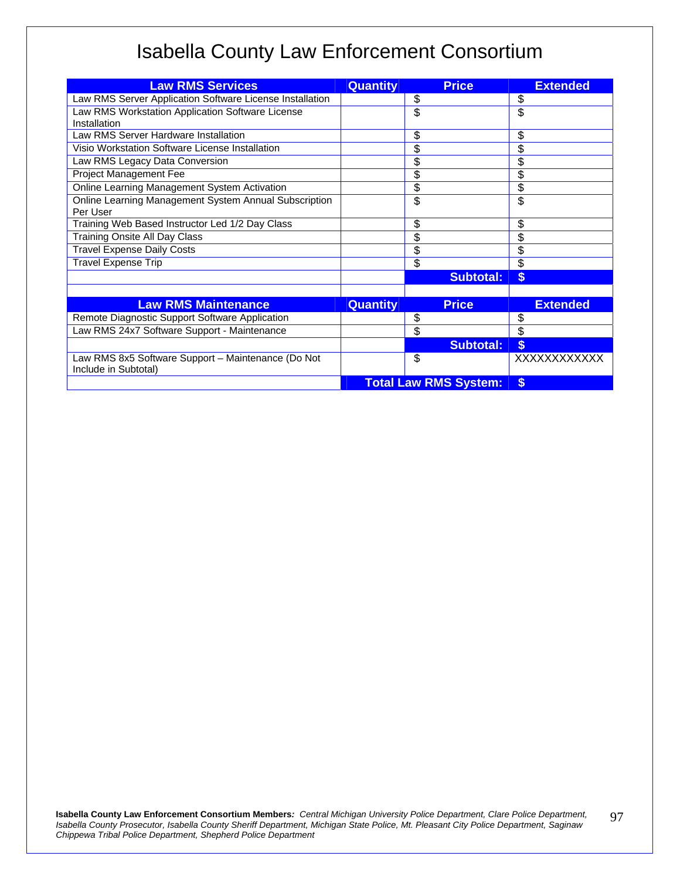| <b>Law RMS Services</b>                                                    | <b>Quantity</b> | <b>Price</b>                 | <b>Extended</b>     |
|----------------------------------------------------------------------------|-----------------|------------------------------|---------------------|
| Law RMS Server Application Software License Installation                   |                 | \$                           | \$                  |
| Law RMS Workstation Application Software License                           |                 | \$                           | \$                  |
| Installation                                                               |                 |                              |                     |
| Law RMS Server Hardware Installation                                       |                 | \$                           | \$                  |
| Visio Workstation Software License Installation                            |                 | \$                           | \$                  |
| Law RMS Legacy Data Conversion                                             |                 | \$                           | \$                  |
| Project Management Fee                                                     |                 | \$                           | \$                  |
| Online Learning Management System Activation                               |                 | \$                           | \$                  |
| Online Learning Management System Annual Subscription                      |                 | \$                           | \$                  |
| Per User                                                                   |                 |                              |                     |
| Training Web Based Instructor Led 1/2 Day Class                            |                 | \$                           | \$                  |
| Training Onsite All Day Class                                              |                 | \$                           | \$                  |
| <b>Travel Expense Daily Costs</b>                                          |                 | \$                           | \$                  |
| <b>Travel Expense Trip</b>                                                 |                 | \$                           | \$                  |
|                                                                            |                 | <b>Subtotal:</b>             | $\boldsymbol{s}$    |
|                                                                            |                 |                              |                     |
| <b>Law RMS Maintenance</b>                                                 | <b>Quantity</b> | <b>Price</b>                 | <b>Extended</b>     |
| Remote Diagnostic Support Software Application                             |                 | \$                           | \$                  |
| Law RMS 24x7 Software Support - Maintenance                                |                 | \$                           | \$                  |
|                                                                            |                 | <b>Subtotal:</b>             | $\boldsymbol{s}$    |
| Law RMS 8x5 Software Support - Maintenance (Do Not<br>Include in Subtotal) |                 | \$                           | <b>XXXXXXXXXXXX</b> |
|                                                                            |                 | <b>Total Law RMS System:</b> | \$                  |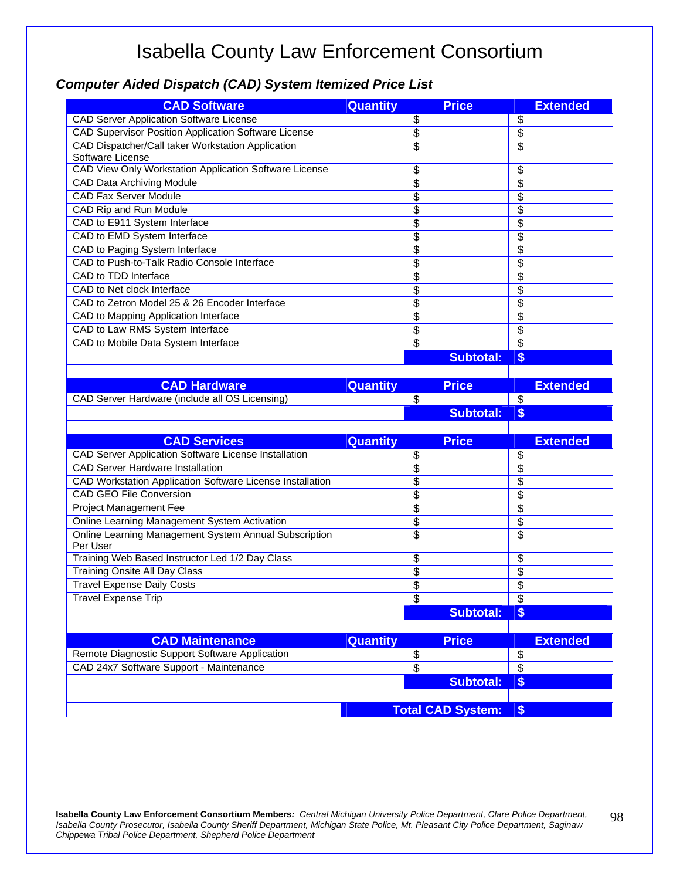#### *Computer Aided Dispatch (CAD) System Itemized Price List*

| <b>CAD Software</b>                                         | <b>Quantity</b> | <b>Price</b>             | <b>Extended</b> |
|-------------------------------------------------------------|-----------------|--------------------------|-----------------|
| <b>CAD Server Application Software License</b>              |                 | \$                       | \$              |
| CAD Supervisor Position Application Software License        |                 | \$                       | \$              |
| CAD Dispatcher/Call taker Workstation Application           |                 | \$                       | \$              |
| Software License                                            |                 |                          |                 |
| CAD View Only Workstation Application Software License      |                 | \$                       | \$              |
| CAD Data Archiving Module                                   |                 | \$                       | \$              |
| <b>CAD Fax Server Module</b>                                |                 | \$                       | \$              |
| CAD Rip and Run Module                                      |                 | \$                       | \$              |
| CAD to E911 System Interface                                |                 | \$                       | \$              |
| CAD to EMD System Interface                                 |                 | \$                       | \$              |
| CAD to Paging System Interface                              |                 | \$                       | \$              |
| CAD to Push-to-Talk Radio Console Interface                 |                 | \$                       | \$              |
| CAD to TDD Interface                                        |                 | \$                       | \$              |
| CAD to Net clock Interface                                  |                 | \$                       | \$              |
| CAD to Zetron Model 25 & 26 Encoder Interface               |                 | \$                       | \$              |
| CAD to Mapping Application Interface                        |                 | \$                       | \$              |
| CAD to Law RMS System Interface                             |                 | \$                       | \$              |
| CAD to Mobile Data System Interface                         |                 | \$                       | $\overline{\$}$ |
|                                                             |                 | <b>Subtotal:</b>         | \$              |
|                                                             |                 |                          |                 |
| <b>CAD Hardware</b>                                         | <b>Quantity</b> | <b>Price</b>             | <b>Extended</b> |
| CAD Server Hardware (include all OS Licensing)              |                 | \$                       | \$              |
|                                                             |                 |                          |                 |
|                                                             |                 | <b>Subtotal:</b>         |                 |
|                                                             |                 |                          | \$              |
| <b>CAD Services</b>                                         | Quantity        | <b>Price</b>             | <b>Extended</b> |
| <b>CAD Server Application Software License Installation</b> |                 | \$                       | \$              |
| <b>CAD Server Hardware Installation</b>                     |                 | \$                       | \$              |
| CAD Workstation Application Software License Installation   |                 | \$                       | \$              |
| <b>CAD GEO File Conversion</b>                              |                 | \$                       | \$              |
| Project Management Fee                                      |                 | \$                       | \$              |
| Online Learning Management System Activation                |                 | \$                       | $\overline{\$}$ |
| Online Learning Management System Annual Subscription       |                 | \$                       | \$              |
| Per User                                                    |                 |                          |                 |
| Training Web Based Instructor Led 1/2 Day Class             |                 | \$                       | \$              |
| <b>Training Onsite All Day Class</b>                        |                 | \$                       | \$              |
| <b>Travel Expense Daily Costs</b>                           |                 | \$                       | \$              |
| <b>Travel Expense Trip</b>                                  |                 | \$                       | \$              |
|                                                             |                 | <b>Subtotal:</b>         | \$              |
|                                                             |                 |                          |                 |
| <b>CAD Maintenance</b>                                      | Quantity        | <b>Price</b>             | <b>Extended</b> |
| Remote Diagnostic Support Software Application              |                 |                          | \$              |
| CAD 24x7 Software Support - Maintenance                     |                 | $\frac{6}{9}$            | $\overline{\$}$ |
|                                                             |                 | <b>Subtotal:</b>         | \$              |
|                                                             |                 | <b>Total CAD System:</b> | $$$             |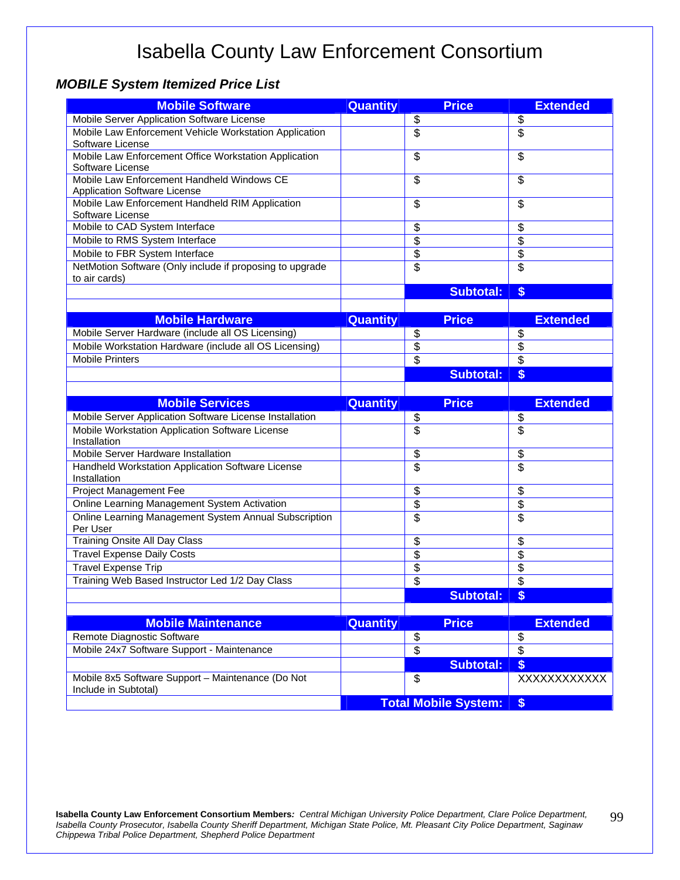#### *MOBILE System Itemized Price List*

| <b>Mobile Software</b>                                                     | <b>Quantity</b> | <b>Price</b>                | <b>Extended</b> |
|----------------------------------------------------------------------------|-----------------|-----------------------------|-----------------|
| Mobile Server Application Software License                                 |                 | \$                          | \$              |
| Mobile Law Enforcement Vehicle Workstation Application                     |                 | $\overline{\$}$             | $\overline{\$}$ |
| Software License                                                           |                 |                             |                 |
| Mobile Law Enforcement Office Workstation Application                      |                 | \$                          | \$              |
| Software License                                                           |                 |                             |                 |
| Mobile Law Enforcement Handheld Windows CE<br>Application Software License |                 | \$                          | \$              |
| Mobile Law Enforcement Handheld RIM Application<br>Software License        |                 | \$                          | \$              |
| Mobile to CAD System Interface                                             |                 | \$                          | \$              |
| Mobile to RMS System Interface                                             |                 | $\overline{\$}$             | \$              |
| Mobile to FBR System Interface                                             |                 | $\overline{\$}$             | $\overline{\$}$ |
| NetMotion Software (Only include if proposing to upgrade                   |                 | $\overline{\$}$             | \$              |
| to air cards)                                                              |                 |                             |                 |
|                                                                            |                 | <b>Subtotal:</b>            | \$              |
|                                                                            |                 |                             |                 |
| <b>Mobile Hardware</b>                                                     | Quantity        | <b>Price</b>                | <b>Extended</b> |
| Mobile Server Hardware (include all OS Licensing)                          |                 | \$                          | \$              |
| Mobile Workstation Hardware (include all OS Licensing)                     |                 | \$                          | \$              |
| <b>Mobile Printers</b>                                                     |                 | \$                          | $\overline{\$}$ |
|                                                                            |                 | <b>Subtotal:</b>            | \$              |
|                                                                            |                 |                             |                 |
| <b>Mobile Services</b>                                                     | <b>Quantity</b> | <b>Price</b>                | <b>Extended</b> |
| Mobile Server Application Software License Installation                    |                 | $\frac{3}{2}$               | $\frac{3}{2}$   |
| Mobile Workstation Application Software License                            |                 | $\overline{\$}$             | $\overline{\$}$ |
| Installation                                                               |                 |                             |                 |
| Mobile Server Hardware Installation                                        |                 | \$                          | \$              |
| Handheld Workstation Application Software License<br>Installation          |                 | $\overline{\$}$             | \$              |
| Project Management Fee                                                     |                 | \$                          | \$              |
| Online Learning Management System Activation                               |                 | \$                          | $\overline{\$}$ |
| Online Learning Management System Annual Subscription<br>Per User          |                 | \$                          | \$              |
| Training Onsite All Day Class                                              |                 | \$                          | \$              |
| <b>Travel Expense Daily Costs</b>                                          |                 | \$                          | \$              |
| <b>Travel Expense Trip</b>                                                 |                 | \$                          | \$              |
| Training Web Based Instructor Led 1/2 Day Class                            |                 | \$                          | \$              |
|                                                                            |                 | <b>Subtotal:</b>            | \$              |
|                                                                            |                 |                             |                 |
| <b>Mobile Maintenance</b>                                                  | <b>Quantity</b> | <b>Price</b>                | <b>Extended</b> |
| Remote Diagnostic Software                                                 |                 | $\frac{1}{2}$               | $\frac{1}{2}$   |
| Mobile 24x7 Software Support - Maintenance                                 |                 | $\overline{\$}$             | $\overline{\$}$ |
|                                                                            |                 | <b>Subtotal:</b>            | \$              |
| Mobile 8x5 Software Support - Maintenance (Do Not                          |                 | \$                          | XXXXXXXXXXX     |
| Include in Subtotal)                                                       |                 |                             |                 |
|                                                                            |                 | <b>Total Mobile System:</b> | \$              |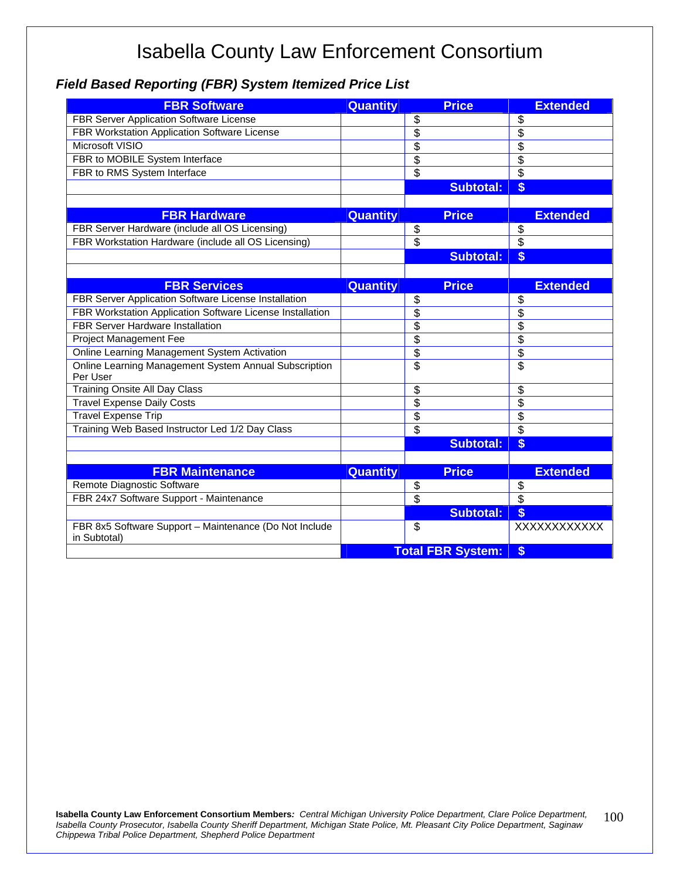#### *Field Based Reporting (FBR) System Itemized Price List*

| <b>FBR Software</b>                                                    | <b>Quantity</b> | <b>Price</b>             | <b>Extended</b>          |
|------------------------------------------------------------------------|-----------------|--------------------------|--------------------------|
| FBR Server Application Software License                                |                 | \$                       | \$                       |
| FBR Workstation Application Software License                           |                 | $\overline{\$}$          | $\overline{\$}$          |
| Microsoft VISIO                                                        |                 | $\overline{\$}$          | $\overline{\$}$          |
| FBR to MOBILE System Interface                                         |                 | $\overline{\$}$          | $\overline{\$}$          |
| FBR to RMS System Interface                                            |                 | $\overline{\$}$          | $\overline{\mathcal{S}}$ |
|                                                                        |                 | <b>Subtotal:</b>         | \$                       |
|                                                                        |                 |                          |                          |
| <b>FBR Hardware</b>                                                    | <b>Quantity</b> | <b>Price</b>             | <b>Extended</b>          |
| FBR Server Hardware (include all OS Licensing)                         |                 | \$                       | \$                       |
| FBR Workstation Hardware (include all OS Licensing)                    |                 | \$                       | $\overline{\mathcal{S}}$ |
|                                                                        |                 | <b>Subtotal:</b>         | \$                       |
|                                                                        |                 |                          |                          |
| <b>FBR Services</b>                                                    | Quantity        | <b>Price</b>             | <b>Extended</b>          |
| FBR Server Application Software License Installation                   |                 | \$                       | \$                       |
| FBR Workstation Application Software License Installation              |                 | $\overline{\$}$          | \$                       |
| <b>FBR Server Hardware Installation</b>                                |                 | $\overline{\$}$          | $\overline{\$}$          |
| Project Management Fee                                                 |                 | $\overline{\$}$          | $\overline{\$}$          |
| Online Learning Management System Activation                           |                 | $\overline{\$}$          | $\overline{\$}$          |
| Online Learning Management System Annual Subscription<br>Per User      |                 | $\overline{\$}$          | \$                       |
| <b>Training Onsite All Day Class</b>                                   |                 | \$                       | \$                       |
| <b>Travel Expense Daily Costs</b>                                      |                 | $\overline{\$}$          | \$                       |
| <b>Travel Expense Trip</b>                                             |                 | \$                       | \$                       |
| Training Web Based Instructor Led 1/2 Day Class                        |                 | $\overline{\$}$          | $\overline{\$}$          |
|                                                                        |                 | <b>Subtotal:</b>         | \$                       |
|                                                                        |                 |                          |                          |
| <b>FBR Maintenance</b>                                                 | Quantity        | <b>Price</b>             | <b>Extended</b>          |
| Remote Diagnostic Software                                             |                 | \$                       | \$                       |
| FBR 24x7 Software Support - Maintenance                                |                 | $\overline{\$}$          | $\overline{\$}$          |
|                                                                        |                 | <b>Subtotal:</b>         | $\boldsymbol{s}$         |
| FBR 8x5 Software Support - Maintenance (Do Not Include<br>in Subtotal) |                 | \$                       | XXXXXXXXXXX              |
|                                                                        |                 | <b>Total FBR System:</b> | \$                       |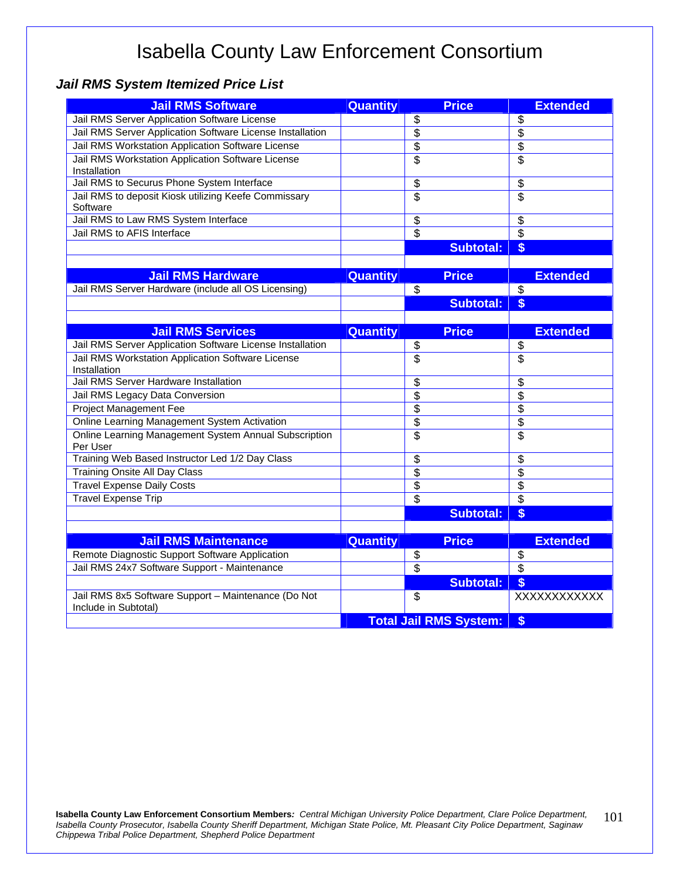#### *Jail RMS System Itemized Price List*

| <b>Jail RMS Software</b>                                                    | <b>Quantity</b> | <b>Price</b>                  | <b>Extended</b>     |
|-----------------------------------------------------------------------------|-----------------|-------------------------------|---------------------|
| Jail RMS Server Application Software License                                |                 | \$                            | \$                  |
| Jail RMS Server Application Software License Installation                   |                 | $\overline{\$}$               | $\overline{\$}$     |
| Jail RMS Workstation Application Software License                           |                 | $\overline{\$}$               | $\overline{\$}$     |
| Jail RMS Workstation Application Software License                           |                 | $\overline{\$}$               | $\overline{\$}$     |
| Installation                                                                |                 |                               |                     |
| Jail RMS to Securus Phone System Interface                                  |                 | \$                            | \$                  |
| Jail RMS to deposit Kiosk utilizing Keefe Commissary<br>Software            |                 | $\overline{\$}$               | \$                  |
| Jail RMS to Law RMS System Interface                                        |                 | \$                            | \$                  |
| Jail RMS to AFIS Interface                                                  |                 | $\overline{\$}$               | $\overline{\$}$     |
|                                                                             |                 | <b>Subtotal:</b>              | \$                  |
|                                                                             |                 |                               |                     |
| <b>Jail RMS Hardware</b>                                                    | <b>Quantity</b> | <b>Price</b>                  | <b>Extended</b>     |
| Jail RMS Server Hardware (include all OS Licensing)                         |                 | \$                            | $\overline{\$}$     |
|                                                                             |                 | <b>Subtotal:</b>              | \$                  |
|                                                                             |                 |                               |                     |
| <b>Jail RMS Services</b>                                                    | Quantity        | <b>Price</b>                  | <b>Extended</b>     |
| Jail RMS Server Application Software License Installation                   |                 | \$                            | \$                  |
| Jail RMS Workstation Application Software License                           |                 | $\overline{\$}$               | \$                  |
| Installation                                                                |                 |                               |                     |
| Jail RMS Server Hardware Installation                                       |                 | \$                            | \$                  |
| Jail RMS Legacy Data Conversion                                             |                 | $\overline{\$}$               | $\overline{\$}$     |
| <b>Project Management Fee</b>                                               |                 | $\overline{\$}$               | $\overline{\$}$     |
| Online Learning Management System Activation                                |                 | \$                            | \$                  |
| Online Learning Management System Annual Subscription<br>Per User           |                 | \$                            | \$                  |
| Training Web Based Instructor Led 1/2 Day Class                             |                 | \$                            | \$                  |
| Training Onsite All Day Class                                               |                 | \$                            | \$                  |
| <b>Travel Expense Daily Costs</b>                                           |                 | \$                            | \$                  |
| <b>Travel Expense Trip</b>                                                  |                 | \$                            | $\overline{\$}$     |
|                                                                             |                 | <b>Subtotal:</b>              | \$                  |
|                                                                             |                 |                               |                     |
| <b>Jail RMS Maintenance</b>                                                 | <b>Quantity</b> | <b>Price</b>                  | <b>Extended</b>     |
| Remote Diagnostic Support Software Application                              |                 | \$                            | \$                  |
| Jail RMS 24x7 Software Support - Maintenance                                |                 | $\overline{\$}$               | $\overline{\$}$     |
|                                                                             |                 | <b>Subtotal:</b>              | $\boldsymbol{\$}$   |
| Jail RMS 8x5 Software Support - Maintenance (Do Not<br>Include in Subtotal) |                 | \$                            | <b>XXXXXXXXXXXX</b> |
|                                                                             |                 | <b>Total Jail RMS System:</b> | \$                  |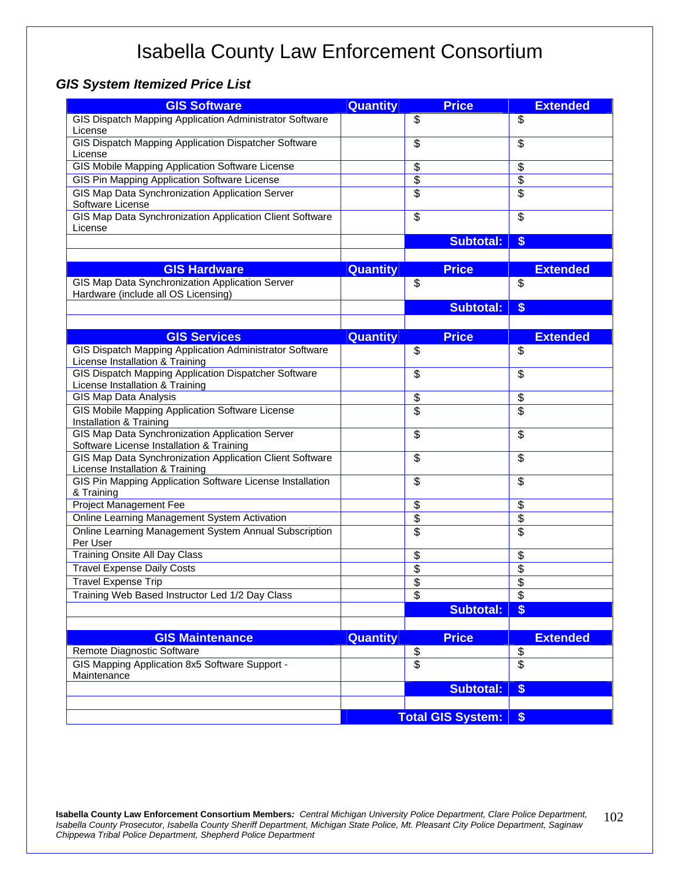#### *GIS System Itemized Price List*

| <b>GIS Software</b>                                                                         | <b>Quantity</b> | <b>Price</b>             | <b>Extended</b>          |
|---------------------------------------------------------------------------------------------|-----------------|--------------------------|--------------------------|
| GIS Dispatch Mapping Application Administrator Software                                     |                 | \$                       | $\overline{\mathcal{S}}$ |
| License                                                                                     |                 |                          |                          |
| GIS Dispatch Mapping Application Dispatcher Software                                        |                 | \$                       | \$                       |
| License                                                                                     |                 |                          |                          |
| <b>GIS Mobile Mapping Application Software License</b>                                      |                 | \$                       | \$                       |
| GIS Pin Mapping Application Software License                                                |                 | \$                       | \$                       |
| GIS Map Data Synchronization Application Server                                             |                 | \$                       | \$                       |
| Software License                                                                            |                 |                          |                          |
| GIS Map Data Synchronization Application Client Software                                    |                 | \$                       | \$                       |
| License                                                                                     |                 |                          |                          |
|                                                                                             |                 | <b>Subtotal:</b>         | $$$                      |
|                                                                                             |                 |                          |                          |
| <b>GIS Hardware</b>                                                                         | <b>Quantity</b> | <b>Price</b>             | <b>Extended</b>          |
| GIS Map Data Synchronization Application Server                                             |                 | \$                       | \$                       |
| Hardware (include all OS Licensing)                                                         |                 |                          |                          |
|                                                                                             |                 | <b>Subtotal:</b>         | $$$                      |
|                                                                                             |                 |                          |                          |
| <b>GIS Services</b>                                                                         | <b>Quantity</b> | <b>Price</b>             | <b>Extended</b>          |
| <b>GIS Dispatch Mapping Application Administrator Software</b>                              |                 | \$                       | \$                       |
| License Installation & Training                                                             |                 |                          |                          |
| GIS Dispatch Mapping Application Dispatcher Software                                        |                 | \$                       | \$                       |
| License Installation & Training                                                             |                 |                          |                          |
| GIS Map Data Analysis                                                                       |                 | \$                       | \$                       |
| GIS Mobile Mapping Application Software License                                             |                 | \$                       | $\overline{\$}$          |
| Installation & Training                                                                     |                 |                          |                          |
| GIS Map Data Synchronization Application Server                                             |                 | \$                       | \$                       |
| Software License Installation & Training                                                    |                 |                          |                          |
| GIS Map Data Synchronization Application Client Software<br>License Installation & Training |                 | \$                       | $\overline{\$}$          |
| GIS Pin Mapping Application Software License Installation                                   |                 | \$                       | \$                       |
| & Training                                                                                  |                 |                          |                          |
| Project Management Fee                                                                      |                 | \$                       | \$                       |
| Online Learning Management System Activation                                                |                 | \$                       | \$                       |
| Online Learning Management System Annual Subscription                                       |                 | \$                       | \$                       |
| Per User                                                                                    |                 |                          |                          |
| Training Onsite All Day Class                                                               |                 | \$                       | \$                       |
| <b>Travel Expense Daily Costs</b>                                                           |                 | \$                       | $\overline{\$}$          |
| <b>Travel Expense Trip</b>                                                                  |                 | \$                       | \$                       |
| Training Web Based Instructor Led 1/2 Day Class                                             |                 | \$                       | $\overline{\mathcal{S}}$ |
|                                                                                             |                 | <b>Subtotal:</b>         | \$                       |
|                                                                                             |                 |                          |                          |
| <b>GIS Maintenance</b>                                                                      | <b>Quantity</b> | <b>Price</b>             | <b>Extended</b>          |
| Remote Diagnostic Software                                                                  |                 |                          |                          |
| GIS Mapping Application 8x5 Software Support -                                              |                 | $rac{6}{3}$              | $\frac{6}{9}$            |
| Maintenance                                                                                 |                 |                          |                          |
|                                                                                             |                 | <b>Subtotal:</b>         | \$                       |
|                                                                                             |                 |                          |                          |
|                                                                                             |                 | <b>Total GIS System:</b> | \$                       |
|                                                                                             |                 |                          |                          |